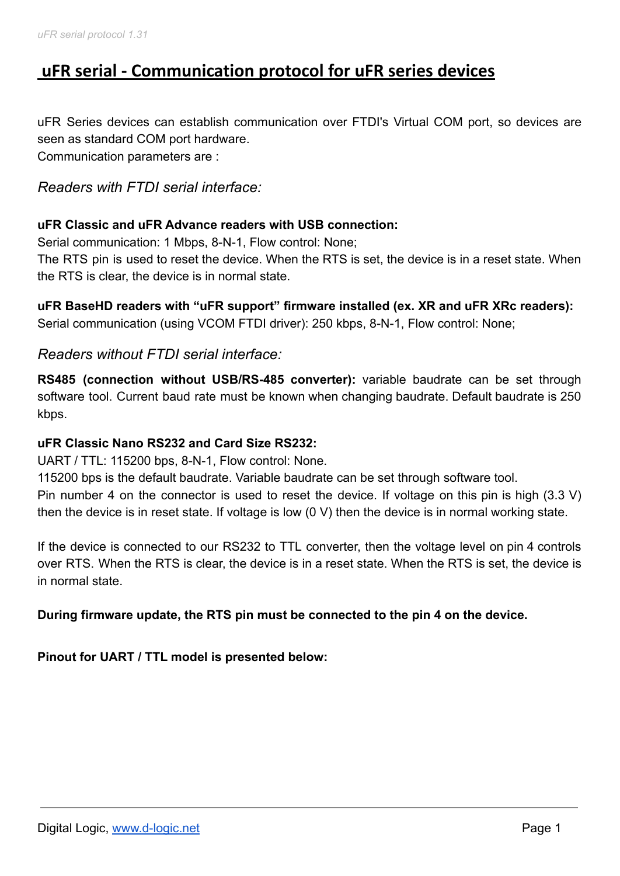# **uFR serial - Communication protocol for uFR series devices**

uFR Series devices can establish communication over FTDI's Virtual COM port, so devices are seen as standard COM port hardware. Communication parameters are :

# *Readers with FTDI serial interface:*

### **uFR Classic and uFR Advance readers with USB connection:**

Serial communication: 1 Mbps, 8-N-1, Flow control: None;

The RTS pin is used to reset the device. When the RTS is set, the device is in a reset state. When the RTS is clear, the device is in normal state.

**uFR BaseHD readers with "uFR support" firmware installed (ex. XR and uFR XRc readers):** Serial communication (using VCOM FTDI driver): 250 kbps, 8-N-1, Flow control: None;

# *Readers without FTDI serial interface:*

**RS485 (connection without USB/RS-485 converter):** variable baudrate can be set through software tool. Current baud rate must be known when changing baudrate. Default baudrate is 250 kbps.

### **uFR Classic Nano RS232 and Card Size RS232:**

UART / TTL: 115200 bps, 8-N-1, Flow control: None.

115200 bps is the default baudrate. Variable baudrate can be set through software tool. Pin number 4 on the connector is used to reset the device. If voltage on this pin is high (3.3 V) then the device is in reset state. If voltage is low (0 V) then the device is in normal working state.

If the device is connected to our RS232 to TTL converter, then the voltage level on pin 4 controls over RTS. When the RTS is clear, the device is in a reset state. When the RTS is set, the device is in normal state.

**During firmware update, the RTS pin must be connected to the pin 4 on the device.**

**Pinout for UART / TTL model is presented below:**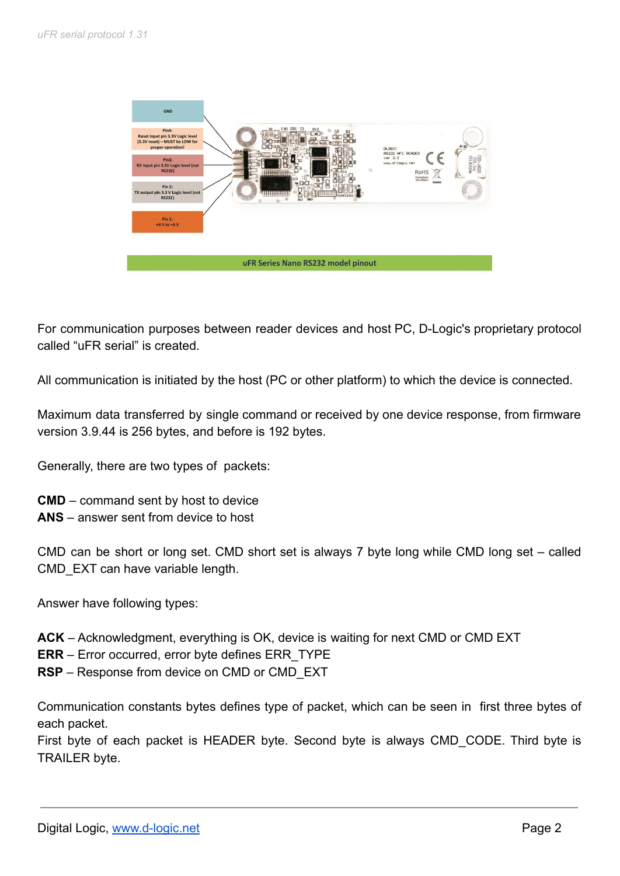

For communication purposes between reader devices and host PC, D-Logic's proprietary protocol called "uFR serial" is created.

All communication is initiated by the host (PC or other platform) to which the device is connected.

Maximum data transferred by single command or received by one device response, from firmware version 3.9.44 is 256 bytes, and before is 192 bytes.

Generally, there are two types of packets:

**CMD** – command sent by host to device **ANS** – answer sent from device to host

CMD can be short or long set. CMD short set is always 7 byte long while CMD long set – called CMD\_EXT can have variable length.

Answer have following types:

- **ACK** Acknowledgment, everything is OK, device is waiting for next CMD or CMD EXT
- **ERR** Error occurred, error byte defines ERR\_TYPE
- **RSP** Response from device on CMD or CMD\_EXT

Communication constants bytes defines type of packet, which can be seen in first three bytes of each packet.

First byte of each packet is HEADER byte. Second byte is always CMD\_CODE. Third byte is TRAILER byte.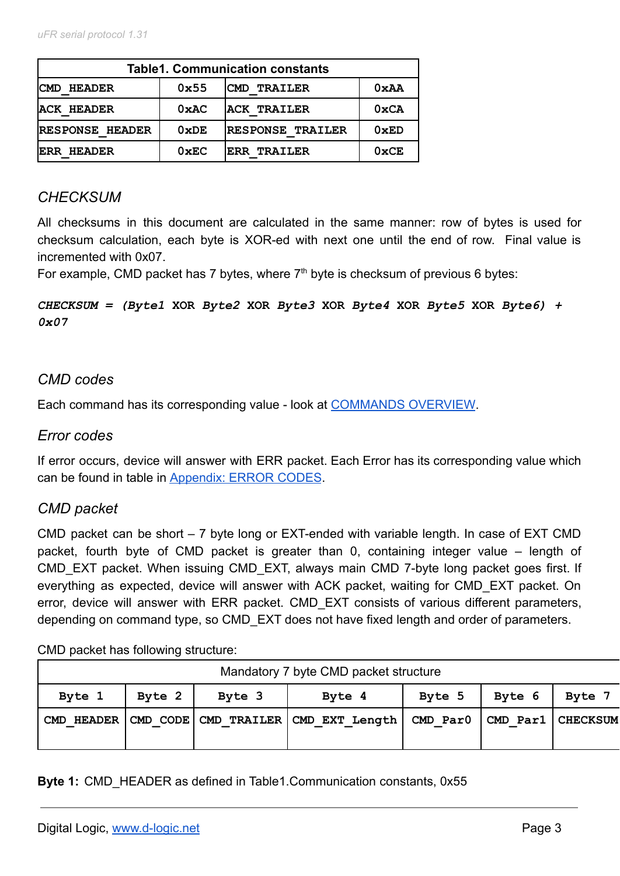| <b>Table1. Communication constants</b> |               |                         |                |  |
|----------------------------------------|---------------|-------------------------|----------------|--|
| <b>HEADER</b><br><b>CMD</b>            | 0x55          | <b>ICMD TRAILER</b>     | 0xAA           |  |
| <b>ACK HEADER</b>                      | 0xAC          | <b>ACK TRAILER</b>      | 0xCA           |  |
| RESPONSE HEADER                        | 0xDE          | <b>RESPONSE TRAILER</b> | 0xED           |  |
| <b>ERR HEADER</b>                      | $0 \times EC$ | <b>ERR TRAILER</b>      | $0 \times C E$ |  |

# *CHECKSUM*

All checksums in this document are calculated in the same manner: row of bytes is used for checksum calculation, each byte is XOR-ed with next one until the end of row. Final value is incremented with 0x07.

For example, CMD packet has 7 bytes, where  $7<sup>th</sup>$  byte is checksum of previous 6 bytes:

*CHECKSUM = (Byte1* **XOR** *Byte2* **XOR** *Byte3* **XOR** *Byte4* **XOR** *Byte5* **XOR** *Byte6) + 0x07*

# *CMD codes*

Each command has its corresponding value - look at [COMMANDS OVERVIEW](#page-5-0).

### *Error codes*

If error occurs, device will answer with ERR packet. Each Error has its corresponding value which can be found in table in Appendix: ERROR CODES.

# *CMD packet*

CMD packet can be short – 7 byte long or EXT-ended with variable length. In case of EXT CMD packet, fourth byte of CMD packet is greater than 0, containing integer value – length of CMD EXT packet. When issuing CMD EXT, always main CMD 7-byte long packet goes first. If everything as expected, device will answer with ACK packet, waiting for CMD\_EXT packet. On error, device will answer with ERR packet. CMD EXT consists of various different parameters, depending on command type, so CMD EXT does not have fixed length and order of parameters.

CMD packet has following structure:

| Mandatory 7 byte CMD packet structure                    |  |  |                                                                          |  |             |  |
|----------------------------------------------------------|--|--|--------------------------------------------------------------------------|--|-------------|--|
| Byte 1<br>Byte 2<br>Byte 3<br>Byte 4<br>Byte 6<br>Byte 5 |  |  |                                                                          |  | <b>Byte</b> |  |
| CMD HEADER                                               |  |  | CMD CODE   CMD TRAILER   CMD EXT Length   CMD Par0   CMD Par1   CHECKSUM |  |             |  |

### **Byte 1:** CMD\_HEADER as defined in Table1.Communication constants, 0x55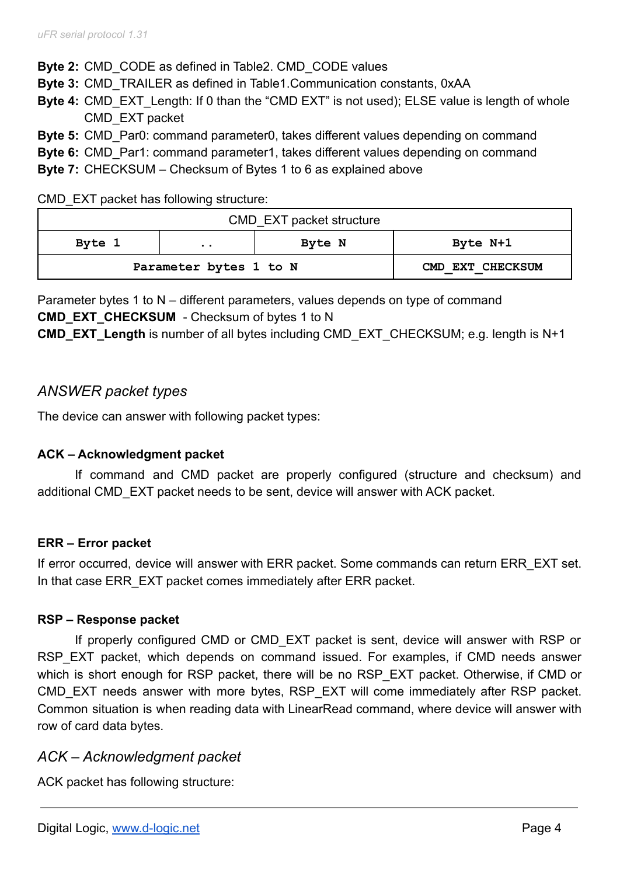**Byte 2:** CMD\_CODE as defined in Table2. CMD\_CODE values

**Byte 3:** CMD\_TRAILER as defined in Table1.Communication constants, 0xAA

**Byte 4:** CMD EXT Length: If 0 than the "CMD EXT" is not used); ELSE value is length of whole CMD\_EXT packet

**Byte 5:** CMD Par0: command parameter0, takes different values depending on command

**Byte 6:** CMD Par1: command parameter1, takes different values depending on command

**Byte 7:** CHECKSUM – Checksum of Bytes 1 to 6 as explained above

CMD EXT packet has following structure:

| CMD_EXT packet structure |                        |        |                  |  |  |
|--------------------------|------------------------|--------|------------------|--|--|
| Byte 1                   | $\ddot{\phantom{a}}$   | Byte N | Byte N+1         |  |  |
|                          | Parameter bytes 1 to N |        | CMD EXT CHECKSUM |  |  |

Parameter bytes 1 to N – different parameters, values depends on type of command **CMD\_EXT\_CHECKSUM** - Checksum of bytes 1 to N

**CMD\_EXT\_Length** is number of all bytes including CMD\_EXT\_CHECKSUM; e.g. length is N+1

# *ANSWER packet types*

The device can answer with following packet types:

### **ACK – Acknowledgment packet**

If command and CMD packet are properly configured (structure and checksum) and additional CMD\_EXT packet needs to be sent, device will answer with ACK packet.

### **ERR – Error packet**

If error occurred, device will answer with ERR packet. Some commands can return ERR EXT set. In that case ERR EXT packet comes immediately after ERR packet.

### **RSP – Response packet**

If properly configured CMD or CMD\_EXT packet is sent, device will answer with RSP or RSP EXT packet, which depends on command issued. For examples, if CMD needs answer which is short enough for RSP packet, there will be no RSP EXT packet. Otherwise, if CMD or CMD EXT needs answer with more bytes, RSP EXT will come immediately after RSP packet. Common situation is when reading data with LinearRead command, where device will answer with row of card data bytes.

# *ACK – Acknowledgment packet*

ACK packet has following structure: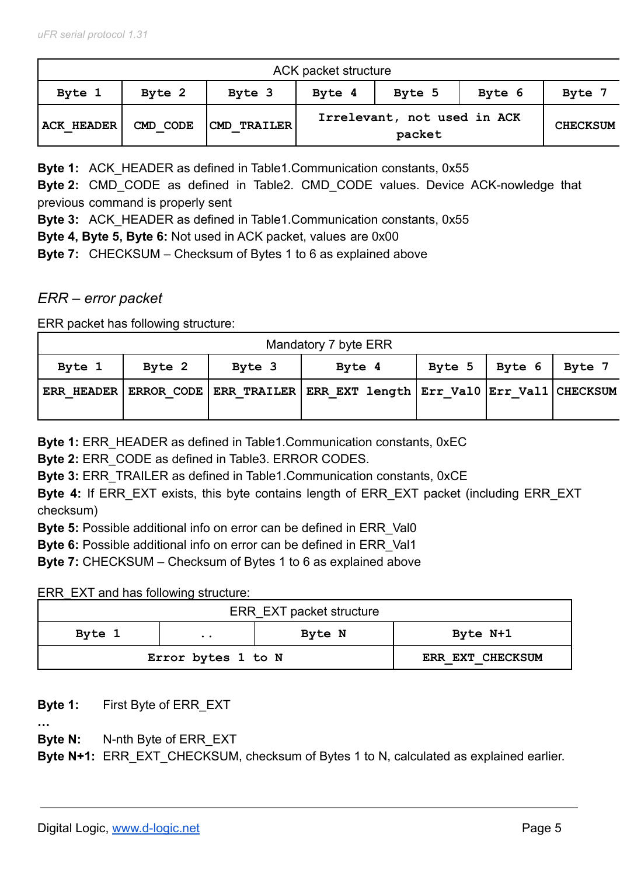|                   | ACK packet structure |                      |        |                                       |        |                 |  |
|-------------------|----------------------|----------------------|--------|---------------------------------------|--------|-----------------|--|
| Byte 1            | Byte 2               | Byte 3               | Byte 4 | Byte 5                                | Byte 6 | Byte 7          |  |
| <b>ACK HEADER</b> | CMD CODE             | <b> CMD TRAILER </b> |        | Irrelevant, not used in ACK<br>packet |        | <b>CHECKSUM</b> |  |

**Byte 1:** ACK HEADER as defined in Table1.Communication constants, 0x55

**Byte 2:** CMD\_CODE as defined in Table2. CMD\_CODE values. Device ACK-nowledge that previous command is properly sent

**Byte 3:** ACK\_HEADER as defined in Table1.Communication constants, 0x55

**Byte 4, Byte 5, Byte 6:** Not used in ACK packet, values are 0x00

**Byte 7:** CHECKSUM – Checksum of Bytes 1 to 6 as explained above

# *ERR – error packet*

ERR packet has following structure:

| Mandatory 7 byte ERR |        |        |                                                                                         |        |        |        |
|----------------------|--------|--------|-----------------------------------------------------------------------------------------|--------|--------|--------|
| Byte 1               | Byte 2 | Byte 3 | Byte 4                                                                                  | Byte 5 | Byte 6 | Byte 7 |
|                      |        |        | ERR HEADER   ERROR CODE   ERR TRAILER   ERR EXT length   Err Val0   Err Val1   CHECKSUM |        |        |        |

**Byte 1: ERR HEADER as defined in Table1. Communication constants, 0xEC** 

**Byte 2:** ERR\_CODE as defined in Table3. ERROR CODES.

**Byte 3:** ERR\_TRAILER as defined in Table1.Communication constants, 0xCE

**Byte 4:** If ERR\_EXT exists, this byte contains length of ERR\_EXT packet (including ERR\_EXT checksum)

**Byte 5:** Possible additional info on error can be defined in ERR\_Val0

**Byte 6:** Possible additional info on error can be defined in ERR\_Val1

**Byte 7:** CHECKSUM – Checksum of Bytes 1 to 6 as explained above

ERR\_EXT and has following structure:

| ERR_EXT packet structure |                      |        |                  |  |  |
|--------------------------|----------------------|--------|------------------|--|--|
| Byte 1                   | $\ddot{\phantom{a}}$ | Byte N | Byte N+1         |  |  |
| Error bytes 1 to N       |                      |        | ERR EXT CHECKSUM |  |  |

**Byte 1:** First Byte of ERR\_EXT

**…**

**Byte N:** N-nth Byte of ERR\_EXT

**Byte N+1:** ERR EXT CHECKSUM, checksum of Bytes 1 to N, calculated as explained earlier.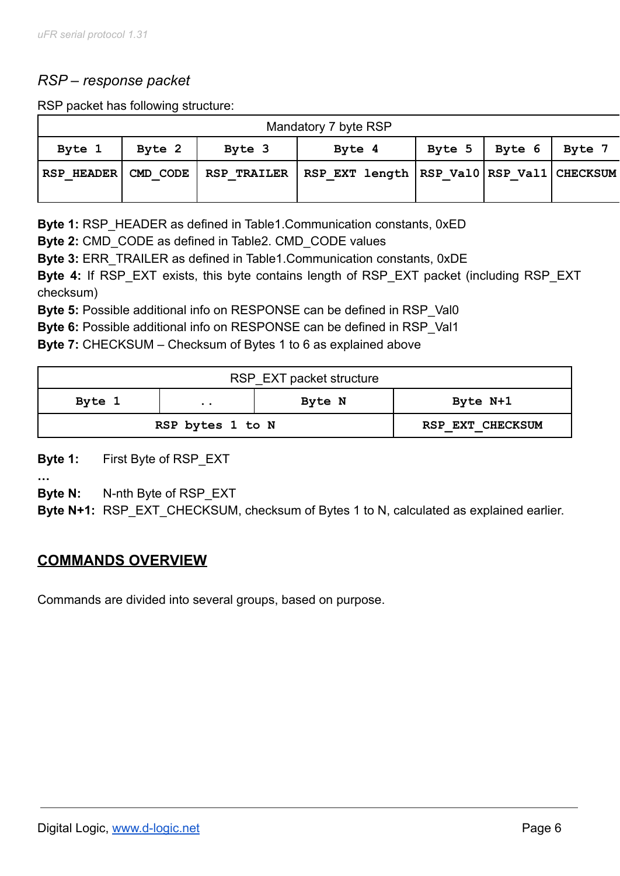# *RSP – response packet*

RSP packet has following structure:

| Mandatory 7 byte RSP |        |        |                                                                                    |  |                      |        |
|----------------------|--------|--------|------------------------------------------------------------------------------------|--|----------------------|--------|
| Byte 1               | Byte 2 | Byte 3 | Byte 4                                                                             |  | Byte $5 \mid$ Byte 6 | Byte 7 |
|                      |        |        | RSP HEADER  CMD CODE   RSP TRAILER   RSP EXT length  RSP Val0  RSP Val1   CHECKSUM |  |                      |        |

**Byte 1:** RSP\_HEADER as defined in Table1.Communication constants, 0xED

**Byte 2:** CMD\_CODE as defined in Table2. CMD\_CODE values

**Byte 3:** ERR\_TRAILER as defined in Table1.Communication constants, 0xDE

**Byte 4:** If RSP\_EXT exists, this byte contains length of RSP\_EXT packet (including RSP\_EXT checksum)

**Byte 5:** Possible additional info on RESPONSE can be defined in RSP Val0

**Byte 6:** Possible additional info on RESPONSE can be defined in RSP\_Val1

**Byte 7:** CHECKSUM – Checksum of Bytes 1 to 6 as explained above

| RSP EXT packet structure |                      |        |                  |  |
|--------------------------|----------------------|--------|------------------|--|
| Byte 1                   | $\ddot{\phantom{a}}$ | Byte N | Byte N+1         |  |
| RSP bytes 1 to N         |                      |        | RSP EXT CHECKSUM |  |

**Byte 1:** First Byte of RSP\_EXT

**…**

**Byte N:** N-nth Byte of RSP\_EXT

<span id="page-5-0"></span>**Byte N+1:** RSP EXT CHECKSUM, checksum of Bytes 1 to N, calculated as explained earlier.

# **COMMANDS OVERVIEW**

Commands are divided into several groups, based on purpose.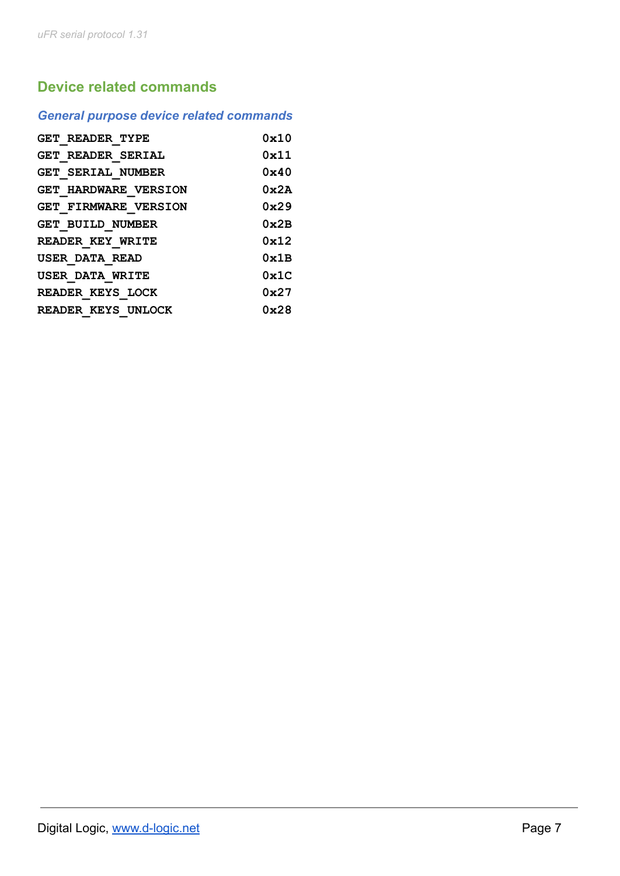# **Device related commands**

# *General purpose device related commands*

| GET READER TYPE             | 0x10           |
|-----------------------------|----------------|
| <b>GET READER SERIAL</b>    | 0x11           |
| <b>GET SERIAL NUMBER</b>    | $0 \times 40$  |
| <b>GET HARDWARE VERSION</b> | $0 \times 2A$  |
| <b>GET FIRMWARE VERSION</b> | 0x29           |
| <b>GET BUILD NUMBER</b>     | $0 \times 2B$  |
| <b>READER KEY WRITE</b>     | 0x12           |
| USER DATA READ              | 0x1B           |
| <b>USER DATA WRITE</b>      | $0 \times 1$ C |
| READER KEYS LOCK            | 0x27           |
| READER KEYS UNLOCK          | 0x28           |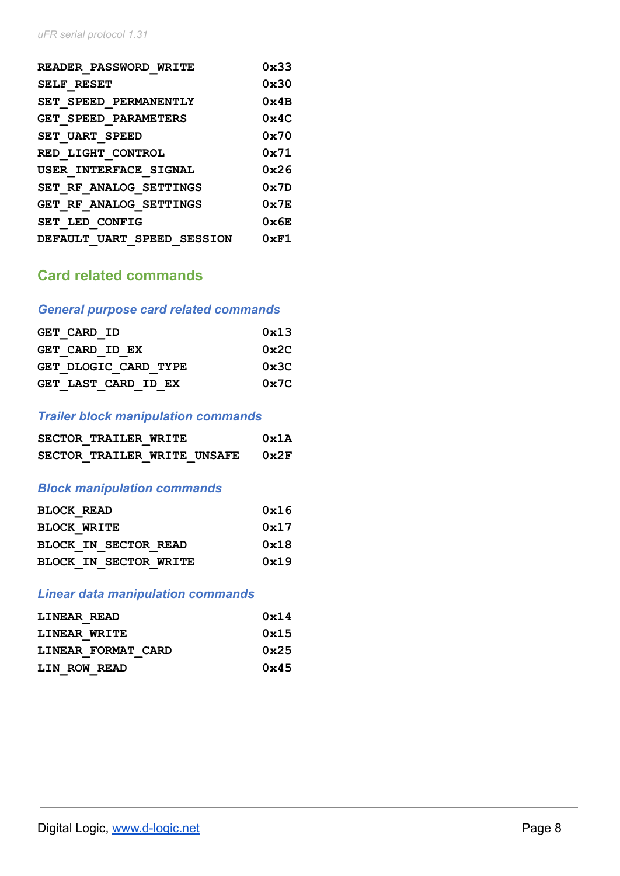| <b>READER PASSWORD WRITE</b> | $0 \times 33$ |
|------------------------------|---------------|
| <b>SELF RESET</b>            | $0 \times 30$ |
| SET SPEED PERMANENTLY        | $0 \times 4B$ |
| GET SPEED PARAMETERS         | $0 \times 4C$ |
| <b>SET UART SPEED</b>        | $0 \times 70$ |
| RED LIGHT CONTROL            | $0 \times 71$ |
| USER INTERFACE SIGNAL        | 0x26          |
| SET RF ANALOG SETTINGS       | $0 \times 7D$ |
| GET RF ANALOG SETTINGS       | $0 \times 7F$ |
| SET LED CONFIG               | $0 \times 6E$ |
| DEFAULT UART SPEED SESSION   | $0 \times F1$ |

# **Card related commands**

# *General purpose card related commands*

| <b>GET CARD ID</b>   | 0x13          |
|----------------------|---------------|
| GET CARD ID EX       | $0 \times 2C$ |
| GET DLOGIC CARD TYPE | $0 \times 3C$ |
| GET LAST CARD ID EX  | $0 \times 7C$ |

### *Trailer block manipulation commands*

| SECTOR TRAILER WRITE        |  | 0x1A |
|-----------------------------|--|------|
| SECTOR TRAILER WRITE UNSAFE |  | 0x2F |

# *Block manipulation commands*

| <b>BLOCK READ</b>  |                              | 0x16 |
|--------------------|------------------------------|------|
| <b>BLOCK WRITE</b> |                              | 0x17 |
|                    | <b>BLOCK IN SECTOR READ</b>  | 0x18 |
|                    | <b>BLOCK IN SECTOR WRITE</b> | 0x19 |

# *Linear data manipulation commands*

| LINEAR READ        | 0x14          |
|--------------------|---------------|
| LINEAR WRITE       | 0x15          |
| LINEAR FORMAT CARD | $0 \times 25$ |
| LIN ROW READ       | $0 \times 45$ |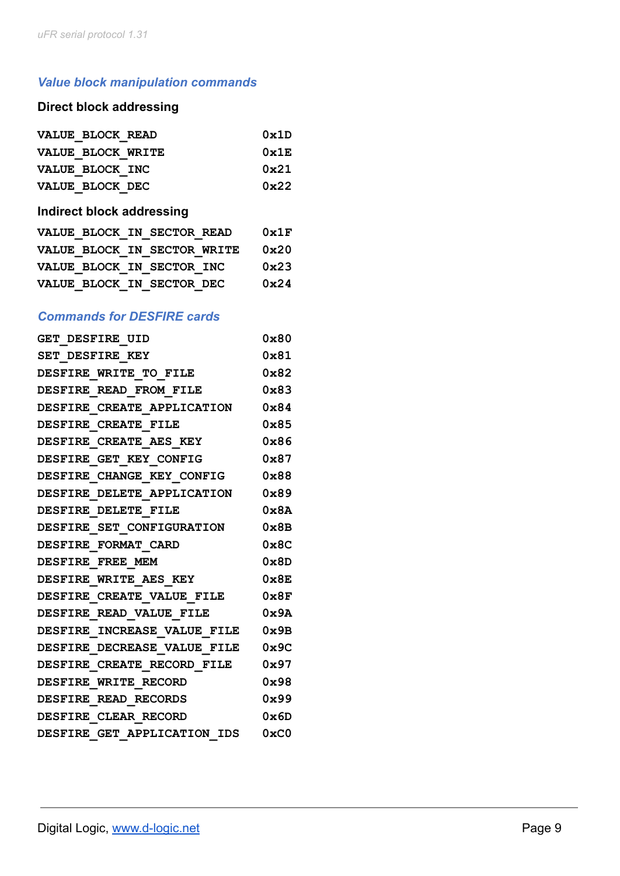# *Value block manipulation commands*

# **Direct block addressing**

| VALUE BLOCK READ                                          | 0x1D |
|-----------------------------------------------------------|------|
| VALUE BLOCK WRITE                                         | 0x1E |
| VALUE BLOCK INC                                           | 0x21 |
| VALUE BLOCK DEC                                           | 0x22 |
| in a subject of the first state of the company of the set |      |

#### **Indirect block addressing**

|  | VALUE BLOCK IN SECTOR READ  | 0x1F          |
|--|-----------------------------|---------------|
|  | VALUE BLOCK IN SECTOR WRITE | $0 \times 20$ |
|  | VALUE BLOCK IN SECTOR INC   | $0 \times 23$ |
|  | VALUE BLOCK IN SECTOR DEC   | 0x24          |

# *Commands for DESFIRE cards*

| GET DESFIRE UID                  | 0x80          |
|----------------------------------|---------------|
| SET DESFIRE KEY                  | 0x81          |
| <b>DESFIRE WRITE TO FILE</b>     | $0 \times 82$ |
| DESFIRE READ FROM FILE           | 0x83          |
| DESFIRE CREATE APPLICATION       | $0 \times 84$ |
| DESFIRE CREATE FILE              | 0x85          |
| DESFIRE CREATE AES KEY           | $0 \times 86$ |
| DESFIRE GET KEY CONFIG           | $0 \times 87$ |
| DESFIRE CHANGE KEY CONFIG        | $0 \times 88$ |
| DESFIRE DELETE APPLICATION 0x89  |               |
| DESFIRE DELETE FILE              | 0x8A          |
| DESFIRE SET CONFIGURATION        | $0 \times 8B$ |
| DESFIRE FORMAT CARD              | $0 \times 8C$ |
| DESFIRE FREE MEM                 | $0 \times 8D$ |
| DESFIRE WRITE AES KEY            | $0 \times 8E$ |
| DESFIRE CREATE VALUE FILE        | 0x8F          |
| <b>DESFIRE READ VALUE FILE</b>   | $0 \times 9A$ |
| DESFIRE INCREASE VALUE FILE 0x9B |               |
| DESFIRE DECREASE VALUE FILE 0x9C |               |
| DESFIRE CREATE RECORD FILE       | 0x97          |
| DESFIRE WRITE RECORD             | 0x98          |
| DESFIRE READ RECORDS             | 0x99          |
| DESFIRE CLEAR RECORD             | 0x6D          |
| DESFIRE GET APPLICATION IDS      | 0xC0          |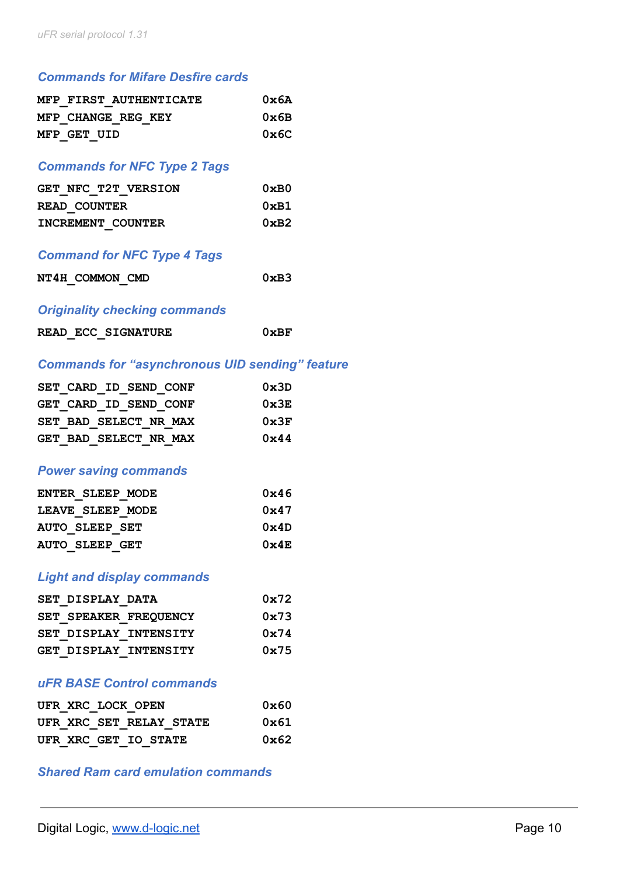### *Commands for Mifare Desfire cards*

| MFP FIRST AUTHENTICATE | 0x6A          |
|------------------------|---------------|
| MFP CHANGE REG KEY     | $0 \times 6B$ |
| MFP GET UID            | 0x6C          |

### *Commands for NFC Type 2 Tags*

| GET NFC T2T VERSION | $0 \times B0$ |
|---------------------|---------------|
| READ COUNTER        | 0xB1          |
| INCREMENT COUNTER   | $0 \times B2$ |

### *Command for NFC Type 4 Tags*

| NT4H COMMON CMD | 0xB3 |
|-----------------|------|
|                 |      |

### *Originality checking commands*

|  | READ ECC SIGNATURE | 0xBF |
|--|--------------------|------|
|  |                    |      |

### *Commands for "asynchronous UID sending" feature*

|  | SET CARD ID SEND CONF | 0x3D          |
|--|-----------------------|---------------|
|  | GET CARD ID SEND CONF | $0 \times 3E$ |
|  | SET BAD SELECT NR MAX | $0 \times 3F$ |
|  | GET BAD SELECT NR MAX | $0 \times 44$ |

#### *Power saving commands*

| ENTER SLEEP MODE      | 0x46          |
|-----------------------|---------------|
| LEAVE SLEEP MODE      | 0x47          |
| <b>AUTO SLEEP SET</b> | 0x4D          |
| <b>AUTO SLEEP GET</b> | $0 \times 4E$ |

#### *Light and display commands*

| SET DISPLAY DATA      | 0x72 |
|-----------------------|------|
| SET SPEAKER FREQUENCY | 0x73 |
| SET DISPLAY INTENSITY | 0x74 |
| GET DISPLAY INTENSITY | 0x75 |

### *uFR BASE Control commands*

|  | UFR XRC LOCK OPEN    |                         | $0 \times 60$ |
|--|----------------------|-------------------------|---------------|
|  |                      | UFR XRC SET RELAY STATE | 0x61          |
|  | UFR XRC GET IO STATE |                         | $0 \times 62$ |

### *Shared Ram card emulation commands*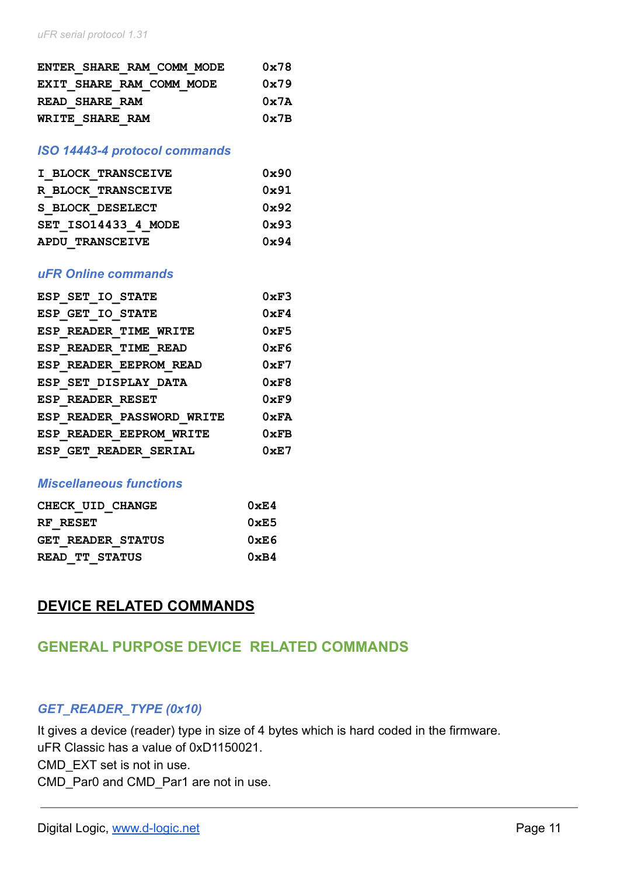| ENTER SHARE RAM COMM MODE | $0 \times 78$ |
|---------------------------|---------------|
| EXIT SHARE RAM COMM MODE  | 0x79          |
| READ SHARE RAM            | 0x7A          |
| WRITE SHARE RAM           | $0 \times 7B$ |

#### *ISO 14443-4 protocol commands*

| I BLOCK TRANSCEIVE  | $0 \times 90$ |
|---------------------|---------------|
| R BLOCK TRANSCEIVE  | $0 \times 91$ |
| S BLOCK DESELECT    | $0 \times 92$ |
| SET ISO14433 4 MODE | $0 \times 93$ |
| APDU TRANSCEIVE     | $0 \times 94$ |

#### *uFR Online commands*

| ESP SET IO STATE          | 0xF3          |
|---------------------------|---------------|
| ESP GET IO STATE          | $0 \times F4$ |
| ESP READER TIME WRITE     | $0 \times F5$ |
| ESP READER TIME READ      | $0 \times F6$ |
| ESP READER EEPROM READ    | $0 \times F7$ |
| ESP SET DISPLAY DATA      | $0 \times F8$ |
| <b>ESP READER RESET</b>   | $0 \times F9$ |
| ESP READER PASSWORD WRITE | $0 \times FA$ |
| ESP READER EEPROM WRITE   | $0 \times FB$ |
| ESP GET READER SERIAL     | $0 \times E7$ |

#### *Miscellaneous functions*

| CHECK UID CHANGE         | $0 \times E4$  |  |  |  |  |
|--------------------------|----------------|--|--|--|--|
| RF RESET                 | $0 \times E$ 5 |  |  |  |  |
| <b>GET READER STATUS</b> | 0xE6           |  |  |  |  |
| READ TT STATUS           | 0xB4           |  |  |  |  |

# **DEVICE RELATED COMMANDS**

# **GENERAL PURPOSE DEVICE RELATED COMMANDS**

#### *GET\_READER\_TYPE (0x10)*

It gives a device (reader) type in size of 4 bytes which is hard coded in the firmware. uFR Classic has a value of 0xD1150021. CMD\_EXT set is not in use. CMD Par0 and CMD Par1 are not in use.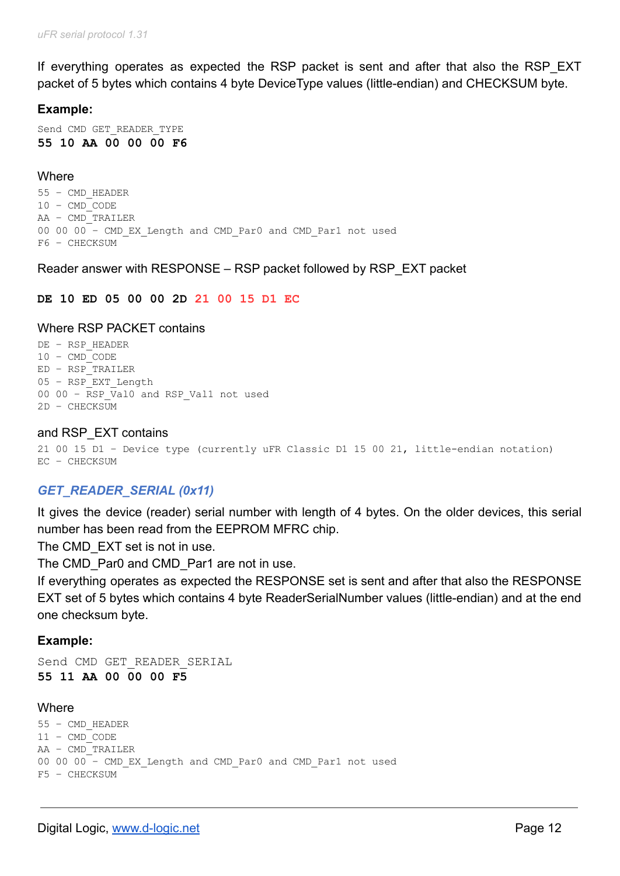If everything operates as expected the RSP packet is sent and after that also the RSP EXT packet of 5 bytes which contains 4 byte DeviceType values (little-endian) and CHECKSUM byte.

### **Example:**

Send CMD GET READER TYPE **55 10 AA 00 00 00 F6**

### **Where**

55 – CMD\_HEADER 10 – CMD\_CODE AA – CMD\_TRAILER 00 00 00 – CMD\_EX\_Length and CMD\_Par0 and CMD\_Par1 not used F6 – CHECKSUM

#### Reader answer with RESPONSE – RSP packet followed by RSP\_EXT packet

#### **DE 10 ED 05 00 00 2D 21 00 15 D1 EC**

#### Where RSP PACKET contains

DE – RSP\_HEADER 10 – CMD\_CODE ED – RSP\_TRAILER 05 – RSP\_EXT\_Length 00 00 - RSP Val0 and RSP Val1 not used 2D – CHECKSUM

#### and RSP\_EXT contains

21 00 15 D1 – Device type (currently uFR Classic D1 15 00 21, little-endian notation) EC – CHECKSUM

### *GET\_READER\_SERIAL (0x11)*

It gives the device (reader) serial number with length of 4 bytes. On the older devices, this serial number has been read from the EEPROM MFRC chip.

The CMD EXT set is not in use.

The CMD Par0 and CMD Par1 are not in use.

If everything operates as expected the RESPONSE set is sent and after that also the RESPONSE EXT set of 5 bytes which contains 4 byte ReaderSerialNumber values (little-endian) and at the end one checksum byte.

#### **Example:**

```
Send CMD GET READER SERIAL
55 11 AA 00 00 00 F5
```
#### Where

```
55 – CMD_HEADER
11 – CMD_CODE
AA – CMD_TRAILER
00 00 00 – CMD_EX_Length and CMD_Par0 and CMD_Par1 not used
F5 – CHECKSUM
```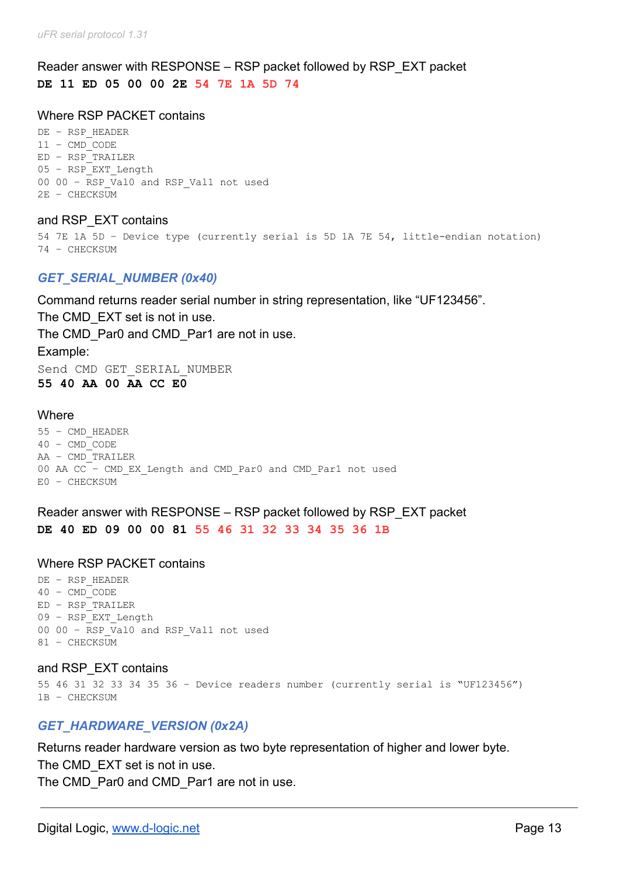## Reader answer with RESPONSE – RSP packet followed by RSP\_EXT packet **DE 11 ED 05 00 00 2E 54 7E 1A 5D 74**

#### Where RSP PACKET contains

DE – RSP\_HEADER  $11 - CMDCODE$ ED – RSP\_TRAILER 05 – RSP\_EXT\_Length  $00$   $00 -$  RSP Val0 and RSP Val1 not used 2E – CHECKSUM

and RSP\_EXT contains

```
54 7E 1A 5D – Device type (currently serial is 5D 1A 7E 54, little-endian notation)
74 – CHECKSUM
```
### *GET\_SERIAL\_NUMBER (0x40)*

Command returns reader serial number in string representation, like "UF123456". The CMD EXT set is not in use. The CMD Par0 and CMD Par1 are not in use. Example: Send CMD GET SERIAL NUMBER **55 40 AA 00 AA CC E0**

#### **Where**

55 – CMD\_HEADER 40 – CMD\_CODE AA – CMD\_TRAILER 00 AA CC – CMD\_EX\_Length and CMD\_Par0 and CMD\_Par1 not used E0 – CHECKSUM

Reader answer with RESPONSE – RSP packet followed by RSP\_EXT packet **DE 40 ED 09 00 00 81 55 46 31 32 33 34 35 36 1B**

#### Where RSP PACKET contains

DE – RSP\_HEADER 40 – CMD\_CODE  $ED - RSP$ TRAILER 09 – RSP\_EXT\_Length 00 00 - RSP Val0 and RSP Val1 not used 81 – CHECKSUM

#### and RSP\_EXT contains

55 46 31 32 33 34 35 36 – Device readers number (currently serial is "UF123456") 1B – CHECKSUM

### *GET\_HARDWARE\_VERSION (0x2A)*

Returns reader hardware version as two byte representation of higher and lower byte. The CMD\_EXT set is not in use.

The CMD Par0 and CMD Par1 are not in use.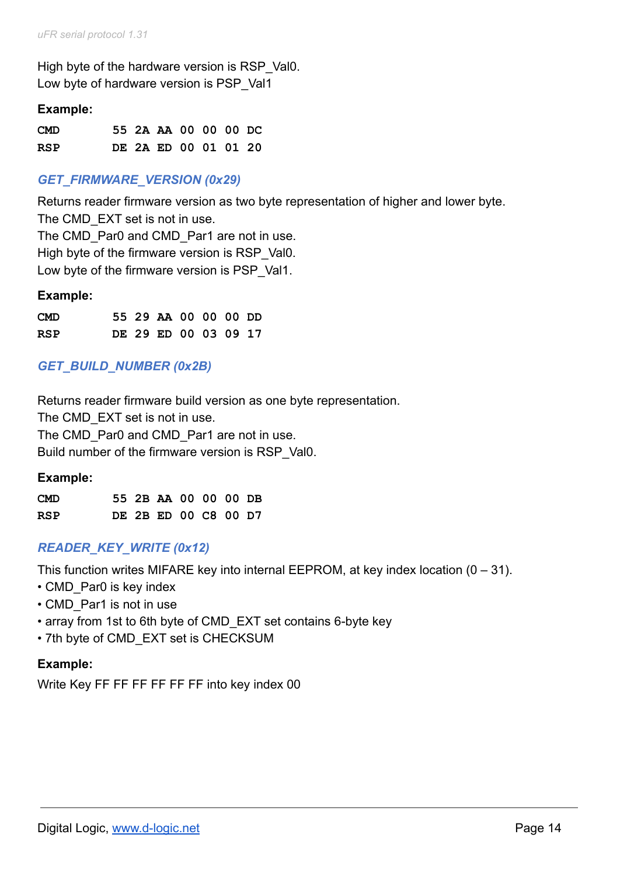High byte of the hardware version is RSP\_Val0. Low byte of hardware version is PSP\_Val1

### **Example:**

| <b>CMD</b> |  | 55 2A AA 00 00 00 DC |  |  |
|------------|--|----------------------|--|--|
| RSP        |  | DE 2A ED 00 01 01 20 |  |  |

## *GET\_FIRMWARE\_VERSION (0x29)*

Returns reader firmware version as two byte representation of higher and lower byte. The CMD EXT set is not in use. The CMD Par0 and CMD Par1 are not in use. High byte of the firmware version is RSP Val0. Low byte of the firmware version is PSP Val1.

#### **Example:**

| <b>CMD</b> |  | 55 29 AA 00 00 00 DD |  |  |
|------------|--|----------------------|--|--|
| <b>RSP</b> |  | DE 29 ED 00 03 09 17 |  |  |

## *GET\_BUILD\_NUMBER (0x2B)*

Returns reader firmware build version as one byte representation. The CMD EXT set is not in use. The CMD\_Par0 and CMD\_Par1 are not in use. Build number of the firmware version is RSP\_Val0.

| <b>CMD</b> |  | 55 2B AA 00 00 00 DB |  |  |
|------------|--|----------------------|--|--|
| RSP        |  | DE 2B ED 00 C8 00 D7 |  |  |

### *READER\_KEY\_WRITE (0x12)*

This function writes MIFARE key into internal EEPROM, at key index location  $(0 - 31)$ .

- CMD Par0 is key index
- CMD Par1 is not in use
- array from 1st to 6th byte of CMD\_EXT set contains 6-byte key
- 7th byte of CMD\_EXT set is CHECKSUM

### **Example:**

Write Key FF FF FF FF FF FF into key index 00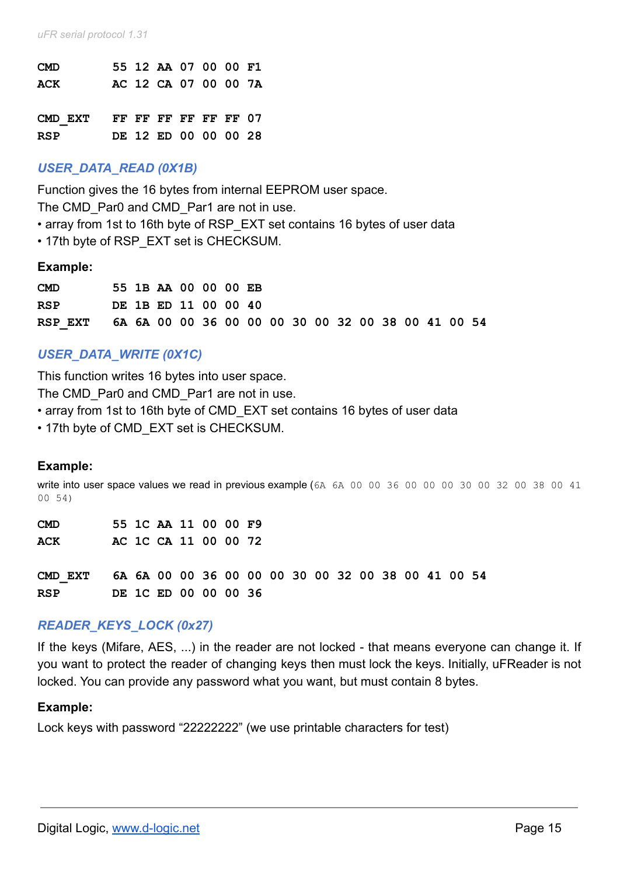| <b>CMD</b>                   |  | 55 12 AA 07 00 00 F1 |  |  |
|------------------------------|--|----------------------|--|--|
| <b>ACK</b>                   |  | AC 12 CA 07 00 00 7A |  |  |
|                              |  |                      |  |  |
| CMD EXT FF FF FF FF FF FF 07 |  |                      |  |  |
| <b>RSP</b>                   |  | DE 12 ED 00 00 00 28 |  |  |

### *USER\_DATA\_READ (0X1B)*

Function gives the 16 bytes from internal EEPROM user space.

The CMD Par0 and CMD Par1 are not in use.

- array from 1st to 16th byte of RSP\_EXT set contains 16 bytes of user data
- 17th byte of RSP\_EXT set is CHECKSUM.

#### **Example:**

| <b>CMD</b> |  | 55 1B AA 00 00 00 EB |  |  |  |  |  |  |                                                    |  |
|------------|--|----------------------|--|--|--|--|--|--|----------------------------------------------------|--|
| <b>RSP</b> |  | DE 1B ED 11 00 00 40 |  |  |  |  |  |  |                                                    |  |
| RSP EXT    |  |                      |  |  |  |  |  |  | 6A 6A 00 00 36 00 00 00 30 00 32 00 38 00 41 00 54 |  |

### *USER\_DATA\_WRITE (0X1C)*

This function writes 16 bytes into user space.

The CMD Par0 and CMD Par1 are not in use.

- array from 1st to 16th byte of CMD EXT set contains 16 bytes of user data
- 17th byte of CMD\_EXT set is CHECKSUM.

#### **Example:**

write into user space values we read in previous example (6A 6A 00 00 36 00 00 00 30 00 32 00 38 00 41 00 54)

| <b>CMD</b> |  | 55 1C AA 11 00 00 F9 |  |  |  |  |  |  |                                                    |  |
|------------|--|----------------------|--|--|--|--|--|--|----------------------------------------------------|--|
| ACK        |  | AC 1C CA 11 00 00 72 |  |  |  |  |  |  |                                                    |  |
|            |  |                      |  |  |  |  |  |  |                                                    |  |
| CMD EXT    |  |                      |  |  |  |  |  |  | 6A 6A 00 00 36 00 00 00 30 00 32 00 38 00 41 00 54 |  |
| <b>RSP</b> |  | DE 1C ED 00 00 00 36 |  |  |  |  |  |  |                                                    |  |

### *READER\_KEYS\_LOCK (0x27)*

If the keys (Mifare, AES, ...) in the reader are not locked - that means everyone can change it. If you want to protect the reader of changing keys then must lock the keys. Initially, uFReader is not locked. You can provide any password what you want, but must contain 8 bytes.

#### **Example:**

Lock keys with password "22222222" (we use printable characters for test)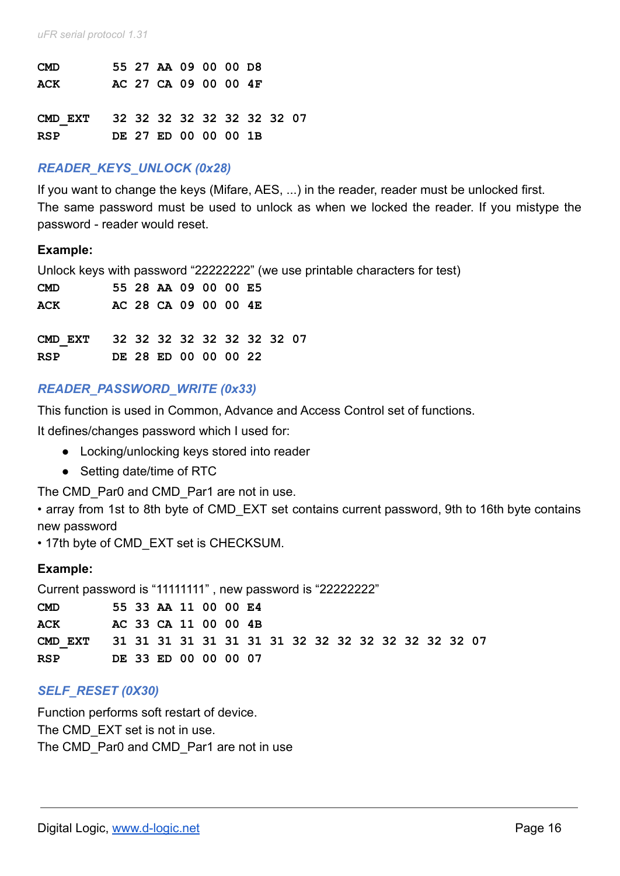| <b>CMD</b>                         |  | 55 27 AA 09 00 00 D8 |  |  |  |
|------------------------------------|--|----------------------|--|--|--|
| ACK                                |  | AC 27 CA 09 00 00 4F |  |  |  |
| CMD EXT 32 32 32 32 32 32 32 32 07 |  |                      |  |  |  |
| <b>RSP</b>                         |  | DE 27 ED 00 00 00 1B |  |  |  |

### *READER\_KEYS\_UNLOCK (0x28)*

If you want to change the keys (Mifare, AES, ...) in the reader, reader must be unlocked first. The same password must be used to unlock as when we locked the reader. If you mistype the password - reader would reset.

#### **Example:**

Unlock keys with password "22222222" (we use printable characters for test)

| <b>CMD</b>                                       |  | 55 28 AA 09 00 00 E5 |  |  |  |
|--------------------------------------------------|--|----------------------|--|--|--|
| ACK                                              |  | AC 28 CA 09 00 00 4E |  |  |  |
| CMD EXT 32 32 32 32 32 32 32 32 07<br><b>RSP</b> |  | DE 28 ED 00 00 00 22 |  |  |  |

### *READER\_PASSWORD\_WRITE (0x33)*

This function is used in Common, Advance and Access Control set of functions.

It defines/changes password which I used for:

- Locking/unlocking keys stored into reader
- Setting date/time of RTC

The CMD Par0 and CMD Par1 are not in use.

• array from 1st to 8th byte of CMD EXT set contains current password, 9th to 16th byte contains new password

• 17th byte of CMD\_EXT set is CHECKSUM.

#### **Example:**

Current password is "11111111" , new password is "22222222"

| <b>CMD</b>                                                 |  | 55 33 AA 11 00 00 E4 |  |  |  |  |  |  |  |
|------------------------------------------------------------|--|----------------------|--|--|--|--|--|--|--|
| ACK                                                        |  | AC 33 CA 11 00 00 4B |  |  |  |  |  |  |  |
| CMD EXT 31 31 31 31 31 31 31 31 32 32 32 32 32 32 32 32 07 |  |                      |  |  |  |  |  |  |  |
| RSP                                                        |  | DE 33 ED 00 00 00 07 |  |  |  |  |  |  |  |

### *SELF\_RESET (0X30)*

Function performs soft restart of device. The CMD EXT set is not in use. The CMD Par0 and CMD Par1 are not in use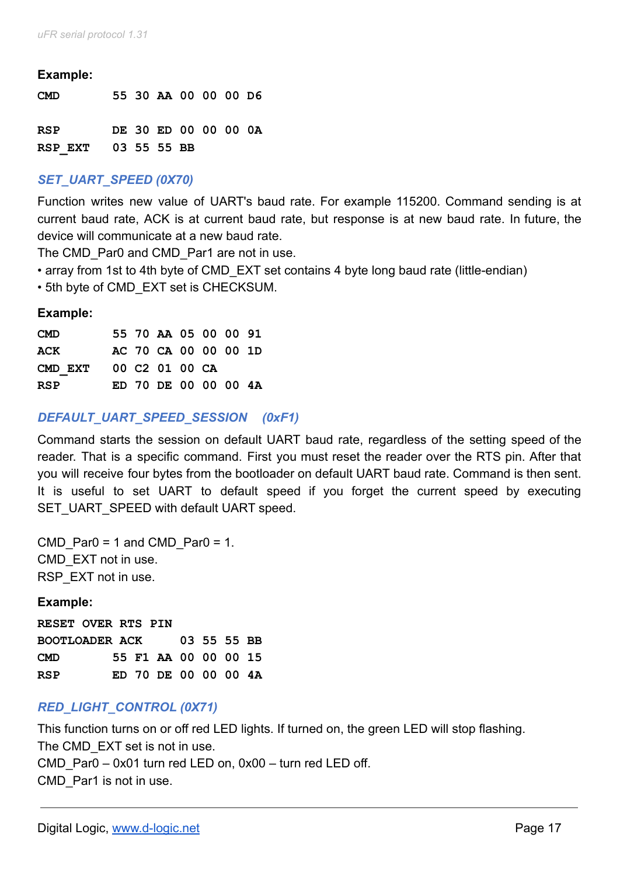#### **Example:**

| <b>CMD</b>          |  | 55 30 AA 00 00 00 D6 |  |  |
|---------------------|--|----------------------|--|--|
| RSP                 |  | DE 30 ED 00 00 00 0A |  |  |
| RSP EXT 03 55 55 BB |  |                      |  |  |

## *SET\_UART\_SPEED (0X70)*

Function writes new value of UART's baud rate. For example 115200. Command sending is at current baud rate, ACK is at current baud rate, but response is at new baud rate. In future, the device will communicate at a new baud rate.

The CMD Par0 and CMD Par1 are not in use.

- array from 1st to 4th byte of CMD EXT set contains 4 byte long baud rate (little-endian)
- 5th byte of CMD\_EXT set is CHECKSUM.

#### **Example:**

| <b>CMD</b> |  | 55 70 AA 05 00 00 91 |  |  |
|------------|--|----------------------|--|--|
| ACK        |  | AC 70 CA 00 00 00 1D |  |  |
| CMD EXT    |  | 00 C2 01 00 CA       |  |  |
| <b>RSP</b> |  | ED 70 DE 00 00 00 4A |  |  |

### *DEFAULT\_UART\_SPEED\_SESSION (0xF1)*

Command starts the session on default UART baud rate, regardless of the setting speed of the reader. That is a specific command. First you must reset the reader over the RTS pin. After that you will receive four bytes from the bootloader on default UART baud rate. Command is then sent. It is useful to set UART to default speed if you forget the current speed by executing SET\_UART\_SPEED with default UART speed.

CMD Par0 = 1 and CMD Par0 = 1. CMD\_EXT not in use. RSP\_EXT not in use.

#### **Example:**

**RESET OVER RTS PIN BOOTLOADER ACK 03 55 55 BB CMD 55 F1 AA 00 00 00 15 RSP ED 70 DE 00 00 00 4A**

### *RED\_LIGHT\_CONTROL (0X71)*

This function turns on or off red LED lights. If turned on, the green LED will stop flashing. The CMD EXT set is not in use. CMD\_Par0 – 0x01 turn red LED on, 0x00 – turn red LED off. CMD\_Par1 is not in use.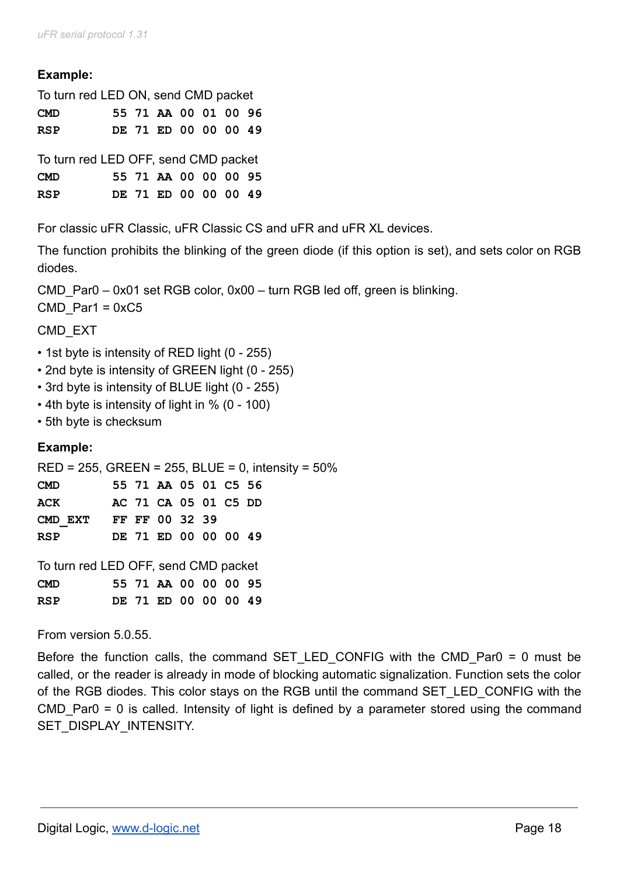# **Example:**

| To turn red LED ON, send CMD packet                |  |  |  |  |  |                      |  |  |
|----------------------------------------------------|--|--|--|--|--|----------------------|--|--|
| <b>CMD</b>                                         |  |  |  |  |  | 55 71 AA 00 01 00 96 |  |  |
| <b>RSP</b>                                         |  |  |  |  |  | DE 71 ED 00 00 00 49 |  |  |
| To turn red LED OFF, send CMD packet<br><b>CMD</b> |  |  |  |  |  | 55 71 AA 00 00 00 95 |  |  |
|                                                    |  |  |  |  |  |                      |  |  |

**RSP DE 71 ED 00 00 00 49**

For classic uFR Classic, uFR Classic CS and uFR and uFR XL devices.

The function prohibits the blinking of the green diode (if this option is set), and sets color on RGB diodes.

CMD Par0 – 0x01 set RGB color, 0x00 – turn RGB led off, green is blinking.

 $CMD$  Par1 = 0xC5

CMD\_EXT

- 1st byte is intensity of RED light (0 255)
- 2nd byte is intensity of GREEN light (0 255)
- 3rd byte is intensity of BLUE light (0 255)
- 4th byte is intensity of light in % (0 100)
- 5th byte is checksum

# **Example:**

RED = 255, GREEN = 255, BLUE = 0, intensity = 50%

| <b>CMD</b>             |  | 55 71 AA 05 01 C5 56 |  |  |
|------------------------|--|----------------------|--|--|
| ACK                    |  | AC 71 CA 05 01 C5 DD |  |  |
| CMD EXT FF FF 00 32 39 |  |                      |  |  |
| RSP                    |  | DE 71 ED 00 00 00 49 |  |  |

| To turn red LED OFF, send CMD packet |  |  |                      |  |  |  |  |  |  |
|--------------------------------------|--|--|----------------------|--|--|--|--|--|--|
| <b>CMD</b>                           |  |  | 55 71 AA 00 00 00 95 |  |  |  |  |  |  |
| RSP                                  |  |  | DE 71 ED 00 00 00 49 |  |  |  |  |  |  |

From version 5.0.55.

Before the function calls, the command SET LED CONFIG with the CMD Par0 = 0 must be called, or the reader is already in mode of blocking automatic signalization. Function sets the color of the RGB diodes. This color stays on the RGB until the command SET\_LED\_CONFIG with the CMD\_Par0 = 0 is called. Intensity of light is defined by a parameter stored using the command SET\_DISPLAY\_INTENSITY.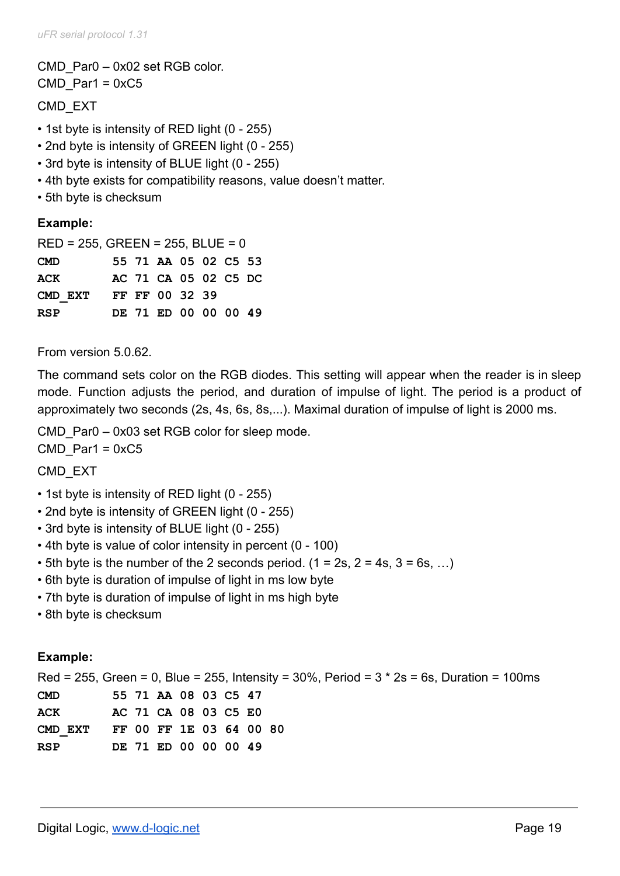CMD\_Par0 – 0x02 set RGB color. CMD Par1 =  $0xC5$ 

CMD\_EXT

- 1st byte is intensity of RED light (0 255)
- 2nd byte is intensity of GREEN light (0 255)
- 3rd byte is intensity of BLUE light (0 255)
- 4th byte exists for compatibility reasons, value doesn't matter.
- 5th byte is checksum

### **Example:**

| $RED = 255$ , GREEN = 255, BLUE = 0 |  |  |                      |  |  |  |  |  |  |
|-------------------------------------|--|--|----------------------|--|--|--|--|--|--|
| <b>CMD</b>                          |  |  | 55 71 AA 05 02 C5 53 |  |  |  |  |  |  |
| <b>ACK</b>                          |  |  | AC 71 CA 05 02 C5 DC |  |  |  |  |  |  |
| CMD EXT                             |  |  | FF FF 00 32 39       |  |  |  |  |  |  |
| <b>RSP</b>                          |  |  | DE 71 ED 00 00 00 49 |  |  |  |  |  |  |

From version 5.0.62.

The command sets color on the RGB diodes. This setting will appear when the reader is in sleep mode. Function adjusts the period, and duration of impulse of light. The period is a product of approximately two seconds (2s, 4s, 6s, 8s,...). Maximal duration of impulse of light is 2000 ms.

CMD Par0 – 0x03 set RGB color for sleep mode.  $CMD$  Par1 = 0xC5

CMD\_EXT

- 1st byte is intensity of RED light (0 255)
- 2nd byte is intensity of GREEN light (0 255)
- 3rd byte is intensity of BLUE light (0 255)
- 4th byte is value of color intensity in percent (0 100)
- 5th byte is the number of the 2 seconds period.  $(1 = 2s, 2 = 4s, 3 = 6s, ...)$
- 6th byte is duration of impulse of light in ms low byte
- 7th byte is duration of impulse of light in ms high byte
- 8th byte is checksum

### **Example:**

Red = 255, Green = 0, Blue = 255, Intensity = 30%, Period =  $3 * 2s = 6s$ , Duration = 100ms **CMD 55 71 AA 08 03 C5 47 ACK AC 71 CA 08 03 C5 E0 CMD\_EXT FF 00 FF 1E 03 64 00 80 RSP DE 71 ED 00 00 00 49**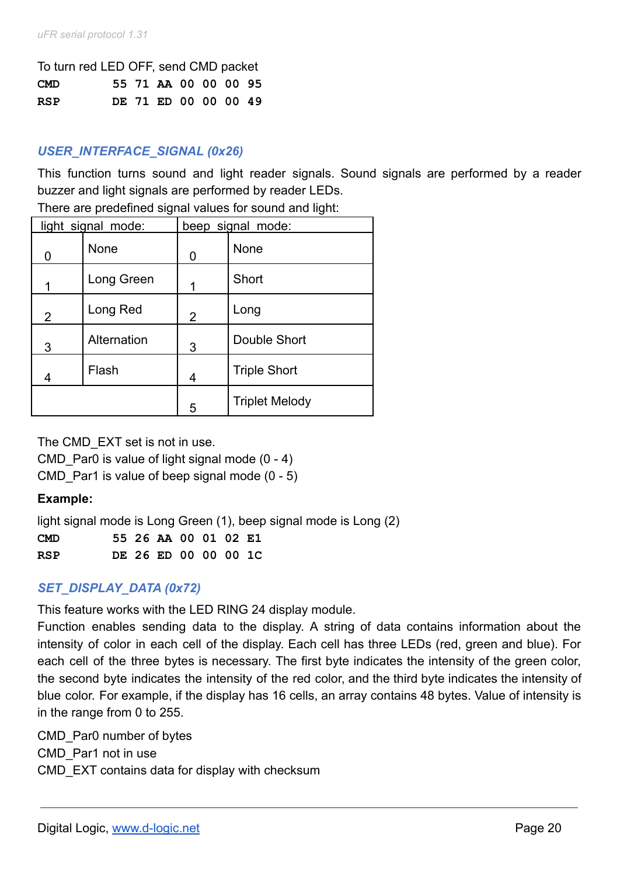| To turn red LED OFF, send CMD packet |  |  |                      |  |  |  |  |  |
|--------------------------------------|--|--|----------------------|--|--|--|--|--|
| <b>CMD</b>                           |  |  | 55 71 AA 00 00 00 95 |  |  |  |  |  |
| <b>RSP</b>                           |  |  | DE 71 ED 00 00 00 49 |  |  |  |  |  |

# *USER\_INTERFACE\_SIGNAL (0x26)*

This function turns sound and light reader signals. Sound signals are performed by a reader buzzer and light signals are performed by reader LEDs.

There are predefined signal values for sound and light:

|                | light signal mode: |                | beep signal mode:     |
|----------------|--------------------|----------------|-----------------------|
| O              | <b>None</b>        | 0              | <b>None</b>           |
|                | Long Green         |                | Short                 |
| $\overline{2}$ | Long Red           | $\overline{2}$ | Long                  |
| 3              | Alternation        | 3              | Double Short          |
| 4              | Flash              | 4              | <b>Triple Short</b>   |
|                |                    | 5              | <b>Triplet Melody</b> |

The CMD\_EXT set is not in use.

CMD Par0 is value of light signal mode  $(0 - 4)$ 

CMD Par1 is value of beep signal mode  $(0 - 5)$ 

### **Example:**

light signal mode is Long Green (1), beep signal mode is Long (2)

**CMD 55 26 AA 00 01 02 E1 RSP DE 26 ED 00 00 00 1C**

### *SET\_DISPLAY\_DATA (0x72)*

This feature works with the LED RING 24 display module.

Function enables sending data to the display. A string of data contains information about the intensity of color in each cell of the display. Each cell has three LEDs (red, green and blue). For each cell of the three bytes is necessary. The first byte indicates the intensity of the green color, the second byte indicates the intensity of the red color, and the third byte indicates the intensity of blue color. For example, if the display has 16 cells, an array contains 48 bytes. Value of intensity is in the range from 0 to 255.

CMD\_Par0 number of bytes CMD\_Par1 not in use CMD\_EXT contains data for display with checksum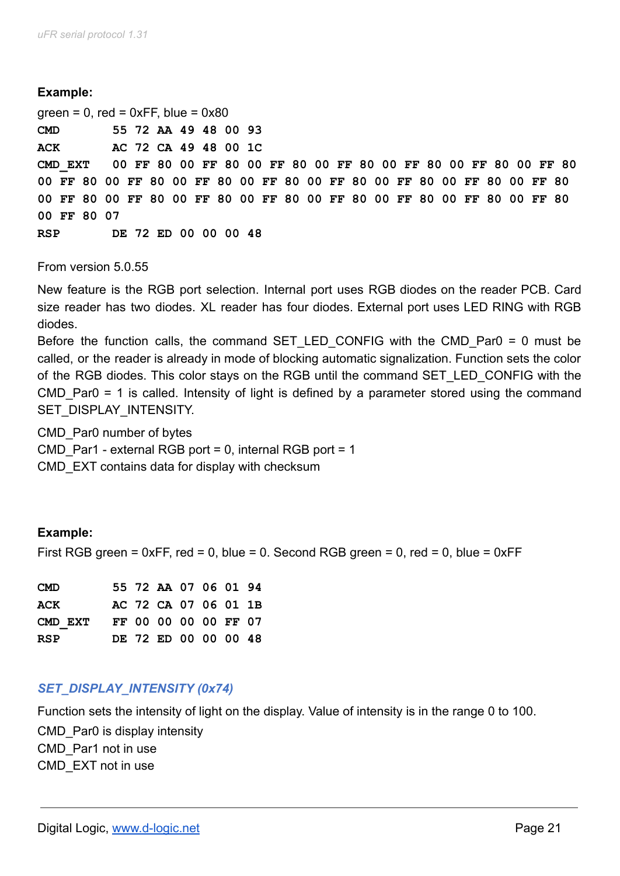#### **Example:**

 $green = 0$ , red = 0xFF, blue = 0x80 **CMD 55 72 AA 49 48 00 93 ACK AC 72 CA 49 48 00 1C CMD\_EXT 00 FF 80 00 FF 80 00 FF 80 00 FF 80 00 FF 80 00 FF 80 00 FF 80 00 FF 80 00 FF 80 00 FF 80 00 FF 80 00 FF 80 00 FF 80 00 FF 80 00 FF 80 00 FF 80 00 FF 80 00 FF 80 00 FF 80 00 FF 80 00 FF 80 00 FF 80 00 FF 80 00 FF 80 07 RSP DE 72 ED 00 00 00 48**

#### From version 5.0.55

New feature is the RGB port selection. Internal port uses RGB diodes on the reader PCB. Card size reader has two diodes. XL reader has four diodes. External port uses LED RING with RGB diodes.

Before the function calls, the command SET LED CONFIG with the CMD Par0 = 0 must be called, or the reader is already in mode of blocking automatic signalization. Function sets the color of the RGB diodes. This color stays on the RGB until the command SET\_LED\_CONFIG with the CMD Par0 = 1 is called. Intensity of light is defined by a parameter stored using the command SET\_DISPLAY\_INTENSITY.

CMD\_Par0 number of bytes CMD Par1 - external RGB port = 0, internal RGB port = 1 CMD\_EXT contains data for display with checksum

#### **Example:**

First RGB green =  $0xFF$ , red = 0, blue = 0. Second RGB green = 0, red = 0, blue =  $0xFF$ 

| <b>CMD</b> |  | 55 72 AA 07 06 01 94 |  |  |
|------------|--|----------------------|--|--|
| ACK        |  | AC 72 CA 07 06 01 1B |  |  |
| CMD EXT    |  | FF 00 00 00 00 FF 07 |  |  |
| <b>RSP</b> |  | DE 72 ED 00 00 00 48 |  |  |

#### *SET\_DISPLAY\_INTENSITY (0x74)*

Function sets the intensity of light on the display. Value of intensity is in the range 0 to 100.

CMD\_Par0 is display intensity CMD\_Par1 not in use CMD\_EXT not in use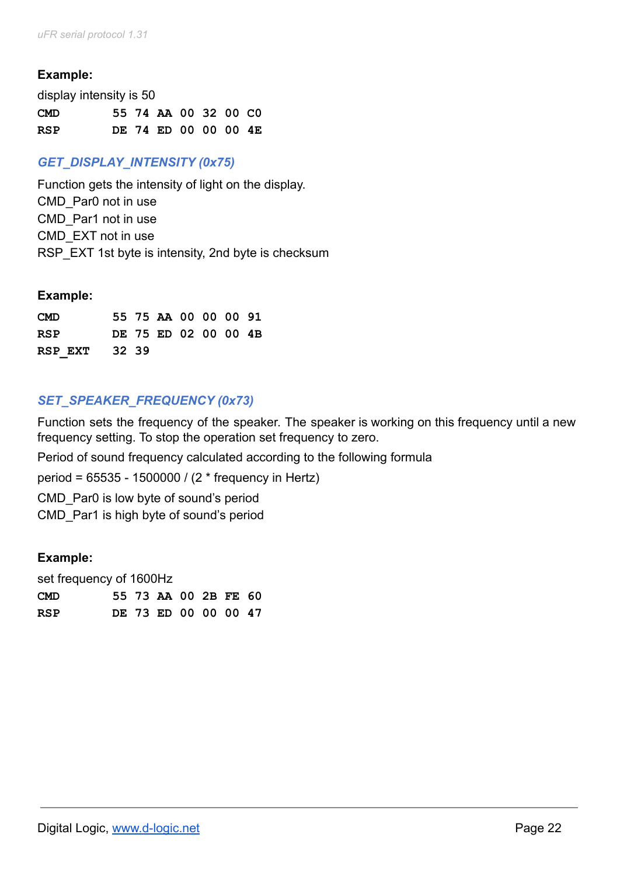### **Example:**

| display intensity is 50 |  |                      |  |  |
|-------------------------|--|----------------------|--|--|
| <b>CMD</b>              |  | 55 74 AA 00 32 00 CO |  |  |
| RSP                     |  | DE 74 ED 00 00 00 4E |  |  |

# *GET\_DISPLAY\_INTENSITY (0x75)*

Function gets the intensity of light on the display. CMD\_Par0 not in use CMD\_Par1 not in use CMD\_EXT not in use RSP EXT 1st byte is intensity, 2nd byte is checksum

#### **Example:**

| <b>CMD</b>    |  | 55 75 AA 00 00 00 91 |  |  |
|---------------|--|----------------------|--|--|
| <b>RSP</b>    |  | DE 75 ED 02 00 00 4B |  |  |
| RSP EXT 32 39 |  |                      |  |  |

## *SET\_SPEAKER\_FREQUENCY (0x73)*

Function sets the frequency of the speaker. The speaker is working on this frequency until a new frequency setting. To stop the operation set frequency to zero.

Period of sound frequency calculated according to the following formula

period = 65535 - 1500000 / (2 \* frequency in Hertz)

CMD\_Par0 is low byte of sound's period

CMD\_Par1 is high byte of sound's period

### **Example:**

| set frequency of 1600Hz |  |  |  |  |  |                      |  |
|-------------------------|--|--|--|--|--|----------------------|--|
| <b>CMD</b>              |  |  |  |  |  | 55 73 AA 00 2B FE 60 |  |
| <b>RSP</b>              |  |  |  |  |  | DE 73 ED 00 00 00 47 |  |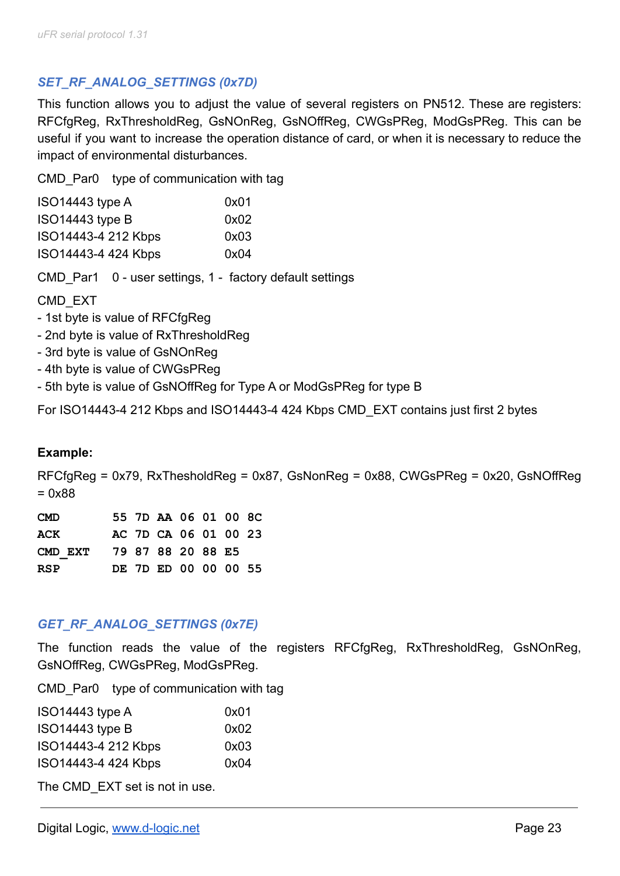# *SET\_RF\_ANALOG\_SETTINGS (0x7D)*

This function allows you to adjust the value of several registers on PN512. These are registers: RFCfgReg, RxThresholdReg, GsNOnReg, GsNOffReg, CWGsPReg, ModGsPReg. This can be useful if you want to increase the operation distance of card, or when it is necessary to reduce the impact of environmental disturbances.

CMD Par0 type of communication with tag

| ISO14443 type A     | 0x01 |
|---------------------|------|
| ISO14443 type B     | 0x02 |
| ISO14443-4 212 Kbps | 0x03 |
| ISO14443-4 424 Kbps | 0x04 |

CMD\_Par1 0 - user settings, 1 - factory default settings

## CMD\_EXT

- 1st byte is value of RFCfgReg
- 2nd byte is value of RxThresholdReg
- 3rd byte is value of GsNOnReg
- 4th byte is value of CWGsPReg
- 5th byte is value of GsNOffReg for Type A or ModGsPReg for type B

For ISO14443-4 212 Kbps and ISO14443-4 424 Kbps CMD\_EXT contains just first 2 bytes

### **Example:**

RFCfgReg = 0x79, RxThesholdReg = 0x87, GsNonReg = 0x88, CWGsPReg = 0x20, GsNOffReg = 0x88

| <b>CMD</b> |  | 55 7D AA 06 01 00 8C |  |  |
|------------|--|----------------------|--|--|
| ACK        |  | AC 7D CA 06 01 00 23 |  |  |
| CMD EXT    |  | 79 87 88 20 88 E5    |  |  |
| <b>RSP</b> |  | DE 7D ED 00 00 00 55 |  |  |

### *GET\_RF\_ANALOG\_SETTINGS (0x7E)*

The function reads the value of the registers RFCfgReg, RxThresholdReg, GsNOnReg, GsNOffReg, CWGsPReg, ModGsPReg.

CMD Par0 type of communication with tag

| ISO14443 type A     | 0x01 |
|---------------------|------|
| $ISO14443$ type B   | 0x02 |
| ISO14443-4 212 Kbps | 0x03 |
| ISO14443-4 424 Kbps | 0x04 |

The CMD EXT set is not in use.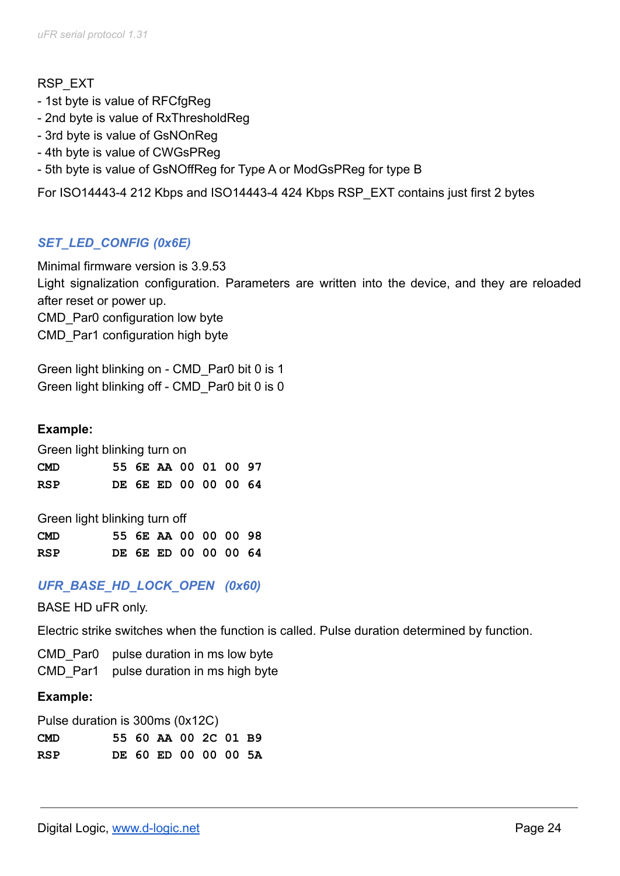### RSP\_EXT

- 1st byte is value of RFCfgReg
- 2nd byte is value of RxThresholdReg
- 3rd byte is value of GsNOnReg
- 4th byte is value of CWGsPReg
- 5th byte is value of GsNOffReg for Type A or ModGsPReg for type B

For ISO14443-4 212 Kbps and ISO14443-4 424 Kbps RSP\_EXT contains just first 2 bytes

# *SET\_LED\_CONFIG (0x6E)*

Minimal firmware version is 3.9.53 Light signalization configuration. Parameters are written into the device, and they are reloaded after reset or power up.

CMD Par0 configuration low byte CMD\_Par1 configuration high byte

Green light blinking on - CMD\_Par0 bit 0 is 1 Green light blinking off - CMD\_Par0 bit 0 is 0

### **Example:**

Green light blinking turn on

| <b>CMD</b> |  | 55 6E AA 00 01 00 97 |  |  |
|------------|--|----------------------|--|--|
| <b>RSP</b> |  | DE 6E ED 00 00 00 64 |  |  |

Green light blinking turn off

| <b>CMD</b> |  | 55 6E AA 00 00 00 98 |  |  |
|------------|--|----------------------|--|--|
| <b>RSP</b> |  | DE 6E ED 00 00 00 64 |  |  |

### *UFR\_BASE\_HD\_LOCK\_OPEN (0x60)*

BASE HD uFR only.

Electric strike switches when the function is called. Pulse duration determined by function.

CMD Par0 pulse duration in ms low byte

CMD Par1 pulse duration in ms high byte

#### **Example:**

Pulse duration is 300ms (0x12C)

| <b>CMD</b> |  | 55 60 AA 00 2C 01 B9 |  |  |
|------------|--|----------------------|--|--|
| RSP        |  | DE 60 ED 00 00 00 5A |  |  |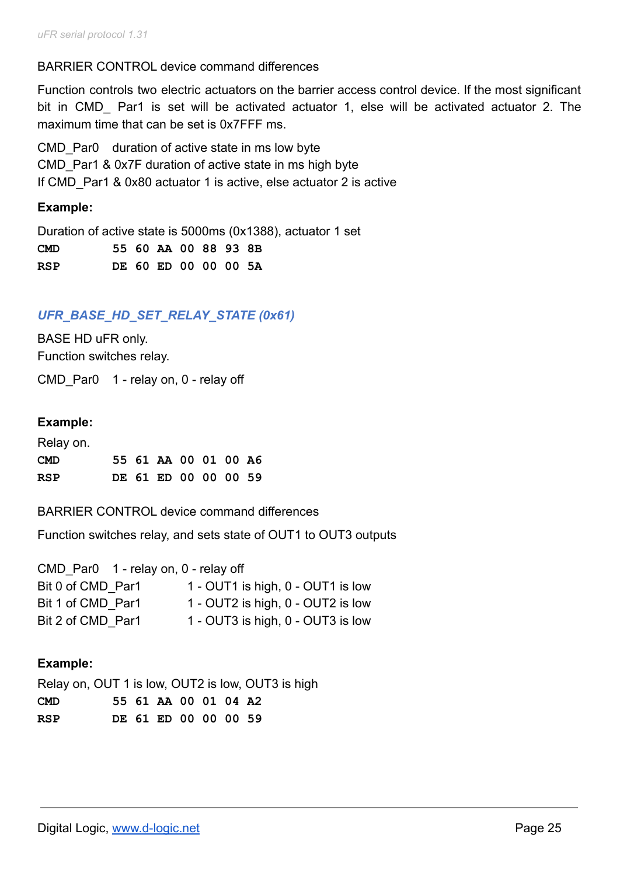### BARRIER CONTROL device command differences

Function controls two electric actuators on the barrier access control device. If the most significant bit in CMD Par1 is set will be activated actuator 1, else will be activated actuator 2. The maximum time that can be set is 0x7FFF ms.

CMD Par0 duration of active state in ms low byte CMD Par1 & 0x7F duration of active state in ms high byte If CMD Par1 & 0x80 actuator 1 is active, else actuator 2 is active

### **Example:**

Duration of active state is 5000ms (0x1388), actuator 1 set

| <b>CMD</b> |  | 55 60 AA 00 88 93 8B |  |  |  |
|------------|--|----------------------|--|--|--|
| RSP        |  | DE 60 ED 00 00 00 5A |  |  |  |

## *UFR\_BASE\_HD\_SET\_RELAY\_STATE (0x61)*

BASE HD uFR only. Function switches relay.

CMD Par0 1 - relay on, 0 - relay off

#### **Example:**

| Relay on.  |  |                      |  |  |
|------------|--|----------------------|--|--|
| <b>CMD</b> |  | 55 61 AA 00 01 00 A6 |  |  |
| RSP        |  | DE 61 ED 00 00 00 59 |  |  |

BARRIER CONTROL device command differences

Function switches relay, and sets state of OUT1 to OUT3 outputs

| CMD Par0 1 - relay on, 0 - relay off |                                   |
|--------------------------------------|-----------------------------------|
| Bit 0 of CMD Par1                    | 1 - OUT1 is high, 0 - OUT1 is low |
| Bit 1 of CMD Par1                    | 1 - OUT2 is high, 0 - OUT2 is low |
| Bit 2 of CMD Par1                    | 1 - OUT3 is high, 0 - OUT3 is low |

### **Example:**

Relay on, OUT 1 is low, OUT2 is low, OUT3 is high **CMD 55 61 AA 00 01 04 A2 RSP DE 61 ED 00 00 00 59**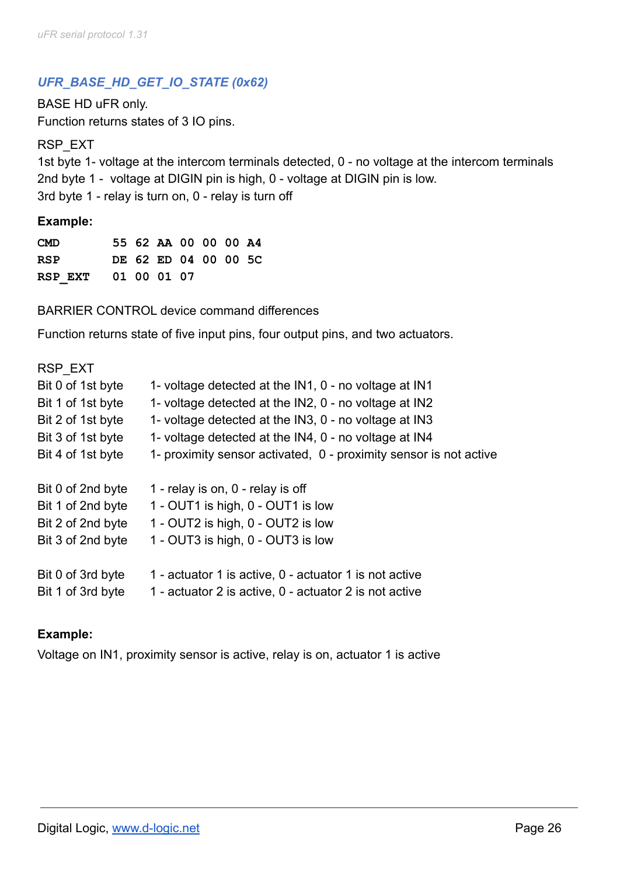# *UFR\_BASE\_HD\_GET\_IO\_STATE (0x62)*

BASE HD uFR only. Function returns states of 3 IO pins.

RSP\_EXT

1st byte 1- voltage at the intercom terminals detected, 0 - no voltage at the intercom terminals 2nd byte 1 - voltage at DIGIN pin is high, 0 - voltage at DIGIN pin is low. 3rd byte 1 - relay is turn on, 0 - relay is turn off

#### **Example:**

**CMD 55 62 AA 00 00 00 A4 RSP DE 62 ED 04 00 00 5C RSP\_EXT 01 00 01 07**

BARRIER CONTROL device command differences

Function returns state of five input pins, four output pins, and two actuators.

| RSP EXT           |                                                                   |
|-------------------|-------------------------------------------------------------------|
| Bit 0 of 1st byte | 1- voltage detected at the IN1, 0 - no voltage at IN1             |
| Bit 1 of 1st byte | 1- voltage detected at the IN2, 0 - no voltage at IN2             |
| Bit 2 of 1st byte | 1- voltage detected at the IN3, 0 - no voltage at IN3             |
| Bit 3 of 1st byte | 1- voltage detected at the IN4, 0 - no voltage at IN4             |
| Bit 4 of 1st byte | 1- proximity sensor activated, 0 - proximity sensor is not active |
|                   |                                                                   |
| Bit 0 of 2nd byte | 1 - relay is on, 0 - relay is off                                 |
| Bit 1 of 2nd byte | 1 - OUT1 is high, 0 - OUT1 is low                                 |
| Bit 2 of 2nd byte | 1 - OUT2 is high, 0 - OUT2 is low                                 |
| Bit 3 of 2nd byte | 1 - OUT3 is high, 0 - OUT3 is low                                 |
| Bit 0 of 3rd byte | 1 - actuator 1 is active, 0 - actuator 1 is not active            |
| Bit 1 of 3rd byte | 1 - actuator 2 is active, 0 - actuator 2 is not active            |

#### **Example:**

Voltage on IN1, proximity sensor is active, relay is on, actuator 1 is active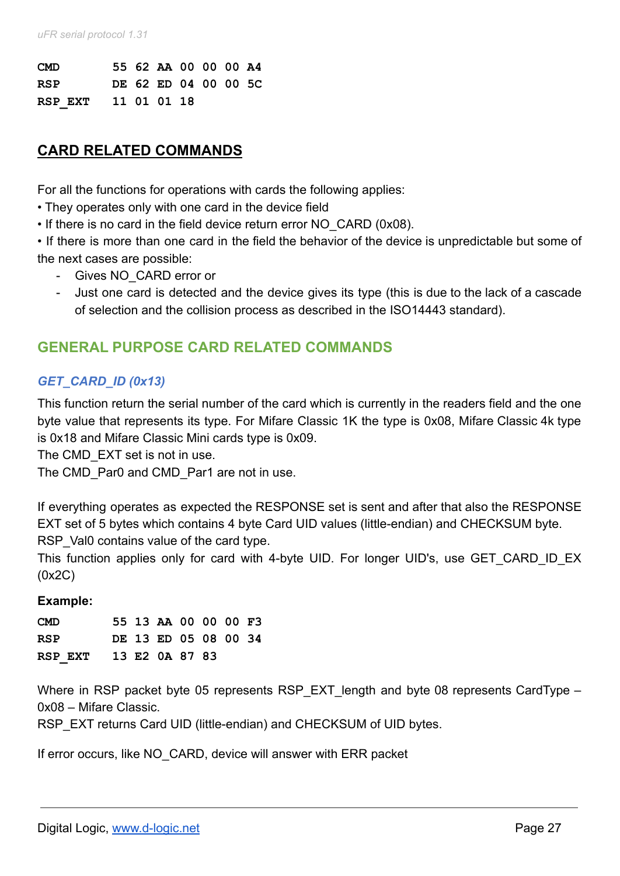| <b>CMD</b>          |  | 55 62 AA 00 00 00 A4 |  |  |
|---------------------|--|----------------------|--|--|
| <b>RSP</b>          |  | DE 62 ED 04 00 00 5C |  |  |
| RSP EXT 11 01 01 18 |  |                      |  |  |

# **CARD RELATED COMMANDS**

For all the functions for operations with cards the following applies:

- They operates only with one card in the device field
- If there is no card in the field device return error NO\_CARD (0x08).

• If there is more than one card in the field the behavior of the device is unpredictable but some of the next cases are possible:

- Gives NO\_CARD error or
- Just one card is detected and the device gives its type (this is due to the lack of a cascade of selection and the collision process as described in the ISO14443 standard).

# **GENERAL PURPOSE CARD RELATED COMMANDS**

## *GET\_CARD\_ID (0x13)*

This function return the serial number of the card which is currently in the readers field and the one byte value that represents its type. For Mifare Classic 1K the type is 0x08, Mifare Classic 4k type is 0x18 and Mifare Classic Mini cards type is 0x09.

The CMD EXT set is not in use.

The CMD Par0 and CMD Par1 are not in use.

If everything operates as expected the RESPONSE set is sent and after that also the RESPONSE EXT set of 5 bytes which contains 4 byte Card UID values (little-endian) and CHECKSUM byte. RSP Val0 contains value of the card type.

This function applies only for card with 4-byte UID. For longer UID's, use GET CARD ID EX (0x2C)

#### **Example:**

| <b>CMD</b>             |  | 55 13 AA 00 00 00 F3 |  |  |
|------------------------|--|----------------------|--|--|
| RSP                    |  | DE 13 ED 05 08 00 34 |  |  |
| RSP EXT 13 E2 0A 87 83 |  |                      |  |  |

Where in RSP packet byte 05 represents RSP EXT length and byte 08 represents CardType – 0x08 – Mifare Classic.

RSP\_EXT returns Card UID (little-endian) and CHECKSUM of UID bytes.

If error occurs, like NO CARD, device will answer with ERR packet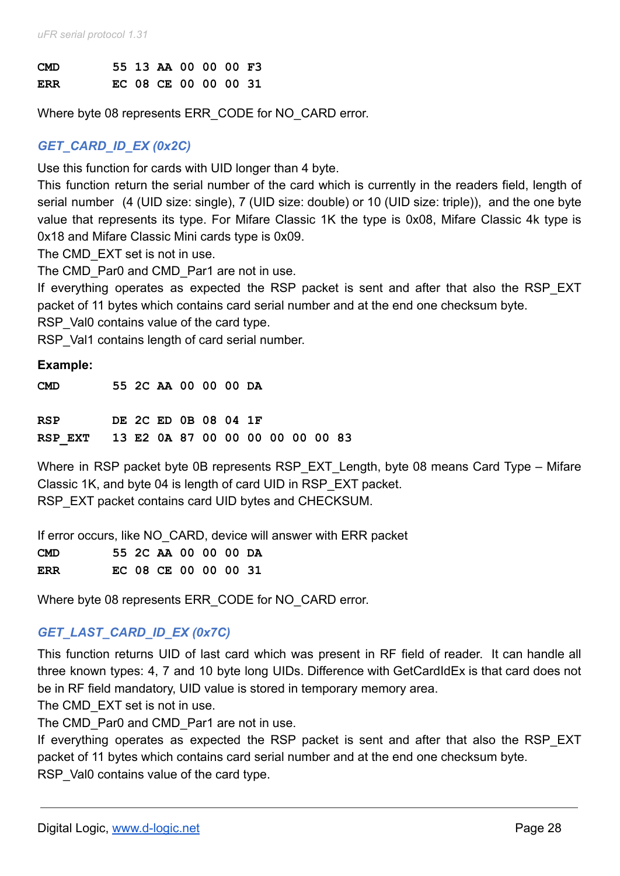| <b>CMD</b> |  | 55 13 AA 00 00 00 F3 |  |  |
|------------|--|----------------------|--|--|
| <b>ERR</b> |  | EC 08 CE 00 00 00 31 |  |  |

Where byte 08 represents ERR\_CODE for NO\_CARD error.

## *GET\_CARD\_ID\_EX (0x2C)*

Use this function for cards with UID longer than 4 byte.

This function return the serial number of the card which is currently in the readers field, length of serial number (4 (UID size: single), 7 (UID size: double) or 10 (UID size: triple)), and the one byte value that represents its type. For Mifare Classic 1K the type is 0x08, Mifare Classic 4k type is 0x18 and Mifare Classic Mini cards type is 0x09.

The CMD EXT set is not in use.

The CMD Par0 and CMD Par1 are not in use.

If everything operates as expected the RSP packet is sent and after that also the RSP EXT packet of 11 bytes which contains card serial number and at the end one checksum byte.

RSP Val0 contains value of the card type.

RSP Val1 contains length of card serial number.

#### **Example:**

| <b>CMD</b>                               |  | 55 2C AA 00 00 00 DA |  |  |  |  |
|------------------------------------------|--|----------------------|--|--|--|--|
| <b>RSP</b>                               |  | DE 2C ED 0B 08 04 1F |  |  |  |  |
| RSP EXT 13 E2 0A 87 00 00 00 00 00 00 83 |  |                      |  |  |  |  |

Where in RSP packet byte 0B represents RSP\_EXT\_Length, byte 08 means Card Type – Mifare Classic 1K, and byte 04 is length of card UID in RSP\_EXT packet. RSP\_EXT packet contains card UID bytes and CHECKSUM.

If error occurs, like NO CARD, device will answer with ERR packet **CMD 55 2C AA 00 00 00 DA ERR EC 08 CE 00 00 00 31**

Where byte 08 represents ERR\_CODE for NO\_CARD error.

# *GET\_LAST\_CARD\_ID\_EX (0x7C)*

This function returns UID of last card which was present in RF field of reader. It can handle all three known types: 4, 7 and 10 byte long UIDs. Difference with GetCardIdEx is that card does not be in RF field mandatory, UID value is stored in temporary memory area.

The CMD EXT set is not in use.

The CMD Par0 and CMD Par1 are not in use.

If everything operates as expected the RSP packet is sent and after that also the RSP EXT packet of 11 bytes which contains card serial number and at the end one checksum byte. RSP Val0 contains value of the card type.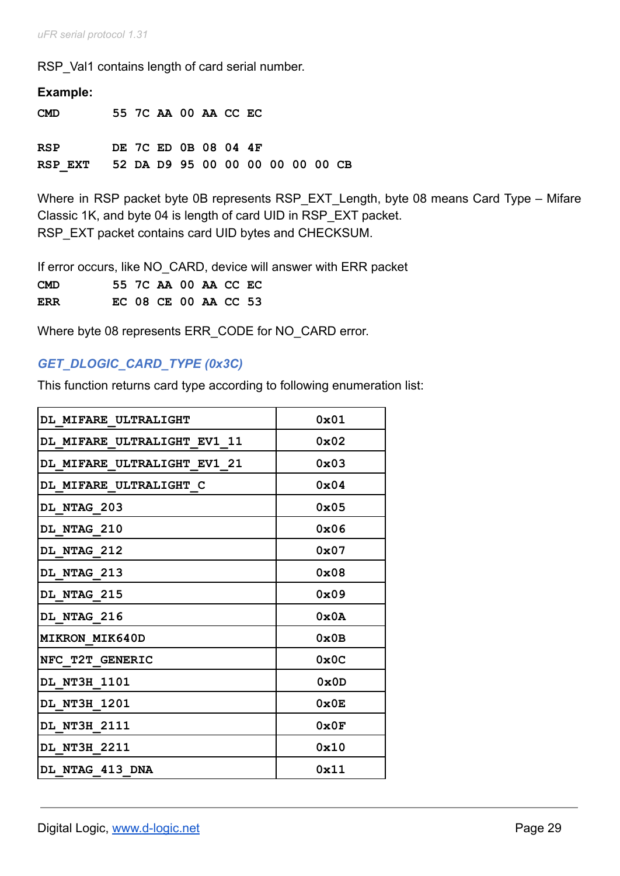*uFR serial protocol 1.31*

RSP Val1 contains length of card serial number.

| Example:                                 |  |  |                      |  |  |  |
|------------------------------------------|--|--|----------------------|--|--|--|
| CMD                                      |  |  | 55 7C AA 00 AA CC EC |  |  |  |
| RSP                                      |  |  | DE 7C ED 0B 08 04 4F |  |  |  |
| RSP EXT 52 DA D9 95 00 00 00 00 00 00 CB |  |  |                      |  |  |  |

Where in RSP packet byte 0B represents RSP\_EXT\_Length, byte 08 means Card Type – Mifare Classic 1K, and byte 04 is length of card UID in RSP\_EXT packet. RSP\_EXT packet contains card UID bytes and CHECKSUM.

If error occurs, like NO CARD, device will answer with ERR packet **CMD 55 7C AA 00 AA CC EC ERR EC 08 CE 00 AA CC 53**

Where byte 08 represents ERR\_CODE for NO\_CARD error.

# *GET\_DLOGIC\_CARD\_TYPE (0x3C)*

This function returns card type according to following enumeration list:

| DL MIFARE ULTRALIGHT        | 0x01          |
|-----------------------------|---------------|
| DL MIFARE ULTRALIGHT EV1 11 | $0 \times 02$ |
| DL MIFARE ULTRALIGHT EV1 21 | 0x03          |
| DL MIFARE ULTRALIGHT C      | $0 \times 04$ |
| DL NTAG 203                 | $0 \times 05$ |
| DL NTAG 210                 | 0x06          |
| DL NTAG 212                 | $0 \times 07$ |
| DL NTAG 213                 | 0x08          |
| <b>DL NTAG 215</b>          | 0x09          |
| DL NTAG 216                 | 0x0A          |
| <b>MIKRON MIK640D</b>       | 0x0B          |
| NFC T2T GENERIC             | 0x0C          |
| DL NT3H 1101                | 0x0D          |
| DL NT3H 1201                | 0x0E          |
| DL NT3H 2111                | 0x0F          |
| DL NT3H 2211                | 0x10          |
| DL NTAG 413 DNA             | 0x11          |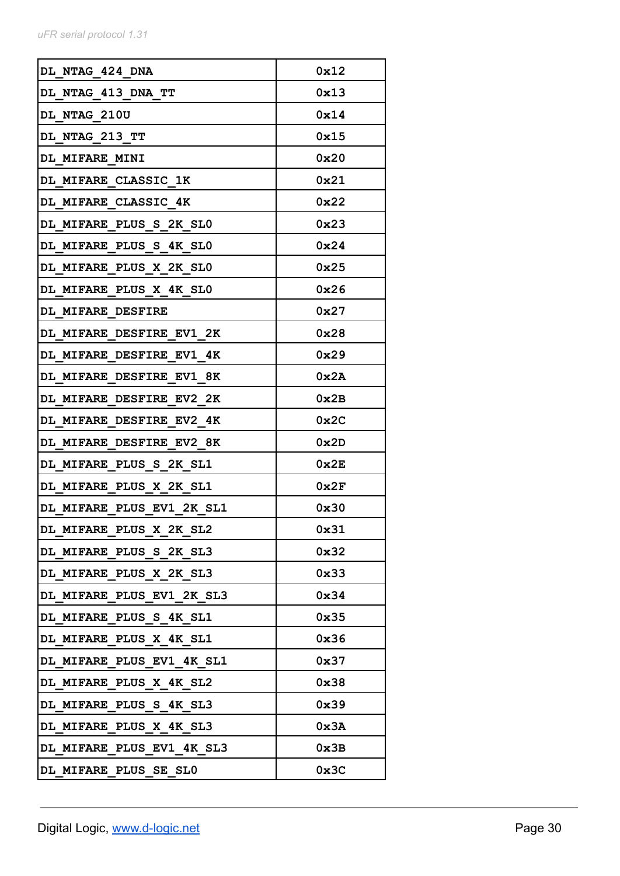| DL NTAG 424 DNA           | 0x12 |
|---------------------------|------|
| DL NTAG 413 DNA TT        | 0x13 |
| DL NTAG 210U              | 0x14 |
| DL_NTAG_213_TT            | 0x15 |
| DL MIFARE MINI            | 0x20 |
| DL MIFARE CLASSIC 1K      | 0x21 |
| DL MIFARE CLASSIC 4K      | 0x22 |
| DL MIFARE PLUS S 2K SLO   | 0x23 |
| DL MIFARE PLUS S 4K SLO   | 0x24 |
| DL MIFARE PLUS X 2K SLO   | 0x25 |
| DL MIFARE PLUS X 4K SLO   | 0x26 |
| DL MIFARE DESFIRE         | 0x27 |
| DL MIFARE DESFIRE EV1 2K  | 0x28 |
| DL MIFARE DESFIRE EV1 4K  | 0x29 |
| DL MIFARE DESFIRE EV1 8K  | 0x2A |
| DL MIFARE DESFIRE EV2 2K  | 0x2B |
| DL MIFARE DESFIRE EV2_4K  | 0x2C |
| DL MIFARE DESFIRE EV2 8K  | 0x2D |
| DL MIFARE PLUS S 2K SL1   | 0x2E |
| DL MIFARE PLUS X 2K SL1   | 0x2F |
| DL MIFARE PLUS EV1 2K SL1 | 0x30 |
| DL MIFARE PLUS X 2K SL2   | 0x31 |
| DL MIFARE PLUS S 2K SL3   | 0x32 |
| DL MIFARE PLUS X 2K SL3   | 0x33 |
| DL MIFARE PLUS EV1 2K SL3 | 0x34 |
| DL MIFARE PLUS S 4K SL1   | 0x35 |
| DL MIFARE PLUS X 4K SL1   | 0x36 |
| DL MIFARE PLUS EV1 4K SL1 | 0x37 |
| DL MIFARE PLUS X 4K SL2   | 0x38 |
| DL MIFARE PLUS S 4K SL3   | 0x39 |
| DL MIFARE PLUS X 4K SL3   | 0x3A |
| DL MIFARE PLUS EV1 4K SL3 | 0x3B |
| DL MIFARE PLUS SE SLO     | 0x3C |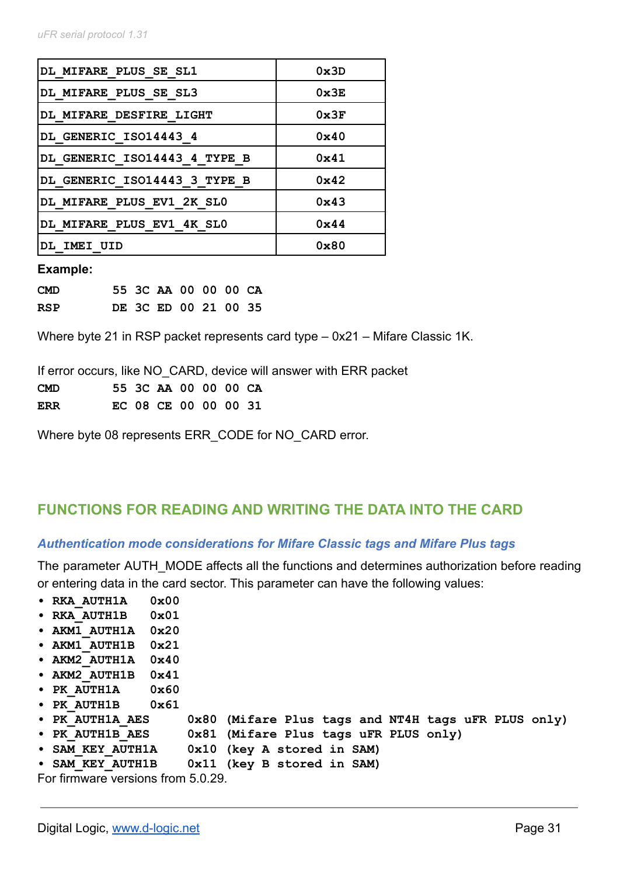| <b>DL MIFARE PLUS SE SL1</b>   | 0x3D          |
|--------------------------------|---------------|
| DL MIFARE PLUS SE SL3          | 0x3E          |
| <b>DL MIFARE DESFIRE LIGHT</b> | 0x3F          |
| DL GENERIC ISO14443 4          | 0x40          |
| DL GENERIC ISO14443 4 TYPE B   | $0 \times 41$ |
| DL GENERIC ISO14443 3 TYPE B   | $0 \times 42$ |
| DL MIFARE PLUS EV1 2K SLO      | $0 \times 43$ |
| DL MIFARE PLUS EV1 4K SLO      | $0 \times 44$ |
| DL IMEI UID                    | 0x80          |

#### **Example:**

| <b>CMD</b> |  | 55 3C AA 00 00 00 CA |  |  |
|------------|--|----------------------|--|--|
| <b>RSP</b> |  | DE 3C ED 00 21 00 35 |  |  |

Where byte 21 in RSP packet represents card type – 0x21 – Mifare Classic 1K.

If error occurs, like NO\_CARD, device will answer with ERR packet **CMD 55 3C AA 00 00 00 CA ERR EC 08 CE 00 00 00 31**

Where byte 08 represents ERR\_CODE for NO\_CARD error.

### **FUNCTIONS FOR READING AND WRITING THE DATA INTO THE CARD**

#### *Authentication mode considerations for Mifare Classic tags and Mifare Plus tags*

The parameter AUTH\_MODE affects all the functions and determines authorization before reading or entering data in the card sector. This parameter can have the following values:

- **RKA\_AUTH1A 0x00**
- **RKA\_AUTH1B 0x01**
- **AKM1\_AUTH1A 0x20**
- **AKM1\_AUTH1B 0x21**
- **AKM2\_AUTH1A 0x40**
- **AKM2\_AUTH1B 0x41**
- **PK\_AUTH1A 0x60**
- **PK\_AUTH1B 0x61**
- **PK\_AUTH1A\_AES 0x80 (Mifare Plus tags and NT4H tags uFR PLUS only)**
- **PK\_AUTH1B\_AES 0x81 (Mifare Plus tags uFR PLUS only)**
- **SAM\_KEY\_AUTH1A 0x10 (key A stored in SAM)**
- 0x11 (key B stored in SAM)

For firmware versions from 5.0.29.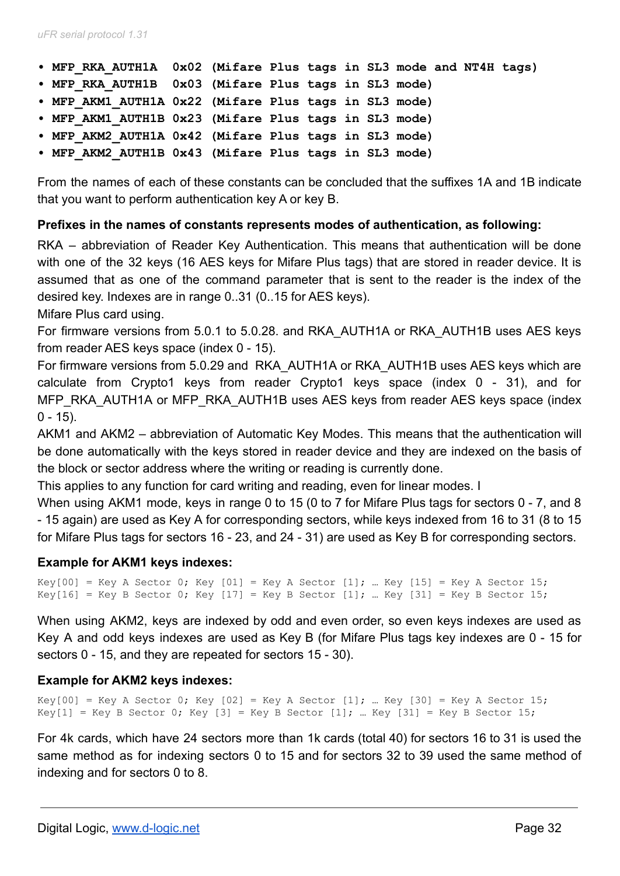- **MFP\_RKA\_AUTH1A 0x02 (Mifare Plus tags in SL3 mode and NT4H tags)**
- **MFP\_RKA\_AUTH1B 0x03 (Mifare Plus tags in SL3 mode)**
- **MFP\_AKM1\_AUTH1A 0x22 (Mifare Plus tags in SL3 mode)**
- **MFP\_AKM1\_AUTH1B 0x23 (Mifare Plus tags in SL3 mode)**
- **MFP\_AKM2\_AUTH1A 0x42 (Mifare Plus tags in SL3 mode)**
- **MFP\_AKM2\_AUTH1B 0x43 (Mifare Plus tags in SL3 mode)**

From the names of each of these constants can be concluded that the suffixes 1A and 1B indicate that you want to perform authentication key A or key B.

#### **Prefixes in the names of constants represents modes of authentication, as following:**

RKA – abbreviation of Reader Key Authentication. This means that authentication will be done with one of the 32 keys (16 AES keys for Mifare Plus tags) that are stored in reader device. It is assumed that as one of the command parameter that is sent to the reader is the index of the desired key. Indexes are in range 0..31 (0..15 for AES keys).

Mifare Plus card using.

For firmware versions from 5.0.1 to 5.0.28. and RKA\_AUTH1A or RKA\_AUTH1B uses AES keys from reader AES keys space (index 0 - 15).

For firmware versions from 5.0.29 and RKA\_AUTH1A or RKA\_AUTH1B uses AES keys which are calculate from Crypto1 keys from reader Crypto1 keys space (index 0 - 31), and for MFP\_RKA\_AUTH1A or MFP\_RKA\_AUTH1B uses AES keys from reader AES keys space (index  $0 - 15$ ).

AKM1 and AKM2 – abbreviation of Automatic Key Modes. This means that the authentication will be done automatically with the keys stored in reader device and they are indexed on the basis of the block or sector address where the writing or reading is currently done.

This applies to any function for card writing and reading, even for linear modes. I

When using AKM1 mode, keys in range 0 to 15 (0 to 7 for Mifare Plus tags for sectors 0 - 7, and 8 - 15 again) are used as Key A for corresponding sectors, while keys indexed from 16 to 31 (8 to 15 for Mifare Plus tags for sectors 16 - 23, and 24 - 31) are used as Key B for corresponding sectors.

#### **Example for AKM1 keys indexes:**

```
Key[00] = Key A Sector 0; Key [01] = Key A Sector [1]; ... Key [15] = Key A Sector 15;
Key[16] = Key B Sector 0; Key [17] = Key B Sector [1]; ... Key [31] = Key B Sector 15;
```
When using AKM2, keys are indexed by odd and even order, so even keys indexes are used as Key A and odd keys indexes are used as Key B (for Mifare Plus tags key indexes are 0 - 15 for sectors 0 - 15, and they are repeated for sectors 15 - 30).

#### **Example for AKM2 keys indexes:**

Key[00] = Key A Sector 0; Key  $[02]$  = Key A Sector  $[1]$ ; ... Key  $[30]$  = Key A Sector 15; Key[1] = Key B Sector 0; Key [3] = Key B Sector [1]; ... Key [31] = Key B Sector 15;

For 4k cards, which have 24 sectors more than 1k cards (total 40) for sectors 16 to 31 is used the same method as for indexing sectors 0 to 15 and for sectors 32 to 39 used the same method of indexing and for sectors 0 to 8.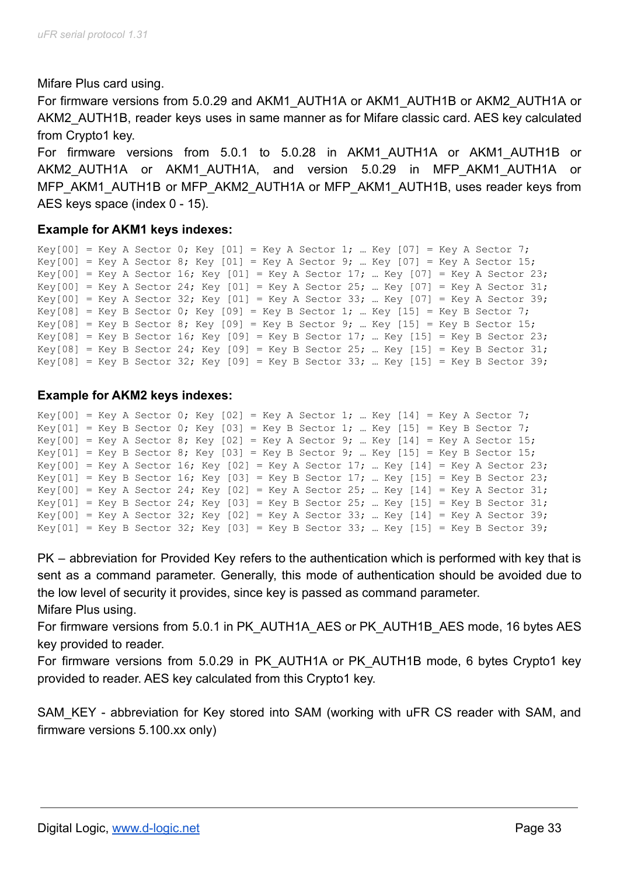Mifare Plus card using.

For firmware versions from 5.0.29 and AKM1\_AUTH1A or AKM1\_AUTH1B or AKM2\_AUTH1A or AKM2\_AUTH1B, reader keys uses in same manner as for Mifare classic card. AES key calculated from Crypto1 key.

For firmware versions from 5.0.1 to 5.0.28 in AKM1\_AUTH1A or AKM1\_AUTH1B or AKM2\_AUTH1A or AKM1\_AUTH1A, and version 5.0.29 in MFP\_AKM1\_AUTH1A or MFP\_AKM1\_AUTH1B or MFP\_AKM2\_AUTH1A or MFP\_AKM1\_AUTH1B, uses reader keys from AES keys space (index 0 - 15).

#### **Example for AKM1 keys indexes:**

```
Key[00] = Key A Sector 0; Key [01] = Key A Sector 1; ... Key [07] = Key A Sector 7;
Key[00] = Key A Sector 8; Key [01] = Key A Sector 9; ... Key [07] = Key A Sector 15;
Key[00] = Key A Sector 16; Key [01] = Key A Sector 17; ... Key [07] = Key A Sector 23;
Key[00] = Key A Sector 24; Key [01] = Key A Sector 25; ... Key [07] = Key A Sector 31;
Key[00] = Key A Sector 32; Key [01] = Key A Sector 33; ... Key [07] = Key A Sector 39;
Key[08] = Key B Sector 0; Key [09] = Key B Sector 1; ... Key [15] = Key B Sector 7;
Key[08] = Key B Sector 8; Key [09] = Key B Sector 9; ... Key [15] = Key B Sector 15;
Key[08] = Key B Sector 16; Key [09] = Key B Sector 17; ... Key [15] = Key B Sector 23;
Key[08] = Key B Sector 24; Key [09] = Key B Sector 25; ... Key [15] = Key B Sector 31;
Key[08] = Key B Sector 32; Key [09] = Key B Sector 33; ... Key [15] = Key B Sector 39;
```
### **Example for AKM2 keys indexes:**

```
Key[00] = Key A Sector 0; Key [02] = Key A Sector 1; ... Key [14] = Key A Sector 7;
Key[01] = Key B Sector 0; Key [03] = Key B Sector 1; ... Key [15] = Key B Sector 7;
Key[00] = Key A Sector 8; Key [02] = Key A Sector 9; ... Key [14] = Key A Sector 15;
Key[01] = Key B Sector 8; Key [03] = Key B Sector 9; ... Key [15] = Key B Sector 15;
Key[00] = Key A Sector 16; Key [02] = Key A Sector 17; ... Key [14] = Key A Sector 23;
Key[01] = Key B Sector 16; Key [03] = Key B Sector 17; ... Key [15] = Key B Sector 23;
Key[00] = Key A Sector 24; Key [02] = Key A Sector 25; ... Key [14] = Key A Sector 31;
Key[01] = Key B Sector 24; Key [03] = Key B Sector 25; ... Key [15] = Key B Sector 31;Key[00] = Key A Sector 32; Key [02] = Key A Sector 33; ... Key [14] = Key A Sector 39;
Key[01] = Key B Sector 32; Key [03] = Key B Sector 33; ... Key [15] = Key B Sector 39;
```
PK – abbreviation for Provided Key refers to the authentication which is performed with key that is sent as a command parameter. Generally, this mode of authentication should be avoided due to the low level of security it provides, since key is passed as command parameter. Mifare Plus using.

For firmware versions from 5.0.1 in PK\_AUTH1A\_AES or PK\_AUTH1B\_AES mode, 16 bytes AES key provided to reader.

For firmware versions from 5.0.29 in PK\_AUTH1A or PK\_AUTH1B mode, 6 bytes Crypto1 key provided to reader. AES key calculated from this Crypto1 key.

SAM KEY - abbreviation for Key stored into SAM (working with uFR CS reader with SAM, and firmware versions 5.100.xx only)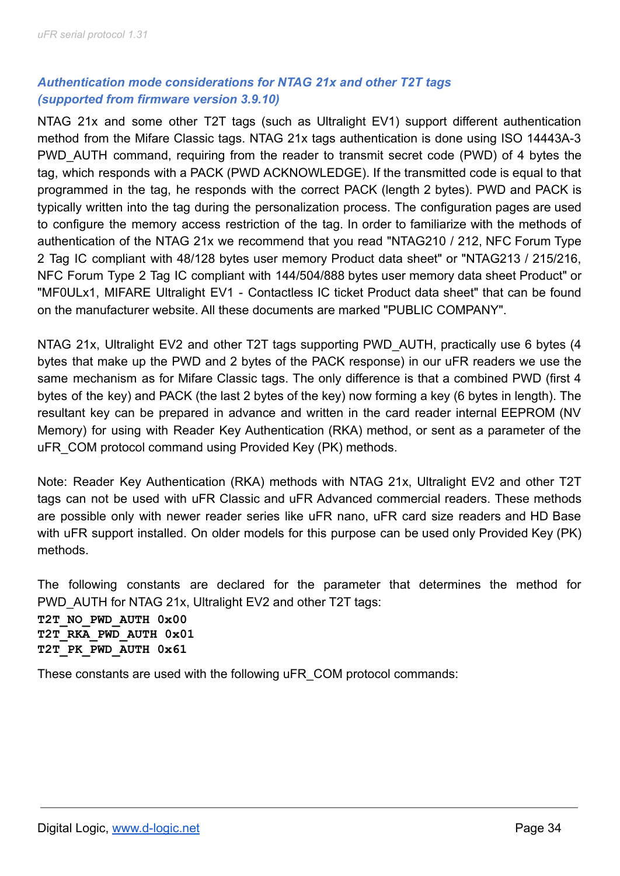# *Authentication mode considerations for NTAG 21x and other T2T tags (supported from firmware version 3.9.10)*

NTAG 21x and some other T2T tags (such as Ultralight EV1) support different authentication method from the Mifare Classic tags. NTAG 21x tags authentication is done using ISO 14443A-3 PWD AUTH command, requiring from the reader to transmit secret code (PWD) of 4 bytes the tag, which responds with a PACK (PWD ACKNOWLEDGE). If the transmitted code is equal to that programmed in the tag, he responds with the correct PACK (length 2 bytes). PWD and PACK is typically written into the tag during the personalization process. The configuration pages are used to configure the memory access restriction of the tag. In order to familiarize with the methods of authentication of the NTAG 21x we recommend that you read "NTAG210 / 212, NFC Forum Type 2 Tag IC compliant with 48/128 bytes user memory Product data sheet" or "NTAG213 / 215/216, NFC Forum Type 2 Tag IC compliant with 144/504/888 bytes user memory data sheet Product" or "MF0ULx1, MIFARE Ultralight EV1 - Contactless IC ticket Product data sheet" that can be found on the manufacturer website. All these documents are marked "PUBLIC COMPANY".

NTAG 21x, Ultralight EV2 and other T2T tags supporting PWD\_AUTH, practically use 6 bytes (4 bytes that make up the PWD and 2 bytes of the PACK response) in our uFR readers we use the same mechanism as for Mifare Classic tags. The only difference is that a combined PWD (first 4 bytes of the key) and PACK (the last 2 bytes of the key) now forming a key (6 bytes in length). The resultant key can be prepared in advance and written in the card reader internal EEPROM (NV Memory) for using with Reader Key Authentication (RKA) method, or sent as a parameter of the uFR\_COM protocol command using Provided Key (PK) methods.

Note: Reader Key Authentication (RKA) methods with NTAG 21x, Ultralight EV2 and other T2T tags can not be used with uFR Classic and uFR Advanced commercial readers. These methods are possible only with newer reader series like uFR nano, uFR card size readers and HD Base with uFR support installed. On older models for this purpose can be used only Provided Key (PK) methods.

The following constants are declared for the parameter that determines the method for PWD AUTH for NTAG 21x, Ultralight EV2 and other T2T tags:

**T2T\_NO\_PWD\_AUTH 0x00 T2T\_RKA\_PWD\_AUTH 0x01 T2T\_PK\_PWD\_AUTH 0x61**

These constants are used with the following uFR\_COM protocol commands: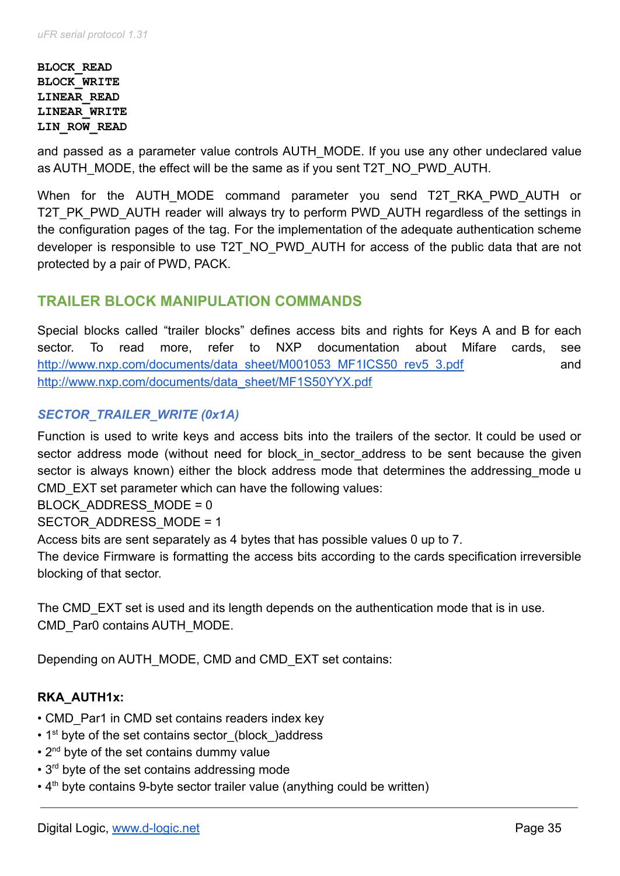#### **BLOCK\_READ BLOCK\_WRITE LINEAR\_READ LINEAR\_WRITE LIN\_ROW\_READ**

and passed as a parameter value controls AUTH\_MODE. If you use any other undeclared value as AUTH\_MODE, the effect will be the same as if you sent T2T\_NO\_PWD\_AUTH.

When for the AUTH\_MODE command parameter you send T2T\_RKA\_PWD\_AUTH or T2T PK PWD AUTH reader will always try to perform PWD AUTH regardless of the settings in the configuration pages of the tag. For the implementation of the adequate authentication scheme developer is responsible to use T2T\_NO\_PWD\_AUTH for access of the public data that are not protected by a pair of PWD, PACK.

# **TRAILER BLOCK MANIPULATION COMMANDS**

Special blocks called "trailer blocks" defines access bits and rights for Keys A and B for each sector. To read more, refer to NXP documentation about Mifare cards, see [http://www.nxp.com/documents/data\\_sheet/M001053\\_MF1ICS50\\_rev5\\_3.pdf](http://www.nxp.com/documents/data_sheet/M001053_MF1ICS50_rev5_3.pdf) and [http://www.nxp.com/documents/data\\_sheet/MF1S50YYX.pdf](http://www.nxp.com/documents/data_sheet/MF1S50YYX.pdf)

# *SECTOR\_TRAILER\_WRITE (0x1A)*

Function is used to write keys and access bits into the trailers of the sector. It could be used or sector address mode (without need for block in sector address to be sent because the given sector is always known) either the block address mode that determines the addressing mode u CMD EXT set parameter which can have the following values:

BLOCK\_ADDRESS\_MODE = 0

SECTOR\_ADDRESS\_MODE = 1

Access bits are sent separately as 4 bytes that has possible values 0 up to 7.

The device Firmware is formatting the access bits according to the cards specification irreversible blocking of that sector.

The CMD EXT set is used and its length depends on the authentication mode that is in use. CMD\_Par0 contains AUTH\_MODE.

Depending on AUTH\_MODE, CMD and CMD\_EXT set contains:

# **RKA\_AUTH1x:**

- CMD Par1 in CMD set contains readers index key
- 1<sup>st</sup> byte of the set contains sector (block) address
- 2<sup>nd</sup> byte of the set contains dummy value
- 3<sup>rd</sup> byte of the set contains addressing mode
- $\cdot$  4<sup>th</sup> byte contains 9-byte sector trailer value (anything could be written)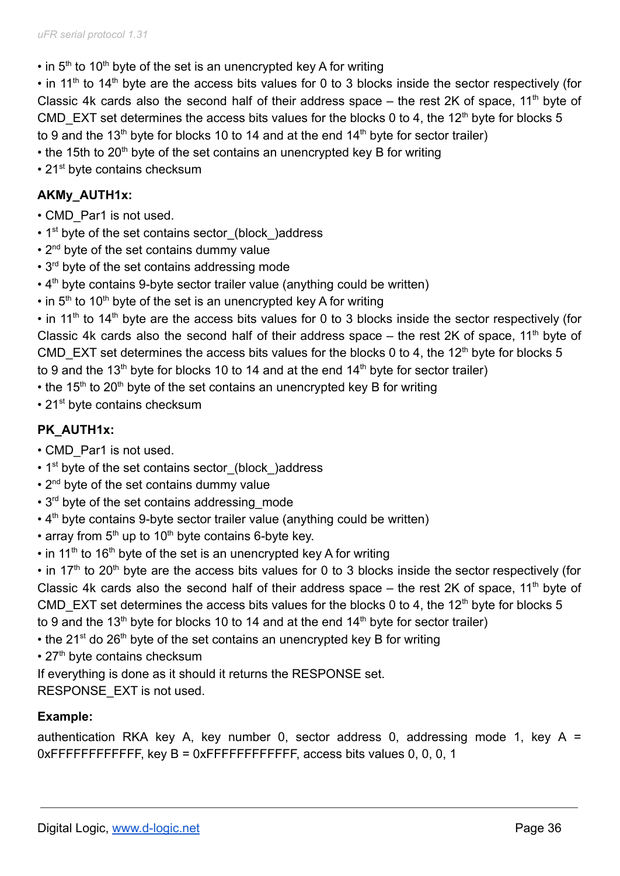$\cdot$  in 5<sup>th</sup> to 10<sup>th</sup> byte of the set is an unencrypted key A for writing

 $\cdot$  in 11<sup>th</sup> to 14<sup>th</sup> byte are the access bits values for 0 to 3 blocks inside the sector respectively (for Classic 4k cards also the second half of their address space  $-$  the rest 2K of space, 11<sup>th</sup> byte of CMD EXT set determines the access bits values for the blocks 0 to 4, the 12<sup>th</sup> byte for blocks 5 to 9 and the 13<sup>th</sup> byte for blocks 10 to 14 and at the end 14<sup>th</sup> byte for sector trailer)

- $\cdot$  the 15th to 20<sup>th</sup> byte of the set contains an unencrypted key B for writing
- 21<sup>st</sup> byte contains checksum

# **AKMy\_AUTH1x:**

- CMD\_Par1 is not used.
- $\cdot$  1<sup>st</sup> byte of the set contains sector (block) address
- 2<sup>nd</sup> byte of the set contains dummy value
- $\cdot$  3<sup>rd</sup> byte of the set contains addressing mode
- $\cdot$  4<sup>th</sup> byte contains 9-byte sector trailer value (anything could be written)
- $\cdot$  in 5<sup>th</sup> to 10<sup>th</sup> byte of the set is an unencrypted key A for writing

 $\cdot$  in 11<sup>th</sup> to 14<sup>th</sup> byte are the access bits values for 0 to 3 blocks inside the sector respectively (for Classic 4k cards also the second half of their address space  $-$  the rest 2K of space, 11<sup>th</sup> byte of CMD EXT set determines the access bits values for the blocks 0 to 4, the 12<sup>th</sup> byte for blocks 5 to 9 and the 13<sup>th</sup> byte for blocks 10 to 14 and at the end 14<sup>th</sup> byte for sector trailer)

- $\cdot$  the 15<sup>th</sup> to 20<sup>th</sup> byte of the set contains an unencrypted key B for writing
- 21<sup>st</sup> byte contains checksum

# **PK\_AUTH1x:**

- CMD\_Par1 is not used.
- 1<sup>st</sup> byte of the set contains sector (block) address
- $\cdot$  2<sup>nd</sup> byte of the set contains dummy value
- 3<sup>rd</sup> byte of the set contains addressing mode
- $\cdot$  4<sup>th</sup> byte contains 9-byte sector trailer value (anything could be written)
- array from  $5<sup>th</sup>$  up to 10<sup>th</sup> byte contains 6-byte key.
- $\cdot$  in 11<sup>th</sup> to 16<sup>th</sup> byte of the set is an unencrypted key A for writing

 $\cdot$  in 17<sup>th</sup> to 20<sup>th</sup> byte are the access bits values for 0 to 3 blocks inside the sector respectively (for Classic 4k cards also the second half of their address space  $-$  the rest 2K of space, 11<sup>th</sup> byte of CMD EXT set determines the access bits values for the blocks 0 to 4, the 12<sup>th</sup> byte for blocks 5 to 9 and the 13<sup>th</sup> byte for blocks 10 to 14 and at the end 14<sup>th</sup> byte for sector trailer)

- the 21<sup>st</sup> do 26<sup>th</sup> byte of the set contains an unencrypted key B for writing
- 27<sup>th</sup> byte contains checksum
- If everything is done as it should it returns the RESPONSE set.

RESPONSE\_EXT is not used.

# **Example:**

authentication RKA key A, key number 0, sector address 0, addressing mode 1, key A = 0xFFFFFFFFFFFFF, key B = 0xFFFFFFFFFFFFF, access bits values 0, 0, 0, 1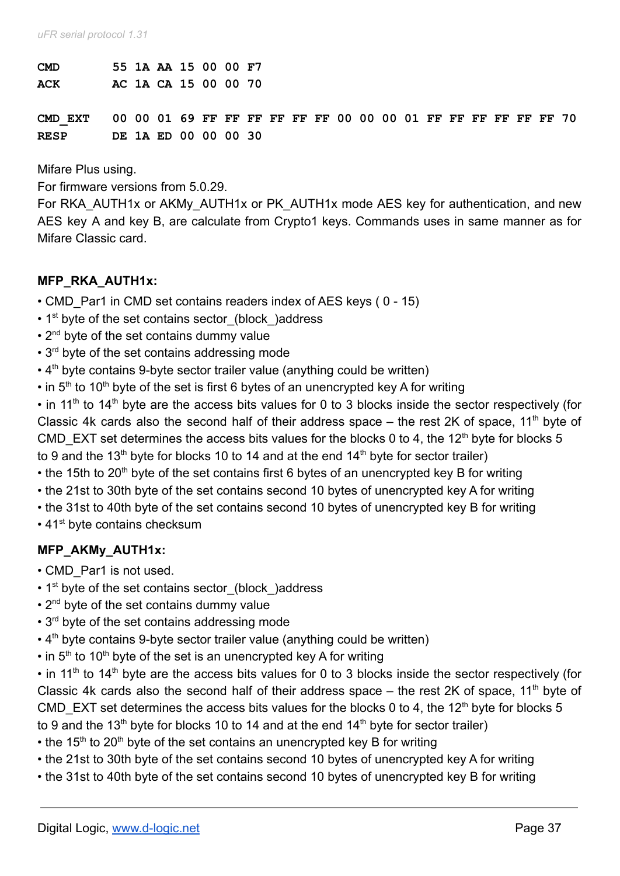| <b>CMD</b>                                                             |  |  | 55 1A AA 15 00 00 F7 |  |  |  |  |  |  |  |  |
|------------------------------------------------------------------------|--|--|----------------------|--|--|--|--|--|--|--|--|
| ACK                                                                    |  |  | AC 1A CA 15 00 00 70 |  |  |  |  |  |  |  |  |
|                                                                        |  |  |                      |  |  |  |  |  |  |  |  |
| CMD EXT 00 00 01 69 FF FF FF FF FF FF 00 00 00 01 FF FF FF FF FF FF 70 |  |  |                      |  |  |  |  |  |  |  |  |
| <b>RESP</b>                                                            |  |  | DE 1A ED 00 00 00 30 |  |  |  |  |  |  |  |  |

Mifare Plus using.

For firmware versions from 5.0.29.

For RKA\_AUTH1x or AKMy\_AUTH1x or PK\_AUTH1x mode AES key for authentication, and new AES key A and key B, are calculate from Crypto1 keys. Commands uses in same manner as for Mifare Classic card.

#### **MFP\_RKA\_AUTH1x:**

- CMD Par1 in CMD set contains readers index of AES keys ( 0 15)
- 1<sup>st</sup> byte of the set contains sector (block) address
- 2<sup>nd</sup> byte of the set contains dummy value
- 3<sup>rd</sup> byte of the set contains addressing mode
- $\cdot$  4<sup>th</sup> byte contains 9-byte sector trailer value (anything could be written)
- $\cdot$  in 5<sup>th</sup> to 10<sup>th</sup> byte of the set is first 6 bytes of an unencrypted key A for writing

 $\cdot$  in 11<sup>th</sup> to 14<sup>th</sup> byte are the access bits values for 0 to 3 blocks inside the sector respectively (for Classic 4k cards also the second half of their address space  $-$  the rest 2K of space, 11<sup>th</sup> byte of CMD EXT set determines the access bits values for the blocks 0 to 4, the 12<sup>th</sup> byte for blocks 5 to 9 and the  $13<sup>th</sup>$  byte for blocks 10 to 14 and at the end  $14<sup>th</sup>$  byte for sector trailer)

- the 15th to 20<sup>th</sup> byte of the set contains first 6 bytes of an unencrypted key B for writing
- the 21st to 30th byte of the set contains second 10 bytes of unencrypted key A for writing
- the 31st to 40th byte of the set contains second 10 bytes of unencrypted key B for writing
- 41<sup>st</sup> byte contains checksum

### **MFP\_AKMy\_AUTH1x:**

- CMD\_Par1 is not used.
- 1<sup>st</sup> byte of the set contains sector (block) address
- $\cdot$  2<sup>nd</sup> byte of the set contains dummy value
- 3<sup>rd</sup> byte of the set contains addressing mode
- $\cdot$  4<sup>th</sup> byte contains 9-byte sector trailer value (anything could be written)
- $\cdot$  in 5<sup>th</sup> to 10<sup>th</sup> byte of the set is an unencrypted key A for writing

 $\cdot$  in 11<sup>th</sup> to 14<sup>th</sup> byte are the access bits values for 0 to 3 blocks inside the sector respectively (for Classic 4k cards also the second half of their address space  $-$  the rest 2K of space, 11<sup>th</sup> byte of CMD EXT set determines the access bits values for the blocks 0 to 4, the 12<sup>th</sup> byte for blocks 5 to 9 and the  $13<sup>th</sup>$  byte for blocks 10 to 14 and at the end  $14<sup>th</sup>$  byte for sector trailer)

- the 15<sup>th</sup> to 20<sup>th</sup> byte of the set contains an unencrypted key B for writing
- the 21st to 30th byte of the set contains second 10 bytes of unencrypted key A for writing
- the 31st to 40th byte of the set contains second 10 bytes of unencrypted key B for writing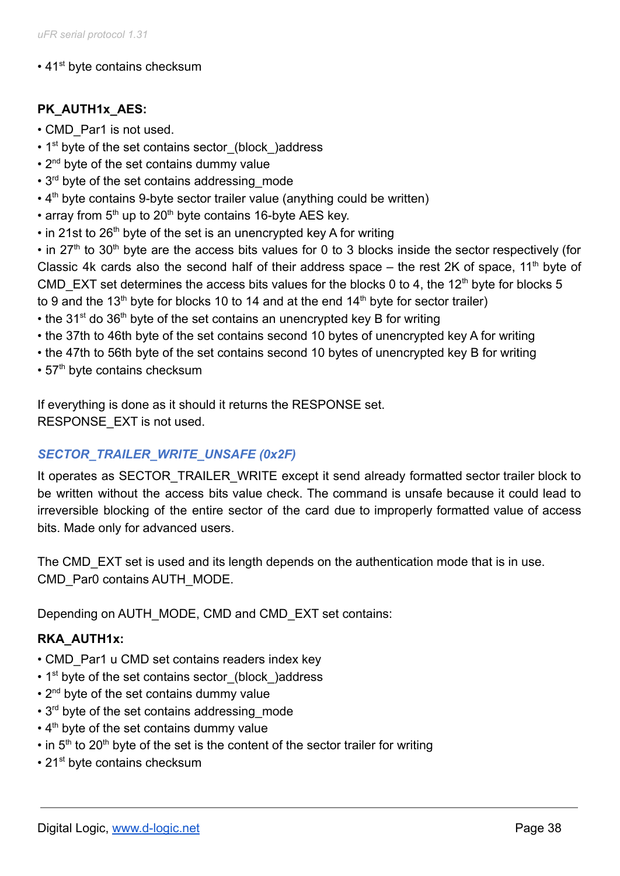### • 41<sup>st</sup> byte contains checksum

# **PK\_AUTH1x\_AES:**

- CMD\_Par1 is not used.
- 1<sup>st</sup> byte of the set contains sector (block) address
- $\cdot$  2<sup>nd</sup> byte of the set contains dummy value
- 3<sup>rd</sup> byte of the set contains addressing mode
- $\cdot$  4<sup>th</sup> byte contains 9-byte sector trailer value (anything could be written)
- array from  $5<sup>th</sup>$  up to 20<sup>th</sup> byte contains 16-byte AES key.
- $\cdot$  in 21st to 26<sup>th</sup> byte of the set is an unencrypted key A for writing

• in 27<sup>th</sup> to 30<sup>th</sup> byte are the access bits values for 0 to 3 blocks inside the sector respectively (for Classic 4k cards also the second half of their address space  $-$  the rest 2K of space, 11<sup>th</sup> byte of CMD EXT set determines the access bits values for the blocks 0 to 4, the 12<sup>th</sup> byte for blocks 5 to 9 and the 13<sup>th</sup> byte for blocks 10 to 14 and at the end 14<sup>th</sup> byte for sector trailer)

- the 31<sup>st</sup> do 36<sup>th</sup> byte of the set contains an unencrypted key B for writing
- the 37th to 46th byte of the set contains second 10 bytes of unencrypted key A for writing
- the 47th to 56th byte of the set contains second 10 bytes of unencrypted key B for writing
- 57<sup>th</sup> byte contains checksum

If everything is done as it should it returns the RESPONSE set. RESPONSE\_EXT is not used.

## *SECTOR\_TRAILER\_WRITE\_UNSAFE (0x2F)*

It operates as SECTOR\_TRAILER\_WRITE except it send already formatted sector trailer block to be written without the access bits value check. The command is unsafe because it could lead to irreversible blocking of the entire sector of the card due to improperly formatted value of access bits. Made only for advanced users.

The CMD EXT set is used and its length depends on the authentication mode that is in use. CMD\_Par0 contains AUTH\_MODE.

Depending on AUTH\_MODE, CMD and CMD\_EXT set contains:

## **RKA\_AUTH1x:**

- CMD Par1 u CMD set contains readers index key
- 1<sup>st</sup> byte of the set contains sector (block) address
- 2<sup>nd</sup> byte of the set contains dummy value
- 3<sup>rd</sup> byte of the set contains addressing mode
- $\cdot$  4<sup>th</sup> byte of the set contains dummy value
- $\cdot$  in 5<sup>th</sup> to 20<sup>th</sup> byte of the set is the content of the sector trailer for writing
- 21<sup>st</sup> byte contains checksum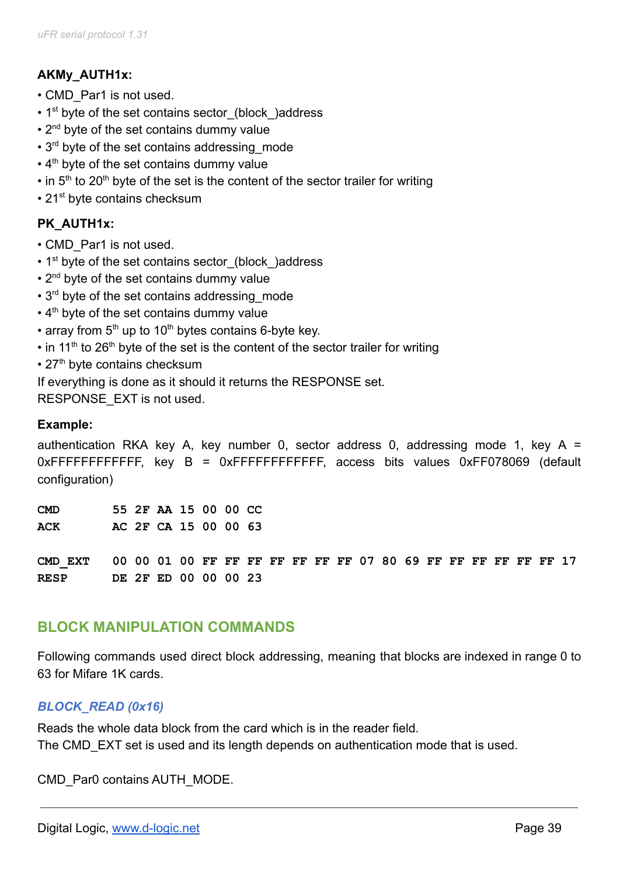# **AKMy\_AUTH1x:**

- CMD\_Par1 is not used.
- 1<sup>st</sup> byte of the set contains sector (block) address
- $\cdot$  2<sup>nd</sup> byte of the set contains dummy value
- 3<sup>rd</sup> byte of the set contains addressing mode
- $\cdot$  4<sup>th</sup> byte of the set contains dummy value
- $\cdot$  in 5<sup>th</sup> to 20<sup>th</sup> byte of the set is the content of the sector trailer for writing
- 21<sup>st</sup> byte contains checksum

# **PK\_AUTH1x:**

- CMD\_Par1 is not used.
- 1<sup>st</sup> byte of the set contains sector (block) address
- $\cdot$  2<sup>nd</sup> byte of the set contains dummy value
- 3<sup>rd</sup> byte of the set contains addressing mode
- $\cdot$  4<sup>th</sup> byte of the set contains dummy value
- array from  $5<sup>th</sup>$  up to 10<sup>th</sup> bytes contains 6-byte key.
- $\cdot$  in 11<sup>th</sup> to 26<sup>th</sup> byte of the set is the content of the sector trailer for writing
- 27<sup>th</sup> byte contains checksum
- If everything is done as it should it returns the RESPONSE set.

RESPONSE\_EXT is not used.

### **Example:**

authentication RKA key A, key number 0, sector address 0, addressing mode 1, key A = 0xFFFFFFFFFFFF, key B = 0xFFFFFFFFFFFF, access bits values 0xFF078069 (default configuration)

| CMD        |  | 55 2F AA 15 00 00 CC |  |  |
|------------|--|----------------------|--|--|
| <b>ACK</b> |  | AC 2F CA 15 00 00 63 |  |  |

**CMD\_EXT 00 00 01 00 FF FF FF FF FF FF FF 07 80 69 FF FF FF FF FF FF 17 RESP DE 2F ED 00 00 00 23**

# **BLOCK MANIPULATION COMMANDS**

Following commands used direct block addressing, meaning that blocks are indexed in range 0 to 63 for Mifare 1K cards.

## *BLOCK\_READ (0x16)*

Reads the whole data block from the card which is in the reader field. The CMD EXT set is used and its length depends on authentication mode that is used.

CMD\_Par0 contains AUTH\_MODE.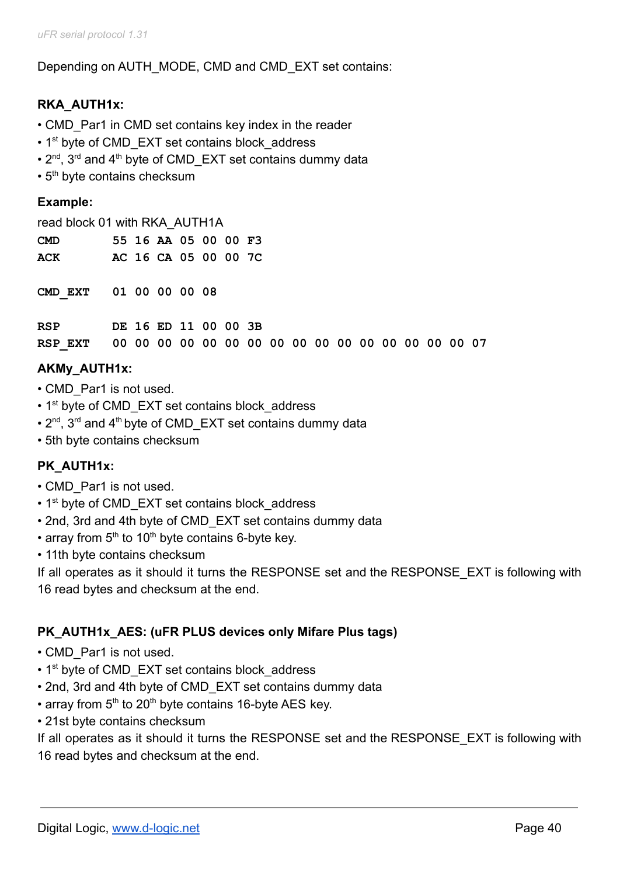Depending on AUTH\_MODE, CMD and CMD\_EXT set contains:

# **RKA\_AUTH1x:**

- CMD Par1 in CMD set contains key index in the reader
- 1<sup>st</sup> byte of CMD EXT set contains block address
- $2^{nd}$ ,  $3^{rd}$  and  $4^{th}$  byte of CMD\_EXT set contains dummy data
- $\cdot$  5<sup>th</sup> byte contains checksum

### **Example:**

| read block 01 with RKA AUTH1A |  |                      |  |  |
|-------------------------------|--|----------------------|--|--|
| CMD                           |  | 55 16 AA 05 00 00 F3 |  |  |
| <b>ACK</b>                    |  | AC 16 CA 05 00 00 7C |  |  |

**CMD\_EXT 01 00 00 00 08**

| RSP | DE 16 ED 11 00 00 3B |  |  |  |  |  |  |  |  |
|-----|----------------------|--|--|--|--|--|--|--|--|
|     |                      |  |  |  |  |  |  |  |  |

## **AKMy\_AUTH1x:**

- CMD Par1 is not used.
- 1<sup>st</sup> byte of CMD EXT set contains block address
- $2^{nd}$ ,  $3^{rd}$  and  $4^{th}$  byte of CMD\_EXT set contains dummy data
- 5th byte contains checksum

### **PK\_AUTH1x:**

- CMD\_Par1 is not used.
- 1<sup>st</sup> byte of CMD\_EXT set contains block\_address
- 2nd, 3rd and 4th byte of CMD\_EXT set contains dummy data
- array from  $5<sup>th</sup>$  to 10<sup>th</sup> byte contains 6-byte key.
- 11th byte contains checksum

If all operates as it should it turns the RESPONSE set and the RESPONSE EXT is following with 16 read bytes and checksum at the end.

### **PK\_AUTH1x\_AES: (uFR PLUS devices only Mifare Plus tags)**

- CMD Par1 is not used.
- 1<sup>st</sup> byte of CMD EXT set contains block address
- 2nd, 3rd and 4th byte of CMD\_EXT set contains dummy data
- array from  $5<sup>th</sup>$  to 20<sup>th</sup> byte contains 16-byte AES key.
- 21st byte contains checksum

If all operates as it should it turns the RESPONSE set and the RESPONSE\_EXT is following with 16 read bytes and checksum at the end.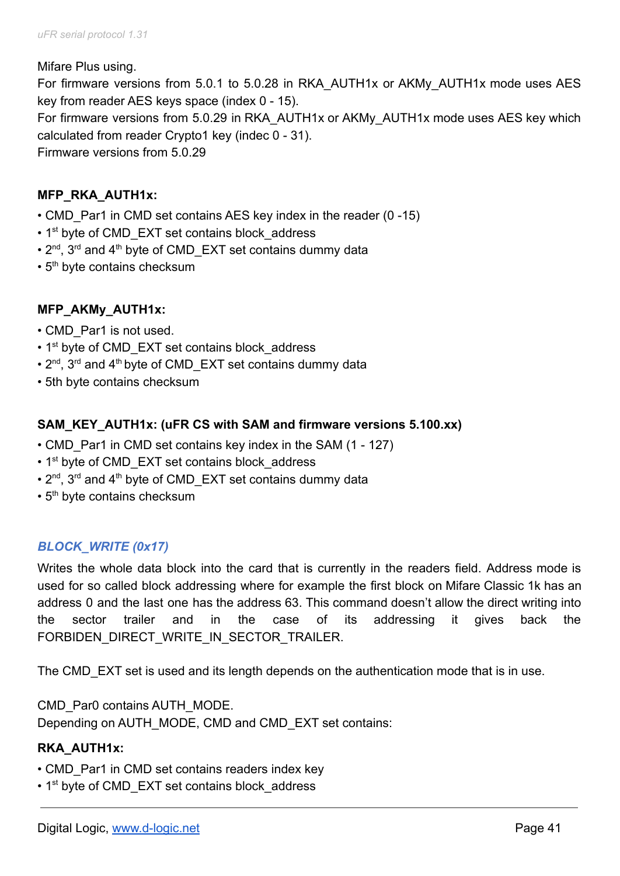#### Mifare Plus using.

For firmware versions from 5.0.1 to 5.0.28 in RKA\_AUTH1x or AKMy\_AUTH1x mode uses AES key from reader AES keys space (index 0 - 15). For firmware versions from 5.0.29 in RKA\_AUTH1x or AKMy\_AUTH1x mode uses AES key which

calculated from reader Crypto1 key (indec 0 - 31).

Firmware versions from 5.0.29

## **MFP\_RKA\_AUTH1x:**

- CMD Par1 in CMD set contains AES key index in the reader (0 -15)
- 1<sup>st</sup> byte of CMD EXT set contains block address
- $2^{nd}$ ,  $3^{rd}$  and  $4^{th}$  byte of CMD\_EXT set contains dummy data
- $\cdot$  5<sup>th</sup> byte contains checksum

## **MFP\_AKMy\_AUTH1x:**

- CMD\_Par1 is not used.
- 1<sup>st</sup> byte of CMD EXT set contains block address
- $2^{nd}$ ,  $3^{rd}$  and  $4^{th}$  byte of CMD\_EXT set contains dummy data
- 5th byte contains checksum

## **SAM\_KEY\_AUTH1x: (uFR CS with SAM and firmware versions 5.100.xx)**

- CMD Par1 in CMD set contains key index in the SAM (1 127)
- 1<sup>st</sup> byte of CMD EXT set contains block address
- $2^{nd}$ ,  $3^{rd}$  and  $4^{th}$  byte of CMD\_EXT set contains dummy data
- 5<sup>th</sup> byte contains checksum

## *BLOCK\_WRITE (0x17)*

Writes the whole data block into the card that is currently in the readers field. Address mode is used for so called block addressing where for example the first block on Mifare Classic 1k has an address 0 and the last one has the address 63. This command doesn't allow the direct writing into the sector trailer and in the case of its addressing it gives back the FORBIDEN\_DIRECT\_WRITE\_IN\_SECTOR\_TRAILER.

The CMD EXT set is used and its length depends on the authentication mode that is in use.

CMD\_Par0 contains AUTH\_MODE. Depending on AUTH\_MODE, CMD and CMD\_EXT set contains:

## **RKA\_AUTH1x:**

- CMD Par1 in CMD set contains readers index key
- 1<sup>st</sup> byte of CMD EXT set contains block address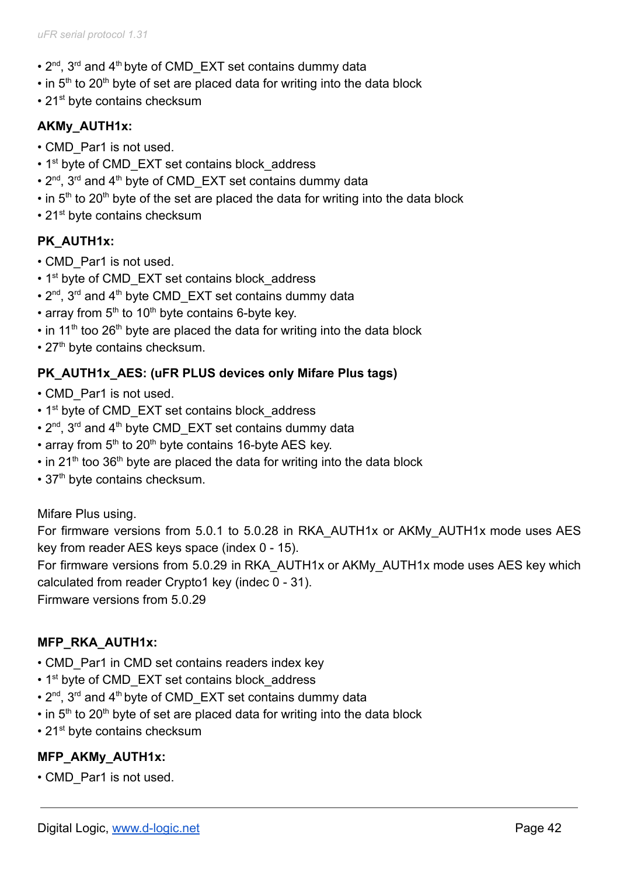- $2^{nd}$ ,  $3^{rd}$  and  $4^{th}$  byte of CMD\_EXT set contains dummy data
- $\cdot$  in 5<sup>th</sup> to 20<sup>th</sup> byte of set are placed data for writing into the data block
- 21<sup>st</sup> byte contains checksum

## **AKMy\_AUTH1x:**

- CMD\_Par1 is not used.
- 1<sup>st</sup> byte of CMD EXT set contains block address
- $2^{nd}$ ,  $3^{rd}$  and  $4^{th}$  byte of CMD\_EXT set contains dummy data
- $\cdot$  in 5<sup>th</sup> to 20<sup>th</sup> byte of the set are placed the data for writing into the data block
- $\cdot$  21<sup>st</sup> byte contains checksum

## **PK\_AUTH1x:**

- CMD\_Par1 is not used.
- 1<sup>st</sup> byte of CMD EXT set contains block address
- $2^{nd}$ ,  $3^{rd}$  and  $4^{th}$  byte CMD\_EXT set contains dummy data
- array from  $5<sup>th</sup>$  to 10<sup>th</sup> byte contains 6-byte key.
- $\cdot$  in 11<sup>th</sup> too 26<sup>th</sup> byte are placed the data for writing into the data block
- 27<sup>th</sup> byte contains checksum.

## **PK\_AUTH1x\_AES: (uFR PLUS devices only Mifare Plus tags)**

- CMD Par1 is not used.
- 1<sup>st</sup> byte of CMD EXT set contains block address
- 2<sup>nd</sup>, 3<sup>rd</sup> and 4<sup>th</sup> byte CMD\_EXT set contains dummy data
- array from  $5<sup>th</sup>$  to 20<sup>th</sup> byte contains 16-byte AES key.
- $\cdot$  in 21<sup>th</sup> too 36<sup>th</sup> byte are placed the data for writing into the data block
- 37<sup>th</sup> byte contains checksum.

### Mifare Plus using.

For firmware versions from 5.0.1 to 5.0.28 in RKA\_AUTH1x or AKMy\_AUTH1x mode uses AES key from reader AES keys space (index 0 - 15).

For firmware versions from 5.0.29 in RKA\_AUTH1x or AKMy\_AUTH1x mode uses AES key which calculated from reader Crypto1 key (indec 0 - 31).

Firmware versions from 5.0.29

## **MFP\_RKA\_AUTH1x:**

- CMD Par1 in CMD set contains readers index key
- 1<sup>st</sup> byte of CMD EXT set contains block address
- $2^{nd}$ ,  $3^{rd}$  and  $4^{th}$  byte of CMD\_EXT set contains dummy data
- $\cdot$  in 5<sup>th</sup> to 20<sup>th</sup> byte of set are placed data for writing into the data block
- 21<sup>st</sup> byte contains checksum

## **MFP\_AKMy\_AUTH1x:**

• CMD\_Par1 is not used.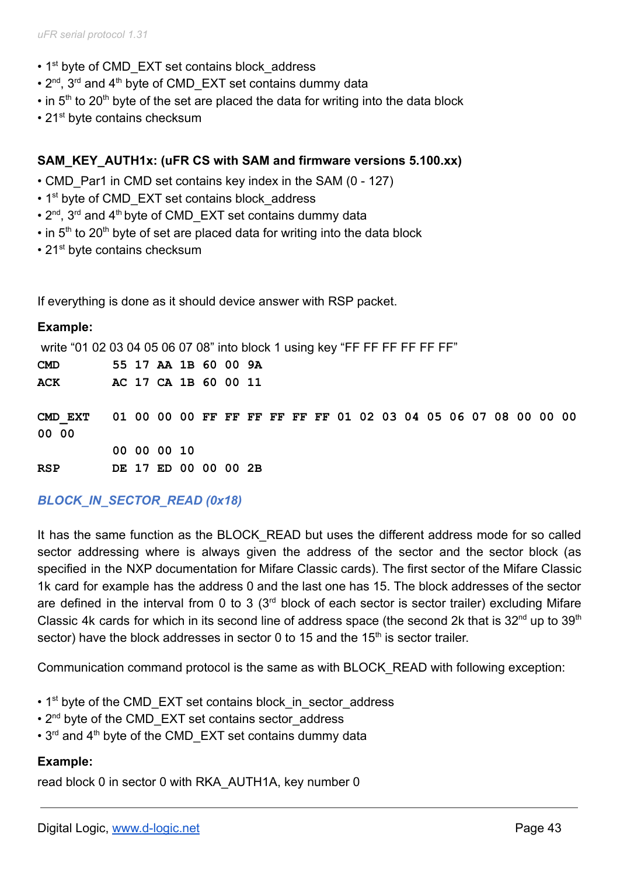- 1<sup>st</sup> byte of CMD EXT set contains block address
- $2^{nd}$ ,  $3^{rd}$  and  $4^{th}$  byte of CMD\_EXT set contains dummy data
- $\cdot$  in 5<sup>th</sup> to 20<sup>th</sup> byte of the set are placed the data for writing into the data block
- 21<sup>st</sup> byte contains checksum

#### **SAM\_KEY\_AUTH1x: (uFR CS with SAM and firmware versions 5.100.xx)**

- CMD Par1 in CMD set contains key index in the SAM (0 127)
- 1<sup>st</sup> byte of CMD EXT set contains block address
- $2^{nd}$ ,  $3^{rd}$  and  $4^{th}$  byte of CMD\_EXT set contains dummy data
- $\cdot$  in 5<sup>th</sup> to 20<sup>th</sup> byte of set are placed data for writing into the data block
- $\cdot$  21<sup>st</sup> byte contains checksum

If everything is done as it should device answer with RSP packet.

#### **Example:**

write "01 02 03 04 05 06 07 08" into block 1 using key "FF FF FF FF FF FF"

| $\mathbf{CMD}$                                                         | 55 17 AA 1B 60 00 9A |  |  |  |  |  |  |  |  |  |  |
|------------------------------------------------------------------------|----------------------|--|--|--|--|--|--|--|--|--|--|
| ACK                                                                    | AC 17 CA 1B 60 00 11 |  |  |  |  |  |  |  |  |  |  |
|                                                                        |                      |  |  |  |  |  |  |  |  |  |  |
| CMD EXT 01 00 00 00 FF FF FF FF FF FF 01 02 03 04 05 06 07 08 00 00 00 |                      |  |  |  |  |  |  |  |  |  |  |
| 00 00                                                                  |                      |  |  |  |  |  |  |  |  |  |  |
|                                                                        | 00 00 00 10          |  |  |  |  |  |  |  |  |  |  |
| <b>RSP</b>                                                             | DE 17 ED 00 00 00 2B |  |  |  |  |  |  |  |  |  |  |

## *BLOCK\_IN\_SECTOR\_READ (0x18)*

It has the same function as the BLOCK READ but uses the different address mode for so called sector addressing where is always given the address of the sector and the sector block (as specified in the NXP documentation for Mifare Classic cards). The first sector of the Mifare Classic 1k card for example has the address 0 and the last one has 15. The block addresses of the sector are defined in the interval from 0 to 3  $(3<sup>rd</sup>$  block of each sector is sector trailer) excluding Mifare Classic 4k cards for which in its second line of address space (the second 2k that is  $32^{nd}$  up to  $39^{th}$ sector) have the block addresses in sector 0 to 15 and the  $15<sup>th</sup>$  is sector trailer.

Communication command protocol is the same as with BLOCK\_READ with following exception:

- 1<sup>st</sup> byte of the CMD\_EXT set contains block\_in\_sector\_address
- 2<sup>nd</sup> byte of the CMD EXT set contains sector\_address
- 3<sup>rd</sup> and 4<sup>th</sup> byte of the CMD EXT set contains dummy data

#### **Example:**

read block 0 in sector 0 with RKA\_AUTH1A, key number 0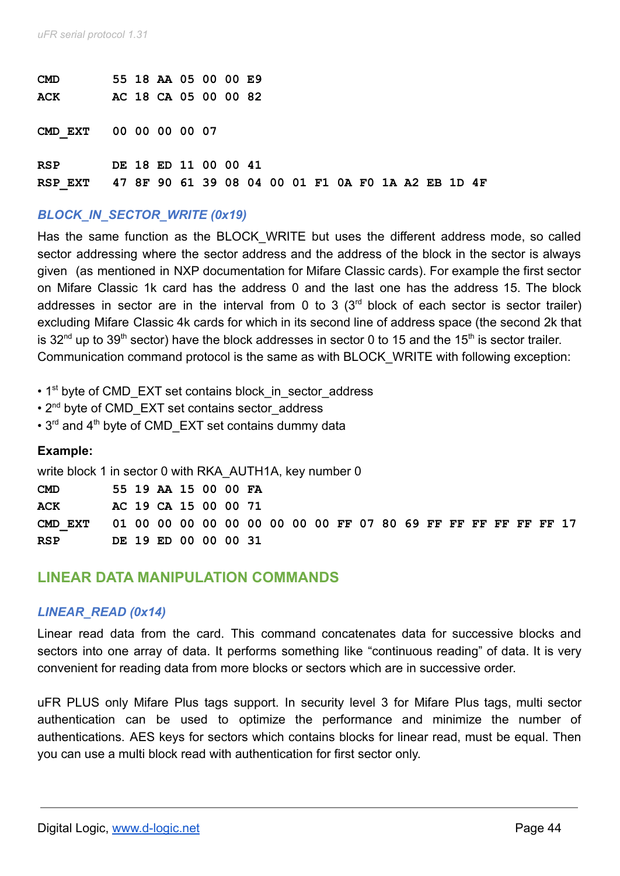| <b>CMD</b> |  | 55 18 AA 05 00 00 E9 |  |  |  |  |  |  |                                                    |  |
|------------|--|----------------------|--|--|--|--|--|--|----------------------------------------------------|--|
| <b>ACK</b> |  | AC 18 CA 05 00 00 82 |  |  |  |  |  |  |                                                    |  |
| CMD EXT    |  | 00 00 00 00 07       |  |  |  |  |  |  |                                                    |  |
| <b>RSP</b> |  | DE 18 ED 11 00 00 41 |  |  |  |  |  |  |                                                    |  |
| RSP EXT    |  |                      |  |  |  |  |  |  | 47 8F 90 61 39 08 04 00 01 F1 0A F0 1A A2 EB 1D 4F |  |

## *BLOCK\_IN\_SECTOR\_WRITE (0x19)*

Has the same function as the BLOCK WRITE but uses the different address mode, so called sector addressing where the sector address and the address of the block in the sector is always given (as mentioned in NXP documentation for Mifare Classic cards). For example the first sector on Mifare Classic 1k card has the address 0 and the last one has the address 15. The block addresses in sector are in the interval from 0 to 3  $(3<sup>rd</sup>$  block of each sector is sector trailer) excluding Mifare Classic 4k cards for which in its second line of address space (the second 2k that is 32<sup>nd</sup> up to 39<sup>th</sup> sector) have the block addresses in sector 0 to 15 and the 15<sup>th</sup> is sector trailer. Communication command protocol is the same as with BLOCK\_WRITE with following exception:

- 1<sup>st</sup> byte of CMD\_EXT set contains block in sector address
- 2<sup>nd</sup> byte of CMD EXT set contains sector address
- $\cdot$  3<sup>rd</sup> and 4<sup>th</sup> byte of CMD EXT set contains dummy data

#### **Example:**

write block 1 in sector 0 with RKA\_AUTH1A, key number 0

| <b>CMD</b>                                                             |  | 55 19 AA 15 00 00 FA |  |  |  |  |  |  |  |  |  |
|------------------------------------------------------------------------|--|----------------------|--|--|--|--|--|--|--|--|--|
| ACK                                                                    |  | AC 19 CA 15 00 00 71 |  |  |  |  |  |  |  |  |  |
| CMD EXT 01 00 00 00 00 00 00 00 00 00 FF 07 80 69 FF FF FF FF FF FF 17 |  |                      |  |  |  |  |  |  |  |  |  |
| <b>RSP</b>                                                             |  | DE 19 ED 00 00 00 31 |  |  |  |  |  |  |  |  |  |

## **LINEAR DATA MANIPULATION COMMANDS**

#### *LINEAR\_READ (0x14)*

Linear read data from the card. This command concatenates data for successive blocks and sectors into one array of data. It performs something like "continuous reading" of data. It is very convenient for reading data from more blocks or sectors which are in successive order.

uFR PLUS only Mifare Plus tags support. In security level 3 for Mifare Plus tags, multi sector authentication can be used to optimize the performance and minimize the number of authentications. AES keys for sectors which contains blocks for linear read, must be equal. Then you can use a multi block read with authentication for first sector only.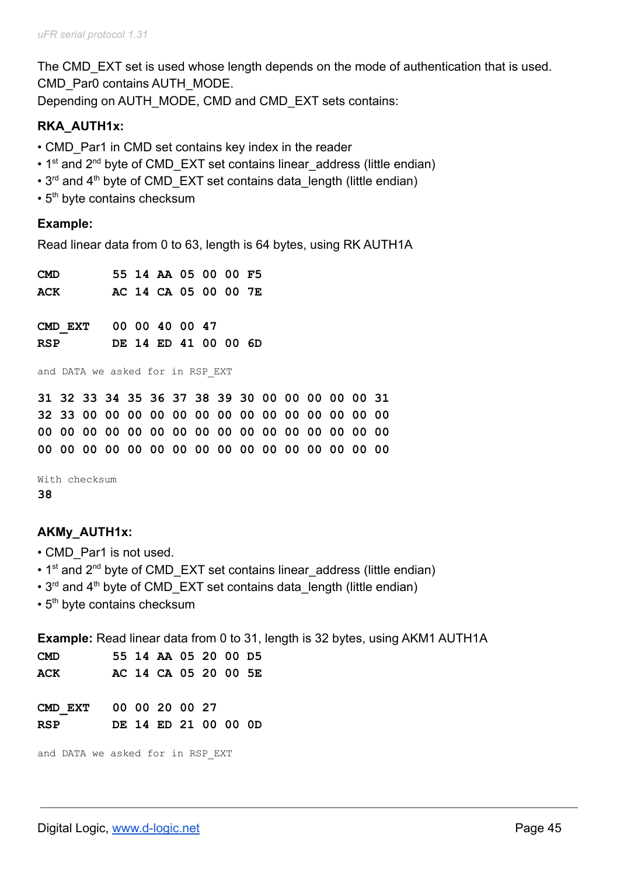The CMD EXT set is used whose length depends on the mode of authentication that is used. CMD\_Par0 contains AUTH\_MODE. Depending on AUTH\_MODE, CMD and CMD\_EXT sets contains:

### **RKA\_AUTH1x:**

- CMD Par1 in CMD set contains key index in the reader
- 1<sup>st</sup> and 2<sup>nd</sup> byte of CMD\_EXT set contains linear address (little endian)
- $\cdot$  3<sup>rd</sup> and 4<sup>th</sup> byte of CMD EXT set contains data length (little endian)
- $\cdot$  5<sup>th</sup> byte contains checksum

#### **Example:**

Read linear data from 0 to 63, length is 64 bytes, using RK AUTH1A

| <b>CMD</b> |         |  | 55 14 AA 05 00 00 F5                            |  |  |  |  |  |  |  |  |  |  |  |
|------------|---------|--|-------------------------------------------------|--|--|--|--|--|--|--|--|--|--|--|
| ACK        |         |  | AC 14 CA 05 00 00 7E                            |  |  |  |  |  |  |  |  |  |  |  |
|            |         |  |                                                 |  |  |  |  |  |  |  |  |  |  |  |
|            | CMD EXT |  | 00 00 40 00 47                                  |  |  |  |  |  |  |  |  |  |  |  |
| <b>RSP</b> |         |  | DE 14 ED 41 00 00 6D                            |  |  |  |  |  |  |  |  |  |  |  |
|            |         |  | and DATA we asked for in RSP EXT                |  |  |  |  |  |  |  |  |  |  |  |
|            |         |  | 31 32 33 34 35 36 37 38 39 30 00 00 00 00 00 31 |  |  |  |  |  |  |  |  |  |  |  |
|            |         |  |                                                 |  |  |  |  |  |  |  |  |  |  |  |
|            |         |  |                                                 |  |  |  |  |  |  |  |  |  |  |  |

With checksum **38**

### **AKMy\_AUTH1x:**

- CMD\_Par1 is not used.
- 1<sup>st</sup> and 2<sup>nd</sup> byte of CMD\_EXT set contains linear address (little endian)
- $\cdot$  3<sup>rd</sup> and 4<sup>th</sup> byte of CMD EXT set contains data length (little endian)
- 5<sup>th</sup> byte contains checksum

**Example:** Read linear data from 0 to 31, length is 32 bytes, using AKM1 AUTH1A

| <b>CMD</b>                       | 55 14 AA 05 20 00 D5 |  |
|----------------------------------|----------------------|--|
| ACK                              | AC 14 CA 05 20 00 5E |  |
|                                  |                      |  |
| CMD EXT 00 00 20 00 27           |                      |  |
| RSP                              | DE 14 ED 21 00 00 0D |  |
|                                  |                      |  |
| and DATA we asked for in RSP EXT |                      |  |
|                                  |                      |  |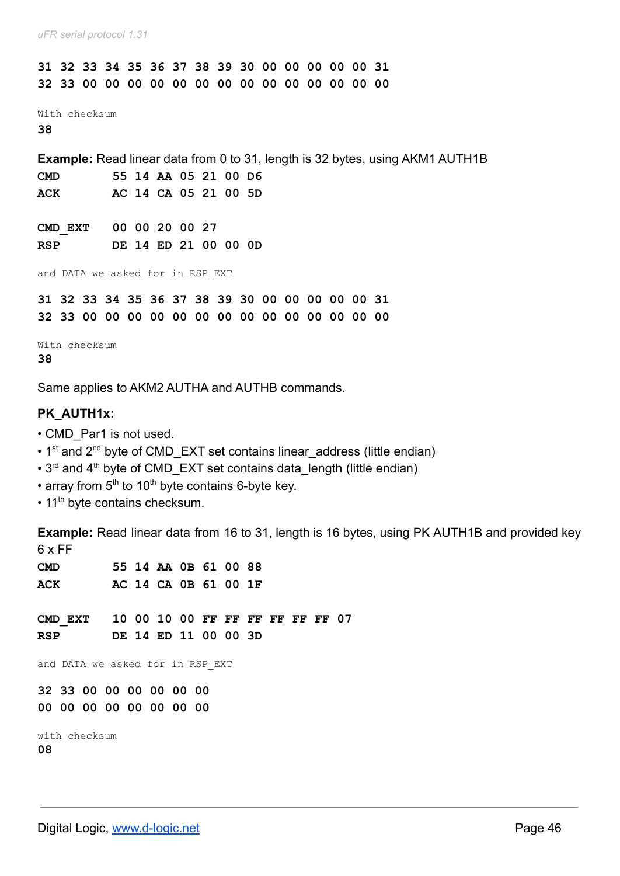**31 32 33 34 35 36 37 38 39 30 00 00 00 00 00 31 32 33 00 00 00 00 00 00 00 00 00 00 00 00 00 00** With checksum **38 Example:** Read linear data from 0 to 31, length is 32 bytes, using AKM1 AUTH1B **CMD 55 14 AA 05 21 00 D6 ACK AC 14 CA 05 21 00 5D CMD\_EXT 00 00 20 00 27 RSP DE 14 ED 21 00 00 0D** and DATA we asked for in RSP\_EXT **31 32 33 34 35 36 37 38 39 30 00 00 00 00 00 31 32 33 00 00 00 00 00 00 00 00 00 00 00 00 00 00** With checksum **38**

Same applies to AKM2 AUTHA and AUTHB commands.

#### **PK\_AUTH1x:**

- CMD Par1 is not used.
- 1<sup>st</sup> and 2<sup>nd</sup> byte of CMD EXT set contains linear\_address (little endian)
- $\cdot$  3<sup>rd</sup> and 4<sup>th</sup> byte of CMD EXT set contains data length (little endian)
- array from  $5<sup>th</sup>$  to 10<sup>th</sup> byte contains 6-byte key.
- 11<sup>th</sup> byte contains checksum.

**Example:** Read linear data from 16 to 31, length is 16 bytes, using PK AUTH1B and provided key 6 x FF

| <b>CMD</b> |  | 55 14 AA 0B 61 00 88 |  |  |
|------------|--|----------------------|--|--|
| <b>ACK</b> |  | AC 14 CA 0B 61 00 1F |  |  |

**CMD\_EXT 10 00 10 00 FF FF FF FF FF FF 07 RSP DE 14 ED 11 00 00 3D**

and DATA we asked for in RSP\_EXT

**32 33 00 00 00 00 00 00 00 00 00 00 00 00 00 00**

with checksum **08**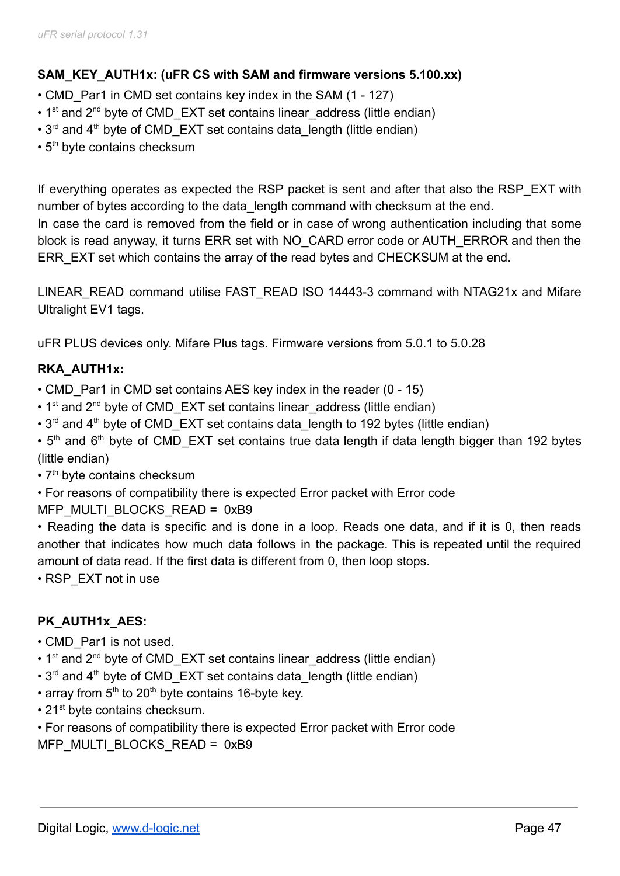## **SAM\_KEY\_AUTH1x: (uFR CS with SAM and firmware versions 5.100.xx)**

- CMD Par1 in CMD set contains key index in the SAM (1 127)
- $\cdot$  1<sup>st</sup> and 2<sup>nd</sup> byte of CMD EXT set contains linear address (little endian)
- $3^{rd}$  and  $4^{th}$  byte of CMD EXT set contains data length (little endian)
- $\cdot$  5<sup>th</sup> byte contains checksum

If everything operates as expected the RSP packet is sent and after that also the RSP\_EXT with number of bytes according to the data\_length command with checksum at the end. In case the card is removed from the field or in case of wrong authentication including that some block is read anyway, it turns ERR set with NO\_CARD error code or AUTH\_ERROR and then the ERR EXT set which contains the array of the read bytes and CHECKSUM at the end.

LINEAR\_READ command utilise FAST\_READ ISO 14443-3 command with NTAG21x and Mifare Ultralight EV1 tags.

uFR PLUS devices only. Mifare Plus tags. Firmware versions from 5.0.1 to 5.0.28

# **RKA\_AUTH1x:**

- CMD Par1 in CMD set contains AES key index in the reader (0 15)
- 1<sup>st</sup> and 2<sup>nd</sup> byte of CMD\_EXT set contains linear address (little endian)
- $3<sup>rd</sup>$  and  $4<sup>th</sup>$  byte of CMD EXT set contains data length to 192 bytes (little endian)
- $\cdot$  5<sup>th</sup> and 6<sup>th</sup> byte of CMD\_EXT set contains true data length if data length bigger than 192 bytes (little endian)
- $\cdot$  7<sup>th</sup> byte contains checksum
- For reasons of compatibility there is expected Error packet with Error code
- MFP\_MULTI\_BLOCKS\_READ = 0xB9

• Reading the data is specific and is done in a loop. Reads one data, and if it is 0, then reads another that indicates how much data follows in the package. This is repeated until the required amount of data read. If the first data is different from 0, then loop stops.

• RSP\_EXT not in use

# **PK\_AUTH1x\_AES:**

- CMD Par1 is not used.
- 1<sup>st</sup> and 2<sup>nd</sup> byte of CMD\_EXT set contains linear address (little endian)
- $\cdot$  3<sup>rd</sup> and 4<sup>th</sup> byte of CMD EXT set contains data length (little endian)
- array from  $5<sup>th</sup>$  to 20<sup>th</sup> byte contains 16-byte key.
- $\cdot$  21<sup>st</sup> byte contains checksum.

• For reasons of compatibility there is expected Error packet with Error code

MFP\_MULTI\_BLOCKS\_READ = 0xB9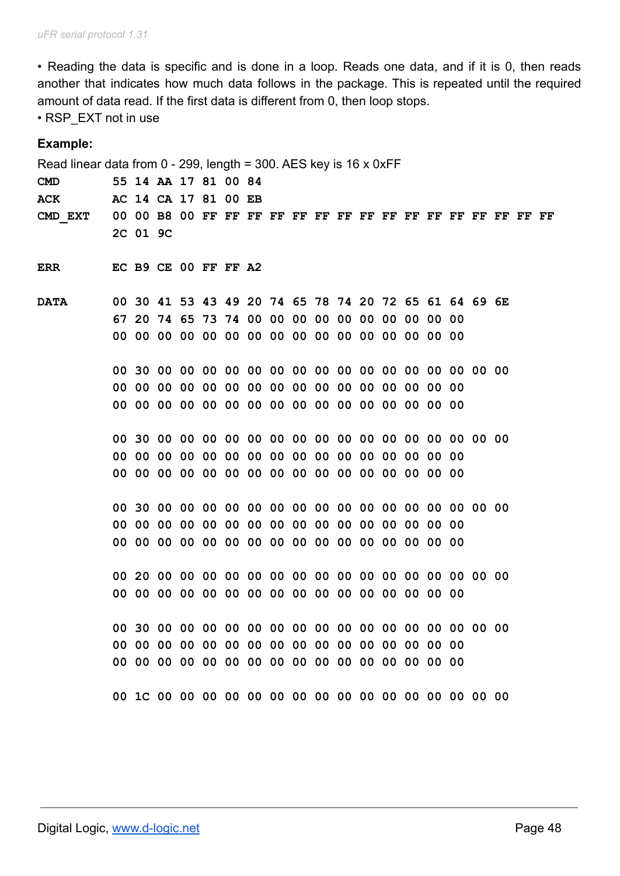• Reading the data is specific and is done in a loop. Reads one data, and if it is 0, then reads another that indicates how much data follows in the package. This is repeated until the required amount of data read. If the first data is different from 0, then loop stops.

• RSP\_EXT not in use

| Example:                                                             |          |                                                       |  |  |  |  |  |  |  |  |    |
|----------------------------------------------------------------------|----------|-------------------------------------------------------|--|--|--|--|--|--|--|--|----|
| Read linear data from $0 - 299$ , length = 300. AES key is 16 x 0xFF |          |                                                       |  |  |  |  |  |  |  |  |    |
| $\mathbf{CMD}$                                                       |          | 55 14 AA 17 81 00 84                                  |  |  |  |  |  |  |  |  |    |
| <b>ACK</b>                                                           |          | AC 14 CA 17 81 00 EB                                  |  |  |  |  |  |  |  |  |    |
|                                                                      | 2C 01 9C |                                                       |  |  |  |  |  |  |  |  | FF |
| <b>EC B9 CE 00 FF FF A2</b><br>ERR                                   |          |                                                       |  |  |  |  |  |  |  |  |    |
| <b>DATA</b>                                                          |          | 00 30 41 53 43 49 20 74 65 78 74 20 72 65 61 64 69 6E |  |  |  |  |  |  |  |  |    |
|                                                                      |          | 67 20 74 65 73 74 00 00 00 00 00 00 00 00 00 00       |  |  |  |  |  |  |  |  |    |
|                                                                      |          |                                                       |  |  |  |  |  |  |  |  |    |
|                                                                      |          |                                                       |  |  |  |  |  |  |  |  |    |
|                                                                      |          |                                                       |  |  |  |  |  |  |  |  |    |
|                                                                      |          |                                                       |  |  |  |  |  |  |  |  |    |
|                                                                      |          |                                                       |  |  |  |  |  |  |  |  |    |
|                                                                      |          |                                                       |  |  |  |  |  |  |  |  |    |
|                                                                      |          |                                                       |  |  |  |  |  |  |  |  |    |
|                                                                      |          |                                                       |  |  |  |  |  |  |  |  |    |
|                                                                      |          |                                                       |  |  |  |  |  |  |  |  |    |
|                                                                      |          |                                                       |  |  |  |  |  |  |  |  |    |
|                                                                      |          |                                                       |  |  |  |  |  |  |  |  |    |
|                                                                      |          |                                                       |  |  |  |  |  |  |  |  |    |
|                                                                      |          |                                                       |  |  |  |  |  |  |  |  |    |
|                                                                      |          |                                                       |  |  |  |  |  |  |  |  |    |
|                                                                      |          |                                                       |  |  |  |  |  |  |  |  |    |
|                                                                      |          |                                                       |  |  |  |  |  |  |  |  |    |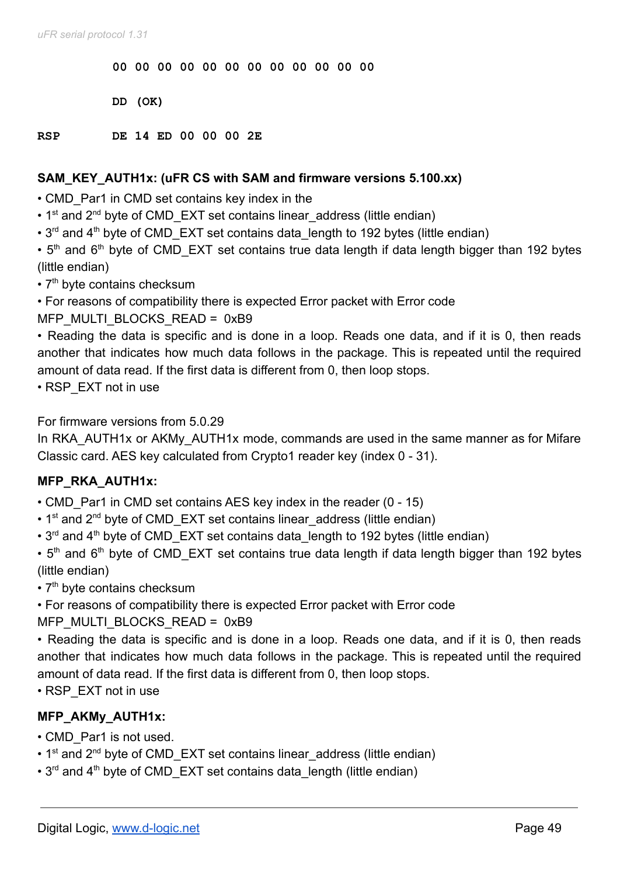**00 00 00 00 00 00 00 00 00 00 00 00**

**DD (OK)**

**RSP DE 14 ED 00 00 00 2E**

#### **SAM\_KEY\_AUTH1x: (uFR CS with SAM and firmware versions 5.100.xx)**

- CMD Par1 in CMD set contains key index in the
- $\cdot$  1<sup>st</sup> and 2<sup>nd</sup> byte of CMD EXT set contains linear address (little endian)
- $\cdot$  3<sup>rd</sup> and 4<sup>th</sup> byte of CMD EXT set contains data length to 192 bytes (little endian)

 $\cdot$  5<sup>th</sup> and 6<sup>th</sup> byte of CMD\_EXT set contains true data length if data length bigger than 192 bytes (little endian)

- $\cdot$  7<sup>th</sup> byte contains checksum
- For reasons of compatibility there is expected Error packet with Error code

MFP\_MULTI\_BLOCKS\_READ = 0xB9

• Reading the data is specific and is done in a loop. Reads one data, and if it is 0, then reads another that indicates how much data follows in the package. This is repeated until the required amount of data read. If the first data is different from 0, then loop stops.

• RSP\_EXT not in use

For firmware versions from 5.0.29

In RKA AUTH1x or AKMy AUTH1x mode, commands are used in the same manner as for Mifare Classic card. AES key calculated from Crypto1 reader key (index 0 - 31).

### **MFP\_RKA\_AUTH1x:**

- CMD Par1 in CMD set contains AES key index in the reader (0 15)
- 1<sup>st</sup> and 2<sup>nd</sup> byte of CMD\_EXT set contains linear address (little endian)
- $\cdot$  3<sup>rd</sup> and 4<sup>th</sup> byte of CMD EXT set contains data length to 192 bytes (little endian)
- $\cdot$  5<sup>th</sup> and 6<sup>th</sup> byte of CMD\_EXT set contains true data length if data length bigger than 192 bytes (little endian)
- 7<sup>th</sup> byte contains checksum
- For reasons of compatibility there is expected Error packet with Error code

MFP\_MULTI\_BLOCKS\_READ = 0xB9

• Reading the data is specific and is done in a loop. Reads one data, and if it is 0, then reads another that indicates how much data follows in the package. This is repeated until the required amount of data read. If the first data is different from 0, then loop stops.

• RSP\_EXT not in use

### **MFP\_AKMy\_AUTH1x:**

- CMD\_Par1 is not used.
- 1<sup>st</sup> and 2<sup>nd</sup> byte of CMD EXT set contains linear address (little endian)
- $\cdot$  3<sup>rd</sup> and 4<sup>th</sup> byte of CMD EXT set contains data length (little endian)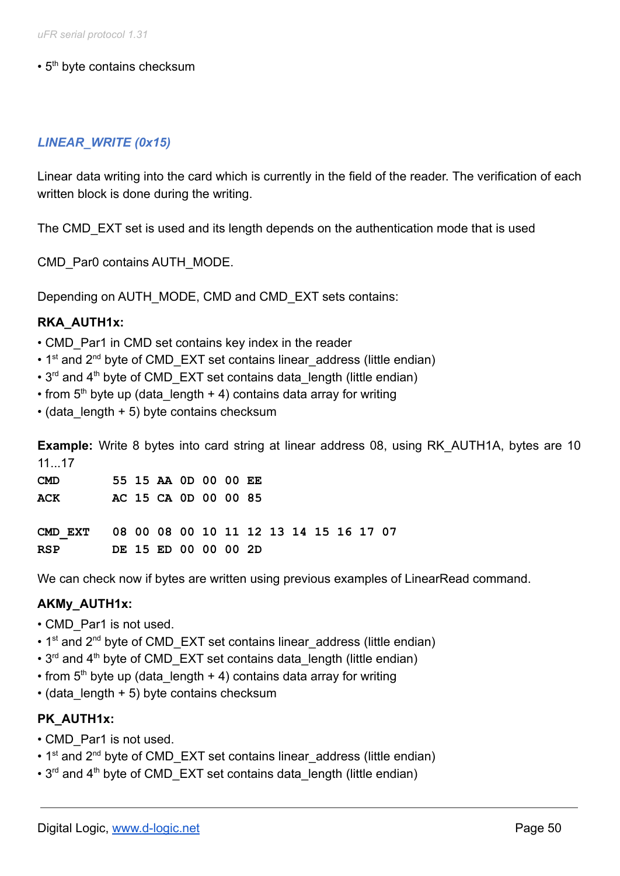$\cdot$  5<sup>th</sup> byte contains checksum

### *LINEAR\_WRITE (0x15)*

Linear data writing into the card which is currently in the field of the reader. The verification of each written block is done during the writing.

The CMD EXT set is used and its length depends on the authentication mode that is used

CMD\_Par0 contains AUTH\_MODE.

Depending on AUTH\_MODE, CMD and CMD\_EXT sets contains:

### **RKA\_AUTH1x:**

- CMD Par1 in CMD set contains key index in the reader
- $\cdot$  1<sup>st</sup> and 2<sup>nd</sup> byte of CMD EXT set contains linear address (little endian)
- $\cdot$  3<sup>rd</sup> and 4<sup>th</sup> byte of CMD EXT set contains data length (little endian)
- from  $5<sup>th</sup>$  byte up (data length + 4) contains data array for writing
- $\cdot$  (data length + 5) byte contains checksum

**Example:** Write 8 bytes into card string at linear address 08, using RK AUTH1A, bytes are 10 11 17

| <b>CMD</b> |  | 55 15 AA OD 00 00 EE |  |  |
|------------|--|----------------------|--|--|
| <b>ACK</b> |  | AC 15 CA 0D 00 00 85 |  |  |

**CMD\_EXT 08 00 08 00 10 11 12 13 14 15 16 17 07 RSP DE 15 ED 00 00 00 2D**

We can check now if bytes are written using previous examples of LinearRead command.

### **AKMy\_AUTH1x:**

- CMD Par1 is not used.
- $\cdot$  1<sup>st</sup> and 2<sup>nd</sup> byte of CMD EXT set contains linear address (little endian)
- $\cdot$  3<sup>rd</sup> and 4<sup>th</sup> byte of CMD EXT set contains data length (little endian)
- from  $5<sup>th</sup>$  byte up (data length + 4) contains data array for writing
- $\cdot$  (data length + 5) byte contains checksum

### **PK\_AUTH1x:**

- CMD Par1 is not used.
- $\cdot$  1<sup>st</sup> and 2<sup>nd</sup> byte of CMD EXT set contains linear address (little endian)
- $\cdot$  3<sup>rd</sup> and 4<sup>th</sup> byte of CMD EXT set contains data length (little endian)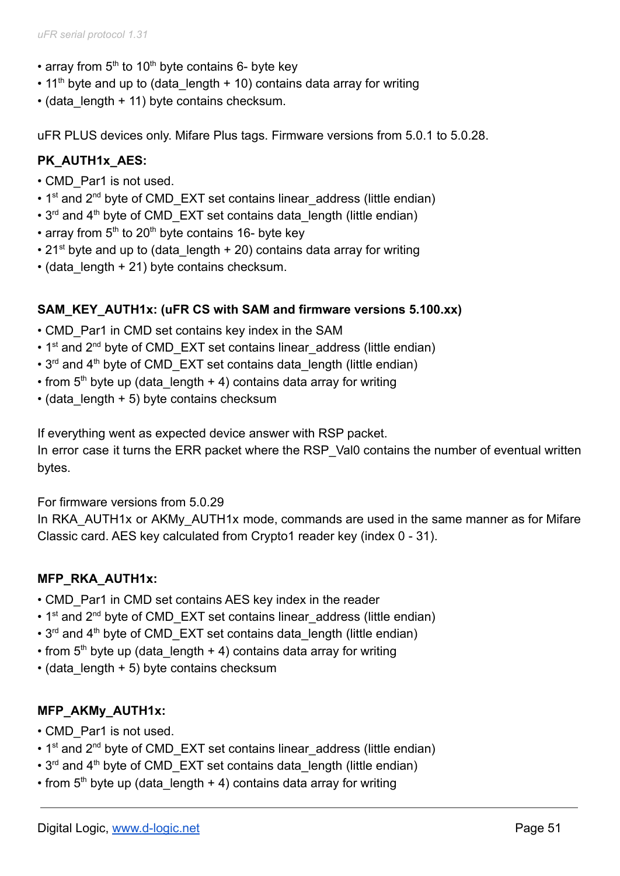- array from  $5<sup>th</sup>$  to 10<sup>th</sup> byte contains 6- byte key
- $\cdot$  11<sup>th</sup> byte and up to (data\_length + 10) contains data array for writing
- (data length + 11) byte contains checksum.

uFR PLUS devices only. Mifare Plus tags. Firmware versions from 5.0.1 to 5.0.28.

### **PK\_AUTH1x\_AES:**

- CMD\_Par1 is not used.
- $\cdot$  1<sup>st</sup> and 2<sup>nd</sup> byte of CMD EXT set contains linear address (little endian)
- $\cdot$  3<sup>rd</sup> and 4<sup>th</sup> byte of CMD EXT set contains data length (little endian)
- array from  $5<sup>th</sup>$  to 20<sup>th</sup> byte contains 16- byte key
- 21<sup>st</sup> byte and up to (data length + 20) contains data array for writing
- $\cdot$  (data length + 21) byte contains checksum.

### **SAM\_KEY\_AUTH1x: (uFR CS with SAM and firmware versions 5.100.xx)**

- CMD Par1 in CMD set contains key index in the SAM
- $\cdot$  1<sup>st</sup> and 2<sup>nd</sup> byte of CMD\_EXT set contains linear address (little endian)
- $\cdot$  3<sup>rd</sup> and 4<sup>th</sup> byte of CMD EXT set contains data length (little endian)
- from  $5<sup>th</sup>$  byte up (data length + 4) contains data array for writing
- $\cdot$  (data length + 5) byte contains checksum

If everything went as expected device answer with RSP packet.

In error case it turns the ERR packet where the RSP Val0 contains the number of eventual written bytes.

For firmware versions from 5.0.29

In RKA AUTH1x or AKMy AUTH1x mode, commands are used in the same manner as for Mifare Classic card. AES key calculated from Crypto1 reader key (index 0 - 31).

## **MFP\_RKA\_AUTH1x:**

- CMD Par1 in CMD set contains AES key index in the reader
- 1<sup>st</sup> and 2<sup>nd</sup> byte of CMD\_EXT set contains linear address (little endian)
- $\cdot$  3<sup>rd</sup> and 4<sup>th</sup> byte of CMD EXT set contains data length (little endian)
- from  $5<sup>th</sup>$  byte up (data length + 4) contains data array for writing
- $\cdot$  (data length + 5) byte contains checksum

## **MFP\_AKMy\_AUTH1x:**

- CMD Par1 is not used.
- 1<sup>st</sup> and 2<sup>nd</sup> byte of CMD\_EXT set contains linear address (little endian)
- 3<sup>rd</sup> and 4<sup>th</sup> byte of CMD\_EXT set contains data length (little endian)
- from  $5<sup>th</sup>$  byte up (data length + 4) contains data array for writing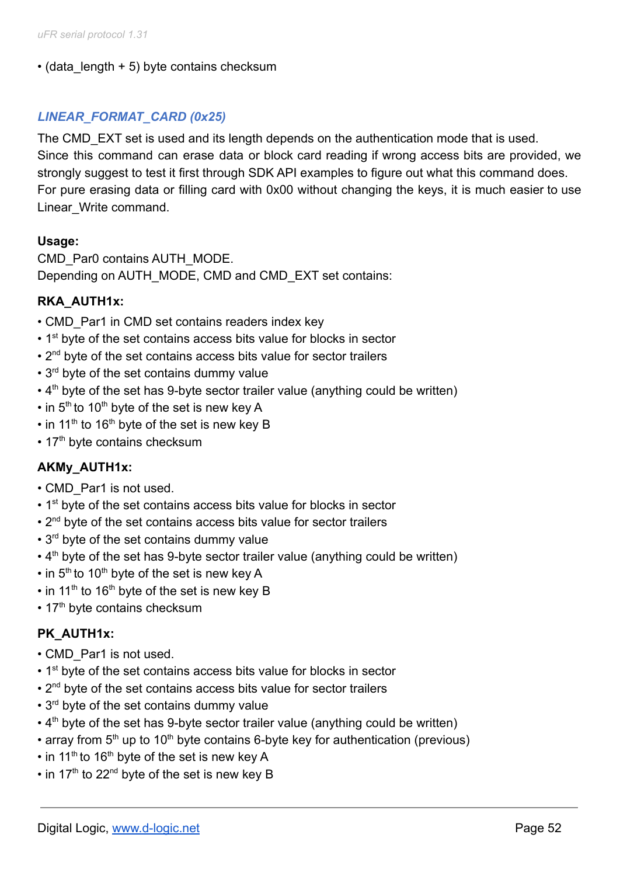### $\cdot$  (data length + 5) byte contains checksum

## *LINEAR\_FORMAT\_CARD (0x25)*

The CMD EXT set is used and its length depends on the authentication mode that is used. Since this command can erase data or block card reading if wrong access bits are provided, we strongly suggest to test it first through SDK API examples to figure out what this command does. For pure erasing data or filling card with 0x00 without changing the keys, it is much easier to use Linear\_Write command.

### **Usage:**

CMD\_Par0 contains AUTH\_MODE. Depending on AUTH\_MODE, CMD and CMD\_EXT set contains:

## **RKA\_AUTH1x:**

- CMD Par1 in CMD set contains readers index key
- 1<sup>st</sup> byte of the set contains access bits value for blocks in sector
- 2<sup>nd</sup> byte of the set contains access bits value for sector trailers
- 3<sup>rd</sup> byte of the set contains dummy value
- $\cdot$  4<sup>th</sup> byte of the set has 9-byte sector trailer value (anything could be written)
- $\cdot$  in 5<sup>th</sup> to 10<sup>th</sup> byte of the set is new key A
- $\cdot$  in 11<sup>th</sup> to 16<sup>th</sup> byte of the set is new key B
- $\cdot$  17<sup>th</sup> byte contains checksum

## **AKMy\_AUTH1x:**

- CMD Par1 is not used.
- 1<sup>st</sup> byte of the set contains access bits value for blocks in sector
- 2<sup>nd</sup> byte of the set contains access bits value for sector trailers
- 3<sup>rd</sup> byte of the set contains dummy value
- $\cdot$  4<sup>th</sup> byte of the set has 9-byte sector trailer value (anything could be written)
- $\cdot$  in 5<sup>th</sup> to 10<sup>th</sup> byte of the set is new key A
- $\cdot$  in 11<sup>th</sup> to 16<sup>th</sup> byte of the set is new key B
- 17<sup>th</sup> byte contains checksum

### **PK\_AUTH1x:**

- CMD\_Par1 is not used.
- 1<sup>st</sup> byte of the set contains access bits value for blocks in sector
- 2<sup>nd</sup> byte of the set contains access bits value for sector trailers
- 3<sup>rd</sup> byte of the set contains dummy value
- $\cdot$  4<sup>th</sup> byte of the set has 9-byte sector trailer value (anything could be written)
- array from  $5<sup>th</sup>$  up to 10<sup>th</sup> byte contains 6-byte key for authentication (previous)
- $\cdot$  in 11<sup>th</sup> to 16<sup>th</sup> byte of the set is new key A
- $\cdot$  in 17<sup>th</sup> to 22<sup>nd</sup> byte of the set is new key B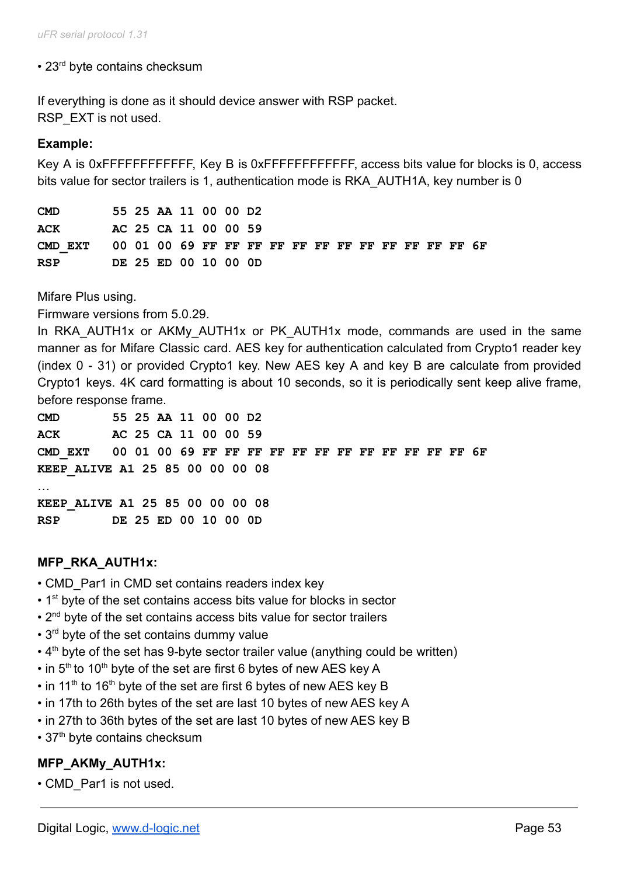# • 23<sup>rd</sup> byte contains checksum

If everything is done as it should device answer with RSP packet. RSP EXT is not used.

## **Example:**

Key A is 0xFFFFFFFFFFFF, Key B is 0xFFFFFFFFFFFF, access bits value for blocks is 0, access bits value for sector trailers is 1, authentication mode is RKA\_AUTH1A, key number is 0

**CMD 55 25 AA 11 00 00 D2 ACK AC 25 CA 11 00 00 59 CMD\_EXT 00 01 00 69 FF FF FF FF FF FF FF FF FF FF FF FF 6F RSP DE 25 ED 00 10 00 0D**

Mifare Plus using.

Firmware versions from 5.0.29.

In RKA AUTH1x or AKMy AUTH1x or PK AUTH1x mode, commands are used in the same manner as for Mifare Classic card. AES key for authentication calculated from Crypto1 reader key (index 0 - 31) or provided Crypto1 key. New AES key A and key B are calculate from provided Crypto1 keys. 4K card formatting is about 10 seconds, so it is periodically sent keep alive frame, before response frame.

**CMD 55 25 AA 11 00 00 D2 ACK AC 25 CA 11 00 00 59 CMD\_EXT 00 01 00 69 FF FF FF FF FF FF FF FF FF FF FF FF 6F KEEP\_ALIVE A1 25 85 00 00 00 08** …

**KEEP\_ALIVE A1 25 85 00 00 00 08 RSP DE 25 ED 00 10 00 0D**

### **MFP\_RKA\_AUTH1x:**

- CMD Par1 in CMD set contains readers index key
- 1<sup>st</sup> byte of the set contains access bits value for blocks in sector
- 2<sup>nd</sup> byte of the set contains access bits value for sector trailers
- 3<sup>rd</sup> byte of the set contains dummy value
- $\cdot$  4<sup>th</sup> byte of the set has 9-byte sector trailer value (anything could be written)
- $\cdot$  in 5<sup>th</sup> to 10<sup>th</sup> byte of the set are first 6 bytes of new AES key A
- $\cdot$  in 11<sup>th</sup> to 16<sup>th</sup> byte of the set are first 6 bytes of new AES key B
- in 17th to 26th bytes of the set are last 10 bytes of new AES key A
- in 27th to 36th bytes of the set are last 10 bytes of new AES key B
- 37<sup>th</sup> byte contains checksum

### **MFP\_AKMy\_AUTH1x:**

• CMD\_Par1 is not used.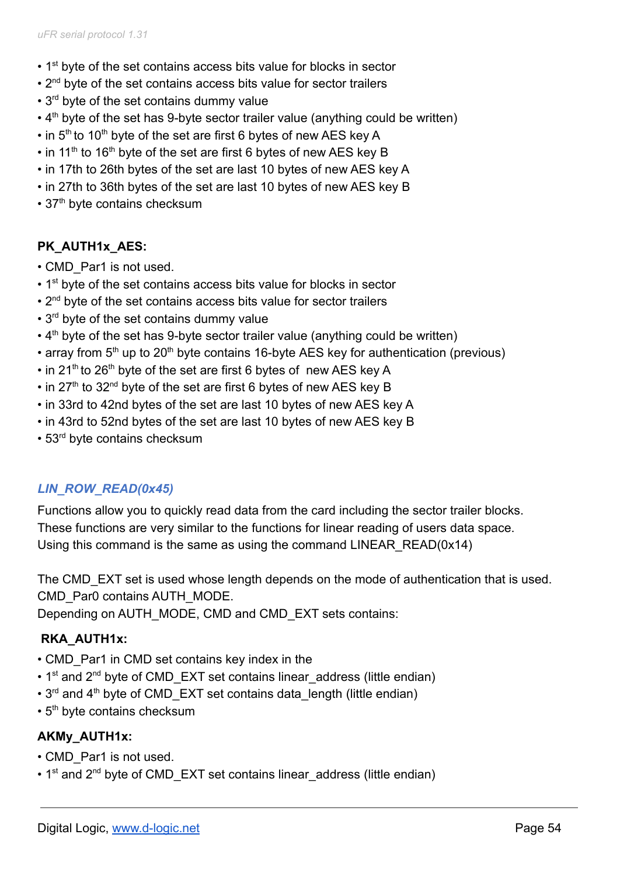- 1<sup>st</sup> byte of the set contains access bits value for blocks in sector
- 2<sup>nd</sup> byte of the set contains access bits value for sector trailers
- 3<sup>rd</sup> byte of the set contains dummy value
- $\cdot$  4<sup>th</sup> byte of the set has 9-byte sector trailer value (anything could be written)
- $\cdot$  in 5<sup>th</sup> to 10<sup>th</sup> byte of the set are first 6 bytes of new AES key A
- $\cdot$  in 11<sup>th</sup> to 16<sup>th</sup> byte of the set are first 6 bytes of new AES key B
- in 17th to 26th bytes of the set are last 10 bytes of new AES key A
- in 27th to 36th bytes of the set are last 10 bytes of new AES key B
- $\cdot$  37<sup>th</sup> byte contains checksum

# **PK\_AUTH1x\_AES:**

- CMD\_Par1 is not used.
- 1<sup>st</sup> byte of the set contains access bits value for blocks in sector
- 2<sup>nd</sup> byte of the set contains access bits value for sector trailers
- 3<sup>rd</sup> byte of the set contains dummy value
- $\cdot$  4<sup>th</sup> byte of the set has 9-byte sector trailer value (anything could be written)
- array from  $5<sup>th</sup>$  up to 20<sup>th</sup> byte contains 16-byte AES key for authentication (previous)
- $\cdot$  in 21<sup>th</sup> to 26<sup>th</sup> byte of the set are first 6 bytes of new AES key A
- $\cdot$  in 27<sup>th</sup> to 32<sup>nd</sup> byte of the set are first 6 bytes of new AES key B
- in 33rd to 42nd bytes of the set are last 10 bytes of new AES key A
- in 43rd to 52nd bytes of the set are last 10 bytes of new AES key B
- 53<sup>rd</sup> byte contains checksum

# *LIN\_ROW\_READ(0x45)*

Functions allow you to quickly read data from the card including the sector trailer blocks. These functions are very similar to the functions for linear reading of users data space. Using this command is the same as using the command LINEAR\_READ(0x14)

The CMD EXT set is used whose length depends on the mode of authentication that is used. CMD\_Par0 contains AUTH\_MODE.

Depending on AUTH\_MODE, CMD and CMD\_EXT sets contains:

# **RKA\_AUTH1x:**

- CMD Par1 in CMD set contains key index in the
- 1<sup>st</sup> and 2<sup>nd</sup> byte of CMD EXT set contains linear address (little endian)
- $\cdot$  3<sup>rd</sup> and 4<sup>th</sup> byte of CMD EXT set contains data length (little endian)
- $\cdot$  5<sup>th</sup> byte contains checksum

## **AKMy\_AUTH1x:**

- CMD\_Par1 is not used.
- 1<sup>st</sup> and 2<sup>nd</sup> byte of CMD EXT set contains linear address (little endian)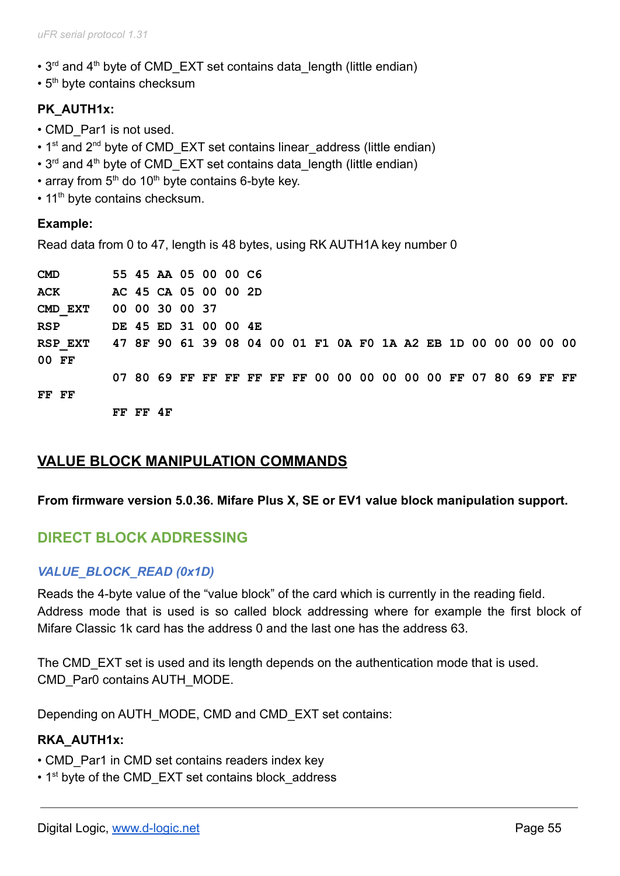- $\cdot$  3<sup>rd</sup> and 4<sup>th</sup> byte of CMD EXT set contains data length (little endian)
- $\cdot$  5<sup>th</sup> byte contains checksum

# **PK\_AUTH1x:**

- CMD\_Par1 is not used.
- $\cdot$  1<sup>st</sup> and 2<sup>nd</sup> byte of CMD EXT set contains linear address (little endian)
- $3^{rd}$  and  $4^{th}$  byte of CMD EXT set contains data length (little endian)
- array from  $5<sup>th</sup>$  do 10<sup>th</sup> byte contains 6-byte key.
- 11<sup>th</sup> byte contains checksum.

#### **Example:**

Read data from 0 to 47, length is 48 bytes, using RK AUTH1A key number 0

| <b>CMD</b>                                                             |          |                | 55 45 AA 05 00 00 C6                                           |  |  |  |  |  |  |  |  |
|------------------------------------------------------------------------|----------|----------------|----------------------------------------------------------------|--|--|--|--|--|--|--|--|
| ACK                                                                    |          |                | AC 45 CA 05 00 00 2D                                           |  |  |  |  |  |  |  |  |
| CMD EXT                                                                |          | 00 00 30 00 37 |                                                                |  |  |  |  |  |  |  |  |
| <b>RSP</b>                                                             |          |                | DE 45 ED 31 00 00 4E                                           |  |  |  |  |  |  |  |  |
| RSP EXT 47 8F 90 61 39 08 04 00 01 F1 0A F0 1A A2 EB 1D 00 00 00 00 00 |          |                |                                                                |  |  |  |  |  |  |  |  |
| 00 FF                                                                  |          |                |                                                                |  |  |  |  |  |  |  |  |
|                                                                        |          |                | 07 80 69 FF FF FF FF FF FF 00 00 00 00 00 00 FF 07 80 69 FF FF |  |  |  |  |  |  |  |  |
| FF FF                                                                  |          |                |                                                                |  |  |  |  |  |  |  |  |
|                                                                        | FF FF 4F |                |                                                                |  |  |  |  |  |  |  |  |

# **VALUE BLOCK MANIPULATION COMMANDS**

#### **From firmware version 5.0.36. Mifare Plus X, SE or EV1 value block manipulation support.**

## **DIRECT BLOCK ADDRESSING**

### *VALUE\_BLOCK\_READ (0x1D)*

Reads the 4-byte value of the "value block" of the card which is currently in the reading field. Address mode that is used is so called block addressing where for example the first block of Mifare Classic 1k card has the address 0 and the last one has the address 63.

The CMD EXT set is used and its length depends on the authentication mode that is used. CMD\_Par0 contains AUTH\_MODE.

Depending on AUTH\_MODE, CMD and CMD\_EXT set contains:

#### **RKA\_AUTH1x:**

- CMD Par1 in CMD set contains readers index key
- 1<sup>st</sup> byte of the CMD\_EXT set contains block\_address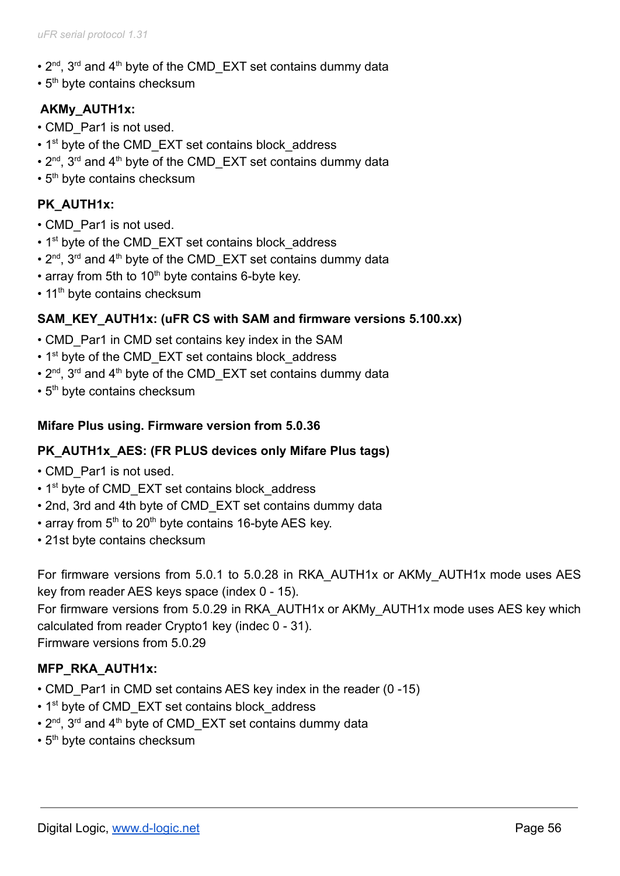- $2^{nd}$ ,  $3^{rd}$  and  $4^{th}$  byte of the CMD\_EXT set contains dummy data
- $\cdot$  5<sup>th</sup> byte contains checksum

# **AKMy\_AUTH1x:**

- CMD\_Par1 is not used.
- 1<sup>st</sup> byte of the CMD EXT set contains block address
- $2^{nd}$ ,  $3^{rd}$  and  $4^{th}$  byte of the CMD\_EXT set contains dummy data
- $\cdot$  5<sup>th</sup> byte contains checksum

## **PK\_AUTH1x:**

- CMD\_Par1 is not used.
- 1<sup>st</sup> byte of the CMD EXT set contains block address
- $2^{nd}$ ,  $3^{rd}$  and  $4^{th}$  byte of the CMD\_EXT set contains dummy data
- array from 5th to 10<sup>th</sup> byte contains 6-byte key.
- 11<sup>th</sup> byte contains checksum

### **SAM\_KEY\_AUTH1x: (uFR CS with SAM and firmware versions 5.100.xx)**

- CMD Par1 in CMD set contains key index in the SAM
- 1<sup>st</sup> byte of the CMD\_EXT set contains block\_address
- $2^{nd}$ ,  $3^{rd}$  and  $4^{th}$  byte of the CMD\_EXT set contains dummy data
- $\cdot$  5<sup>th</sup> byte contains checksum

### **Mifare Plus using. Firmware version from 5.0.36**

### **PK\_AUTH1x\_AES: (FR PLUS devices only Mifare Plus tags)**

- CMD\_Par1 is not used.
- 1<sup>st</sup> byte of CMD EXT set contains block address
- 2nd, 3rd and 4th byte of CMD\_EXT set contains dummy data
- array from  $5<sup>th</sup>$  to 20<sup>th</sup> byte contains 16-byte AES key.
- 21st byte contains checksum

For firmware versions from 5.0.1 to 5.0.28 in RKA\_AUTH1x or AKMy\_AUTH1x mode uses AES key from reader AES keys space (index 0 - 15).

For firmware versions from 5.0.29 in RKA\_AUTH1x or AKMy\_AUTH1x mode uses AES key which calculated from reader Crypto1 key (indec 0 - 31).

Firmware versions from 5.0.29

## **MFP\_RKA\_AUTH1x:**

- CMD Par1 in CMD set contains AES key index in the reader (0 -15)
- 1<sup>st</sup> byte of CMD EXT set contains block address
- $2^{nd}$ ,  $3^{rd}$  and  $4^{th}$  byte of CMD\_EXT set contains dummy data
- $\cdot$  5<sup>th</sup> byte contains checksum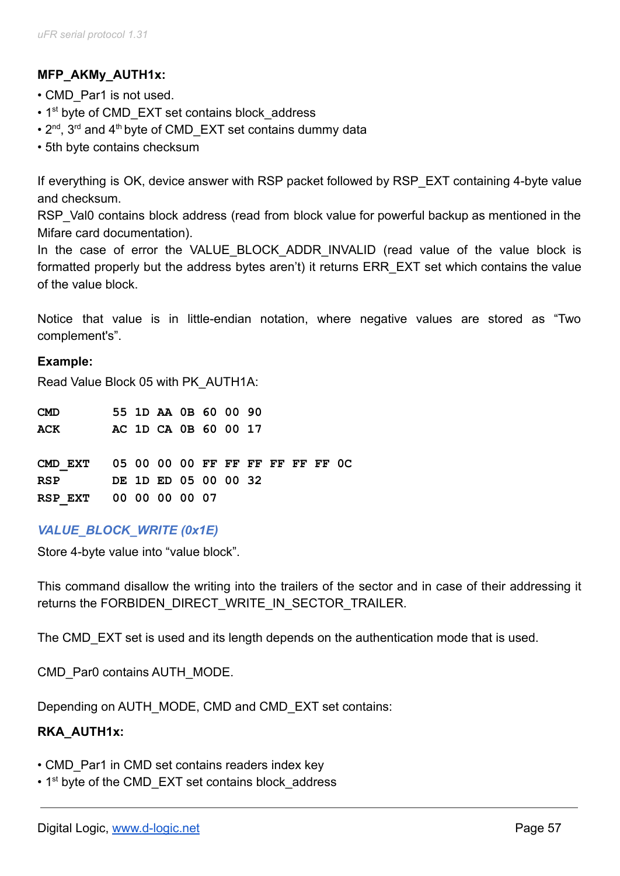# **MFP\_AKMy\_AUTH1x:**

- CMD Par1 is not used.
- 1<sup>st</sup> byte of CMD EXT set contains block\_address
- $2^{nd}$ ,  $3^{rd}$  and  $4^{th}$  byte of CMD\_EXT set contains dummy data
- 5th byte contains checksum

If everything is OK, device answer with RSP packet followed by RSP EXT containing 4-byte value and checksum.

RSP Val0 contains block address (read from block value for powerful backup as mentioned in the Mifare card documentation).

In the case of error the VALUE BLOCK ADDR INVALID (read value of the value block is formatted properly but the address bytes aren't) it returns ERR EXT set which contains the value of the value block.

Notice that value is in little-endian notation, where negative values are stored as "Two complement's".

#### **Example:**

Read Value Block 05 with PK\_AUTH1A:

| <b>CMD</b>                               |  | 55 1D AA 0B 60 00 90 |  |  |  |  |  |
|------------------------------------------|--|----------------------|--|--|--|--|--|
| ACK                                      |  | AC 1D CA 0B 60 00 17 |  |  |  |  |  |
|                                          |  |                      |  |  |  |  |  |
| CMD EXT 05 00 00 00 FF FF FF FF FF FF OC |  |                      |  |  |  |  |  |
| DE 1D ED 05 00 00 32<br><b>RSP</b>       |  |                      |  |  |  |  |  |
| RSP EXT 00 00 00 00 07                   |  |                      |  |  |  |  |  |

### *VALUE\_BLOCK\_WRITE (0x1E)*

Store 4-byte value into "value block".

This command disallow the writing into the trailers of the sector and in case of their addressing it returns the FORBIDEN\_DIRECT\_WRITE\_IN\_SECTOR\_TRAILER.

The CMD EXT set is used and its length depends on the authentication mode that is used.

CMD\_Par0 contains AUTH\_MODE.

Depending on AUTH\_MODE, CMD and CMD\_EXT set contains:

### **RKA\_AUTH1x:**

- CMD Par1 in CMD set contains readers index key
- 1<sup>st</sup> byte of the CMD EXT set contains block address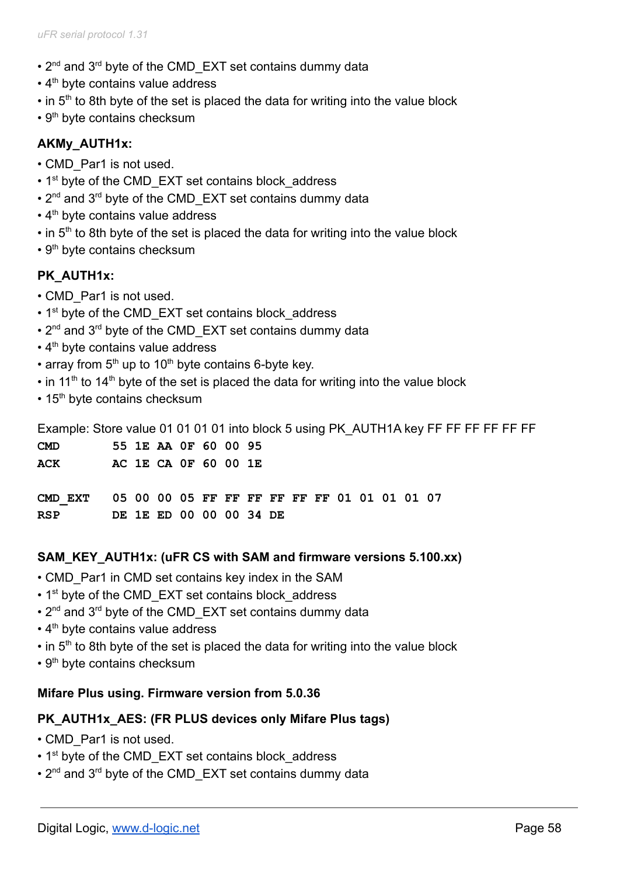- 2<sup>nd</sup> and 3<sup>rd</sup> byte of the CMD EXT set contains dummy data
- $\cdot$  4<sup>th</sup> byte contains value address
- $\cdot$  in 5<sup>th</sup> to 8th byte of the set is placed the data for writing into the value block
- $\cdot$  9<sup>th</sup> byte contains checksum

### **AKMy\_AUTH1x:**

- CMD Par1 is not used.
- 1<sup>st</sup> byte of the CMD EXT set contains block address
- $\cdot$  2<sup>nd</sup> and 3<sup>rd</sup> byte of the CMD EXT set contains dummy data
- $\cdot$  4<sup>th</sup> byte contains value address
- $\cdot$  in 5<sup>th</sup> to 8th byte of the set is placed the data for writing into the value block
- $\cdot$  9<sup>th</sup> byte contains checksum

### **PK\_AUTH1x:**

- CMD\_Par1 is not used.
- 1<sup>st</sup> byte of the CMD EXT set contains block address
- $\cdot$  2<sup>nd</sup> and 3<sup>rd</sup> byte of the CMD EXT set contains dummy data
- $\cdot$  4<sup>th</sup> byte contains value address
- array from  $5<sup>th</sup>$  up to 10<sup>th</sup> byte contains 6-byte key.
- $\cdot$  in 11<sup>th</sup> to 14<sup>th</sup> byte of the set is placed the data for writing into the value block
- $\cdot$  15<sup>th</sup> byte contains checksum

Example: Store value 01 01 01 01 into block 5 using PK AUTH1A key FF FF FF FF FF FF

| <b>CMD</b>                                           |  | 55 1E AA OF 60 00 95    |  |  |  |  |  |  |  |  |
|------------------------------------------------------|--|-------------------------|--|--|--|--|--|--|--|--|
| ACK                                                  |  | AC 1E CA 0F 60 00 1E    |  |  |  |  |  |  |  |  |
|                                                      |  |                         |  |  |  |  |  |  |  |  |
| CMD EXT 05 00 00 05 FF FF FF FF FF FF 01 01 01 01 07 |  |                         |  |  |  |  |  |  |  |  |
| <b>RSP</b>                                           |  | DE 1E ED 00 00 00 34 DE |  |  |  |  |  |  |  |  |

#### **SAM\_KEY\_AUTH1x: (uFR CS with SAM and firmware versions 5.100.xx)**

- CMD Par1 in CMD set contains key index in the SAM
- 1<sup>st</sup> byte of the CMD EXT set contains block address
- 2<sup>nd</sup> and 3<sup>rd</sup> byte of the CMD EXT set contains dummy data
- $\cdot$  4<sup>th</sup> byte contains value address
- $\cdot$  in 5<sup>th</sup> to 8th byte of the set is placed the data for writing into the value block
- 9<sup>th</sup> byte contains checksum

#### **Mifare Plus using. Firmware version from 5.0.36**

#### **PK\_AUTH1x\_AES: (FR PLUS devices only Mifare Plus tags)**

- CMD Par1 is not used.
- 1<sup>st</sup> byte of the CMD EXT set contains block address
- 2<sup>nd</sup> and 3<sup>rd</sup> byte of the CMD EXT set contains dummy data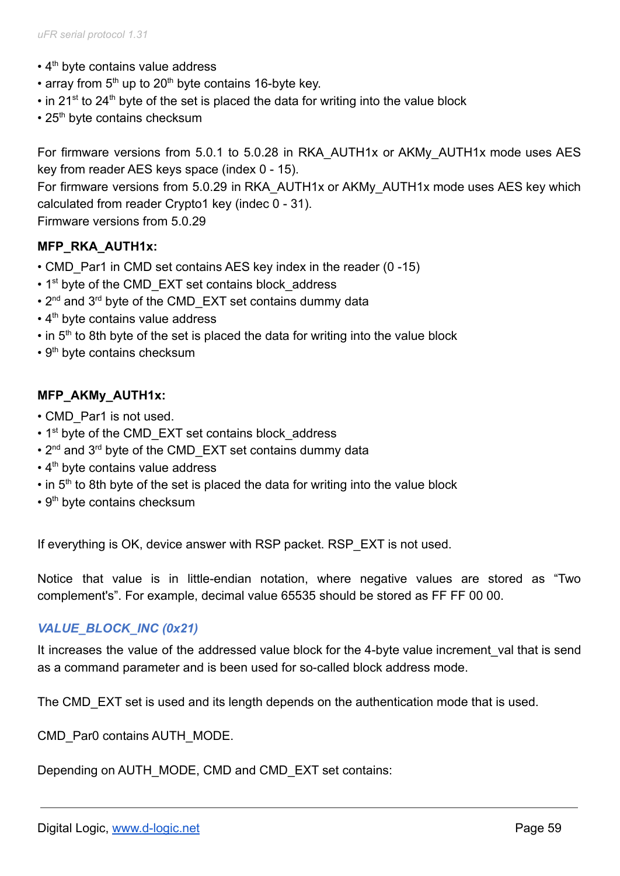- 4<sup>th</sup> byte contains value address
- array from  $5<sup>th</sup>$  up to 20<sup>th</sup> byte contains 16-byte key.
- $\cdot$  in 21<sup>st</sup> to 24<sup>th</sup> byte of the set is placed the data for writing into the value block
- $\cdot$  25<sup>th</sup> byte contains checksum

For firmware versions from 5.0.1 to 5.0.28 in RKA\_AUTH1x or AKMy\_AUTH1x mode uses AES key from reader AES keys space (index 0 - 15). For firmware versions from 5.0.29 in RKA\_AUTH1x or AKMy\_AUTH1x mode uses AES key which calculated from reader Crypto1 key (indec 0 - 31).

Firmware versions from 5.0.29

### **MFP\_RKA\_AUTH1x:**

- CMD Par1 in CMD set contains AES key index in the reader (0 -15)
- 1<sup>st</sup> byte of the CMD EXT set contains block address
- $\cdot$  2<sup>nd</sup> and 3<sup>rd</sup> byte of the CMD EXT set contains dummy data
- $\cdot$  4<sup>th</sup> byte contains value address
- $\cdot$  in 5<sup>th</sup> to 8th byte of the set is placed the data for writing into the value block
- 9<sup>th</sup> byte contains checksum

### **MFP\_AKMy\_AUTH1x:**

- CMD Par1 is not used.
- 1<sup>st</sup> byte of the CMD EXT set contains block address
- 2<sup>nd</sup> and 3<sup>rd</sup> byte of the CMD EXT set contains dummy data
- 4<sup>th</sup> byte contains value address
- $\cdot$  in 5<sup>th</sup> to 8th byte of the set is placed the data for writing into the value block
- 9<sup>th</sup> byte contains checksum

If everything is OK, device answer with RSP packet. RSP\_EXT is not used.

Notice that value is in little-endian notation, where negative values are stored as "Two complement's". For example, decimal value 65535 should be stored as FF FF 00 00.

## *VALUE\_BLOCK\_INC (0x21)*

It increases the value of the addressed value block for the 4-byte value increment val that is send as a command parameter and is been used for so-called block address mode.

The CMD EXT set is used and its length depends on the authentication mode that is used.

CMD\_Par0 contains AUTH\_MODE.

Depending on AUTH\_MODE, CMD and CMD\_EXT set contains: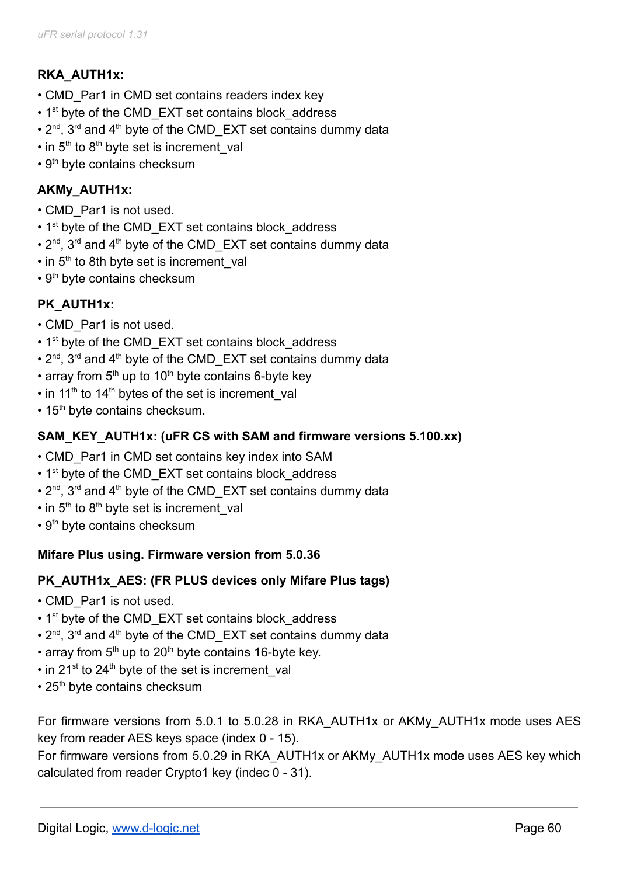# **RKA\_AUTH1x:**

- CMD Par1 in CMD set contains readers index key
- 1<sup>st</sup> byte of the CMD EXT set contains block address
- $2^{nd}$ ,  $3^{rd}$  and  $4^{th}$  byte of the CMD\_EXT set contains dummy data
- $\cdot$  in 5<sup>th</sup> to 8<sup>th</sup> byte set is increment\_val
- $\cdot$  9<sup>th</sup> byte contains checksum

# **AKMy\_AUTH1x:**

- CMD\_Par1 is not used.
- 1<sup>st</sup> byte of the CMD\_EXT set contains block\_address
- $2^{nd}$ ,  $3^{rd}$  and  $4^{th}$  byte of the CMD\_EXT set contains dummy data
- $\cdot$  in 5<sup>th</sup> to 8th byte set is increment\_val
- $\cdot$  9<sup>th</sup> byte contains checksum

# **PK\_AUTH1x:**

- CMD\_Par1 is not used.
- 1<sup>st</sup> byte of the CMD\_EXT set contains block\_address
- $2^{nd}$ ,  $3^{rd}$  and  $4^{th}$  byte of the CMD\_EXT set contains dummy data
- array from  $5<sup>th</sup>$  up to 10<sup>th</sup> byte contains 6-byte key
- $\cdot$  in 11<sup>th</sup> to 14<sup>th</sup> bytes of the set is increment\_val
- $\cdot$  15<sup>th</sup> byte contains checksum.

## **SAM\_KEY\_AUTH1x: (uFR CS with SAM and firmware versions 5.100.xx)**

- CMD Par1 in CMD set contains key index into SAM
- 1<sup>st</sup> byte of the CMD EXT set contains block address
- $2^{nd}$ ,  $3^{rd}$  and  $4^{th}$  byte of the CMD\_EXT set contains dummy data
- $\cdot$  in 5<sup>th</sup> to 8<sup>th</sup> byte set is increment\_val
- 9<sup>th</sup> byte contains checksum

## **Mifare Plus using. Firmware version from 5.0.36**

## **PK\_AUTH1x\_AES: (FR PLUS devices only Mifare Plus tags)**

- CMD Par1 is not used.
- 1<sup>st</sup> byte of the CMD EXT set contains block address
- $2^{nd}$ ,  $3^{rd}$  and  $4^{th}$  byte of the CMD\_EXT set contains dummy data
- array from  $5<sup>th</sup>$  up to 20<sup>th</sup> byte contains 16-byte key.
- in 21<sup>st</sup> to 24<sup>th</sup> byte of the set is increment\_val
- $\cdot$  25<sup>th</sup> byte contains checksum

For firmware versions from 5.0.1 to 5.0.28 in RKA\_AUTH1x or AKMy\_AUTH1x mode uses AES key from reader AES keys space (index 0 - 15).

For firmware versions from 5.0.29 in RKA\_AUTH1x or AKMy\_AUTH1x mode uses AES key which calculated from reader Crypto1 key (indec 0 - 31).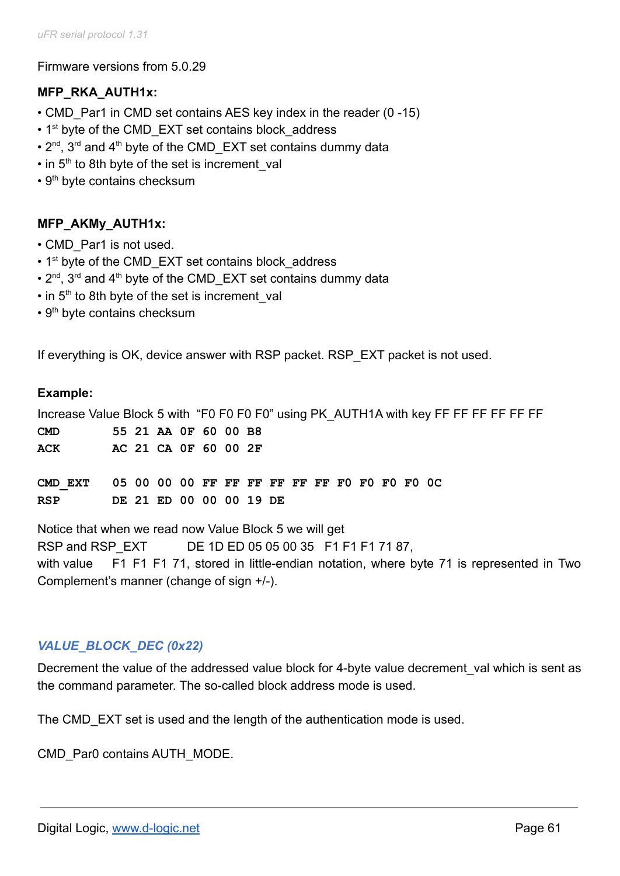Firmware versions from 5.0.29

## **MFP\_RKA\_AUTH1x:**

- CMD Par1 in CMD set contains AES key index in the reader (0 -15)
- 1<sup>st</sup> byte of the CMD EXT set contains block address
- $2^{nd}$ ,  $3^{rd}$  and  $4^{th}$  byte of the CMD\_EXT set contains dummy data
- in 5<sup>th</sup> to 8th byte of the set is increment\_val
- 9<sup>th</sup> byte contains checksum

# **MFP\_AKMy\_AUTH1x:**

- CMD\_Par1 is not used.
- 1<sup>st</sup> byte of the CMD EXT set contains block address
- $2^{nd}$ ,  $3^{rd}$  and  $4^{th}$  byte of the CMD\_EXT set contains dummy data
- in 5<sup>th</sup> to 8th byte of the set is increment\_val
- 9<sup>th</sup> byte contains checksum

If everything is OK, device answer with RSP packet. RSP\_EXT packet is not used.

### **Example:**

| Increase Value Block 5 with "F0 F0 F0 F0" using PK AUTH1A with key FF FF FF FF FF FF |  |                         |  |  |  |  |  |  |  |  |  |
|--------------------------------------------------------------------------------------|--|-------------------------|--|--|--|--|--|--|--|--|--|
| <b>CMD</b>                                                                           |  | 55 21 AA OF 60 00 B8    |  |  |  |  |  |  |  |  |  |
| ACK                                                                                  |  | AC 21 CA 0F 60 00 2F    |  |  |  |  |  |  |  |  |  |
|                                                                                      |  |                         |  |  |  |  |  |  |  |  |  |
|                                                                                      |  |                         |  |  |  |  |  |  |  |  |  |
| <b>RSP</b>                                                                           |  | DE 21 ED 00 00 00 19 DE |  |  |  |  |  |  |  |  |  |
|                                                                                      |  |                         |  |  |  |  |  |  |  |  |  |

Notice that when we read now Value Block 5 we will get RSP and RSP EXT DE 1D ED 05 05 00 35 F1 F1 F1 71 87, with value F1 F1 F1 71, stored in little-endian notation, where byte 71 is represented in Two Complement's manner (change of sign +/-).

## *VALUE\_BLOCK\_DEC (0x22)*

Decrement the value of the addressed value block for 4-byte value decrement val which is sent as the command parameter. The so-called block address mode is used.

The CMD EXT set is used and the length of the authentication mode is used.

CMD\_Par0 contains AUTH\_MODE.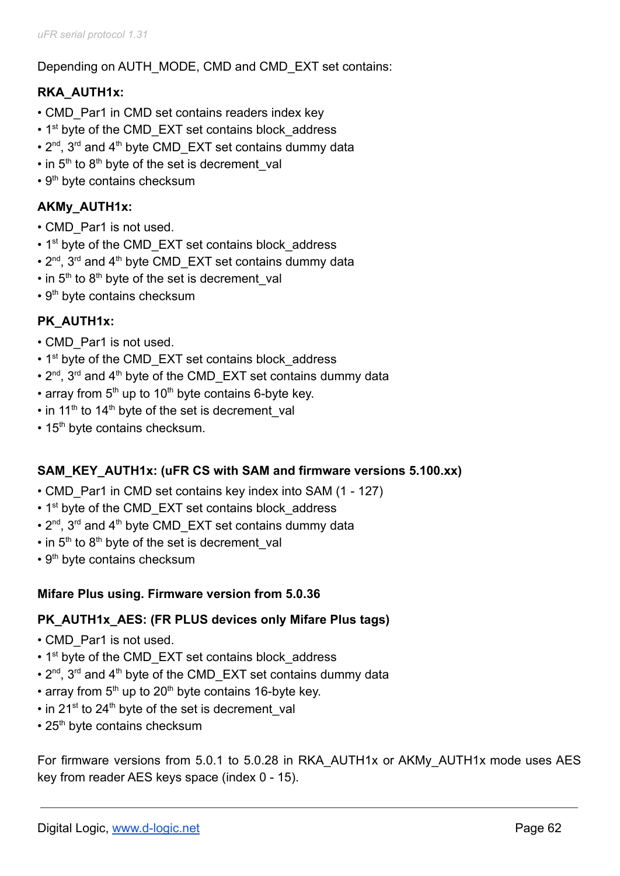Depending on AUTH\_MODE, CMD and CMD\_EXT set contains:

# **RKA\_AUTH1x:**

- CMD Par1 in CMD set contains readers index key
- 1<sup>st</sup> byte of the CMD EXT set contains block address
- $2^{nd}$ ,  $3^{rd}$  and  $4^{th}$  byte CMD\_EXT set contains dummy data
- $\cdot$  in 5<sup>th</sup> to 8<sup>th</sup> byte of the set is decrement\_val
- $\cdot$  9<sup>th</sup> byte contains checksum

# **AKMy\_AUTH1x:**

- CMD Par1 is not used.
- 1<sup>st</sup> byte of the CMD EXT set contains block address
- $2^{nd}$ ,  $3^{rd}$  and  $4^{th}$  byte CMD\_EXT set contains dummy data
- $\cdot$  in 5<sup>th</sup> to 8<sup>th</sup> byte of the set is decrement\_val
- $\cdot$  9<sup>th</sup> byte contains checksum

# **PK\_AUTH1x:**

- CMD\_Par1 is not used.
- 1<sup>st</sup> byte of the CMD EXT set contains block address
- $2^{nd}$ ,  $3^{rd}$  and  $4^{th}$  byte of the CMD\_EXT set contains dummy data
- array from  $5<sup>th</sup>$  up to 10<sup>th</sup> byte contains 6-byte key.
- $\cdot$  in 11<sup>th</sup> to 14<sup>th</sup> byte of the set is decrement\_val
- 15<sup>th</sup> byte contains checksum.

## **SAM\_KEY\_AUTH1x: (uFR CS with SAM and firmware versions 5.100.xx)**

- CMD Par1 in CMD set contains key index into SAM (1 127)
- 1<sup>st</sup> byte of the CMD EXT set contains block address
- $2^{nd}$ ,  $3^{rd}$  and  $4^{th}$  byte CMD\_EXT set contains dummy data
- $\cdot$  in 5<sup>th</sup> to 8<sup>th</sup> byte of the set is decrement\_val
- 9<sup>th</sup> byte contains checksum

### **Mifare Plus using. Firmware version from 5.0.36**

### **PK\_AUTH1x\_AES: (FR PLUS devices only Mifare Plus tags)**

- CMD Par1 is not used.
- 1<sup>st</sup> byte of the CMD EXT set contains block address
- $2^{nd}$ ,  $3^{rd}$  and  $4^{th}$  byte of the CMD\_EXT set contains dummy data
- array from  $5<sup>th</sup>$  up to 20<sup>th</sup> byte contains 16-byte key.
- in 21<sup>st</sup> to 24<sup>th</sup> byte of the set is decrement\_val
- $\cdot$  25<sup>th</sup> byte contains checksum

For firmware versions from 5.0.1 to 5.0.28 in RKA\_AUTH1x or AKMy\_AUTH1x mode uses AES key from reader AES keys space (index 0 - 15).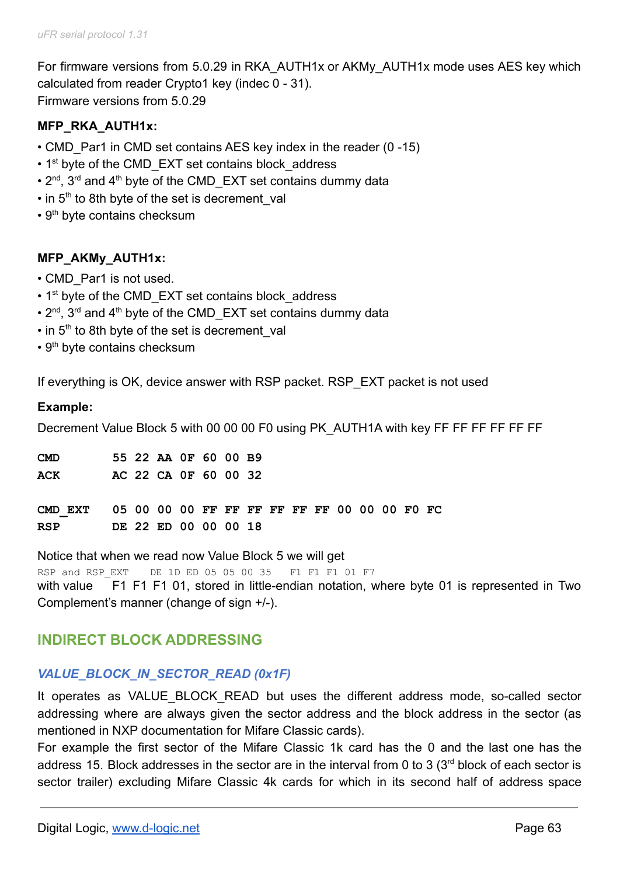For firmware versions from 5.0.29 in RKA\_AUTH1x or AKMy\_AUTH1x mode uses AES key which calculated from reader Crypto1 key (indec 0 - 31). Firmware versions from 5.0.29

## **MFP\_RKA\_AUTH1x:**

- CMD Par1 in CMD set contains AES key index in the reader (0 -15)
- 1<sup>st</sup> byte of the CMD EXT set contains block address
- $2^{nd}$ ,  $3^{rd}$  and  $4^{th}$  byte of the CMD\_EXT set contains dummy data
- $\cdot$  in 5<sup>th</sup> to 8th byte of the set is decrement\_val
- $\cdot$  9<sup>th</sup> byte contains checksum

### **MFP\_AKMy\_AUTH1x:**

- CMD\_Par1 is not used.
- $\cdot$  1<sup>st</sup> byte of the CMD EXT set contains block address
- $2^{nd}$ ,  $3^{rd}$  and  $4^{th}$  byte of the CMD\_EXT set contains dummy data
- $\cdot$  in 5<sup>th</sup> to 8th byte of the set is decrement\_val
- 9<sup>th</sup> byte contains checksum

If everything is OK, device answer with RSP packet. RSP\_EXT packet is not used

#### **Example:**

Decrement Value Block 5 with 00 00 00 F0 using PK AUTH1A with key FF FF FF FF FF FF FF

| <b>CMD</b> |  | 55 22 AA OF 60 00 B9 |  |  |  |  |  |  |  |
|------------|--|----------------------|--|--|--|--|--|--|--|
| ACK        |  | AC 22 CA 0F 60 00 32 |  |  |  |  |  |  |  |
|            |  |                      |  |  |  |  |  |  |  |
|            |  |                      |  |  |  |  |  |  |  |
| RSP        |  | DE 22 ED 00 00 00 18 |  |  |  |  |  |  |  |
|            |  |                      |  |  |  |  |  |  |  |

Notice that when we read now Value Block 5 we will get

RSP and RSP EXT DE 1D ED 05 05 00 35 F1 F1 F1 01 F7 with value F1 F1 F1 01, stored in little-endian notation, where byte 01 is represented in Two Complement's manner (change of sign +/-).

## **INDIRECT BLOCK ADDRESSING**

### *VALUE\_BLOCK\_IN\_SECTOR\_READ (0x1F)*

It operates as VALUE BLOCK READ but uses the different address mode, so-called sector addressing where are always given the sector address and the block address in the sector (as mentioned in NXP documentation for Mifare Classic cards).

For example the first sector of the Mifare Classic 1k card has the 0 and the last one has the address 15. Block addresses in the sector are in the interval from 0 to 3  $(3<sup>rd</sup>$  block of each sector is sector trailer) excluding Mifare Classic 4k cards for which in its second half of address space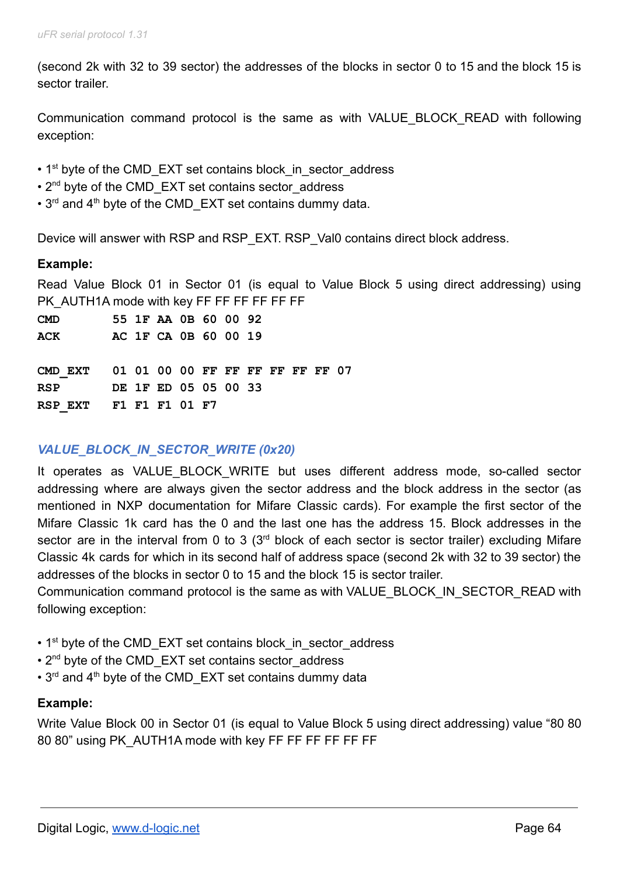(second 2k with 32 to 39 sector) the addresses of the blocks in sector 0 to 15 and the block 15 is sector trailer.

Communication command protocol is the same as with VALUE\_BLOCK\_READ with following exception:

- 1<sup>st</sup> byte of the CMD\_EXT set contains block in sector address
- 2<sup>nd</sup> byte of the CMD EXT set contains sector address
- $\cdot$  3<sup>rd</sup> and 4<sup>th</sup> byte of the CMD EXT set contains dummy data.

Device will answer with RSP and RSP\_EXT. RSP\_Val0 contains direct block address.

### **Example:**

Read Value Block 01 in Sector 01 (is equal to Value Block 5 using direct addressing) using PK\_AUTH1A mode with key FF FF FF FF FF FF

| <b>CMD</b>                               |  | 55 1F AA 0B 60 00 92 |  |  |  |  |
|------------------------------------------|--|----------------------|--|--|--|--|
| ACK                                      |  | AC 1F CA 0B 60 00 19 |  |  |  |  |
|                                          |  |                      |  |  |  |  |
| CMD EXT 01 01 00 00 FF FF FF FF FF FF 07 |  |                      |  |  |  |  |
| RSP DE 1F ED 05 05 00 33                 |  |                      |  |  |  |  |
| RSP EXT F1 F1 F1 01 F7                   |  |                      |  |  |  |  |

## *VALUE\_BLOCK\_IN\_SECTOR\_WRITE (0x20)*

It operates as VALUE BLOCK WRITE but uses different address mode, so-called sector addressing where are always given the sector address and the block address in the sector (as mentioned in NXP documentation for Mifare Classic cards). For example the first sector of the Mifare Classic 1k card has the 0 and the last one has the address 15. Block addresses in the sector are in the interval from 0 to 3 (3<sup>rd</sup> block of each sector is sector trailer) excluding Mifare Classic 4k cards for which in its second half of address space (second 2k with 32 to 39 sector) the addresses of the blocks in sector 0 to 15 and the block 15 is sector trailer.

Communication command protocol is the same as with VALUE\_BLOCK\_IN\_SECTOR\_READ with following exception:

- 1<sup>st</sup> byte of the CMD\_EXT set contains block\_in\_sector\_address
- 2<sup>nd</sup> byte of the CMD EXT set contains sector address
- $\cdot$  3<sup>rd</sup> and 4<sup>th</sup> byte of the CMD EXT set contains dummy data

### **Example:**

Write Value Block 00 in Sector 01 (is equal to Value Block 5 using direct addressing) value "80 80 80 80" using PK\_AUTH1A mode with key FF FF FF FF FF FF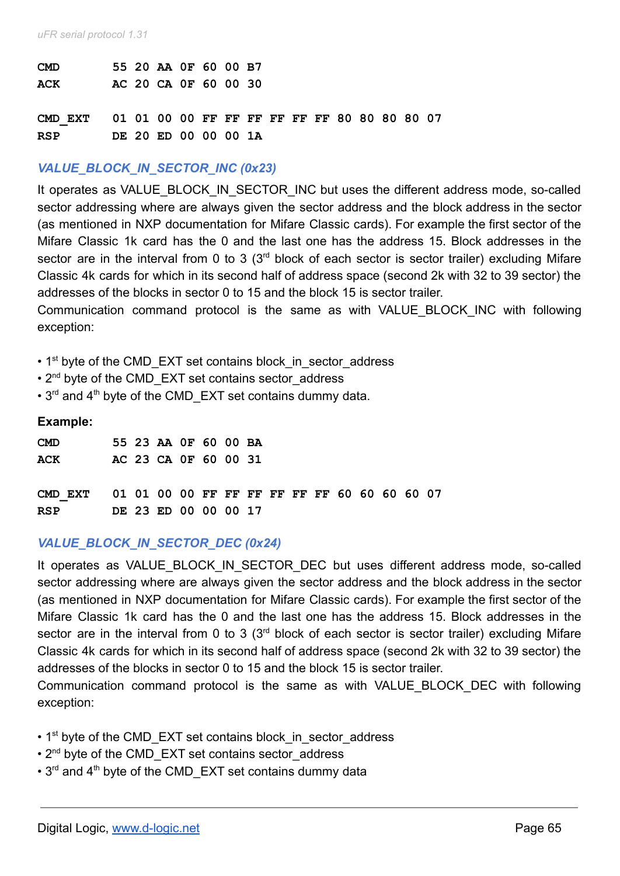| <b>CMD</b>                                           |  | 55 20 AA OF 60 00 B7 |  |  |  |  |  |  |
|------------------------------------------------------|--|----------------------|--|--|--|--|--|--|
| <b>ACK</b>                                           |  | AC 20 CA OF 60 00 30 |  |  |  |  |  |  |
|                                                      |  |                      |  |  |  |  |  |  |
| CMD EXT 01 01 00 00 FF FF FF FF FF FF 80 80 80 80 07 |  |                      |  |  |  |  |  |  |
|                                                      |  |                      |  |  |  |  |  |  |
| <b>RSP</b>                                           |  | DE 20 ED 00 00 00 1A |  |  |  |  |  |  |
|                                                      |  |                      |  |  |  |  |  |  |

### *VALUE\_BLOCK\_IN\_SECTOR\_INC (0x23)*

It operates as VALUE\_BLOCK\_IN\_SECTOR\_INC but uses the different address mode, so-called sector addressing where are always given the sector address and the block address in the sector (as mentioned in NXP documentation for Mifare Classic cards). For example the first sector of the Mifare Classic 1k card has the 0 and the last one has the address 15. Block addresses in the sector are in the interval from 0 to 3  $(3<sup>rd</sup>$  block of each sector is sector trailer) excluding Mifare Classic 4k cards for which in its second half of address space (second 2k with 32 to 39 sector) the addresses of the blocks in sector 0 to 15 and the block 15 is sector trailer.

Communication command protocol is the same as with VALUE\_BLOCK\_INC with following exception:

- 1<sup>st</sup> byte of the CMD\_EXT set contains block\_in\_sector\_address
- 2<sup>nd</sup> byte of the CMD EXT set contains sector address
- $\cdot$  3<sup>rd</sup> and 4<sup>th</sup> byte of the CMD EXT set contains dummy data.

#### **Example:**

| <b>CMD</b>                                           |  | 55 23 AA OF 60 00 BA |  |  |  |  |  |  |
|------------------------------------------------------|--|----------------------|--|--|--|--|--|--|
| ACK                                                  |  | AC 23 CA OF 60 00 31 |  |  |  |  |  |  |
|                                                      |  |                      |  |  |  |  |  |  |
| CMD EXT 01 01 00 00 FF FF FF FF FF FF 60 60 60 60 07 |  |                      |  |  |  |  |  |  |
| <b>RSP</b>                                           |  | DE 23 ED 00 00 00 17 |  |  |  |  |  |  |

## *VALUE\_BLOCK\_IN\_SECTOR\_DEC (0x24)*

It operates as VALUE BLOCK IN SECTOR DEC but uses different address mode, so-called sector addressing where are always given the sector address and the block address in the sector (as mentioned in NXP documentation for Mifare Classic cards). For example the first sector of the Mifare Classic 1k card has the 0 and the last one has the address 15. Block addresses in the sector are in the interval from 0 to 3 (3<sup>rd</sup> block of each sector is sector trailer) excluding Mifare Classic 4k cards for which in its second half of address space (second 2k with 32 to 39 sector) the addresses of the blocks in sector 0 to 15 and the block 15 is sector trailer.

Communication command protocol is the same as with VALUE\_BLOCK\_DEC with following exception:

- 1<sup>st</sup> byte of the CMD\_EXT set contains block in sector address
- 2<sup>nd</sup> byte of the CMD\_EXT set contains sector address
- 3<sup>rd</sup> and 4<sup>th</sup> byte of the CMD EXT set contains dummy data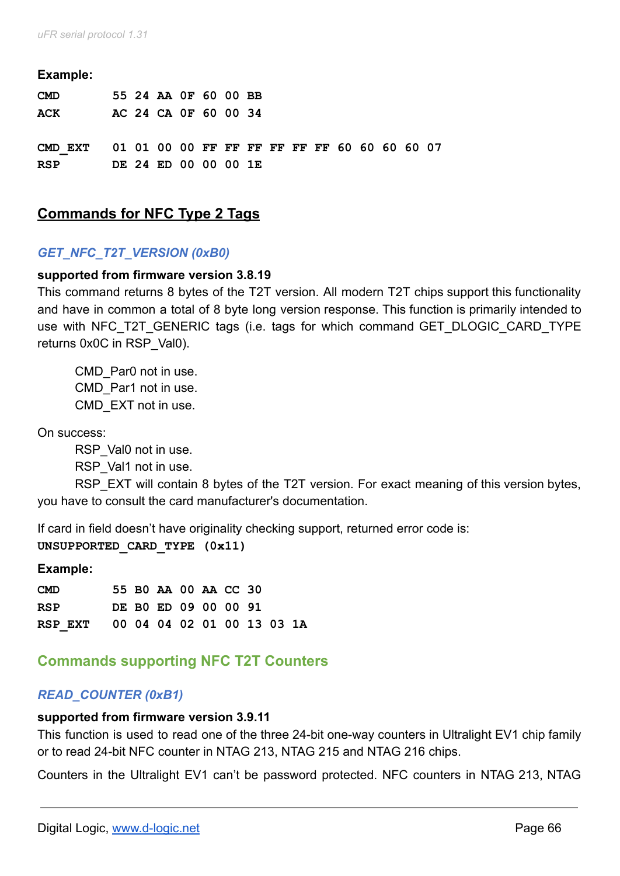#### **Example:**

| <b>CMD</b>                                           |  | 55 24 AA OF 60 00 BB |  |  |  |  |  |  |
|------------------------------------------------------|--|----------------------|--|--|--|--|--|--|
| ACK                                                  |  | AC 24 CA OF 60 00 34 |  |  |  |  |  |  |
|                                                      |  |                      |  |  |  |  |  |  |
| CMD EXT 01 01 00 00 FF FF FF FF FF FF 60 60 60 60 07 |  |                      |  |  |  |  |  |  |
| <b>RSP</b>                                           |  | DE 24 ED 00 00 00 1E |  |  |  |  |  |  |

# **Commands for NFC Type 2 Tags**

### *GET\_NFC\_T2T\_VERSION (0xB0)*

#### **supported from firmware version 3.8.19**

This command returns 8 bytes of the T2T version. All modern T2T chips support this functionality and have in common a total of 8 byte long version response. This function is primarily intended to use with NFC\_T2T\_GENERIC tags (i.e. tags for which command GET\_DLOGIC\_CARD\_TYPE returns 0x0C in RSP\_Val0).

CMD\_Par0 not in use. CMD\_Par1 not in use. CMD\_EXT not in use.

On success:

RSP\_Val0 not in use.

RSP\_Val1 not in use.

RSP\_EXT will contain 8 bytes of the T2T version. For exact meaning of this version bytes, you have to consult the card manufacturer's documentation.

If card in field doesn't have originality checking support, returned error code is: **UNSUPPORTED\_CARD\_TYPE (0x11)**

#### **Example:**

| <b>CMD</b>                         |  | 55 BO AA 00 AA CC 30 |  |  |  |
|------------------------------------|--|----------------------|--|--|--|
| <b>RSP</b>                         |  | DE BO ED 09 00 00 91 |  |  |  |
| RSP EXT 00 04 04 02 01 00 13 03 1A |  |                      |  |  |  |

# **Commands supporting NFC T2T Counters**

### *READ\_COUNTER (0xB1)*

#### **supported from firmware version 3.9.11**

This function is used to read one of the three 24-bit one-way counters in Ultralight EV1 chip family or to read 24-bit NFC counter in NTAG 213, NTAG 215 and NTAG 216 chips.

Counters in the Ultralight EV1 can't be password protected. NFC counters in NTAG 213, NTAG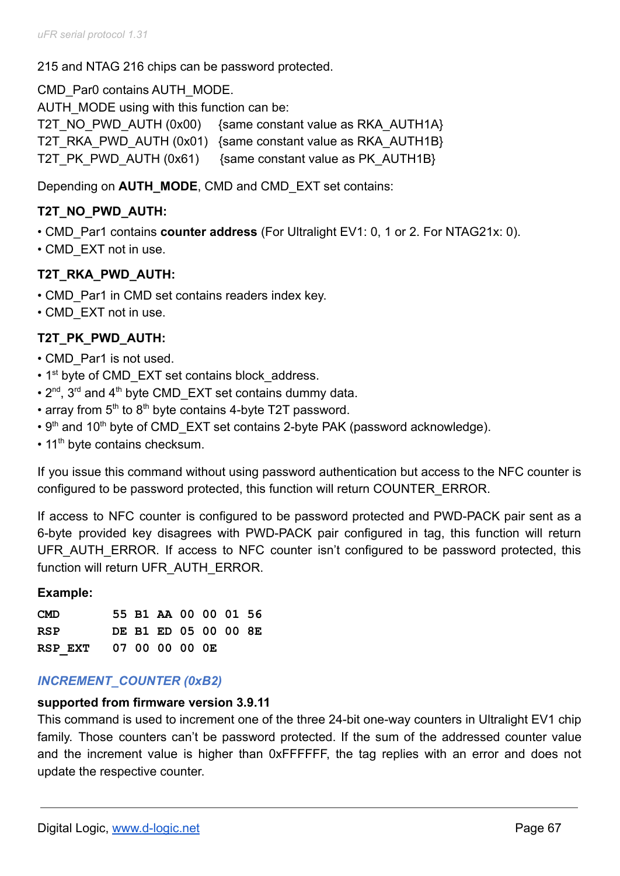215 and NTAG 216 chips can be password protected.

CMD\_Par0 contains AUTH\_MODE.

AUTH\_MODE using with this function can be:

T2T\_NO\_PWD\_AUTH (0x00) {same constant value as RKA\_AUTH1A} T2T\_RKA\_PWD\_AUTH (0x01) {same constant value as RKA\_AUTH1B} T2T\_PK\_PWD\_AUTH (0x61) {same constant value as PK\_AUTH1B}

Depending on **AUTH\_MODE**, CMD and CMD\_EXT set contains:

# **T2T\_NO\_PWD\_AUTH:**

- CMD\_Par1 contains **counter address** (For Ultralight EV1: 0, 1 or 2. For NTAG21x: 0).
- CMD EXT not in use.

## **T2T\_RKA\_PWD\_AUTH:**

- CMD Par1 in CMD set contains readers index key.
- CMD\_EXT not in use.

# **T2T\_PK\_PWD\_AUTH:**

- CMD Par1 is not used.
- 1<sup>st</sup> byte of CMD EXT set contains block address.
- $2^{nd}$ ,  $3^{rd}$  and  $4^{th}$  byte CMD\_EXT set contains dummy data.
- array from  $5<sup>th</sup>$  to  $8<sup>th</sup>$  byte contains 4-byte T2T password.
- 9<sup>th</sup> and 10<sup>th</sup> byte of CMD EXT set contains 2-byte PAK (password acknowledge).
- 11<sup>th</sup> byte contains checksum.

If you issue this command without using password authentication but access to the NFC counter is configured to be password protected, this function will return COUNTER\_ERROR.

If access to NFC counter is configured to be password protected and PWD-PACK pair sent as a 6-byte provided key disagrees with PWD-PACK pair configured in tag, this function will return UFR AUTH\_ERROR. If access to NFC counter isn't configured to be password protected, this function will return UFR\_AUTH\_ERROR.

### **Example:**

| <b>CMD</b>             |  | 55 B1 AA 00 00 01 56 |  |  |
|------------------------|--|----------------------|--|--|
| RSP                    |  | DE B1 ED 05 00 00 8E |  |  |
| RSP EXT 07 00 00 00 0E |  |                      |  |  |

### *INCREMENT\_COUNTER (0xB2)*

### **supported from firmware version 3.9.11**

This command is used to increment one of the three 24-bit one-way counters in Ultralight EV1 chip family. Those counters can't be password protected. If the sum of the addressed counter value and the increment value is higher than 0xFFFFFF, the tag replies with an error and does not update the respective counter.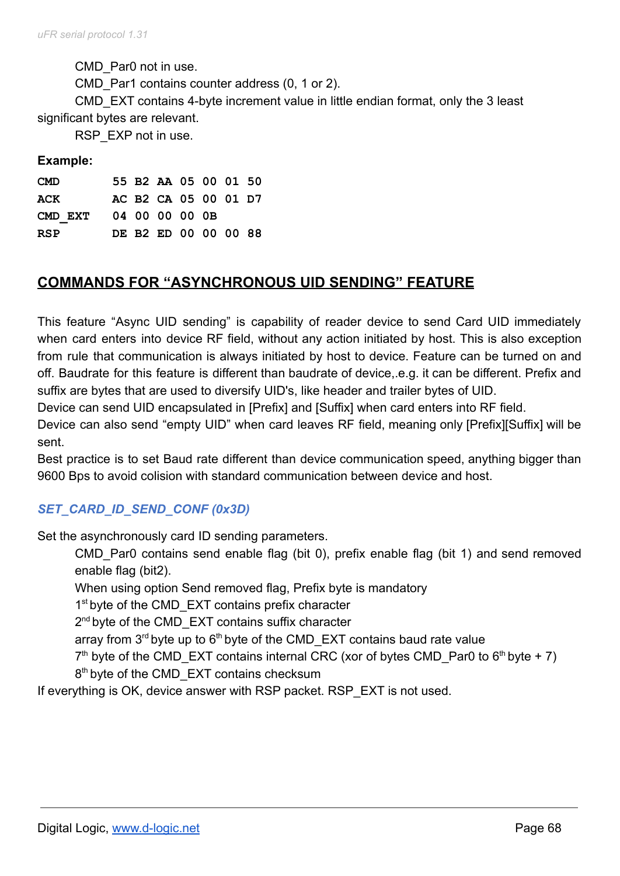CMD\_Par0 not in use.

CMD Par1 contains counter address (0, 1 or 2).

CMD\_EXT contains 4-byte increment value in little endian format, only the 3 least significant bytes are relevant.

RSP\_EXP not in use.

#### **Example:**

| <b>CMD</b>             |  | 55 B2 AA 05 00 01 50 |  |  |
|------------------------|--|----------------------|--|--|
| ACK                    |  | AC B2 CA 05 00 01 D7 |  |  |
| CMD EXT 04 00 00 00 0B |  |                      |  |  |
| <b>RSP</b>             |  | DE B2 ED 00 00 00 88 |  |  |

# **COMMANDS FOR "ASYNCHRONOUS UID SENDING" FEATURE**

This feature "Async UID sending" is capability of reader device to send Card UID immediately when card enters into device RF field, without any action initiated by host. This is also exception from rule that communication is always initiated by host to device. Feature can be turned on and off. Baudrate for this feature is different than baudrate of device,.e.g. it can be different. Prefix and suffix are bytes that are used to diversify UID's, like header and trailer bytes of UID.

Device can send UID encapsulated in [Prefix] and [Suffix] when card enters into RF field.

Device can also send "empty UID" when card leaves RF field, meaning only [Prefix][Suffix] will be sent.

Best practice is to set Baud rate different than device communication speed, anything bigger than 9600 Bps to avoid colision with standard communication between device and host.

## *SET\_CARD\_ID\_SEND\_CONF (0x3D)*

Set the asynchronously card ID sending parameters.

CMD Par0 contains send enable flag (bit 0), prefix enable flag (bit 1) and send removed enable flag (bit2).

When using option Send removed flag, Prefix byte is mandatory

1<sup>st</sup> byte of the CMD\_EXT contains prefix character

2<sup>nd</sup> byte of the CMD\_EXT contains suffix character

array from  $3^{rd}$  byte up to  $6^{th}$  byte of the CMD EXT contains baud rate value

 $7<sup>th</sup>$  byte of the CMD\_EXT contains internal CRC (xor of bytes CMD\_Par0 to 6<sup>th</sup> byte + 7)

8<sup>th</sup> byte of the CMD\_EXT contains checksum

If everything is OK, device answer with RSP packet. RSP\_EXT is not used.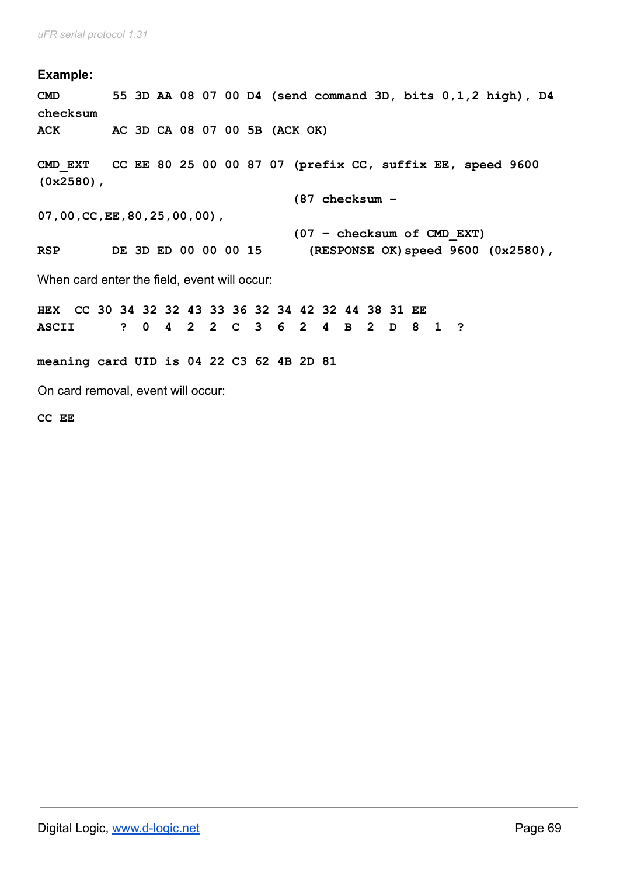**Example: CMD 55 3D AA 08 07 00 D4 (send command 3D, bits 0,1,2 high), D4 checksum ACK AC 3D CA 08 07 00 5B (ACK OK) CMD\_EXT CC EE 80 25 00 00 87 07 (prefix CC, suffix EE, speed 9600 (0x2580), (87 checksum – 07,00,CC,EE,80,25,00,00), (07 – checksum of CMD\_EXT) RSP DE 3D ED 00 00 00 15 (RESPONSE OK)speed 9600 (0x2580),** When card enter the field, event will occur: **HEX CC 30 34 32 32 43 33 36 32 34 42 32 44 38 31 EE ASCII ? 0 4 2 2 C 3 6 2 4 B 2 D 8 1 ? meaning card UID is 04 22 C3 62 4B 2D 81** On card removal, event will occur:

**CC EE**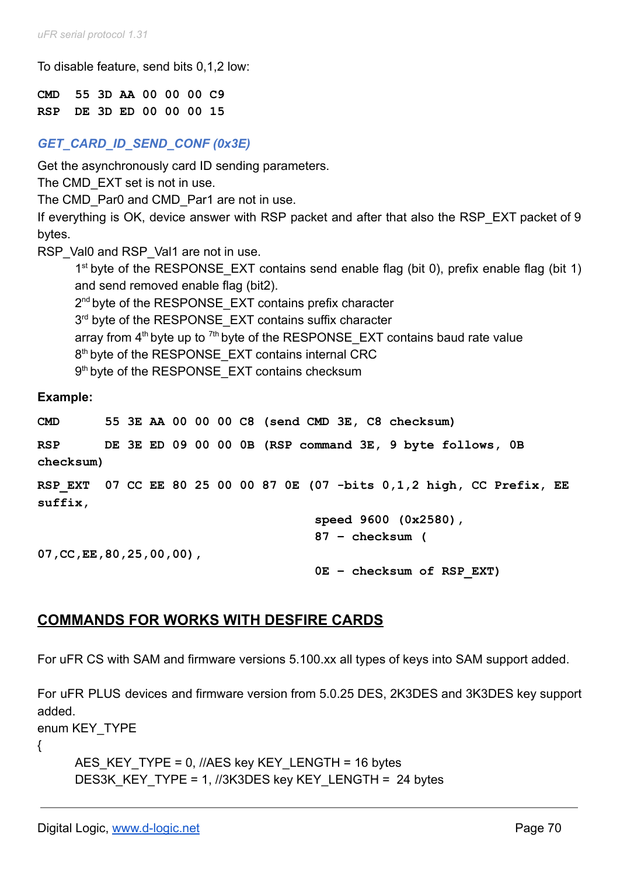To disable feature, send bits 0,1,2 low:

**CMD 55 3D AA 00 00 00 C9 RSP DE 3D ED 00 00 00 15**

# *GET\_CARD\_ID\_SEND\_CONF (0x3E)*

Get the asynchronously card ID sending parameters.

The CMD EXT set is not in use.

The CMD Par0 and CMD Par1 are not in use.

If everything is OK, device answer with RSP packet and after that also the RSP\_EXT packet of 9 bytes.

RSP\_Val0 and RSP\_Val1 are not in use.

1<sup>st</sup> byte of the RESPONSE\_EXT contains send enable flag (bit 0), prefix enable flag (bit 1) and send removed enable flag (bit2).

2<sup>nd</sup> byte of the RESPONSE\_EXT contains prefix character

3<sup>rd</sup> byte of the RESPONSE\_EXT contains suffix character

array from  $4<sup>th</sup>$  byte up to  $7<sup>th</sup>$  byte of the RESPONSE\_EXT contains baud rate value

8<sup>th</sup> byte of the RESPONSE\_EXT contains internal CRC

9<sup>th</sup> byte of the RESPONSE\_EXT contains checksum

**Example:**

**CMD 55 3E AA 00 00 00 C8 (send CMD 3E, C8 checksum)**

**RSP DE 3E ED 09 00 00 0B (RSP command 3E, 9 byte follows, 0B checksum)**

**RSP\_EXT 07 CC EE 80 25 00 00 87 0E (07 -bits 0,1,2 high, CC Prefix, EE suffix,**

> **speed 9600 (0x2580), 87 – checksum (**

**07,CC,EE,80,25,00,00),**

**0E – checksum of RSP\_EXT)**

# **COMMANDS FOR WORKS WITH DESFIRE CARDS**

For uFR CS with SAM and firmware versions 5.100.xx all types of keys into SAM support added.

For uFR PLUS devices and firmware version from 5.0.25 DES, 2K3DES and 3K3DES key support added.

enum KEY\_TYPE

{

```
AES_KEY_TYPE = 0, //AES key KEY_LENGTH = 16 bytes
DES3K_KEY_TYPE = 1, //3K3DES key KEY_LENGTH = 24 bytes
```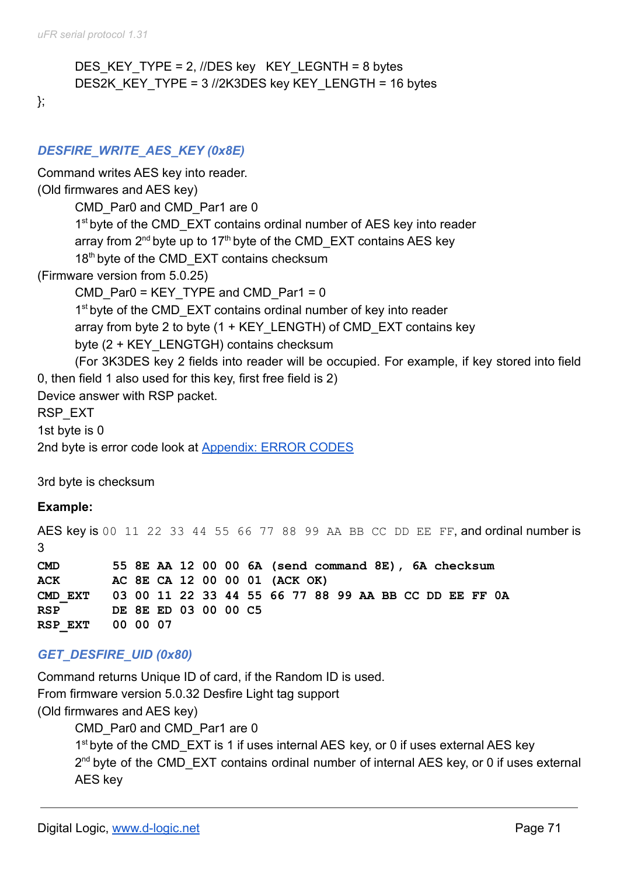```
DES_KEY_TYPE = 2, //DES key KEY_LEGNTH = 8 bytes
DES2K_KEY_TYPE = 3 //2K3DES key KEY_LENGTH = 16 bytes
```
};

# *DESFIRE\_WRITE\_AES\_KEY (0x8E)*

# Command writes AES key into reader. (Old firmwares and AES key) CMD Par0 and CMD Par1 are 0 1<sup>st</sup> byte of the CMD\_EXT contains ordinal number of AES key into reader array from  $2^{nd}$  byte up to 17<sup>th</sup> byte of the CMD EXT contains AES key 18<sup>th</sup> byte of the CMD EXT contains checksum (Firmware version from 5.0.25) CMD Par0 = KEY\_TYPE and CMD\_Par1 =  $0$ 1<sup>st</sup> byte of the CMD\_EXT contains ordinal number of key into reader array from byte 2 to byte  $(1 + K EY$  LENGTH) of CMD EXT contains key byte (2 + KEY\_LENGTGH) contains checksum (For 3K3DES key 2 fields into reader will be occupied. For example, if key stored into field 0, then field 1 also used for this key, first free field is 2) Device answer with RSP packet. RSP\_EXT 1st byte is 0 2nd byte is error code look at [Appendix: ERROR CODES](#page-160-0)

3rd byte is checksum

### **Example:**

AES key is 00 11 22 33 44 55 66 77 88 99 AA BB CC DD EE FF, and ordinal number is 3 **CMD 55 8E AA 12 00 00 6A (send command 8E), 6A checksum ACK AC 8E CA 12 00 00 01 (ACK OK) CMD\_EXT 03 00 11 22 33 44 55 66 77 88 99 AA BB CC DD EE FF 0A RSP DE 8E ED 03 00 00 C5 RSP\_EXT 00 00 07**

## *GET\_DESFIRE\_UID (0x80)*

Command returns Unique ID of card, if the Random ID is used. From firmware version 5.0.32 Desfire Light tag support (Old firmwares and AES key) CMD\_Par0 and CMD\_Par1 are 0

> 1<sup>st</sup> byte of the CMD\_EXT is 1 if uses internal AES key, or 0 if uses external AES key 2<sup>nd</sup> byte of the CMD\_EXT contains ordinal number of internal AES key, or 0 if uses external AES key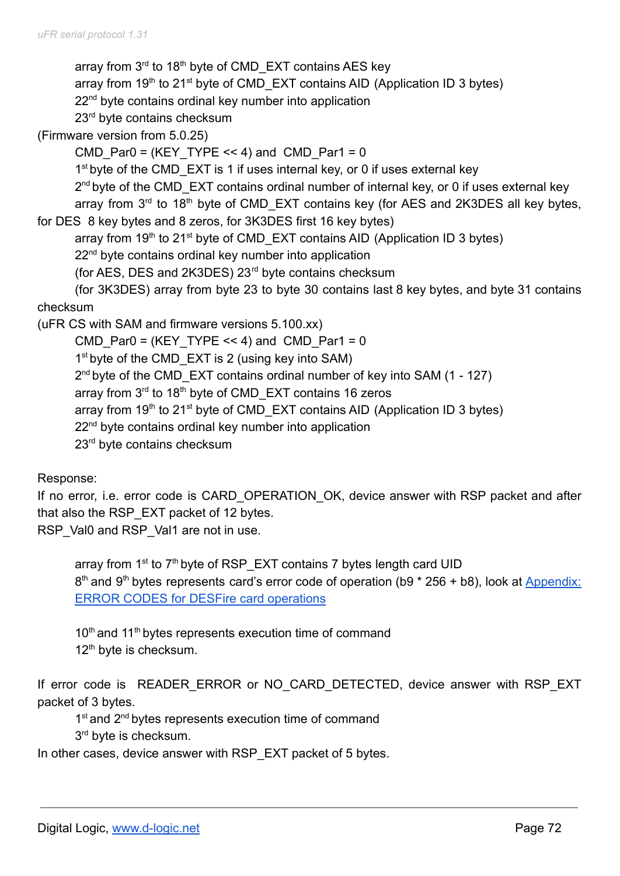array from 3<sup>rd</sup> to 18<sup>th</sup> byte of CMD\_EXT contains AES key array from  $19<sup>th</sup>$  to 21<sup>st</sup> byte of CMD\_EXT contains AID (Application ID 3 bytes) 22<sup>nd</sup> byte contains ordinal key number into application 23<sup>rd</sup> byte contains checksum (Firmware version from 5.0.25) CMD Par0 = (KEY TYPE << 4) and CMD Par1 = 0 1<sup>st</sup> byte of the CMD\_EXT is 1 if uses internal key, or 0 if uses external key 2<sup>nd</sup> byte of the CMD\_EXT contains ordinal number of internal key, or 0 if uses external key array from  $3<sup>rd</sup>$  to 18<sup>th</sup> byte of CMD\_EXT contains key (for AES and 2K3DES all key bytes, for DES 8 key bytes and 8 zeros, for 3K3DES first 16 key bytes) array from  $19<sup>th</sup>$  to 21<sup>st</sup> byte of CMD\_EXT contains AID (Application ID 3 bytes) 22<sup>nd</sup> byte contains ordinal key number into application (for AES, DES and 2K3DES) 23rd byte contains checksum (for 3K3DES) array from byte 23 to byte 30 contains last 8 key bytes, and byte 31 contains checksum (uFR CS with SAM and firmware versions 5.100.xx) CMD Par0 = (KEY TYPE << 4) and CMD Par1 = 0 1<sup>st</sup> byte of the CMD\_EXT is 2 (using key into SAM) 2<sup>nd</sup> byte of the CMD\_EXT contains ordinal number of key into SAM (1 - 127) array from 3<sup>rd</sup> to 18<sup>th</sup> byte of CMD\_EXT contains 16 zeros array from 19<sup>th</sup> to 21<sup>st</sup> byte of CMD\_EXT contains AID (Application ID 3 bytes) 22<sup>nd</sup> byte contains ordinal key number into application

23<sup>rd</sup> byte contains checksum

Response:

If no error, i.e. error code is CARD\_OPERATION OK, device answer with RSP packet and after that also the RSP\_EXT packet of 12 bytes.

RSP\_Val0 and RSP\_Val1 are not in use.

array from 1<sup>st</sup> to 7<sup>th</sup> byte of RSP\_EXT contains 7 bytes length card UID 8<sup>th</sup> and 9<sup>th</sup> bytes represents card's error code of operation (b9 \* 256 + b8), look at [Appendix:](#page-160-0) [ERROR CODES for DESFire card operations](#page-160-0)

10<sup>th</sup> and 11<sup>th</sup> bytes represents execution time of command 12<sup>th</sup> byte is checksum.

If error code is READER ERROR or NO CARD DETECTED, device answer with RSP EXT packet of 3 bytes.

1<sup>st</sup> and 2<sup>nd</sup> bytes represents execution time of command

3<sup>rd</sup> byte is checksum.

In other cases, device answer with RSP\_EXT packet of 5 bytes.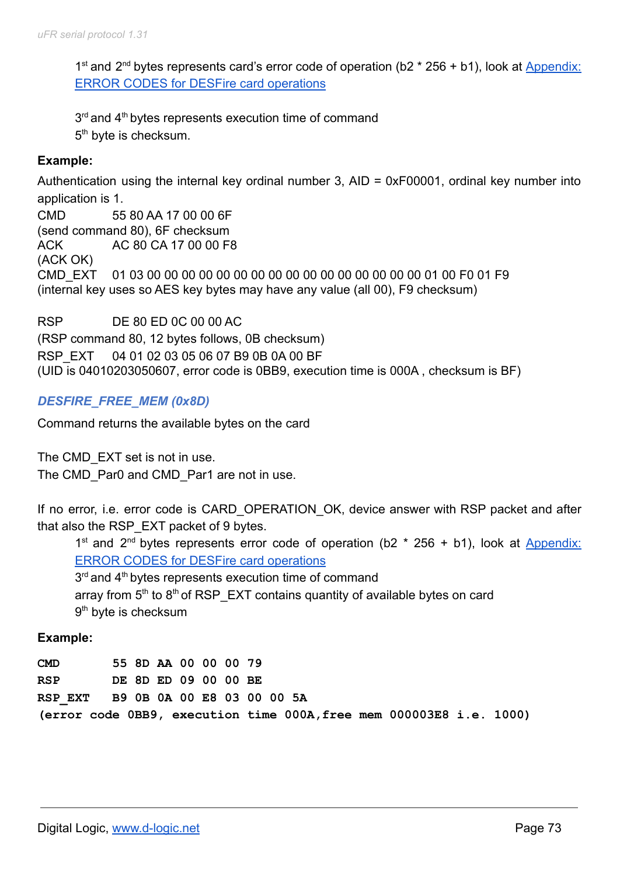1<sup>st</sup> and 2<sup>nd</sup> bytes represents card's error code of operation (b2 \* 256 + b1), look at [Appendix:](#page-160-0) [ERROR CODES for DESFire card operations](#page-160-0)

 $3<sup>rd</sup>$  and  $4<sup>th</sup>$  bytes represents execution time of command 5<sup>th</sup> byte is checksum.

### **Example:**

Authentication using the internal key ordinal number 3, AID = 0xF00001, ordinal key number into application is 1.

CMD 55 80 AA 17 00 00 6F (send command 80), 6F checksum ACK AC 80 CA 17 00 00 F8 (ACK OK) CMD\_EXT 01 03 00 00 00 00 00 00 00 00 00 00 00 00 00 00 00 00 01 00 F0 01 F9 (internal key uses so AES key bytes may have any value (all 00), F9 checksum)

RSP DE 80 ED 0C 00 00 AC (RSP command 80, 12 bytes follows, 0B checksum) RSP\_EXT 04 01 02 03 05 06 07 B9 0B 0A 00 BF (UID is 04010203050607, error code is 0BB9, execution time is 000A , checksum is BF)

## *DESFIRE\_FREE\_MEM (0x8D)*

Command returns the available bytes on the card

The CMD EXT set is not in use. The CMD Par0 and CMD Par1 are not in use.

If no error, i.e. error code is CARD\_OPERATION\_OK, device answer with RSP packet and after that also the RSP\_EXT packet of 9 bytes.

1<sup>st</sup> and 2<sup>nd</sup> bytes represents error code of operation (b2  $*$  256 + b1), look at [Appendix:](#page-160-0) [ERROR CODES for DESFire card operations](#page-160-0) 3<sup>rd</sup> and 4<sup>th</sup> bytes represents execution time of command array from  $5<sup>th</sup>$  to  $8<sup>th</sup>$  of RSP\_EXT contains quantity of available bytes on card

# 9<sup>th</sup> byte is checksum

### **Example:**

| <b>CMD</b> | 55 8D AA 00 00 00 79 |  |  |                                                                     |  |
|------------|----------------------|--|--|---------------------------------------------------------------------|--|
| <b>RSP</b> | DE 8D ED 09 00 00 BE |  |  |                                                                     |  |
|            |                      |  |  | RSP EXT B9 0B 0A 00 E8 03 00 00 5A                                  |  |
|            |                      |  |  | (error code 0BB9, execution time 000A, free mem 000003E8 i.e. 1000) |  |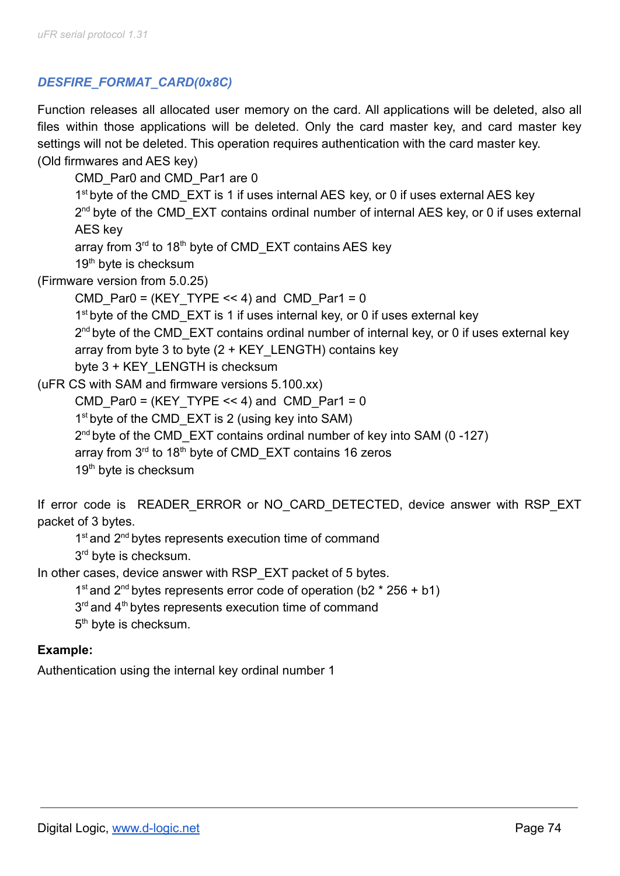# *DESFIRE\_FORMAT\_CARD(0x8C)*

Function releases all allocated user memory on the card. All applications will be deleted, also all files within those applications will be deleted. Only the card master key, and card master key settings will not be deleted. This operation requires authentication with the card master key. (Old firmwares and AES key)

CMD\_Par0 and CMD\_Par1 are 0 1<sup>st</sup> byte of the CMD\_EXT is 1 if uses internal AES key, or 0 if uses external AES key 2<sup>nd</sup> byte of the CMD\_EXT contains ordinal number of internal AES key, or 0 if uses external AES key array from 3<sup>rd</sup> to 18<sup>th</sup> byte of CMD\_EXT contains AES key 19<sup>th</sup> byte is checksum (Firmware version from 5.0.25) CMD Par0 = (KEY TYPE << 4) and CMD Par1 = 0 1<sup>st</sup> byte of the CMD\_EXT is 1 if uses internal key, or 0 if uses external key 2<sup>nd</sup> byte of the CMD\_EXT contains ordinal number of internal key, or 0 if uses external key array from byte 3 to byte  $(2 + K EY$  LENGTH) contains key byte 3 + KEY\_LENGTH is checksum (uFR CS with SAM and firmware versions 5.100.xx) CMD Par0 = (KEY TYPE << 4) and CMD Par1 = 0 1<sup>st</sup> byte of the CMD\_EXT is 2 (using key into SAM) 2<sup>nd</sup> byte of the CMD\_EXT contains ordinal number of key into SAM (0-127) array from 3<sup>rd</sup> to 18<sup>th</sup> byte of CMD\_EXT contains 16 zeros 19<sup>th</sup> byte is checksum

If error code is READER ERROR or NO CARD DETECTED, device answer with RSP EXT packet of 3 bytes.

1<sup>st</sup> and 2<sup>nd</sup> bytes represents execution time of command 3<sup>rd</sup> byte is checksum.

In other cases, device answer with RSP\_EXT packet of 5 bytes.

```
1<sup>st</sup> and 2<sup>nd</sup> bytes represents error code of operation (b2 * 256 + b1)
```
3<sup>rd</sup> and 4<sup>th</sup> bytes represents execution time of command

5<sup>th</sup> byte is checksum.

## **Example:**

Authentication using the internal key ordinal number 1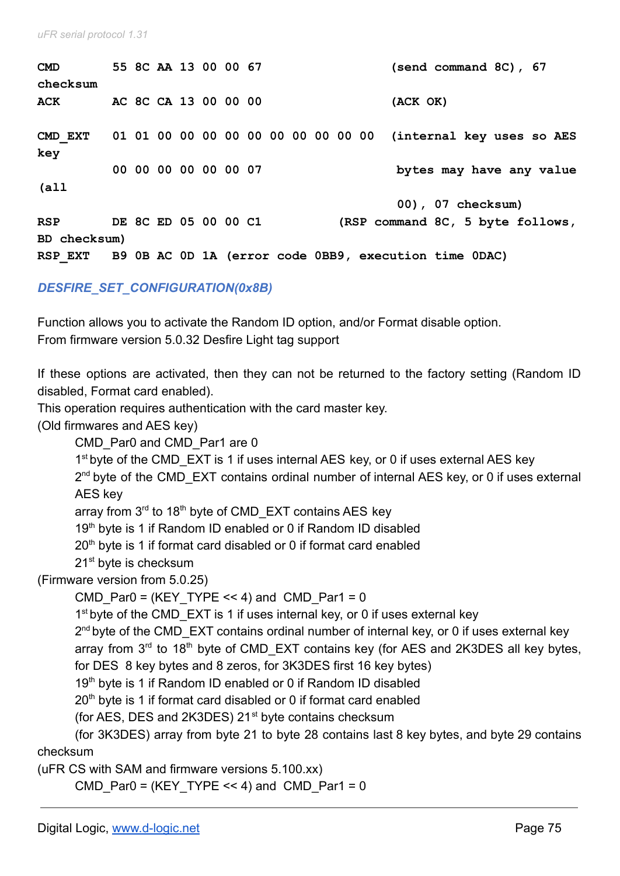| $\mathbf{CMD}$                                                |  |  | 55 8C AA 13 00 00 67 |  |  |  |  | (send command 8C), 67                                         |  |  |  |
|---------------------------------------------------------------|--|--|----------------------|--|--|--|--|---------------------------------------------------------------|--|--|--|
| checksum                                                      |  |  |                      |  |  |  |  |                                                               |  |  |  |
| ACK                                                           |  |  | AC 8C CA 13 00 00 00 |  |  |  |  | (ACK OK)                                                      |  |  |  |
|                                                               |  |  |                      |  |  |  |  |                                                               |  |  |  |
| CMD EXT                                                       |  |  |                      |  |  |  |  | 01 01 00 00 00 00 00 00 00 00 00 00 (internal key uses so AES |  |  |  |
| key                                                           |  |  |                      |  |  |  |  |                                                               |  |  |  |
|                                                               |  |  | 00 00 00 00 00 00 07 |  |  |  |  | bytes may have any value                                      |  |  |  |
| (a <sub>11</sub> )                                            |  |  |                      |  |  |  |  |                                                               |  |  |  |
|                                                               |  |  |                      |  |  |  |  | 00), 07 checksum)                                             |  |  |  |
| <b>RSP</b>                                                    |  |  | DE 8C ED 05 00 00 C1 |  |  |  |  | (RSP command 8C, 5 byte follows,                              |  |  |  |
| BD checksum)                                                  |  |  |                      |  |  |  |  |                                                               |  |  |  |
| RSP EXT B9 OB AC OD 1A (error code OBB9, execution time ODAC) |  |  |                      |  |  |  |  |                                                               |  |  |  |

*DESFIRE\_SET\_CONFIGURATION(0x8B)*

Function allows you to activate the Random ID option, and/or Format disable option. From firmware version 5.0.32 Desfire Light tag support

If these options are activated, then they can not be returned to the factory setting (Random ID disabled, Format card enabled).

This operation requires authentication with the card master key.

(Old firmwares and AES key)

CMD Par0 and CMD Par1 are 0

1<sup>st</sup> byte of the CMD\_EXT is 1 if uses internal AES key, or 0 if uses external AES key

2<sup>nd</sup> byte of the CMD\_EXT contains ordinal number of internal AES key, or 0 if uses external AES key

array from 3<sup>rd</sup> to 18<sup>th</sup> byte of CMD\_EXT contains AES key

19<sup>th</sup> byte is 1 if Random ID enabled or 0 if Random ID disabled

20<sup>th</sup> byte is 1 if format card disabled or 0 if format card enabled

21<sup>st</sup> byte is checksum

(Firmware version from 5.0.25)

CMD Par0 = (KEY TYPE  $<< 4$ ) and CMD Par1 = 0

1<sup>st</sup> byte of the CMD\_EXT is 1 if uses internal key, or 0 if uses external key

2<sup>nd</sup> byte of the CMD\_EXT contains ordinal number of internal key, or 0 if uses external key

array from  $3<sup>rd</sup>$  to 18<sup>th</sup> byte of CMD\_EXT contains key (for AES and 2K3DES all key bytes,

for DES 8 key bytes and 8 zeros, for 3K3DES first 16 key bytes)

19<sup>th</sup> byte is 1 if Random ID enabled or 0 if Random ID disabled

20<sup>th</sup> byte is 1 if format card disabled or 0 if format card enabled

(for AES, DES and 2K3DES) 21<sup>st</sup> byte contains checksum

(for 3K3DES) array from byte 21 to byte 28 contains last 8 key bytes, and byte 29 contains checksum

(uFR CS with SAM and firmware versions 5.100.xx)

CMD Par0 = (KEY TYPE << 4) and CMD Par1 = 0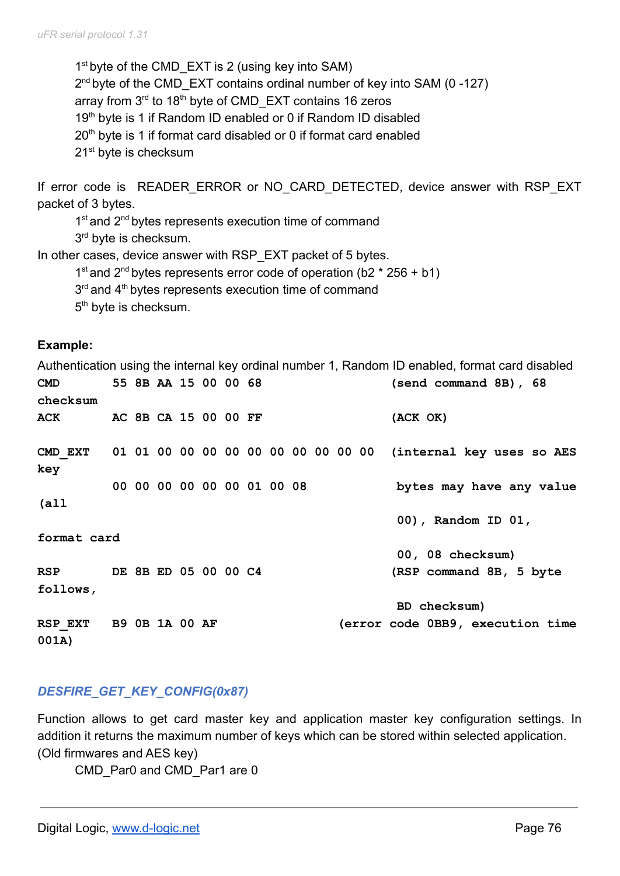1<sup>st</sup> byte of the CMD\_EXT is 2 (using key into SAM) 2<sup>nd</sup> byte of the CMD\_EXT contains ordinal number of key into SAM (0-127) array from 3<sup>rd</sup> to 18<sup>th</sup> byte of CMD\_EXT contains 16 zeros 19<sup>th</sup> byte is 1 if Random ID enabled or 0 if Random ID disabled  $20<sup>th</sup>$  byte is 1 if format card disabled or 0 if format card enabled 21<sup>st</sup> byte is checksum

If error code is READER ERROR or NO CARD DETECTED, device answer with RSP EXT packet of 3 bytes.

1<sup>st</sup> and 2<sup>nd</sup> bytes represents execution time of command 3<sup>rd</sup> byte is checksum.

In other cases, device answer with RSP\_EXT packet of 5 bytes.

1<sup>st</sup> and 2<sup>nd</sup> bytes represents error code of operation (b2  $*$  256 + b1)

 $3<sup>rd</sup>$  and  $4<sup>th</sup>$  bytes represents execution time of command

5<sup>th</sup> byte is checksum.

#### **Example:**

Authentication using the internal key ordinal number 1, Random ID enabled, format card disabled **CMD 55 8B AA 15 00 00 68 (send command 8B), 68 checksum ACK AC 8B CA 15 00 00 FF (ACK OK) CMD\_EXT 01 01 00 00 00 00 00 00 00 00 00 00 (internal key uses so AES key 00 00 00 00 00 00 01 00 08 bytes may have any value (all 00), Random ID 01, format card 00, 08 checksum) RSP DE 8B ED 05 00 00 C4 (RSP command 8B, 5 byte follows, BD checksum) RSP\_EXT B9 0B 1A 00 AF (error code 0BB9, execution time 001A)**

### *DESFIRE\_GET\_KEY\_CONFIG(0x87)*

Function allows to get card master key and application master key configuration settings. In addition it returns the maximum number of keys which can be stored within selected application. (Old firmwares and AES key)

CMD\_Par0 and CMD\_Par1 are 0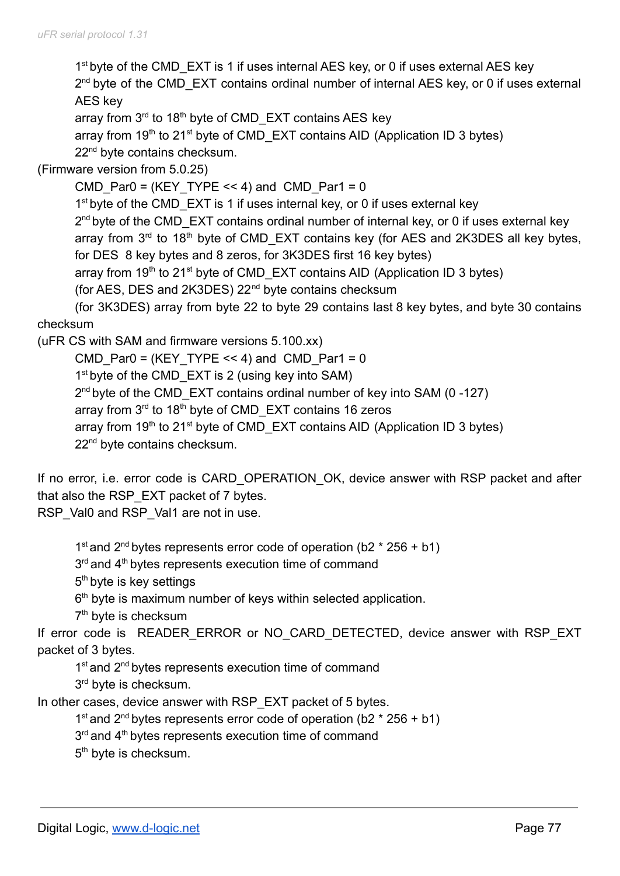1<sup>st</sup> byte of the CMD\_EXT is 1 if uses internal AES key, or 0 if uses external AES key 2<sup>nd</sup> byte of the CMD\_EXT contains ordinal number of internal AES key, or 0 if uses external AES key array from 3<sup>rd</sup> to 18<sup>th</sup> byte of CMD\_EXT contains AES key

array from  $19<sup>th</sup>$  to 21<sup>st</sup> byte of CMD\_EXT contains AID (Application ID 3 bytes)

22<sup>nd</sup> byte contains checksum.

(Firmware version from 5.0.25)

CMD Par0 = (KEY TYPE << 4) and CMD Par1 = 0

1<sup>st</sup> byte of the CMD\_EXT is 1 if uses internal key, or 0 if uses external key

2<sup>nd</sup> byte of the CMD\_EXT contains ordinal number of internal key, or 0 if uses external key array from  $3<sup>rd</sup>$  to 18<sup>th</sup> byte of CMD\_EXT contains key (for AES and 2K3DES all key bytes, for DES 8 key bytes and 8 zeros, for 3K3DES first 16 key bytes)

array from  $19<sup>th</sup>$  to 21<sup>st</sup> byte of CMD\_EXT contains AID (Application ID 3 bytes)

(for AES, DES and 2K3DES) 22nd byte contains checksum

(for 3K3DES) array from byte 22 to byte 29 contains last 8 key bytes, and byte 30 contains checksum

(uFR CS with SAM and firmware versions 5.100.xx)

CMD Par0 = (KEY TYPE  $<< 4$ ) and CMD Par1 = 0 1<sup>st</sup> byte of the CMD\_EXT is 2 (using key into SAM) 2<sup>nd</sup> byte of the CMD\_EXT contains ordinal number of key into SAM (0-127) array from 3<sup>rd</sup> to 18<sup>th</sup> byte of CMD\_EXT contains 16 zeros array from 19<sup>th</sup> to 21<sup>st</sup> byte of CMD\_EXT contains AID (Application ID 3 bytes) 22<sup>nd</sup> byte contains checksum.

If no error, i.e. error code is CARD\_OPERATION\_OK, device answer with RSP packet and after that also the RSP\_EXT packet of 7 bytes.

RSP\_Val0 and RSP\_Val1 are not in use.

1<sup>st</sup> and 2<sup>nd</sup> bytes represents error code of operation (b2  $*$  256 + b1)

3<sup>rd</sup> and 4<sup>th</sup> bytes represents execution time of command

5<sup>th</sup> byte is key settings

6<sup>th</sup> byte is maximum number of keys within selected application.

7<sup>th</sup> byte is checksum

If error code is READER ERROR or NO CARD DETECTED, device answer with RSP EXT packet of 3 bytes.

1<sup>st</sup> and 2<sup>nd</sup> bytes represents execution time of command

3<sup>rd</sup> byte is checksum.

In other cases, device answer with RSP\_EXT packet of 5 bytes.

1<sup>st</sup> and 2<sup>nd</sup> bytes represents error code of operation (b2  $*$  256 + b1)

3<sup>rd</sup> and 4<sup>th</sup> bytes represents execution time of command

5<sup>th</sup> byte is checksum.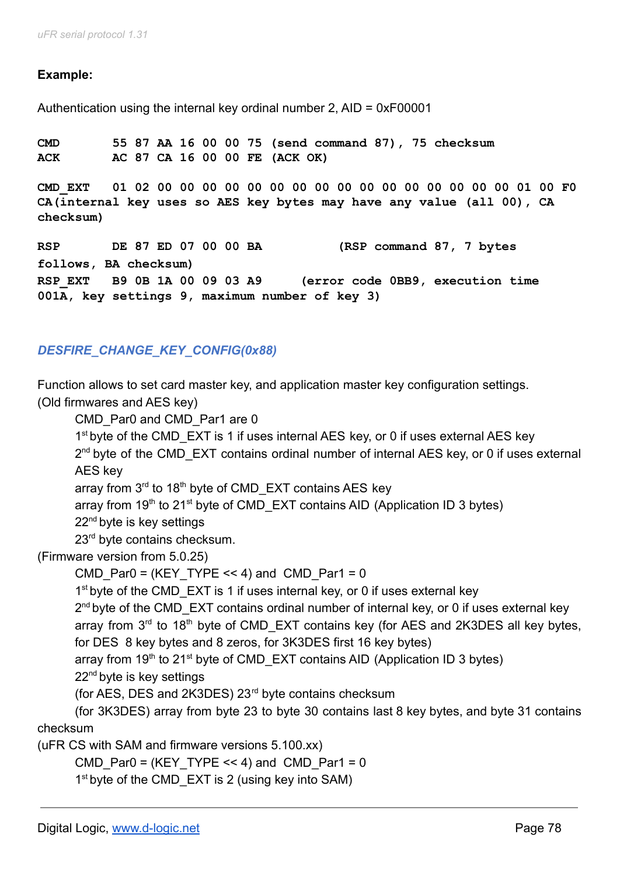## **Example:**

Authentication using the internal key ordinal number 2, AID = 0xF00001

**CMD 55 87 AA 16 00 00 75 (send command 87), 75 checksum ACK AC 87 CA 16 00 00 FE (ACK OK) CMD\_EXT 01 02 00 00 00 00 00 00 00 00 00 00 00 00 00 00 00 00 01 00 F0 CA(internal key uses so AES key bytes may have any value (all 00), CA checksum) RSP DE 87 ED 07 00 00 BA (RSP command 87, 7 bytes**

**follows, BA checksum) RSP\_EXT B9 0B 1A 00 09 03 A9 (error code 0BB9, execution time 001A, key settings 9, maximum number of key 3)**

## *DESFIRE\_CHANGE\_KEY\_CONFIG(0x88)*

Function allows to set card master key, and application master key configuration settings. (Old firmwares and AES key)

CMD\_Par0 and CMD\_Par1 are 0

1<sup>st</sup> byte of the CMD\_EXT is 1 if uses internal AES key, or 0 if uses external AES key

2<sup>nd</sup> byte of the CMD\_EXT contains ordinal number of internal AES key, or 0 if uses external AES key

array from 3<sup>rd</sup> to 18<sup>th</sup> byte of CMD\_EXT contains AES key

array from 19<sup>th</sup> to 21<sup>st</sup> byte of CMD\_EXT contains AID (Application ID 3 bytes)

22<sup>nd</sup> byte is key settings

23<sup>rd</sup> byte contains checksum.

(Firmware version from 5.0.25)

CMD Par0 = (KEY TYPE << 4) and CMD Par1 = 0

1<sup>st</sup> byte of the CMD\_EXT is 1 if uses internal key, or 0 if uses external key

2<sup>nd</sup> byte of the CMD\_EXT contains ordinal number of internal key, or 0 if uses external key array from  $3<sup>rd</sup>$  to 18<sup>th</sup> byte of CMD\_EXT contains key (for AES and 2K3DES all key bytes,

for DES 8 key bytes and 8 zeros, for 3K3DES first 16 key bytes)

array from 19<sup>th</sup> to 21<sup>st</sup> byte of CMD\_EXT contains AID (Application ID 3 bytes)

22<sup>nd</sup> byte is key settings

(for AES, DES and 2K3DES) 23rd byte contains checksum

(for 3K3DES) array from byte 23 to byte 30 contains last 8 key bytes, and byte 31 contains checksum

(uFR CS with SAM and firmware versions 5.100.xx)

CMD Par0 = (KEY TYPE << 4) and CMD Par1 = 0

1<sup>st</sup> byte of the CMD\_EXT is 2 (using key into SAM)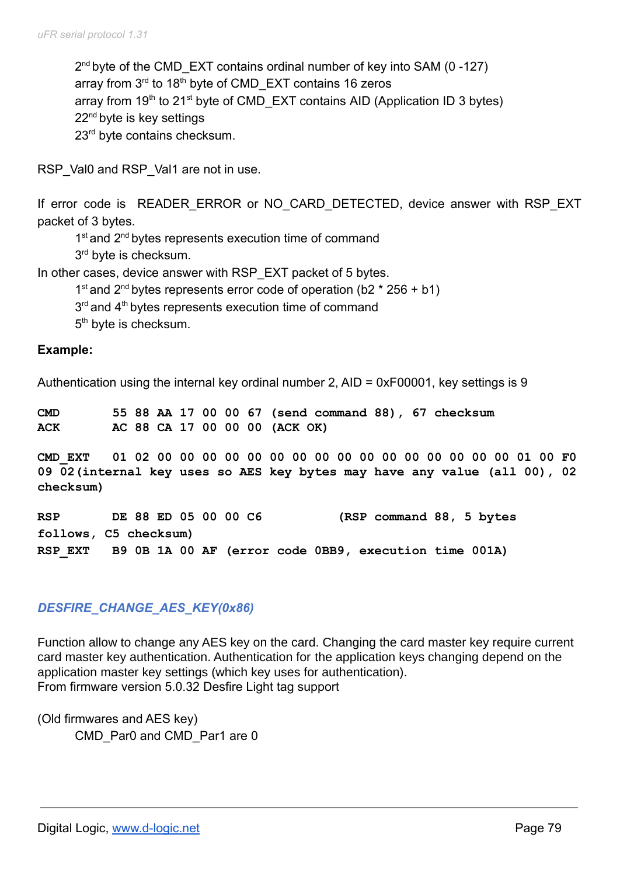2<sup>nd</sup> byte of the CMD\_EXT contains ordinal number of key into SAM (0-127) array from 3<sup>rd</sup> to 18<sup>th</sup> byte of CMD\_EXT contains 16 zeros array from  $19<sup>th</sup>$  to 21<sup>st</sup> byte of CMD\_EXT contains AID (Application ID 3 bytes) 22<sup>nd</sup> byte is key settings 23<sup>rd</sup> byte contains checksum.

RSP\_Val0 and RSP\_Val1 are not in use.

If error code is READER ERROR or NO CARD DETECTED, device answer with RSP EXT packet of 3 bytes.

1<sup>st</sup> and 2<sup>nd</sup> bytes represents execution time of command

3<sup>rd</sup> byte is checksum.

In other cases, device answer with RSP\_EXT packet of 5 bytes.

1<sup>st</sup> and 2<sup>nd</sup> bytes represents error code of operation (b2  $*$  256 + b1)

 $3<sup>rd</sup>$  and  $4<sup>th</sup>$  bytes represents execution time of command

5<sup>th</sup> byte is checksum.

#### **Example:**

Authentication using the internal key ordinal number 2, AID = 0xF00001, key settings is 9

**CMD 55 88 AA 17 00 00 67 (send command 88), 67 checksum ACK AC 88 CA 17 00 00 00 (ACK OK)**

**CMD\_EXT 01 02 00 00 00 00 00 00 00 00 00 00 00 00 00 00 00 00 01 00 F0 09 02(internal key uses so AES key bytes may have any value (all 00), 02 checksum)**

**RSP DE 88 ED 05 00 00 C6 (RSP command 88, 5 bytes follows, C5 checksum) RSP\_EXT B9 0B 1A 00 AF (error code 0BB9, execution time 001A)**

## *DESFIRE\_CHANGE\_AES\_KEY(0x86)*

Function allow to change any AES key on the card. Changing the card master key require current card master key authentication. Authentication for the application keys changing depend on the application master key settings (which key uses for authentication). From firmware version 5.0.32 Desfire Light tag support

(Old firmwares and AES key) CMD Par0 and CMD Par1 are 0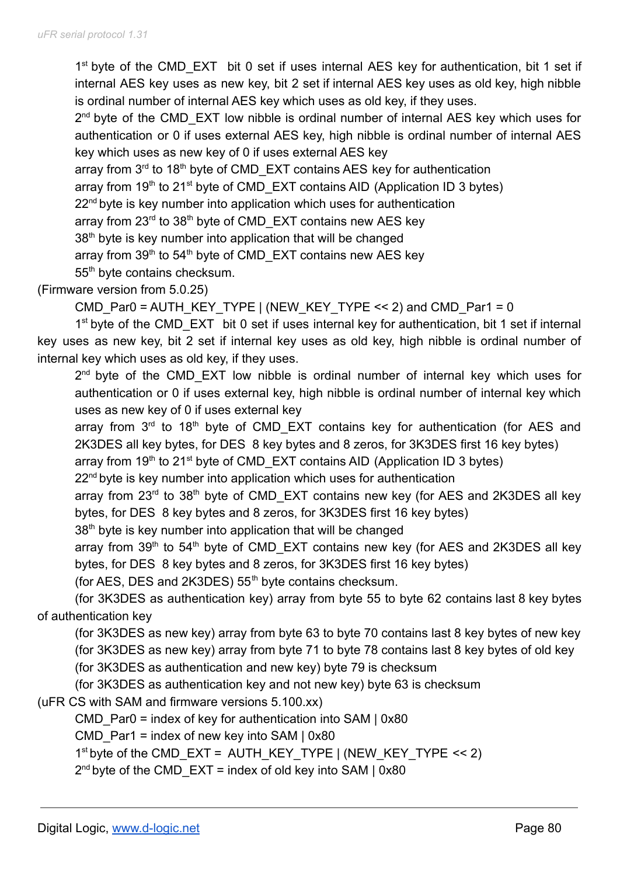1<sup>st</sup> byte of the CMD\_EXT bit 0 set if uses internal AES key for authentication, bit 1 set if internal AES key uses as new key, bit 2 set if internal AES key uses as old key, high nibble is ordinal number of internal AES key which uses as old key, if they uses.

2<sup>nd</sup> byte of the CMD\_EXT low nibble is ordinal number of internal AES key which uses for authentication or 0 if uses external AES key, high nibble is ordinal number of internal AES key which uses as new key of 0 if uses external AES key

array from 3<sup>rd</sup> to 18<sup>th</sup> byte of CMD\_EXT contains AES key for authentication

array from  $19<sup>th</sup>$  to 21<sup>st</sup> byte of CMD\_EXT contains AID (Application ID 3 bytes)

22<sup>nd</sup> byte is key number into application which uses for authentication

array from 23<sup>rd</sup> to 38<sup>th</sup> byte of CMD\_EXT contains new AES key

38<sup>th</sup> byte is key number into application that will be changed

array from  $39<sup>th</sup>$  to  $54<sup>th</sup>$  byte of CMD\_EXT contains new AES key

55<sup>th</sup> byte contains checksum.

## (Firmware version from 5.0.25)

```
CMD_Par0 = AUTH_KEY_TYPE | (NEW_KEY_TYPE << 2) and CMD_Par1 = 0
```
1<sup>st</sup> byte of the CMD\_EXT bit 0 set if uses internal key for authentication, bit 1 set if internal key uses as new key, bit 2 set if internal key uses as old key, high nibble is ordinal number of internal key which uses as old key, if they uses.

2<sup>nd</sup> byte of the CMD\_EXT low nibble is ordinal number of internal key which uses for authentication or 0 if uses external key, high nibble is ordinal number of internal key which uses as new key of 0 if uses external key

array from 3<sup>rd</sup> to 18<sup>th</sup> byte of CMD\_EXT contains key for authentication (for AES and 2K3DES all key bytes, for DES 8 key bytes and 8 zeros, for 3K3DES first 16 key bytes)

array from 19<sup>th</sup> to 21<sup>st</sup> byte of CMD\_EXT contains AID (Application ID 3 bytes)

22<sup>nd</sup> byte is key number into application which uses for authentication

array from 23<sup>rd</sup> to 38<sup>th</sup> byte of CMD\_EXT contains new key (for AES and 2K3DES all key bytes, for DES 8 key bytes and 8 zeros, for 3K3DES first 16 key bytes)

38<sup>th</sup> byte is key number into application that will be changed

array from 39<sup>th</sup> to 54<sup>th</sup> byte of CMD\_EXT contains new key (for AES and 2K3DES all key bytes, for DES 8 key bytes and 8 zeros, for 3K3DES first 16 key bytes)

(for AES, DES and 2K3DES)  $55<sup>th</sup>$  byte contains checksum.

(for 3K3DES as authentication key) array from byte 55 to byte 62 contains last 8 key bytes of authentication key

(for 3K3DES as new key) array from byte 63 to byte 70 contains last 8 key bytes of new key (for 3K3DES as new key) array from byte 71 to byte 78 contains last 8 key bytes of old key

(for 3K3DES as authentication and new key) byte 79 is checksum

(for 3K3DES as authentication key and not new key) byte 63 is checksum

(uFR CS with SAM and firmware versions 5.100.xx)

CMD Par0 = index of key for authentication into SAM  $\mid$  0x80

CMD Par1 = index of new key into SAM  $| 0x80$ 

1 st byte of the CMD\_EXT = AUTH\_KEY\_TYPE | (NEW\_KEY\_TYPE << 2)

 $2^{nd}$  byte of the CMD\_EXT = index of old key into SAM | 0x80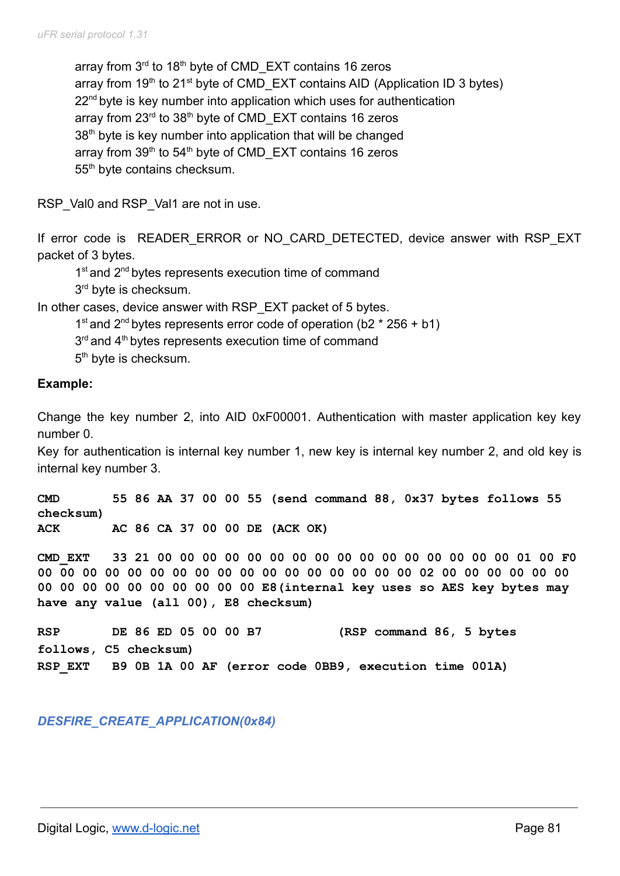array from 3<sup>rd</sup> to 18<sup>th</sup> byte of CMD\_EXT contains 16 zeros array from  $19<sup>th</sup>$  to 21<sup>st</sup> byte of CMD\_EXT contains AID (Application ID 3 bytes) 22<sup>nd</sup> byte is key number into application which uses for authentication array from 23<sup>rd</sup> to 38<sup>th</sup> byte of CMD\_EXT contains 16 zeros 38<sup>th</sup> byte is key number into application that will be changed array from 39<sup>th</sup> to 54<sup>th</sup> byte of CMD\_EXT contains 16 zeros 55<sup>th</sup> byte contains checksum.

RSP\_Val0 and RSP\_Val1 are not in use.

If error code is READER ERROR or NO CARD DETECTED, device answer with RSP EXT packet of 3 bytes.

1<sup>st</sup> and 2<sup>nd</sup> bytes represents execution time of command 3<sup>rd</sup> byte is checksum.

In other cases, device answer with RSP\_EXT packet of 5 bytes.

1<sup>st</sup> and 2<sup>nd</sup> bytes represents error code of operation (b2  $*$  256 + b1)

 $3<sup>rd</sup>$  and  $4<sup>th</sup>$  bytes represents execution time of command

5<sup>th</sup> byte is checksum.

### **Example:**

Change the key number 2, into AID 0xF00001. Authentication with master application key key number 0.

Key for authentication is internal key number 1, new key is internal key number 2, and old key is internal key number 3.

**CMD 55 86 AA 37 00 00 55 (send command 88, 0x37 bytes follows 55 checksum) ACK AC 86 CA 37 00 00 DE (ACK OK)**

**CMD\_EXT 33 21 00 00 00 00 00 00 00 00 00 00 00 00 00 00 00 00 01 00 F0 00 00 00 00 00 00 00 00 00 00 00 00 00 00 00 00 00 02 00 00 00 00 00 00 00 00 00 00 00 00 00 00 00 00 E8(internal key uses so AES key bytes may have any value (all 00), E8 checksum)**

**RSP DE 86 ED 05 00 00 B7 (RSP command 86, 5 bytes follows, C5 checksum) RSP\_EXT B9 0B 1A 00 AF (error code 0BB9, execution time 001A)**

*DESFIRE\_CREATE\_APPLICATION(0x84)*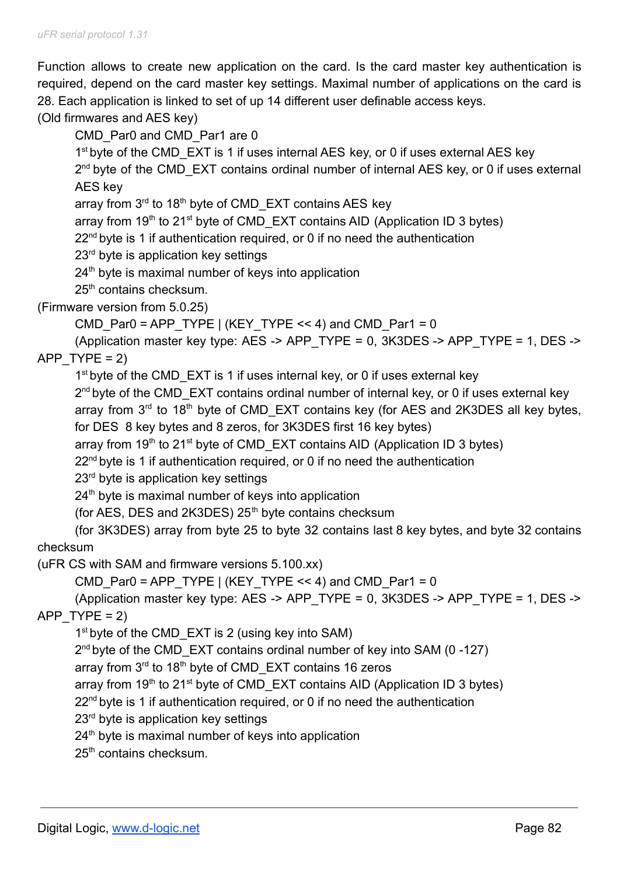Function allows to create new application on the card. Is the card master key authentication is required, depend on the card master key settings. Maximal number of applications on the card is 28. Each application is linked to set of up 14 different user definable access keys.

(Old firmwares and AES key)

CMD\_Par0 and CMD\_Par1 are 0

1<sup>st</sup> byte of the CMD\_EXT is 1 if uses internal AES key, or 0 if uses external AES key

2<sup>nd</sup> byte of the CMD\_EXT contains ordinal number of internal AES key, or 0 if uses external AES key

array from 3<sup>rd</sup> to 18<sup>th</sup> byte of CMD\_EXT contains AES key

array from  $19<sup>th</sup>$  to 21<sup>st</sup> byte of CMD\_EXT contains AID (Application ID 3 bytes)

 $22<sup>nd</sup>$  byte is 1 if authentication required, or 0 if no need the authentication

23<sup>rd</sup> byte is application key settings

 $24<sup>th</sup>$  byte is maximal number of keys into application

25<sup>th</sup> contains checksum.

(Firmware version from 5.0.25)

```
CMD_Par0 = APP_TYPE | (KEY_TYPE << 4) and CMD_Par1 = 0
```
(Application master key type: AES -> APP\_TYPE = 0, 3K3DES -> APP\_TYPE = 1, DES -> APP  $TYPE = 2$ )

1<sup>st</sup> byte of the CMD\_EXT is 1 if uses internal key, or 0 if uses external key

2<sup>nd</sup> byte of the CMD\_EXT contains ordinal number of internal key, or 0 if uses external key array from  $3<sup>rd</sup>$  to 18<sup>th</sup> byte of CMD\_EXT contains key (for AES and 2K3DES all key bytes, for DES 8 key bytes and 8 zeros, for 3K3DES first 16 key bytes)

array from 19<sup>th</sup> to 21<sup>st</sup> byte of CMD\_EXT contains AID (Application ID 3 bytes)

22<sup>nd</sup> byte is 1 if authentication required, or 0 if no need the authentication

23<sup>rd</sup> byte is application key settings

 $24<sup>th</sup>$  byte is maximal number of keys into application

(for AES, DES and 2K3DES)  $25<sup>th</sup>$  byte contains checksum

(for 3K3DES) array from byte 25 to byte 32 contains last 8 key bytes, and byte 32 contains checksum

(uFR CS with SAM and firmware versions 5.100.xx)

CMD Par0 = APP\_TYPE | (KEY\_TYPE << 4) and CMD\_Par1 = 0

(Application master key type: AES -> APP\_TYPE = 0, 3K3DES -> APP\_TYPE = 1, DES -> APP  $TYPE = 2$ )

1<sup>st</sup> byte of the CMD\_EXT is 2 (using key into SAM)

2<sup>nd</sup> byte of the CMD\_EXT contains ordinal number of key into SAM (0-127)

array from 3<sup>rd</sup> to 18<sup>th</sup> byte of CMD\_EXT contains 16 zeros

array from 19<sup>th</sup> to 21<sup>st</sup> byte of CMD\_EXT contains AID (Application ID 3 bytes)

22<sup>nd</sup> byte is 1 if authentication required, or 0 if no need the authentication

23<sup>rd</sup> byte is application key settings

 $24<sup>th</sup>$  byte is maximal number of keys into application

25<sup>th</sup> contains checksum.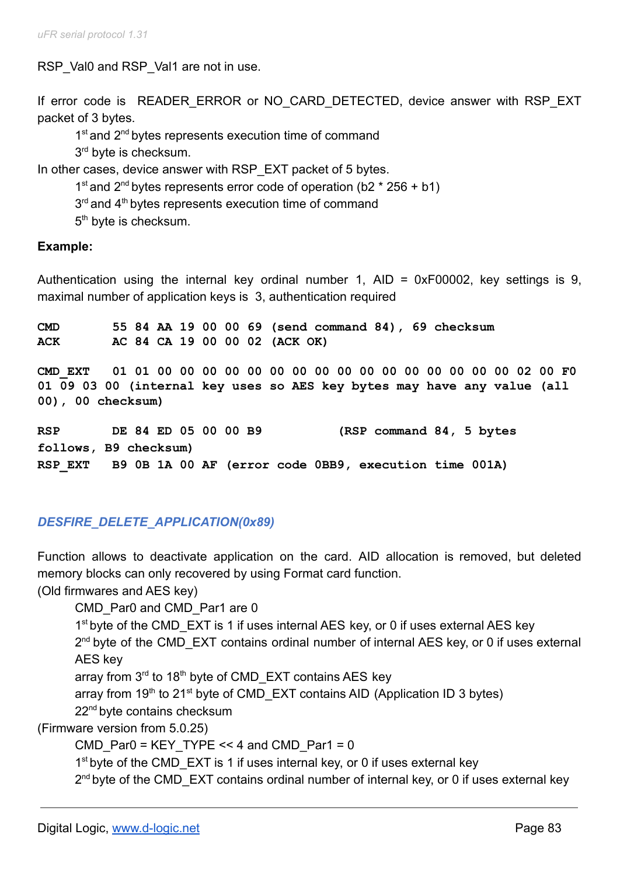RSP Val0 and RSP Val1 are not in use.

If error code is READER ERROR or NO CARD DETECTED, device answer with RSP EXT packet of 3 bytes.

1<sup>st</sup> and 2<sup>nd</sup> bytes represents execution time of command 3<sup>rd</sup> byte is checksum.

In other cases, device answer with RSP\_EXT packet of 5 bytes.

1<sup>st</sup> and 2<sup>nd</sup> bytes represents error code of operation (b2  $*$  256 + b1)

 $3<sup>rd</sup>$  and  $4<sup>th</sup>$  bytes represents execution time of command

5<sup>th</sup> byte is checksum.

### **Example:**

Authentication using the internal key ordinal number 1, AID = 0xF00002, key settings is 9, maximal number of application keys is 3, authentication required

**CMD 55 84 AA 19 00 00 69 (send command 84), 69 checksum ACK AC 84 CA 19 00 00 02 (ACK OK)**

**CMD\_EXT 01 01 00 00 00 00 00 00 00 00 00 00 00 00 00 00 00 00 02 00 F0 01 09 03 00 (internal key uses so AES key bytes may have any value (all 00), 00 checksum)**

**RSP DE 84 ED 05 00 00 B9 (RSP command 84, 5 bytes follows, B9 checksum) RSP\_EXT B9 0B 1A 00 AF (error code 0BB9, execution time 001A)**

# *DESFIRE\_DELETE\_APPLICATION(0x89)*

Function allows to deactivate application on the card. AID allocation is removed, but deleted memory blocks can only recovered by using Format card function.

(Old firmwares and AES key)

CMD Par0 and CMD Par1 are 0

1<sup>st</sup> byte of the CMD\_EXT is 1 if uses internal AES key, or 0 if uses external AES key

2<sup>nd</sup> byte of the CMD\_EXT contains ordinal number of internal AES key, or 0 if uses external AES key

array from 3<sup>rd</sup> to 18<sup>th</sup> byte of CMD\_EXT contains AES key

array from 19<sup>th</sup> to 21<sup>st</sup> byte of CMD\_EXT contains AID (Application ID 3 bytes)

22<sup>nd</sup> byte contains checksum

(Firmware version from 5.0.25)

CMD Par0 = KEY TYPE << 4 and CMD Par1 = 0

1<sup>st</sup> byte of the CMD\_EXT is 1 if uses internal key, or 0 if uses external key

2<sup>nd</sup> byte of the CMD\_EXT contains ordinal number of internal key, or 0 if uses external key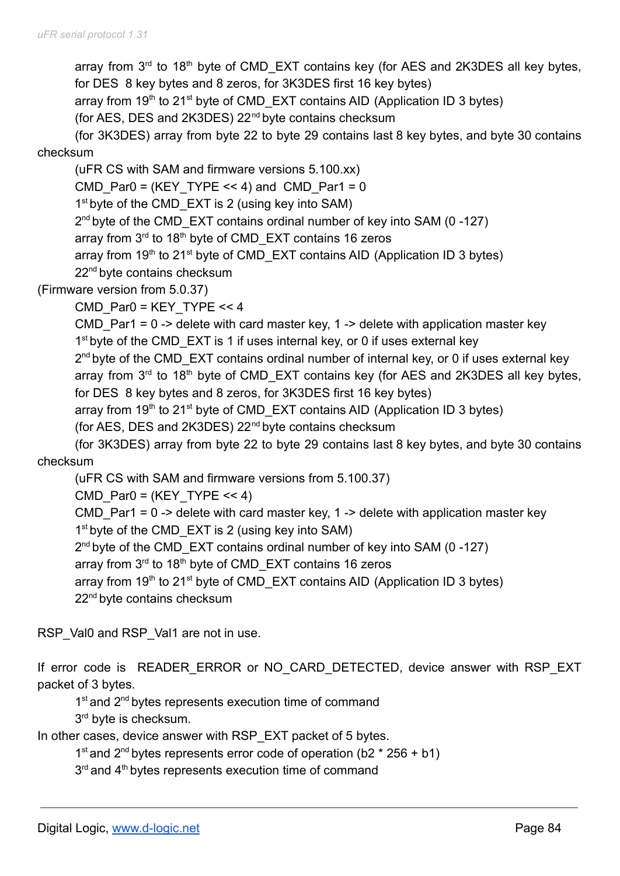array from  $3<sup>rd</sup>$  to 18<sup>th</sup> byte of CMD\_EXT contains key (for AES and 2K3DES all key bytes, for DES 8 key bytes and 8 zeros, for 3K3DES first 16 key bytes)

array from  $19<sup>th</sup>$  to 21<sup>st</sup> byte of CMD\_EXT contains AID (Application ID 3 bytes)

(for AES, DES and 2K3DES) 22nd byte contains checksum

(for 3K3DES) array from byte 22 to byte 29 contains last 8 key bytes, and byte 30 contains

# checksum

(uFR CS with SAM and firmware versions 5.100.xx) CMD Par0 = (KEY TYPE << 4) and CMD Par1 = 0 1<sup>st</sup> byte of the CMD\_EXT is 2 (using key into SAM) 2<sup>nd</sup> byte of the CMD\_EXT contains ordinal number of key into SAM (0-127) array from 3<sup>rd</sup> to 18<sup>th</sup> byte of CMD\_EXT contains 16 zeros array from  $19<sup>th</sup>$  to 21<sup>st</sup> byte of CMD\_EXT contains AID (Application ID 3 bytes) 22<sup>nd</sup> byte contains checksum

(Firmware version from 5.0.37)

CMD\_Par0 = KEY\_TYPE << 4

CMD Par1 =  $0 \rightarrow$  delete with card master key, 1 -> delete with application master key 1<sup>st</sup> byte of the CMD\_EXT is 1 if uses internal key, or 0 if uses external key

2<sup>nd</sup> byte of the CMD\_EXT contains ordinal number of internal key, or 0 if uses external key array from  $3<sup>rd</sup>$  to 18<sup>th</sup> byte of CMD\_EXT contains key (for AES and 2K3DES all key bytes, for DES 8 key bytes and 8 zeros, for 3K3DES first 16 key bytes)

array from 19<sup>th</sup> to 21<sup>st</sup> byte of CMD\_EXT contains AID (Application ID 3 bytes)

(for AES, DES and 2K3DES) 22nd byte contains checksum

(for 3K3DES) array from byte 22 to byte 29 contains last 8 key bytes, and byte 30 contains checksum

(uFR CS with SAM and firmware versions from 5.100.37)

CMD Par0 =  $(KEY$  TYPE << 4)

CMD Par1 =  $0 \rightarrow$  delete with card master key, 1 -> delete with application master key 1<sup>st</sup> byte of the CMD\_EXT is 2 (using key into SAM)

2<sup>nd</sup> byte of the CMD\_EXT contains ordinal number of key into SAM (0-127)

array from 3<sup>rd</sup> to 18<sup>th</sup> byte of CMD\_EXT contains 16 zeros

array from 19<sup>th</sup> to 21<sup>st</sup> byte of CMD\_EXT contains AID (Application ID 3 bytes)

22<sup>nd</sup> byte contains checksum

RSP\_Val0 and RSP\_Val1 are not in use.

If error code is READER ERROR or NO CARD DETECTED, device answer with RSP EXT packet of 3 bytes.

1<sup>st</sup> and 2<sup>nd</sup> bytes represents execution time of command

3<sup>rd</sup> byte is checksum.

In other cases, device answer with RSP\_EXT packet of 5 bytes.

1<sup>st</sup> and 2<sup>nd</sup> bytes represents error code of operation (b2  $*$  256 + b1)

3<sup>rd</sup> and 4<sup>th</sup> bytes represents execution time of command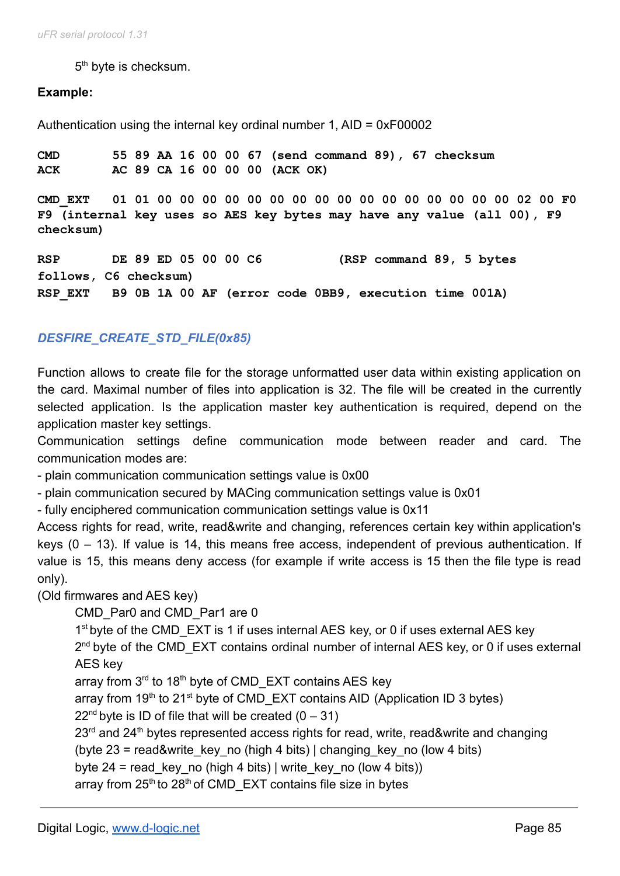5<sup>th</sup> byte is checksum.

### **Example:**

Authentication using the internal key ordinal number 1, AID = 0xF00002

**CMD 55 89 AA 16 00 00 67 (send command 89), 67 checksum ACK AC 89 CA 16 00 00 00 (ACK OK)**

**CMD\_EXT 01 01 00 00 00 00 00 00 00 00 00 00 00 00 00 00 00 00 02 00 F0 F9 (internal key uses so AES key bytes may have any value (all 00), F9 checksum)**

**RSP DE 89 ED 05 00 00 C6 (RSP command 89, 5 bytes follows, C6 checksum) RSP\_EXT B9 0B 1A 00 AF (error code 0BB9, execution time 001A)**

## *DESFIRE\_CREATE\_STD\_FILE(0x85)*

Function allows to create file for the storage unformatted user data within existing application on the card. Maximal number of files into application is 32. The file will be created in the currently selected application. Is the application master key authentication is required, depend on the application master key settings.

Communication settings define communication mode between reader and card. The communication modes are:

- plain communication communication settings value is 0x00

- plain communication secured by MACing communication settings value is 0x01

- fully enciphered communication communication settings value is 0x11

Access rights for read, write, read&write and changing, references certain key within application's keys (0 – 13). If value is 14, this means free access, independent of previous authentication. If value is 15, this means deny access (for example if write access is 15 then the file type is read only).

(Old firmwares and AES key)

CMD\_Par0 and CMD\_Par1 are 0

1<sup>st</sup> byte of the CMD\_EXT is 1 if uses internal AES key, or 0 if uses external AES key

2<sup>nd</sup> byte of the CMD\_EXT contains ordinal number of internal AES key, or 0 if uses external AES key

array from 3<sup>rd</sup> to 18<sup>th</sup> byte of CMD\_EXT contains AES key

array from 19<sup>th</sup> to 21<sup>st</sup> byte of CMD\_EXT contains AID (Application ID 3 bytes)

 $22<sup>nd</sup>$  byte is ID of file that will be created  $(0 - 31)$ 

 $23<sup>rd</sup>$  and  $24<sup>th</sup>$  bytes represented access rights for read, write, read&write and changing

(byte  $23$  = read&write key no (high 4 bits) | changing key no (low 4 bits)

byte 24 = read key no (high 4 bits) | write key no (low 4 bits))

array from  $25<sup>th</sup>$  to  $28<sup>th</sup>$  of CMD\_EXT contains file size in bytes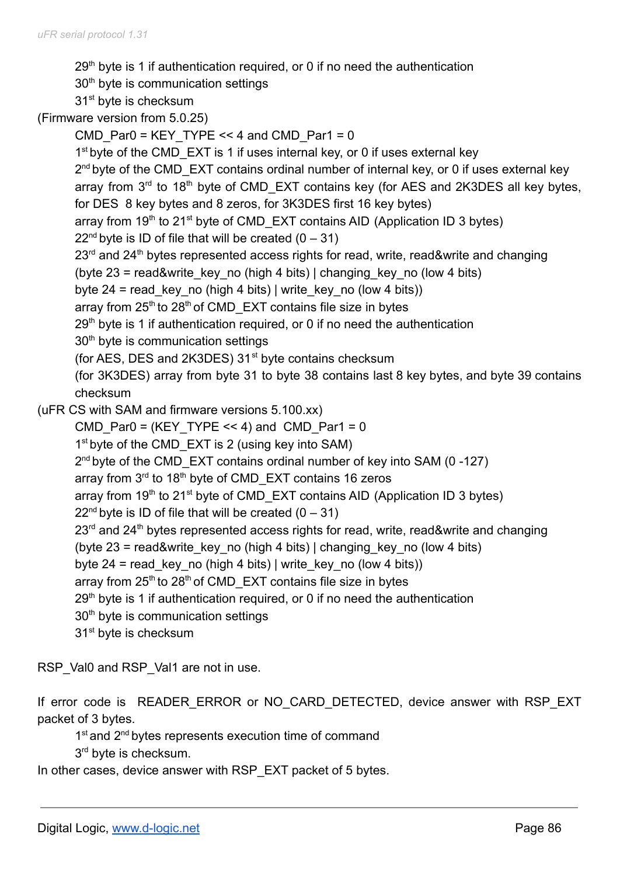$29<sup>th</sup>$  byte is 1 if authentication required, or 0 if no need the authentication 30<sup>th</sup> byte is communication settings

31<sup>st</sup> byte is checksum

(Firmware version from 5.0.25)

CMD  $Par0 = KEY$  TYPE << 4 and CMD\_Par1 = 0 1<sup>st</sup> byte of the CMD\_EXT is 1 if uses internal key, or 0 if uses external key 2<sup>nd</sup> byte of the CMD\_EXT contains ordinal number of internal key, or 0 if uses external key array from  $3<sup>rd</sup>$  to 18<sup>th</sup> byte of CMD\_EXT contains key (for AES and 2K3DES all key bytes, for DES 8 key bytes and 8 zeros, for 3K3DES first 16 key bytes) array from  $19<sup>th</sup>$  to 21<sup>st</sup> byte of CMD\_EXT contains AID (Application ID 3 bytes)  $22<sup>nd</sup>$  byte is ID of file that will be created  $(0 - 31)$  $23<sup>rd</sup>$  and  $24<sup>th</sup>$  bytes represented access rights for read, write, read&write and changing (byte  $23$  = read&write key no (high 4 bits) | changing key no (low 4 bits) byte 24 = read key no (high 4 bits) | write key no (low 4 bits)) array from 25<sup>th</sup> to 28<sup>th</sup> of CMD\_EXT contains file size in bytes  $29<sup>th</sup>$  byte is 1 if authentication required, or 0 if no need the authentication 30<sup>th</sup> byte is communication settings (for AES, DES and 2K3DES)  $31<sup>st</sup>$  byte contains checksum (for 3K3DES) array from byte 31 to byte 38 contains last 8 key bytes, and byte 39 contains checksum (uFR CS with SAM and firmware versions 5.100.xx) CMD Par0 = (KEY TYPE  $<< 4$ ) and CMD Par1 = 0 1<sup>st</sup> byte of the CMD\_EXT is 2 (using key into SAM) 2<sup>nd</sup> byte of the CMD\_EXT contains ordinal number of key into SAM (0-127) array from 3<sup>rd</sup> to 18<sup>th</sup> byte of CMD\_EXT contains 16 zeros array from 19<sup>th</sup> to 21<sup>st</sup> byte of CMD\_EXT contains AID (Application ID 3 bytes)  $22<sup>nd</sup>$  byte is ID of file that will be created  $(0 - 31)$  $23<sup>rd</sup>$  and  $24<sup>th</sup>$  bytes represented access rights for read, write, read&write and changing (byte  $23$  = read&write key no (high 4 bits) | changing key no (low 4 bits) byte 24 = read key no (high 4 bits) | write key no (low 4 bits)) array from 25<sup>th</sup> to 28<sup>th</sup> of CMD\_EXT contains file size in bytes  $29<sup>th</sup>$  byte is 1 if authentication required, or 0 if no need the authentication 30<sup>th</sup> byte is communication settings 31<sup>st</sup> byte is checksum

RSP\_Val0 and RSP\_Val1 are not in use.

If error code is READER ERROR or NO CARD DETECTED, device answer with RSP EXT packet of 3 bytes.

1<sup>st</sup> and 2<sup>nd</sup> bytes represents execution time of command

3<sup>rd</sup> byte is checksum.

In other cases, device answer with RSP\_EXT packet of 5 bytes.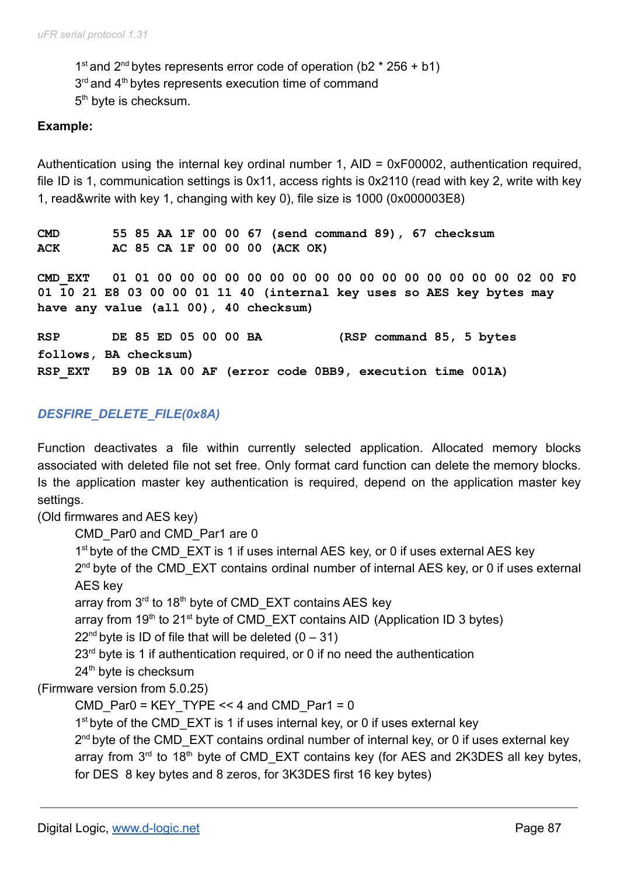1<sup>st</sup> and 2<sup>nd</sup> bytes represents error code of operation (b2  $*$  256 + b1)  $3<sup>rd</sup>$  and  $4<sup>th</sup>$  bytes represents execution time of command 5<sup>th</sup> byte is checksum.

### **Example:**

Authentication using the internal key ordinal number 1, AID = 0xF00002, authentication required, file ID is 1, communication settings is 0x11, access rights is 0x2110 (read with key 2, write with key 1, read&write with key 1, changing with key 0), file size is 1000 (0x000003E8)

**CMD 55 85 AA 1F 00 00 67 (send command 89), 67 checksum ACK AC 85 CA 1F 00 00 00 (ACK OK)**

**CMD\_EXT 01 01 00 00 00 00 00 00 00 00 00 00 00 00 00 00 00 00 02 00 F0 01 10 21 E8 03 00 00 01 11 40 (internal key uses so AES key bytes may have any value (all 00), 40 checksum)**

**RSP DE 85 ED 05 00 00 BA (RSP command 85, 5 bytes follows, BA checksum) RSP\_EXT B9 0B 1A 00 AF (error code 0BB9, execution time 001A)**

## *DESFIRE\_DELETE\_FILE(0x8A)*

Function deactivates a file within currently selected application. Allocated memory blocks associated with deleted file not set free. Only format card function can delete the memory blocks. Is the application master key authentication is required, depend on the application master key settings.

(Old firmwares and AES key)

CMD\_Par0 and CMD\_Par1 are 0

1<sup>st</sup> byte of the CMD\_EXT is 1 if uses internal AES key, or 0 if uses external AES key

2<sup>nd</sup> byte of the CMD\_EXT contains ordinal number of internal AES key, or 0 if uses external AES key

array from 3<sup>rd</sup> to 18<sup>th</sup> byte of CMD\_EXT contains AES key

array from 19<sup>th</sup> to 21<sup>st</sup> byte of CMD\_EXT contains AID (Application ID 3 bytes)

 $22<sup>nd</sup>$  byte is ID of file that will be deleted  $(0 - 31)$ 

 $23<sup>rd</sup>$  byte is 1 if authentication required, or 0 if no need the authentication

24<sup>th</sup> byte is checksum

(Firmware version from 5.0.25)

CMD Par0 = KEY TYPE << 4 and CMD Par1 = 0

1<sup>st</sup> byte of the CMD\_EXT is 1 if uses internal key, or 0 if uses external key

2<sup>nd</sup> byte of the CMD\_EXT contains ordinal number of internal key, or 0 if uses external key array from  $3<sup>rd</sup>$  to 18<sup>th</sup> byte of CMD\_EXT contains key (for AES and 2K3DES all key bytes, for DES 8 key bytes and 8 zeros, for 3K3DES first 16 key bytes)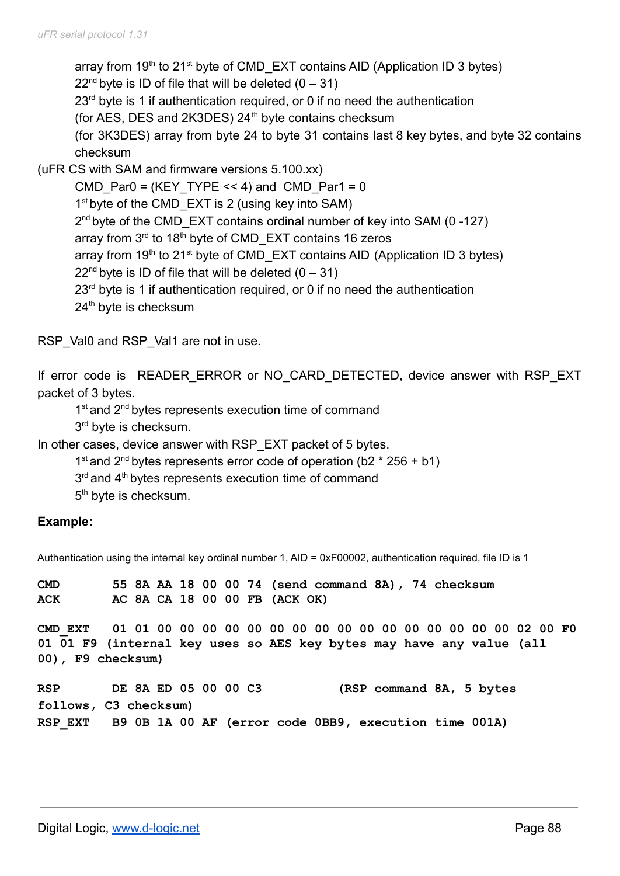array from  $19<sup>th</sup>$  to 21<sup>st</sup> byte of CMD\_EXT contains AID (Application ID 3 bytes)  $22<sup>nd</sup>$  byte is ID of file that will be deleted  $(0 - 31)$  $23<sup>rd</sup>$  byte is 1 if authentication required, or 0 if no need the authentication (for AES, DES and 2K3DES)  $24<sup>th</sup>$  byte contains checksum (for 3K3DES) array from byte 24 to byte 31 contains last 8 key bytes, and byte 32 contains checksum (uFR CS with SAM and firmware versions 5.100.xx) CMD Par0 = (KEY TYPE << 4) and CMD Par1 = 0 1<sup>st</sup> byte of the CMD\_EXT is 2 (using key into SAM) 2<sup>nd</sup> byte of the CMD\_EXT contains ordinal number of key into SAM (0-127) array from 3<sup>rd</sup> to 18<sup>th</sup> byte of CMD\_EXT contains 16 zeros

array from  $19<sup>th</sup>$  to 21<sup>st</sup> byte of CMD\_EXT contains AID (Application ID 3 bytes)

 $22<sup>nd</sup>$  byte is ID of file that will be deleted  $(0 - 31)$ 

 $23<sup>rd</sup>$  byte is 1 if authentication required, or 0 if no need the authentication

24<sup>th</sup> byte is checksum

RSP\_Val0 and RSP\_Val1 are not in use.

If error code is READER ERROR or NO CARD DETECTED, device answer with RSP EXT packet of 3 bytes.

1<sup>st</sup> and 2<sup>nd</sup> bytes represents execution time of command

3<sup>rd</sup> byte is checksum.

In other cases, device answer with RSP\_EXT packet of 5 bytes.

1<sup>st</sup> and 2<sup>nd</sup> bytes represents error code of operation (b2  $*$  256 + b1)

3<sup>rd</sup> and 4<sup>th</sup> bytes represents execution time of command

5<sup>th</sup> byte is checksum.

## **Example:**

Authentication using the internal key ordinal number 1, AID = 0xF00002, authentication required, file ID is 1

**CMD 55 8A AA 18 00 00 74 (send command 8A), 74 checksum ACK AC 8A CA 18 00 00 FB (ACK OK)**

**CMD\_EXT 01 01 00 00 00 00 00 00 00 00 00 00 00 00 00 00 00 00 02 00 F0 01 01 F9 (internal key uses so AES key bytes may have any value (all 00), F9 checksum)**

**RSP DE 8A ED 05 00 00 C3 (RSP command 8A, 5 bytes follows, C3 checksum) RSP\_EXT B9 0B 1A 00 AF (error code 0BB9, execution time 001A)**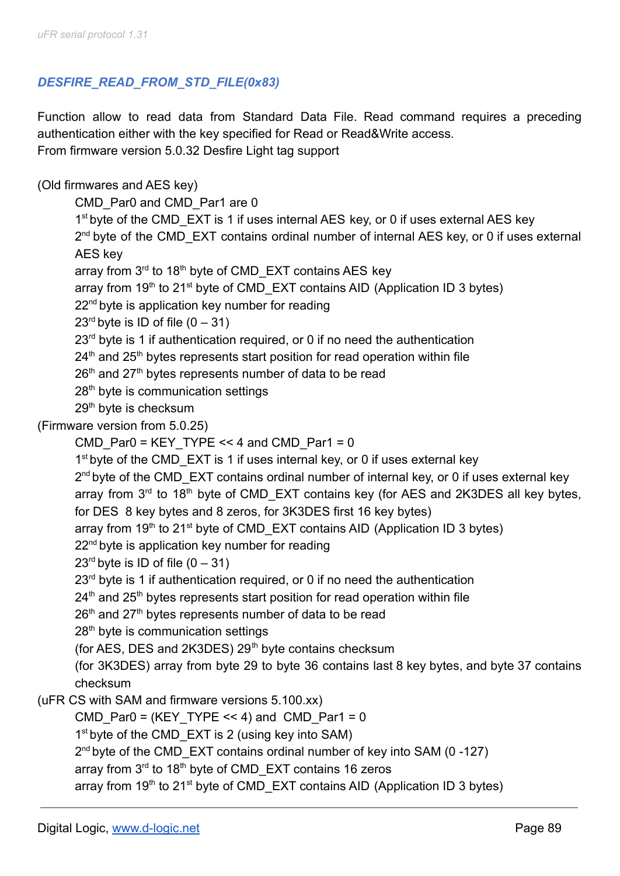# *DESFIRE\_READ\_FROM\_STD\_FILE(0x83)*

Function allow to read data from Standard Data File. Read command requires a preceding authentication either with the key specified for Read or Read&Write access. From firmware version 5.0.32 Desfire Light tag support

# (Old firmwares and AES key)

CMD\_Par0 and CMD\_Par1 are 0

1<sup>st</sup> byte of the CMD\_EXT is 1 if uses internal AES key, or 0 if uses external AES key 2<sup>nd</sup> byte of the CMD\_EXT contains ordinal number of internal AES key, or 0 if uses external AES key

array from 3<sup>rd</sup> to 18<sup>th</sup> byte of CMD\_EXT contains AES key

array from  $19<sup>th</sup>$  to 21<sup>st</sup> byte of CMD\_EXT contains AID (Application ID 3 bytes)

22<sup>nd</sup> byte is application key number for reading

 $23<sup>rd</sup>$  byte is ID of file  $(0 - 31)$ 

 $23<sup>rd</sup>$  byte is 1 if authentication required, or 0 if no need the authentication

 $24<sup>th</sup>$  and  $25<sup>th</sup>$  bytes represents start position for read operation within file

 $26<sup>th</sup>$  and  $27<sup>th</sup>$  bytes represents number of data to be read

28<sup>th</sup> byte is communication settings

29<sup>th</sup> byte is checksum

(Firmware version from 5.0.25)

```
CMD Par0 = KEY TYPE << 4 and CMD Par1 = 0
```
1<sup>st</sup> byte of the CMD\_EXT is 1 if uses internal key, or 0 if uses external key

2<sup>nd</sup> byte of the CMD\_EXT contains ordinal number of internal key, or 0 if uses external key

array from  $3<sup>rd</sup>$  to 18<sup>th</sup> byte of CMD\_EXT contains key (for AES and 2K3DES all key bytes,

for DES 8 key bytes and 8 zeros, for 3K3DES first 16 key bytes)

array from 19<sup>th</sup> to 21<sup>st</sup> byte of CMD\_EXT contains AID (Application ID 3 bytes)

22<sup>nd</sup> byte is application key number for reading

 $23<sup>rd</sup>$  byte is ID of file  $(0 - 31)$ 

 $23<sup>rd</sup>$  byte is 1 if authentication required, or 0 if no need the authentication

 $24<sup>th</sup>$  and  $25<sup>th</sup>$  bytes represents start position for read operation within file

 $26<sup>th</sup>$  and  $27<sup>th</sup>$  bytes represents number of data to be read

28<sup>th</sup> byte is communication settings

(for AES, DES and 2K3DES)  $29<sup>th</sup>$  byte contains checksum

(for 3K3DES) array from byte 29 to byte 36 contains last 8 key bytes, and byte 37 contains checksum

```
(uFR CS with SAM and firmware versions 5.100.xx)
```
CMD Par0 = (KEY TYPE << 4) and CMD Par1 = 0

1<sup>st</sup> byte of the CMD\_EXT is 2 (using key into SAM)

2<sup>nd</sup> byte of the CMD\_EXT contains ordinal number of key into SAM (0-127)

array from 3<sup>rd</sup> to 18<sup>th</sup> byte of CMD\_EXT contains 16 zeros

array from  $19<sup>th</sup>$  to 21<sup>st</sup> byte of CMD\_EXT contains AID (Application ID 3 bytes)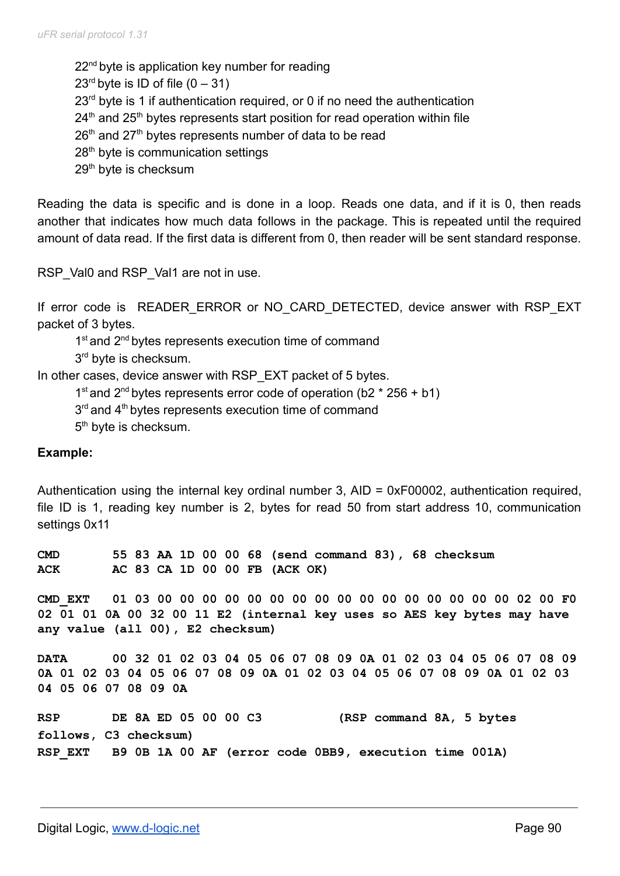22<sup>nd</sup> byte is application key number for reading  $23<sup>rd</sup>$  byte is ID of file  $(0 - 31)$  $23<sup>rd</sup>$  byte is 1 if authentication required, or 0 if no need the authentication  $24<sup>th</sup>$  and  $25<sup>th</sup>$  bytes represents start position for read operation within file  $26<sup>th</sup>$  and  $27<sup>th</sup>$  bytes represents number of data to be read 28<sup>th</sup> byte is communication settings 29<sup>th</sup> byte is checksum

Reading the data is specific and is done in a loop. Reads one data, and if it is 0, then reads another that indicates how much data follows in the package. This is repeated until the required amount of data read. If the first data is different from 0, then reader will be sent standard response.

RSP\_Val0 and RSP\_Val1 are not in use.

If error code is READER ERROR or NO CARD DETECTED, device answer with RSP EXT packet of 3 bytes.

1<sup>st</sup> and 2<sup>nd</sup> bytes represents execution time of command

3<sup>rd</sup> byte is checksum.

In other cases, device answer with RSP\_EXT packet of 5 bytes.

- 1<sup>st</sup> and 2<sup>nd</sup> bytes represents error code of operation (b2  $*$  256 + b1)
- 3<sup>rd</sup> and 4<sup>th</sup> bytes represents execution time of command

5<sup>th</sup> byte is checksum.

#### **Example:**

Authentication using the internal key ordinal number 3, AID = 0xF00002, authentication required, file ID is 1, reading key number is 2, bytes for read 50 from start address 10, communication settings 0x11

**CMD 55 83 AA 1D 00 00 68 (send command 83), 68 checksum ACK AC 83 CA 1D 00 00 FB (ACK OK)**

**CMD\_EXT 01 03 00 00 00 00 00 00 00 00 00 00 00 00 00 00 00 00 02 00 F0 02 01 01 0A 00 32 00 11 E2 (internal key uses so AES key bytes may have any value (all 00), E2 checksum)**

**DATA 00 32 01 02 03 04 05 06 07 08 09 0A 01 02 03 04 05 06 07 08 09 0A 01 02 03 04 05 06 07 08 09 0A 01 02 03 04 05 06 07 08 09 0A 01 02 03 04 05 06 07 08 09 0A**

```
RSP DE 8A ED 05 00 00 C3 (RSP command 8A, 5 bytes
follows, C3 checksum)
RSP_EXT B9 0B 1A 00 AF (error code 0BB9, execution time 001A)
```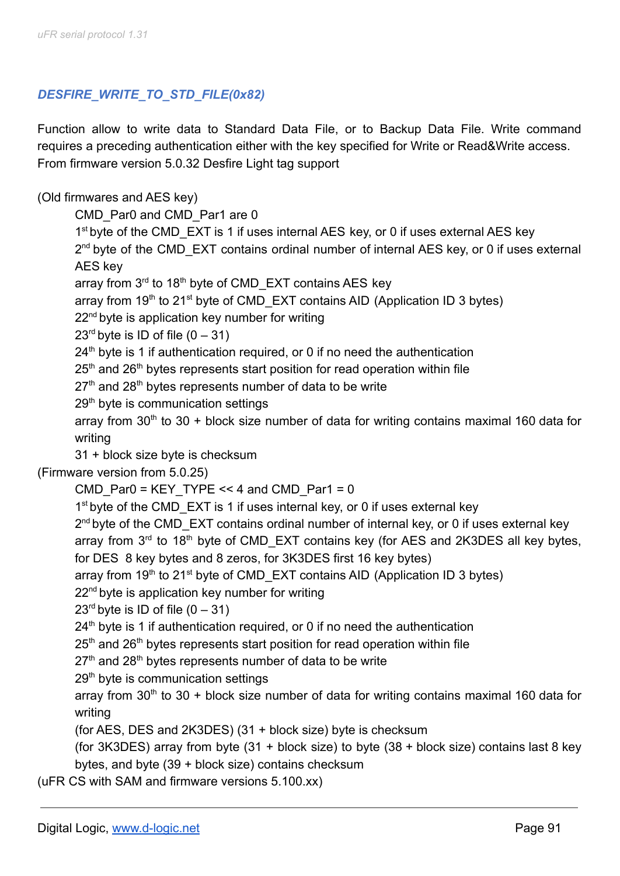# *DESFIRE\_WRITE\_TO\_STD\_FILE(0x82)*

Function allow to write data to Standard Data File, or to Backup Data File. Write command requires a preceding authentication either with the key specified for Write or Read&Write access. From firmware version 5.0.32 Desfire Light tag support

### (Old firmwares and AES key)

CMD\_Par0 and CMD\_Par1 are 0

1<sup>st</sup> byte of the CMD\_EXT is 1 if uses internal AES key, or 0 if uses external AES key

2<sup>nd</sup> byte of the CMD\_EXT contains ordinal number of internal AES key, or 0 if uses external AES key

array from 3<sup>rd</sup> to 18<sup>th</sup> byte of CMD\_EXT contains AES key

array from  $19<sup>th</sup>$  to 21<sup>st</sup> byte of CMD\_EXT contains AID (Application ID 3 bytes)

22<sup>nd</sup> byte is application key number for writing

 $23<sup>rd</sup>$  byte is ID of file  $(0 - 31)$ 

 $24<sup>th</sup>$  byte is 1 if authentication required, or 0 if no need the authentication

 $25<sup>th</sup>$  and  $26<sup>th</sup>$  bytes represents start position for read operation within file

 $27<sup>th</sup>$  and  $28<sup>th</sup>$  bytes represents number of data to be write

29<sup>th</sup> byte is communication settings

array from  $30<sup>th</sup>$  to  $30 +$  block size number of data for writing contains maximal 160 data for writing

31 + block size byte is checksum

(Firmware version from 5.0.25)

CMD Par0 = KEY TYPE << 4 and CMD Par1 = 0

1<sup>st</sup> byte of the CMD\_EXT is 1 if uses internal key, or 0 if uses external key

2<sup>nd</sup> byte of the CMD\_EXT contains ordinal number of internal key, or 0 if uses external key

array from  $3<sup>rd</sup>$  to 18<sup>th</sup> byte of CMD\_EXT contains key (for AES and 2K3DES all key bytes,

for DES 8 key bytes and 8 zeros, for 3K3DES first 16 key bytes)

array from 19<sup>th</sup> to 21<sup>st</sup> byte of CMD\_EXT contains AID (Application ID 3 bytes)

22<sup>nd</sup> byte is application key number for writing

 $23<sup>rd</sup>$  byte is ID of file  $(0 - 31)$ 

 $24<sup>th</sup>$  byte is 1 if authentication required, or 0 if no need the authentication

 $25<sup>th</sup>$  and  $26<sup>th</sup>$  bytes represents start position for read operation within file

 $27<sup>th</sup>$  and  $28<sup>th</sup>$  bytes represents number of data to be write

29<sup>th</sup> byte is communication settings

array from 30<sup>th</sup> to 30 + block size number of data for writing contains maximal 160 data for writing

(for AES, DES and 2K3DES) (31 + block size) byte is checksum

(for 3K3DES) array from byte (31 + block size) to byte (38 + block size) contains last 8 key bytes, and byte (39 + block size) contains checksum

(uFR CS with SAM and firmware versions 5.100.xx)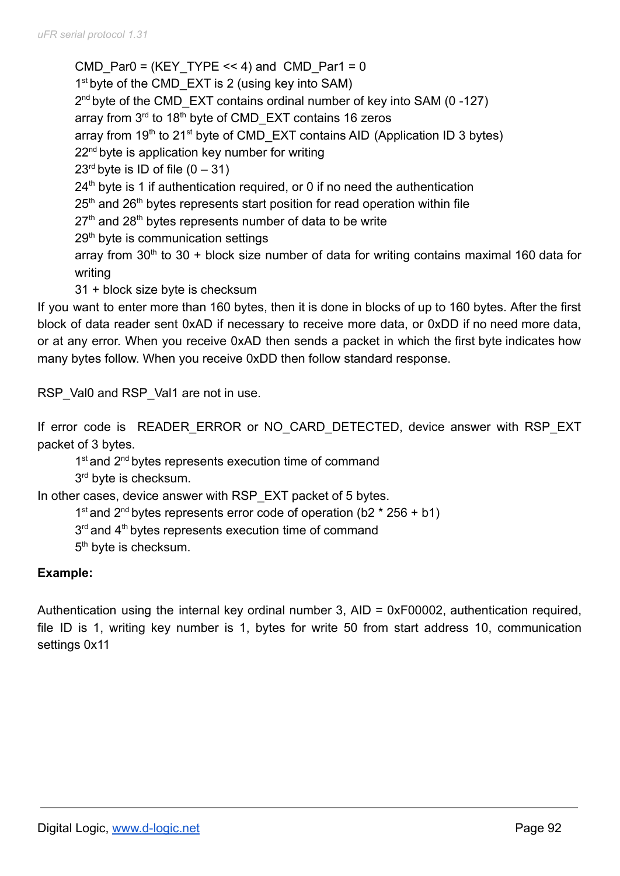CMD Par0 = (KEY TYPE  $<< 4$ ) and CMD Par1 = 0 1<sup>st</sup> byte of the CMD\_EXT is 2 (using key into SAM) 2<sup>nd</sup> byte of the CMD\_EXT contains ordinal number of key into SAM (0-127) array from 3<sup>rd</sup> to 18<sup>th</sup> byte of CMD\_EXT contains 16 zeros array from  $19<sup>th</sup>$  to 21<sup>st</sup> byte of CMD\_EXT contains AID (Application ID 3 bytes)  $22<sup>nd</sup>$  byte is application key number for writing  $23<sup>rd</sup>$  byte is ID of file  $(0 - 31)$  $24<sup>th</sup>$  byte is 1 if authentication required, or 0 if no need the authentication  $25<sup>th</sup>$  and  $26<sup>th</sup>$  bytes represents start position for read operation within file  $27<sup>th</sup>$  and  $28<sup>th</sup>$  bytes represents number of data to be write 29<sup>th</sup> byte is communication settings array from  $30<sup>th</sup>$  to  $30 +$  block size number of data for writing contains maximal 160 data for writing 31 + block size byte is checksum

If you want to enter more than 160 bytes, then it is done in blocks of up to 160 bytes. After the first block of data reader sent 0xAD if necessary to receive more data, or 0xDD if no need more data, or at any error. When you receive 0xAD then sends a packet in which the first byte indicates how many bytes follow. When you receive 0xDD then follow standard response.

RSP\_Val0 and RSP\_Val1 are not in use.

If error code is READER ERROR or NO CARD DETECTED, device answer with RSP EXT packet of 3 bytes.

1<sup>st</sup> and 2<sup>nd</sup> bytes represents execution time of command

3<sup>rd</sup> byte is checksum.

In other cases, device answer with RSP\_EXT packet of 5 bytes.

1<sup>st</sup> and 2<sup>nd</sup> bytes represents error code of operation (b2  $*$  256 + b1)

3<sup>rd</sup> and 4<sup>th</sup> bytes represents execution time of command

5<sup>th</sup> byte is checksum.

## **Example:**

Authentication using the internal key ordinal number 3, AID = 0xF00002, authentication required, file ID is 1, writing key number is 1, bytes for write 50 from start address 10, communication settings 0x11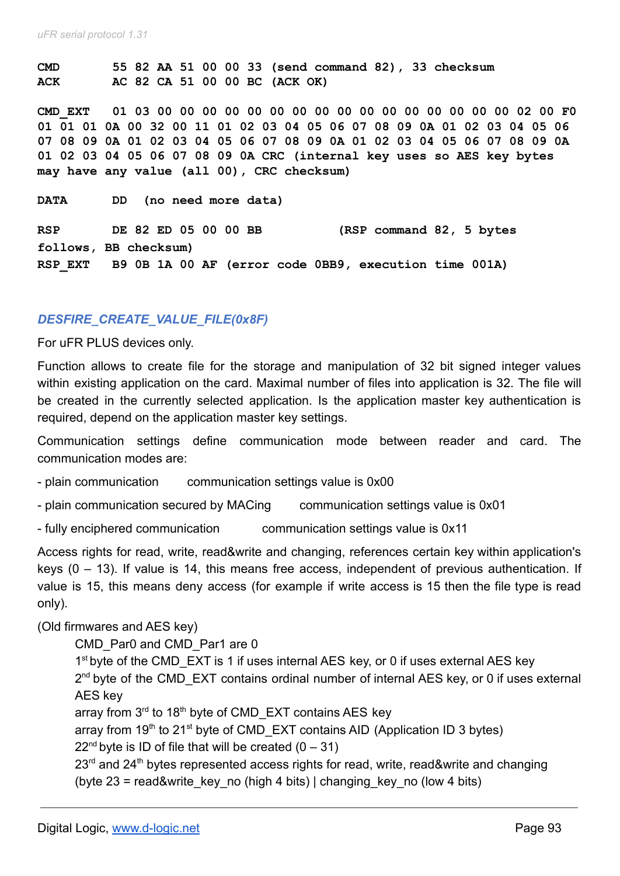**CMD 55 82 AA 51 00 00 33 (send command 82), 33 checksum ACK AC 82 CA 51 00 00 BC (ACK OK)**

**CMD\_EXT 01 03 00 00 00 00 00 00 00 00 00 00 00 00 00 00 00 00 02 00 F0 01 01 01 0A 00 32 00 11 01 02 03 04 05 06 07 08 09 0A 01 02 03 04 05 06 07 08 09 0A 01 02 03 04 05 06 07 08 09 0A 01 02 03 04 05 06 07 08 09 0A 01 02 03 04 05 06 07 08 09 0A CRC (internal key uses so AES key bytes may have any value (all 00), CRC checksum)**

**DATA DD (no need more data)**

**RSP DE 82 ED 05 00 00 BB (RSP command 82, 5 bytes follows, BB checksum) RSP\_EXT B9 0B 1A 00 AF (error code 0BB9, execution time 001A)**

#### *DESFIRE\_CREATE\_VALUE\_FILE(0x8F)*

For uFR PLUS devices only.

Function allows to create file for the storage and manipulation of 32 bit signed integer values within existing application on the card. Maximal number of files into application is 32. The file will be created in the currently selected application. Is the application master key authentication is required, depend on the application master key settings.

Communication settings define communication mode between reader and card. The communication modes are:

- plain communication communication settings value is 0x00
- plain communication secured by MACing communication settings value is 0x01
- fully enciphered communication communication settings value is 0x11

Access rights for read, write, read&write and changing, references certain key within application's keys (0 – 13). If value is 14, this means free access, independent of previous authentication. If value is 15, this means deny access (for example if write access is 15 then the file type is read only).

#### (Old firmwares and AES key)

CMD\_Par0 and CMD\_Par1 are 0

1<sup>st</sup> byte of the CMD\_EXT is 1 if uses internal AES key, or 0 if uses external AES key 2<sup>nd</sup> byte of the CMD\_EXT contains ordinal number of internal AES key, or 0 if uses external AES key

array from 3<sup>rd</sup> to 18<sup>th</sup> byte of CMD\_EXT contains AES key

array from 19<sup>th</sup> to 21<sup>st</sup> byte of CMD\_EXT contains AID (Application ID 3 bytes)

 $22<sup>nd</sup>$  byte is ID of file that will be created  $(0 - 31)$ 

 $23<sup>rd</sup>$  and  $24<sup>th</sup>$  bytes represented access rights for read, write, read&write and changing (byte  $23$  = read&write key no (high 4 bits) | changing key no (low 4 bits)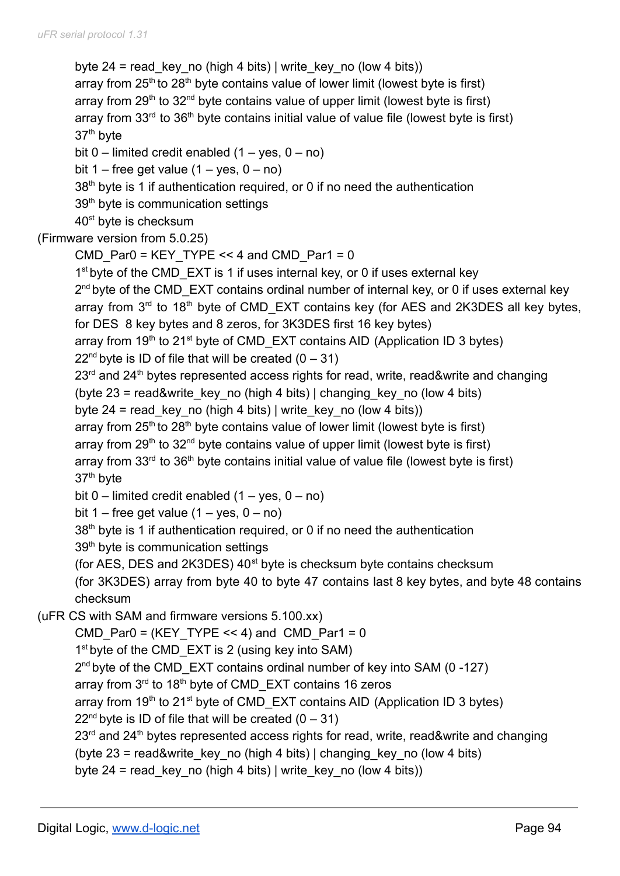byte 24 = read key no (high 4 bits) | write key no (low 4 bits)) array from  $25<sup>th</sup>$  to  $28<sup>th</sup>$  byte contains value of lower limit (lowest byte is first) array from 29<sup>th</sup> to 32<sup>nd</sup> byte contains value of upper limit (lowest byte is first) array from  $33<sup>rd</sup>$  to  $36<sup>th</sup>$  byte contains initial value of value file (lowest byte is first) 37th byte bit  $0$  – limited credit enabled  $(1 - \text{yes}, 0 - \text{no})$ bit 1 – free get value  $(1 - \text{yes}, 0 - \text{no})$  $38<sup>th</sup>$  byte is 1 if authentication required, or 0 if no need the authentication 39<sup>th</sup> byte is communication settings 40<sup>st</sup> byte is checksum (Firmware version from 5.0.25) CMD Par0 = KEY TYPE << 4 and CMD Par1 = 0 1<sup>st</sup> byte of the CMD\_EXT is 1 if uses internal key, or 0 if uses external key 2<sup>nd</sup> byte of the CMD\_EXT contains ordinal number of internal key, or 0 if uses external key array from  $3<sup>rd</sup>$  to 18<sup>th</sup> byte of CMD\_EXT contains key (for AES and 2K3DES all key bytes, for DES 8 key bytes and 8 zeros, for 3K3DES first 16 key bytes) array from  $19<sup>th</sup>$  to 21<sup>st</sup> byte of CMD\_EXT contains AID (Application ID 3 bytes)  $22<sup>nd</sup>$  byte is ID of file that will be created  $(0 - 31)$ 23<sup>rd</sup> and 24<sup>th</sup> bytes represented access rights for read, write, read&write and changing (byte  $23$  = read&write key no (high 4 bits) | changing key no (low 4 bits) byte 24 = read key no (high 4 bits) | write key no (low 4 bits)) array from  $25<sup>th</sup>$  to  $28<sup>th</sup>$  byte contains value of lower limit (lowest byte is first) array from  $29<sup>th</sup>$  to  $32<sup>nd</sup>$  byte contains value of upper limit (lowest byte is first) array from  $33<sup>rd</sup>$  to  $36<sup>th</sup>$  byte contains initial value of value file (lowest byte is first) 37th byte bit  $0$  – limited credit enabled  $(1 - yes, 0 - no)$ bit 1 – free get value  $(1 - \text{yes}, 0 - \text{no})$ 38<sup>th</sup> byte is 1 if authentication required, or 0 if no need the authentication 39<sup>th</sup> byte is communication settings (for AES, DES and  $2K3DES$ )  $40<sup>st</sup>$  byte is checksum byte contains checksum (for 3K3DES) array from byte 40 to byte 47 contains last 8 key bytes, and byte 48 contains checksum (uFR CS with SAM and firmware versions 5.100.xx) CMD Par0 = (KEY TYPE  $<< 4$ ) and CMD Par1 = 0 1<sup>st</sup> byte of the CMD\_EXT is 2 (using key into SAM) 2<sup>nd</sup> byte of the CMD\_EXT contains ordinal number of key into SAM (0-127) array from 3<sup>rd</sup> to 18<sup>th</sup> byte of CMD\_EXT contains 16 zeros array from 19<sup>th</sup> to 21<sup>st</sup> byte of CMD\_EXT contains AID (Application ID 3 bytes)  $22<sup>nd</sup>$  byte is ID of file that will be created  $(0 - 31)$ 23<sup>rd</sup> and 24<sup>th</sup> bytes represented access rights for read, write, read&write and changing (byte  $23$  = read&write key no (high 4 bits) | changing key no (low 4 bits) byte 24 = read\_key\_no (high 4 bits) | write\_key\_no (low 4 bits))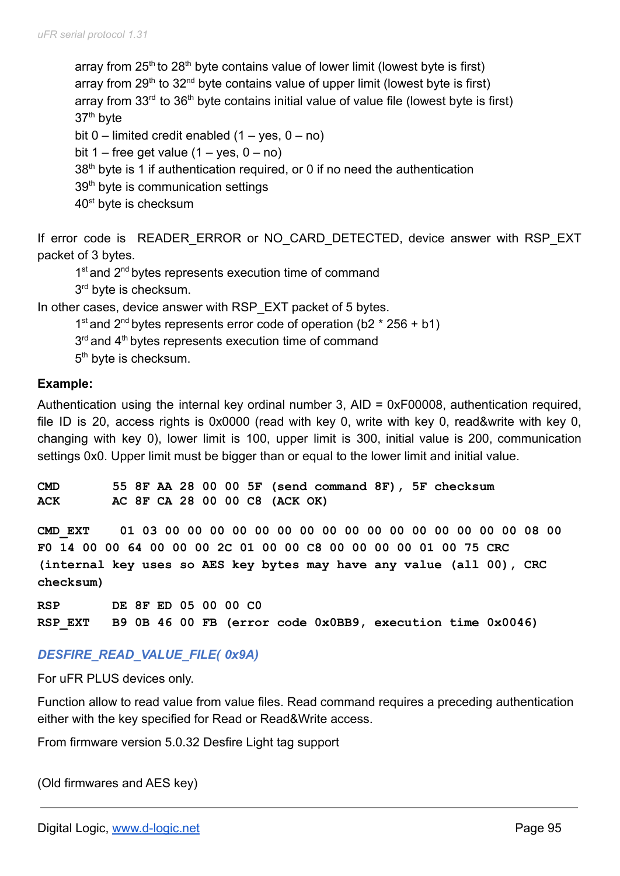array from  $25<sup>th</sup>$  to  $28<sup>th</sup>$  byte contains value of lower limit (lowest byte is first) array from 29<sup>th</sup> to 32<sup>nd</sup> byte contains value of upper limit (lowest byte is first) array from  $33<sup>rd</sup>$  to  $36<sup>th</sup>$  byte contains initial value of value file (lowest byte is first) 37th byte bit  $0$  – limited credit enabled  $(1 - \text{yes}, 0 - \text{no})$ bit 1 – free get value  $(1 - \text{yes}, 0 - \text{no})$ 38<sup>th</sup> byte is 1 if authentication required, or 0 if no need the authentication 39<sup>th</sup> byte is communication settings 40<sup>st</sup> byte is checksum

If error code is READER ERROR or NO CARD DETECTED, device answer with RSP EXT packet of 3 bytes.

1<sup>st</sup> and 2<sup>nd</sup> bytes represents execution time of command 3<sup>rd</sup> byte is checksum.

In other cases, device answer with RSP\_EXT packet of 5 bytes.

1<sup>st</sup> and 2<sup>nd</sup> bytes represents error code of operation (b2  $*$  256 + b1)  $3<sup>rd</sup>$  and  $4<sup>th</sup>$  bytes represents execution time of command

5<sup>th</sup> byte is checksum.

#### **Example:**

Authentication using the internal key ordinal number 3, AID = 0xF00008, authentication required, file ID is 20, access rights is 0x0000 (read with key 0, write with key 0, read&write with key 0, changing with key 0), lower limit is 100, upper limit is 300, initial value is 200, communication settings 0x0. Upper limit must be bigger than or equal to the lower limit and initial value.

**CMD 55 8F AA 28 00 00 5F (send command 8F), 5F checksum ACK AC 8F CA 28 00 00 C8 (ACK OK)**

**CMD\_EXT 01 03 00 00 00 00 00 00 00 00 00 00 00 00 00 00 00 00 08 00 F0 14 00 00 64 00 00 00 2C 01 00 00 C8 00 00 00 00 01 00 75 CRC (internal key uses so AES key bytes may have any value (all 00), CRC checksum)**

**RSP DE 8F ED 05 00 00 C0 RSP\_EXT B9 0B 46 00 FB (error code 0x0BB9, execution time 0x0046)**

## *DESFIRE\_READ\_VALUE\_FILE( 0x9A)*

For uFR PLUS devices only.

Function allow to read value from value files. Read command requires a preceding authentication either with the key specified for Read or Read&Write access.

From firmware version 5.0.32 Desfire Light tag support

(Old firmwares and AES key)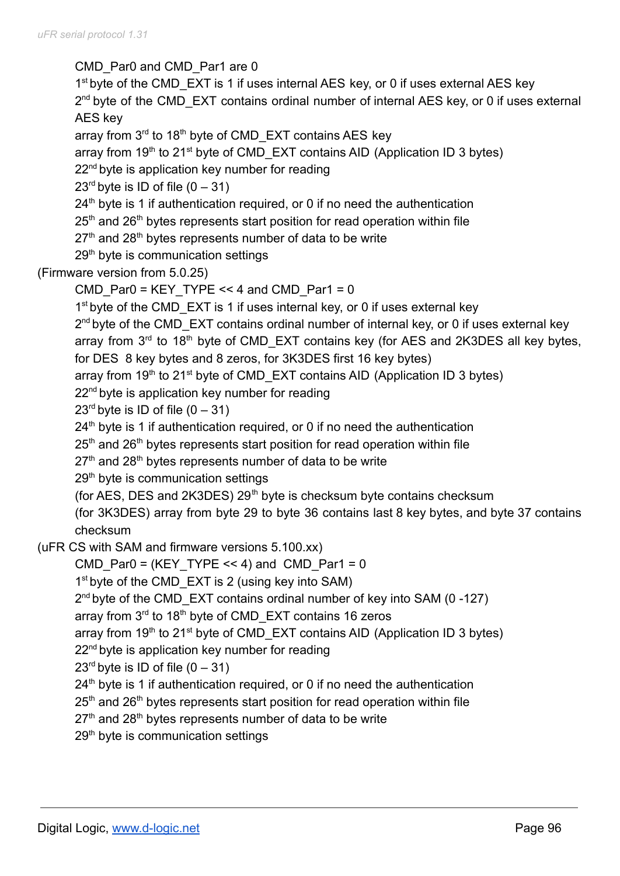CMD\_Par0 and CMD\_Par1 are 0 1<sup>st</sup> byte of the CMD\_EXT is 1 if uses internal AES key, or 0 if uses external AES key 2<sup>nd</sup> byte of the CMD\_EXT contains ordinal number of internal AES key, or 0 if uses external AES key array from 3<sup>rd</sup> to 18<sup>th</sup> byte of CMD\_EXT contains AES key array from  $19<sup>th</sup>$  to 21<sup>st</sup> byte of CMD\_EXT contains AID (Application ID 3 bytes) 22<sup>nd</sup> byte is application key number for reading  $23<sup>rd</sup>$  byte is ID of file  $(0 - 31)$  $24<sup>th</sup>$  byte is 1 if authentication required, or 0 if no need the authentication  $25<sup>th</sup>$  and  $26<sup>th</sup>$  bytes represents start position for read operation within file  $27<sup>th</sup>$  and  $28<sup>th</sup>$  bytes represents number of data to be write 29<sup>th</sup> byte is communication settings (Firmware version from 5.0.25) CMD Par0 = KEY TYPE  $<< 4$  and CMD Par1 = 0 1<sup>st</sup> byte of the CMD\_EXT is 1 if uses internal key, or 0 if uses external key 2<sup>nd</sup> byte of the CMD\_EXT contains ordinal number of internal key, or 0 if uses external key array from  $3<sup>rd</sup>$  to 18<sup>th</sup> byte of CMD\_EXT contains key (for AES and 2K3DES all key bytes, for DES 8 key bytes and 8 zeros, for 3K3DES first 16 key bytes) array from 19<sup>th</sup> to 21<sup>st</sup> byte of CMD\_EXT contains AID (Application ID 3 bytes) 22<sup>nd</sup> byte is application key number for reading  $23<sup>rd</sup>$  byte is ID of file  $(0 - 31)$  $24<sup>th</sup>$  byte is 1 if authentication required, or 0 if no need the authentication  $25<sup>th</sup>$  and  $26<sup>th</sup>$  bytes represents start position for read operation within file  $27<sup>th</sup>$  and  $28<sup>th</sup>$  bytes represents number of data to be write 29<sup>th</sup> byte is communication settings (for AES, DES and 2K3DES)  $29<sup>th</sup>$  byte is checksum byte contains checksum (for 3K3DES) array from byte 29 to byte 36 contains last 8 key bytes, and byte 37 contains checksum (uFR CS with SAM and firmware versions 5.100.xx) CMD Par0 = (KEY TYPE << 4) and CMD Par1 = 0 1<sup>st</sup> byte of the CMD\_EXT is 2 (using key into SAM) 2<sup>nd</sup> byte of the CMD\_EXT contains ordinal number of key into SAM (0-127) array from 3<sup>rd</sup> to 18<sup>th</sup> byte of CMD\_EXT contains 16 zeros array from 19<sup>th</sup> to 21<sup>st</sup> byte of CMD\_EXT contains AID (Application ID 3 bytes) 22<sup>nd</sup> byte is application key number for reading  $23<sup>rd</sup>$  byte is ID of file  $(0 - 31)$  $24<sup>th</sup>$  byte is 1 if authentication required, or 0 if no need the authentication  $25<sup>th</sup>$  and  $26<sup>th</sup>$  bytes represents start position for read operation within file  $27<sup>th</sup>$  and  $28<sup>th</sup>$  bytes represents number of data to be write 29<sup>th</sup> byte is communication settings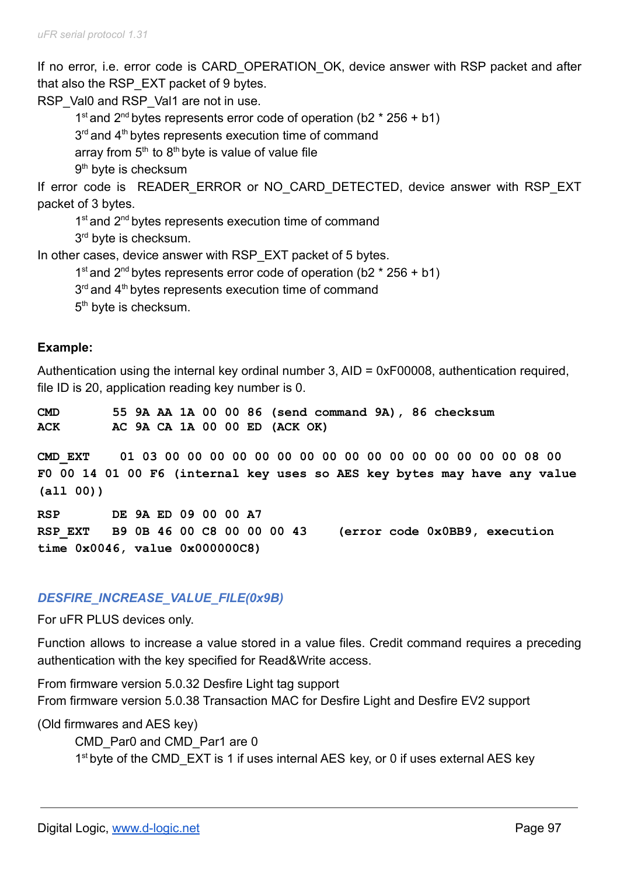If no error, i.e. error code is CARD OPERATION OK, device answer with RSP packet and after that also the RSP\_EXT packet of 9 bytes.

RSP\_Val0 and RSP\_Val1 are not in use.

1<sup>st</sup> and 2<sup>nd</sup> bytes represents error code of operation (b2  $*$  256 + b1)

 $3<sup>rd</sup>$  and  $4<sup>th</sup>$  bytes represents execution time of command

array from  $5<sup>th</sup>$  to  $8<sup>th</sup>$  byte is value of value file

9<sup>th</sup> byte is checksum

If error code is READER ERROR or NO CARD DETECTED, device answer with RSP EXT packet of 3 bytes.

1<sup>st</sup> and 2<sup>nd</sup> bytes represents execution time of command

3<sup>rd</sup> byte is checksum.

In other cases, device answer with RSP\_EXT packet of 5 bytes.

1<sup>st</sup> and 2<sup>nd</sup> bytes represents error code of operation (b2  $*$  256 + b1)

 $3<sup>rd</sup>$  and  $4<sup>th</sup>$  bytes represents execution time of command

5<sup>th</sup> byte is checksum.

### **Example:**

Authentication using the internal key ordinal number 3, AID = 0xF00008, authentication required, file ID is 20, application reading key number is 0.

**CMD 55 9A AA 1A 00 00 86 (send command 9A), 86 checksum ACK AC 9A CA 1A 00 00 ED (ACK OK)**

**CMD\_EXT 01 03 00 00 00 00 00 00 00 00 00 00 00 00 00 00 00 00 08 00 F0 00 14 01 00 F6 (internal key uses so AES key bytes may have any value (all 00))**

**RSP DE 9A ED 09 00 00 A7 RSP\_EXT B9 0B 46 00 C8 00 00 00 43 (error code 0x0BB9, execution time 0x0046, value 0x000000C8)**

## *DESFIRE\_INCREASE\_VALUE\_FILE(0x9B)*

For uFR PLUS devices only.

Function allows to increase a value stored in a value files. Credit command requires a preceding authentication with the key specified for Read&Write access.

From firmware version 5.0.32 Desfire Light tag support From firmware version 5.0.38 Transaction MAC for Desfire Light and Desfire EV2 support

(Old firmwares and AES key)

CMD Par0 and CMD Par1 are 0 1<sup>st</sup> byte of the CMD\_EXT is 1 if uses internal AES key, or 0 if uses external AES key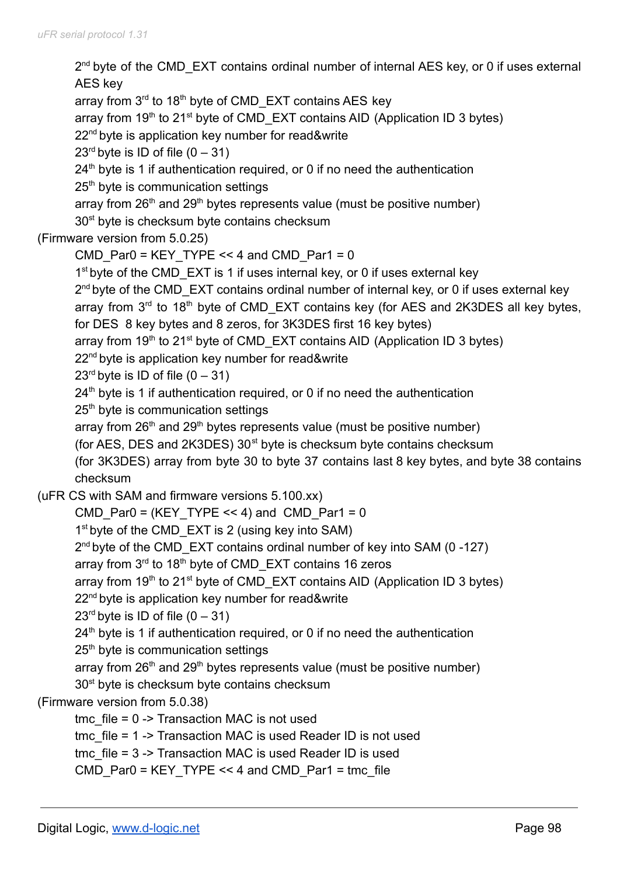2<sup>nd</sup> byte of the CMD\_EXT contains ordinal number of internal AES key, or 0 if uses external AES key array from 3<sup>rd</sup> to 18<sup>th</sup> byte of CMD\_EXT contains AES key array from  $19<sup>th</sup>$  to 21<sup>st</sup> byte of CMD\_EXT contains AID (Application ID 3 bytes) 22<sup>nd</sup> byte is application key number for read&write  $23<sup>rd</sup>$  byte is ID of file  $(0 - 31)$  $24<sup>th</sup>$  byte is 1 if authentication required, or 0 if no need the authentication 25<sup>th</sup> byte is communication settings array from  $26<sup>th</sup>$  and  $29<sup>th</sup>$  bytes represents value (must be positive number) 30<sup>st</sup> byte is checksum byte contains checksum (Firmware version from 5.0.25) CMD Par0 = KEY TYPE << 4 and CMD Par1 = 0 1<sup>st</sup> byte of the CMD\_EXT is 1 if uses internal key, or 0 if uses external key 2<sup>nd</sup> byte of the CMD\_EXT contains ordinal number of internal key, or 0 if uses external key array from  $3<sup>rd</sup>$  to 18<sup>th</sup> byte of CMD\_EXT contains key (for AES and 2K3DES all key bytes, for DES 8 key bytes and 8 zeros, for 3K3DES first 16 key bytes) array from  $19<sup>th</sup>$  to 21<sup>st</sup> byte of CMD\_EXT contains AID (Application ID 3 bytes) 22<sup>nd</sup> byte is application key number for read&write  $23<sup>rd</sup>$  byte is ID of file  $(0 - 31)$  $24<sup>th</sup>$  byte is 1 if authentication required, or 0 if no need the authentication 25<sup>th</sup> byte is communication settings array from  $26<sup>th</sup>$  and  $29<sup>th</sup>$  bytes represents value (must be positive number) (for AES, DES and 2K3DES)  $30<sup>st</sup>$  byte is checksum byte contains checksum (for 3K3DES) array from byte 30 to byte 37 contains last 8 key bytes, and byte 38 contains checksum (uFR CS with SAM and firmware versions 5.100.xx) CMD Par0 = (KEY TYPE << 4) and CMD Par1 = 0 1<sup>st</sup> byte of the CMD\_EXT is 2 (using key into SAM) 2<sup>nd</sup> byte of the CMD\_EXT contains ordinal number of key into SAM (0-127) array from 3<sup>rd</sup> to 18<sup>th</sup> byte of CMD\_EXT contains 16 zeros array from 19<sup>th</sup> to 21<sup>st</sup> byte of CMD\_EXT contains AID (Application ID 3 bytes) 22<sup>nd</sup> byte is application key number for read&write  $23<sup>rd</sup>$  byte is ID of file  $(0 - 31)$  $24<sup>th</sup>$  byte is 1 if authentication required, or 0 if no need the authentication 25<sup>th</sup> byte is communication settings array from  $26<sup>th</sup>$  and  $29<sup>th</sup>$  bytes represents value (must be positive number) 30<sup>st</sup> byte is checksum byte contains checksum (Firmware version from 5.0.38) tmc  $file = 0$  -> Transaction MAC is not used tmc file = 1 -> Transaction MAC is used Reader ID is not used tmc file = 3 -> Transaction MAC is used Reader ID is used CMD Par0 = KEY TYPE << 4 and CMD Par1 = tmc file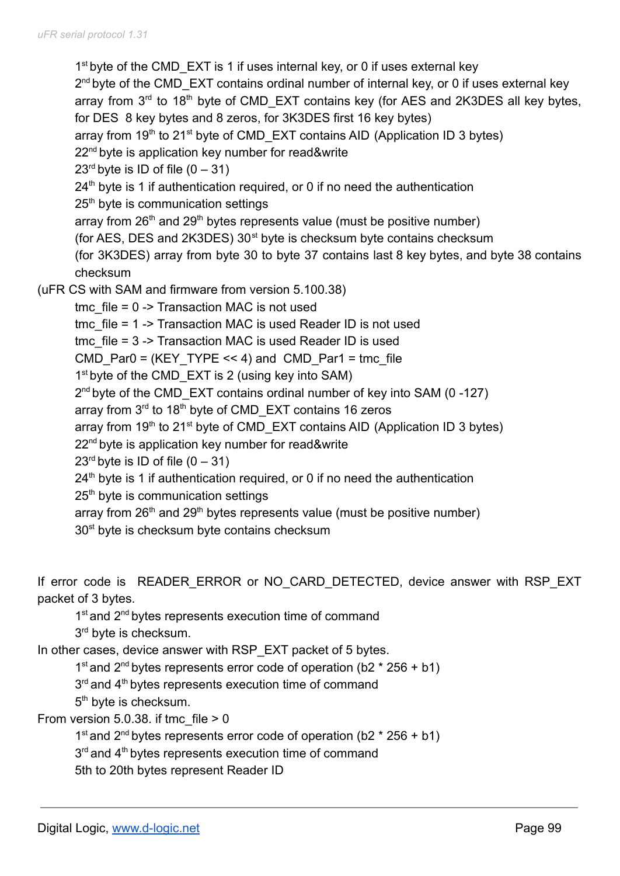1<sup>st</sup> byte of the CMD\_EXT is 1 if uses internal key, or 0 if uses external key 2<sup>nd</sup> byte of the CMD\_EXT contains ordinal number of internal key, or 0 if uses external key array from  $3<sup>rd</sup>$  to 18<sup>th</sup> byte of CMD\_EXT contains key (for AES and 2K3DES all key bytes, for DES 8 key bytes and 8 zeros, for 3K3DES first 16 key bytes) array from  $19<sup>th</sup>$  to 21<sup>st</sup> byte of CMD\_EXT contains AID (Application ID 3 bytes) 22<sup>nd</sup> byte is application key number for read&write  $23<sup>rd</sup>$  byte is ID of file  $(0 - 31)$  $24<sup>th</sup>$  byte is 1 if authentication required, or 0 if no need the authentication 25<sup>th</sup> byte is communication settings array from  $26<sup>th</sup>$  and  $29<sup>th</sup>$  bytes represents value (must be positive number) (for AES, DES and 2K3DES)  $30<sup>st</sup>$  byte is checksum byte contains checksum (for 3K3DES) array from byte 30 to byte 37 contains last 8 key bytes, and byte 38 contains checksum (uFR CS with SAM and firmware from version 5.100.38) tmc  $file = 0$  -> Transaction MAC is not used tmc file = 1 -> Transaction MAC is used Reader ID is not used tmc file = 3 -> Transaction MAC is used Reader ID is used CMD Par0 = (KEY TYPE  $<< 4$ ) and CMD Par1 = tmc file 1<sup>st</sup> byte of the CMD\_EXT is 2 (using key into SAM) 2<sup>nd</sup> byte of the CMD\_EXT contains ordinal number of key into SAM (0-127) array from 3<sup>rd</sup> to 18<sup>th</sup> byte of CMD\_EXT contains 16 zeros array from 19<sup>th</sup> to 21<sup>st</sup> byte of CMD\_EXT contains AID (Application ID 3 bytes) 22<sup>nd</sup> byte is application key number for read&write  $23<sup>rd</sup>$  byte is ID of file  $(0 - 31)$  $24<sup>th</sup>$  byte is 1 if authentication required, or 0 if no need the authentication 25<sup>th</sup> byte is communication settings array from  $26<sup>th</sup>$  and  $29<sup>th</sup>$  bytes represents value (must be positive number) 30<sup>st</sup> byte is checksum byte contains checksum

If error code is READER ERROR or NO CARD DETECTED, device answer with RSP EXT packet of 3 bytes.

1<sup>st</sup> and 2<sup>nd</sup> bytes represents execution time of command

3<sup>rd</sup> byte is checksum.

In other cases, device answer with RSP\_EXT packet of 5 bytes.

1<sup>st</sup> and 2<sup>nd</sup> bytes represents error code of operation (b2  $*$  256 + b1)

3<sup>rd</sup> and 4<sup>th</sup> bytes represents execution time of command

5<sup>th</sup> byte is checksum.

From version  $5.0.38$ . if tmc file  $> 0$ 

1<sup>st</sup> and 2<sup>nd</sup> bytes represents error code of operation (b2  $*$  256 + b1)

3<sup>rd</sup> and 4<sup>th</sup> bytes represents execution time of command

5th to 20th bytes represent Reader ID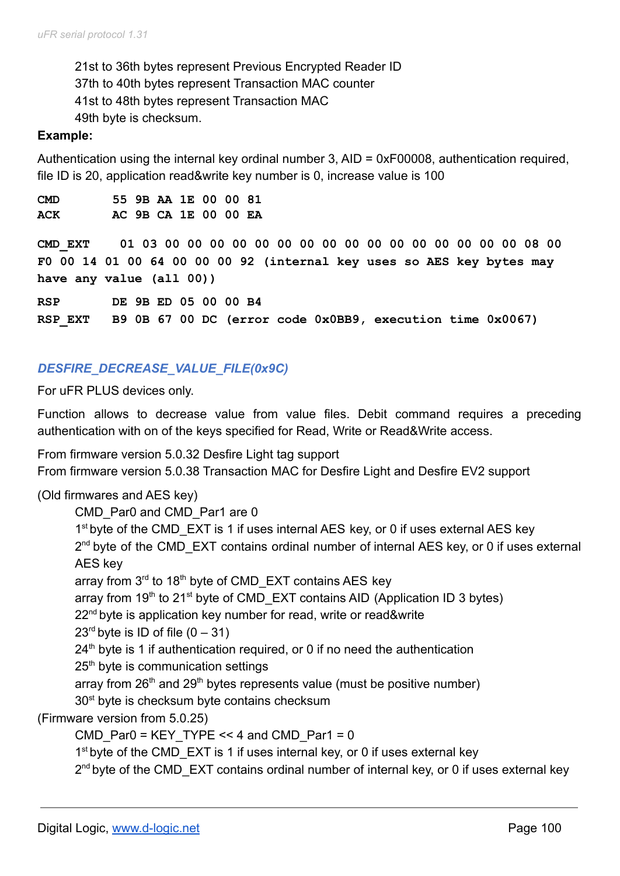21st to 36th bytes represent Previous Encrypted Reader ID 37th to 40th bytes represent Transaction MAC counter 41st to 48th bytes represent Transaction MAC 49th byte is checksum.

#### **Example:**

Authentication using the internal key ordinal number 3, AID = 0xF00008, authentication required, file ID is 20, application read&write key number is 0, increase value is 100

| <b>CMD</b> |  | 55 9B AA 1E 00 00 81 |  |  |
|------------|--|----------------------|--|--|
| ACK        |  | AC 9B CA 1E 00 00 EA |  |  |

**CMD\_EXT 01 03 00 00 00 00 00 00 00 00 00 00 00 00 00 00 00 00 08 00 F0 00 14 01 00 64 00 00 00 92 (internal key uses so AES key bytes may have any value (all 00))**

**RSP DE 9B ED 05 00 00 B4 RSP\_EXT B9 0B 67 00 DC (error code 0x0BB9, execution time 0x0067)**

## *DESFIRE\_DECREASE\_VALUE\_FILE(0x9C)*

For uFR PLUS devices only.

Function allows to decrease value from value files. Debit command requires a preceding authentication with on of the keys specified for Read, Write or Read&Write access.

From firmware version 5.0.32 Desfire Light tag support From firmware version 5.0.38 Transaction MAC for Desfire Light and Desfire EV2 support

### (Old firmwares and AES key)

CMD\_Par0 and CMD\_Par1 are 0

1<sup>st</sup> byte of the CMD\_EXT is 1 if uses internal AES key, or 0 if uses external AES key 2<sup>nd</sup> byte of the CMD\_EXT contains ordinal number of internal AES key, or 0 if uses external AES key

array from 3<sup>rd</sup> to 18<sup>th</sup> byte of CMD\_EXT contains AES key

array from 19<sup>th</sup> to 21<sup>st</sup> byte of CMD\_EXT contains AID (Application ID 3 bytes)

22<sup>nd</sup> byte is application key number for read, write or read&write

 $23<sup>rd</sup>$  byte is ID of file  $(0 - 31)$ 

 $24<sup>th</sup>$  byte is 1 if authentication required, or 0 if no need the authentication

25<sup>th</sup> byte is communication settings

array from  $26<sup>th</sup>$  and  $29<sup>th</sup>$  bytes represents value (must be positive number)

30<sup>st</sup> byte is checksum byte contains checksum

(Firmware version from 5.0.25)

CMD Par0 = KEY TYPE << 4 and CMD Par1 = 0

1<sup>st</sup> byte of the CMD\_EXT is 1 if uses internal key, or 0 if uses external key

2<sup>nd</sup> byte of the CMD\_EXT contains ordinal number of internal key, or 0 if uses external key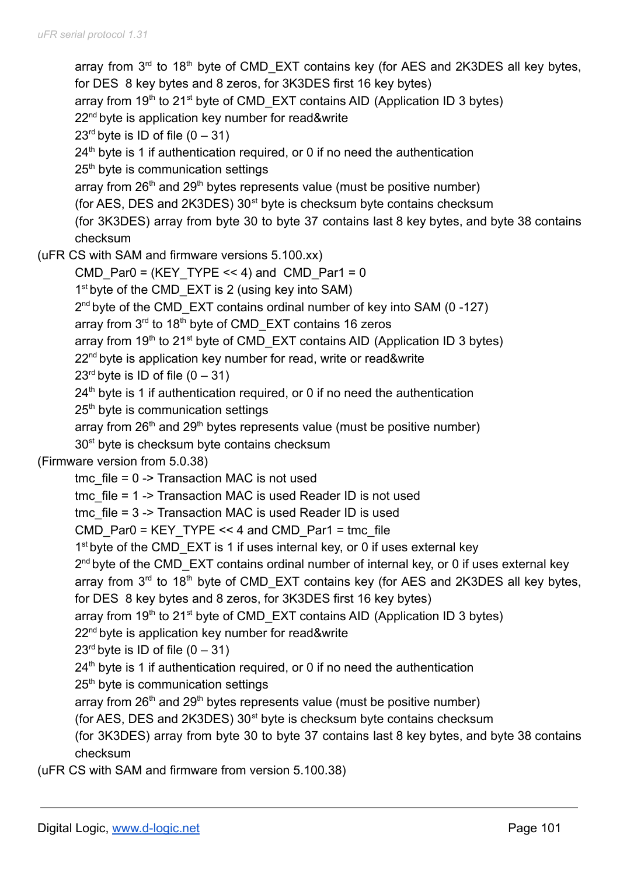array from  $3<sup>rd</sup>$  to 18<sup>th</sup> byte of CMD\_EXT contains key (for AES and 2K3DES all key bytes, for DES 8 key bytes and 8 zeros, for 3K3DES first 16 key bytes) array from  $19<sup>th</sup>$  to 21<sup>st</sup> byte of CMD\_EXT contains AID (Application ID 3 bytes) 22<sup>nd</sup> byte is application key number for read&write  $23<sup>rd</sup>$  byte is ID of file  $(0 - 31)$  $24<sup>th</sup>$  byte is 1 if authentication required, or 0 if no need the authentication 25<sup>th</sup> byte is communication settings array from  $26<sup>th</sup>$  and  $29<sup>th</sup>$  bytes represents value (must be positive number) (for AES, DES and 2K3DES)  $30<sup>st</sup>$  byte is checksum byte contains checksum (for 3K3DES) array from byte 30 to byte 37 contains last 8 key bytes, and byte 38 contains checksum (uFR CS with SAM and firmware versions 5.100.xx) CMD Par0 = (KEY TYPE << 4) and CMD Par1 = 0 1<sup>st</sup> byte of the CMD\_EXT is 2 (using key into SAM) 2<sup>nd</sup> byte of the CMD\_EXT contains ordinal number of key into SAM (0-127) array from 3<sup>rd</sup> to 18<sup>th</sup> byte of CMD\_EXT contains 16 zeros array from  $19<sup>th</sup>$  to 21<sup>st</sup> byte of CMD\_EXT contains AID (Application ID 3 bytes) 22<sup>nd</sup> byte is application key number for read, write or read&write  $23<sup>rd</sup>$  byte is ID of file  $(0 - 31)$  $24<sup>th</sup>$  byte is 1 if authentication required, or 0 if no need the authentication 25<sup>th</sup> byte is communication settings array from  $26<sup>th</sup>$  and  $29<sup>th</sup>$  bytes represents value (must be positive number) 30<sup>st</sup> byte is checksum byte contains checksum (Firmware version from 5.0.38) tmc  $file = 0$  -> Transaction MAC is not used tmc file = 1 -> Transaction MAC is used Reader ID is not used tmc\_file = 3 -> Transaction MAC is used Reader ID is used CMD Par0 = KEY TYPE << 4 and CMD Par1 = tmc file 1<sup>st</sup> byte of the CMD\_EXT is 1 if uses internal key, or 0 if uses external key 2<sup>nd</sup> byte of the CMD\_EXT contains ordinal number of internal key, or 0 if uses external key array from  $3<sup>rd</sup>$  to 18<sup>th</sup> byte of CMD\_EXT contains key (for AES and 2K3DES all key bytes, for DES 8 key bytes and 8 zeros, for 3K3DES first 16 key bytes) array from 19<sup>th</sup> to 21<sup>st</sup> byte of CMD\_EXT contains AID (Application ID 3 bytes) 22<sup>nd</sup> byte is application key number for read&write  $23<sup>rd</sup>$  byte is ID of file  $(0 - 31)$  $24<sup>th</sup>$  byte is 1 if authentication required, or 0 if no need the authentication 25<sup>th</sup> byte is communication settings array from  $26<sup>th</sup>$  and  $29<sup>th</sup>$  bytes represents value (must be positive number) (for AES, DES and  $2K3DES$ )  $30<sup>st</sup>$  byte is checksum byte contains checksum (for 3K3DES) array from byte 30 to byte 37 contains last 8 key bytes, and byte 38 contains checksum

(uFR CS with SAM and firmware from version 5.100.38)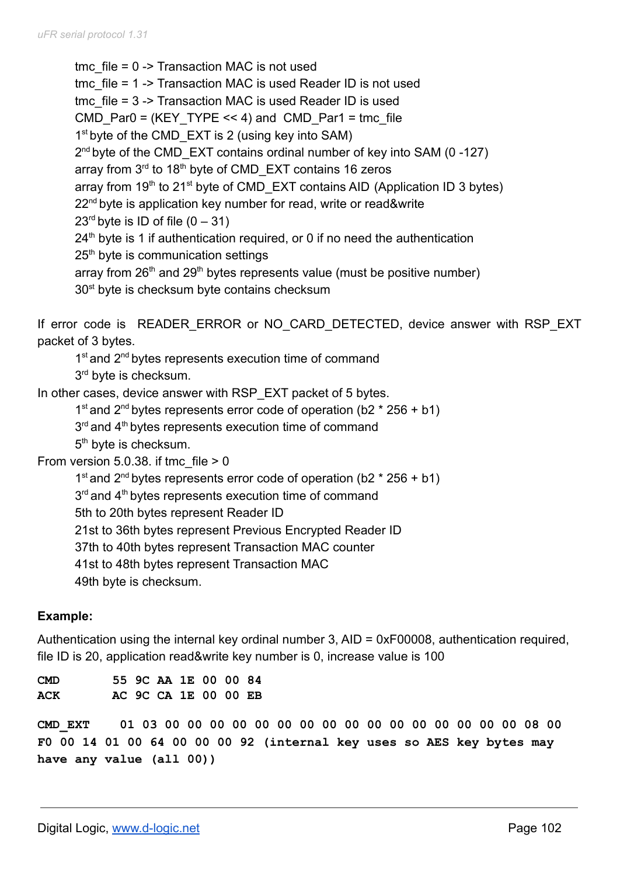tmc  $file = 0$  -> Transaction MAC is not used tmc\_file = 1 -> Transaction MAC is used Reader ID is not used tmc\_file = 3 -> Transaction MAC is used Reader ID is used CMD Par0 = (KEY TYPE  $<< 4$ ) and CMD Par1 = tmc file 1<sup>st</sup> byte of the CMD\_EXT is 2 (using key into SAM) 2<sup>nd</sup> byte of the CMD\_EXT contains ordinal number of key into SAM (0-127) array from 3<sup>rd</sup> to 18<sup>th</sup> byte of CMD\_EXT contains 16 zeros array from  $19<sup>th</sup>$  to 21<sup>st</sup> byte of CMD\_EXT contains AID (Application ID 3 bytes) 22<sup>nd</sup> byte is application key number for read, write or read&write  $23<sup>rd</sup>$  byte is ID of file  $(0 - 31)$  $24<sup>th</sup>$  byte is 1 if authentication required, or 0 if no need the authentication 25<sup>th</sup> byte is communication settings array from  $26<sup>th</sup>$  and  $29<sup>th</sup>$  bytes represents value (must be positive number) 30<sup>st</sup> byte is checksum byte contains checksum

If error code is READER ERROR or NO CARD DETECTED, device answer with RSP EXT packet of 3 bytes.

1<sup>st</sup> and 2<sup>nd</sup> bytes represents execution time of command 3<sup>rd</sup> byte is checksum.

In other cases, device answer with RSP EXT packet of 5 bytes.

```
1<sup>st</sup> and 2<sup>nd</sup> bytes represents error code of operation (b2 * 256 + b1)
```
3<sup>rd</sup> and 4<sup>th</sup> bytes represents execution time of command

5<sup>th</sup> byte is checksum.

From version  $5.0.38$ . if tmc file  $> 0$ 

1<sup>st</sup> and 2<sup>nd</sup> bytes represents error code of operation (b2  $*$  256 + b1)

3<sup>rd</sup> and 4<sup>th</sup> bytes represents execution time of command

5th to 20th bytes represent Reader ID

21st to 36th bytes represent Previous Encrypted Reader ID

37th to 40th bytes represent Transaction MAC counter

41st to 48th bytes represent Transaction MAC

49th byte is checksum.

# **Example:**

Authentication using the internal key ordinal number 3, AID = 0xF00008, authentication required, file ID is 20, application read&write key number is 0, increase value is 100

**CMD 55 9C AA 1E 00 00 84 ACK AC 9C CA 1E 00 00 EB**

**CMD\_EXT 01 03 00 00 00 00 00 00 00 00 00 00 00 00 00 00 00 00 08 00 F0 00 14 01 00 64 00 00 00 92 (internal key uses so AES key bytes may have any value (all 00))**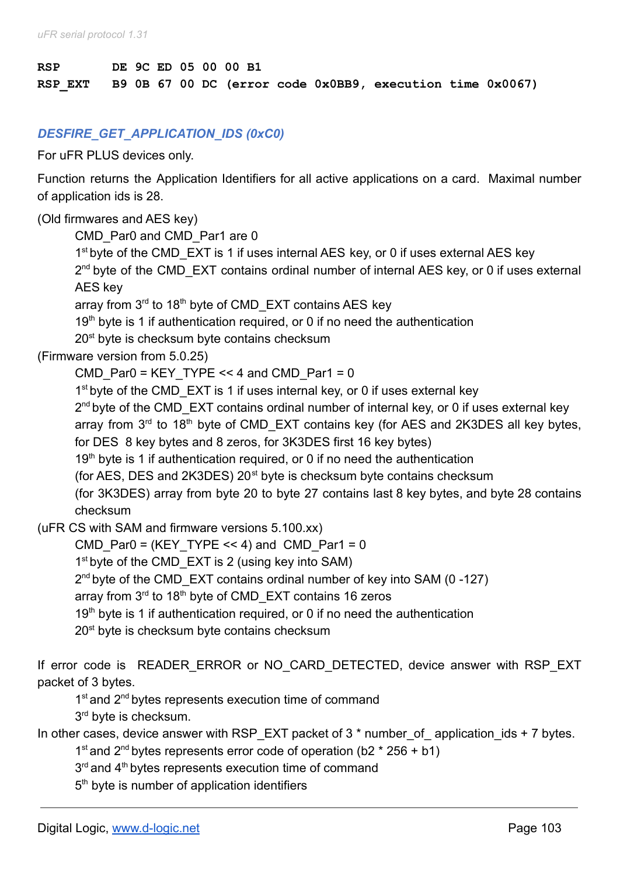# **RSP DE 9C ED 05 00 00 B1 RSP\_EXT B9 0B 67 00 DC (error code 0x0BB9, execution time 0x0067)**

## *DESFIRE\_GET\_APPLICATION\_IDS (0xC0)*

For uFR PLUS devices only.

Function returns the Application Identifiers for all active applications on a card. Maximal number of application ids is 28.

### (Old firmwares and AES key)

CMD\_Par0 and CMD\_Par1 are 0

1<sup>st</sup> byte of the CMD\_EXT is 1 if uses internal AES key, or 0 if uses external AES key 2<sup>nd</sup> byte of the CMD\_EXT contains ordinal number of internal AES key, or 0 if uses external AES key

array from 3<sup>rd</sup> to 18<sup>th</sup> byte of CMD\_EXT contains AES key

 $19<sup>th</sup>$  byte is 1 if authentication required, or 0 if no need the authentication

20<sup>st</sup> byte is checksum byte contains checksum

(Firmware version from 5.0.25)

CMD Par0 = KEY TYPE << 4 and CMD Par1 = 0

1<sup>st</sup> byte of the CMD\_EXT is 1 if uses internal key, or 0 if uses external key

2<sup>nd</sup> byte of the CMD\_EXT contains ordinal number of internal key, or 0 if uses external key

array from  $3<sup>rd</sup>$  to 18<sup>th</sup> byte of CMD\_EXT contains key (for AES and 2K3DES all key bytes, for DES 8 key bytes and 8 zeros, for 3K3DES first 16 key bytes)

 $19<sup>th</sup>$  byte is 1 if authentication required, or 0 if no need the authentication

(for AES, DES and 2K3DES)  $20<sup>st</sup>$  byte is checksum byte contains checksum

(for 3K3DES) array from byte 20 to byte 27 contains last 8 key bytes, and byte 28 contains checksum

(uFR CS with SAM and firmware versions 5.100.xx)

CMD Par0 = (KEY TYPE  $<< 4$ ) and CMD Par1 = 0

1<sup>st</sup> byte of the CMD\_EXT is 2 (using key into SAM)

2<sup>nd</sup> byte of the CMD\_EXT contains ordinal number of key into SAM (0-127)

array from 3<sup>rd</sup> to 18<sup>th</sup> byte of CMD\_EXT contains 16 zeros

 $19<sup>th</sup>$  byte is 1 if authentication required, or 0 if no need the authentication

20<sup>st</sup> byte is checksum byte contains checksum

If error code is READER ERROR or NO CARD DETECTED, device answer with RSP EXT packet of 3 bytes.

1<sup>st</sup> and 2<sup>nd</sup> bytes represents execution time of command

3<sup>rd</sup> byte is checksum.

In other cases, device answer with RSP\_EXT packet of 3  $*$  number of application ids + 7 bytes.

1<sup>st</sup> and 2<sup>nd</sup> bytes represents error code of operation (b2  $*$  256 + b1)

3<sup>rd</sup> and 4<sup>th</sup> bytes represents execution time of command

5<sup>th</sup> byte is number of application identifiers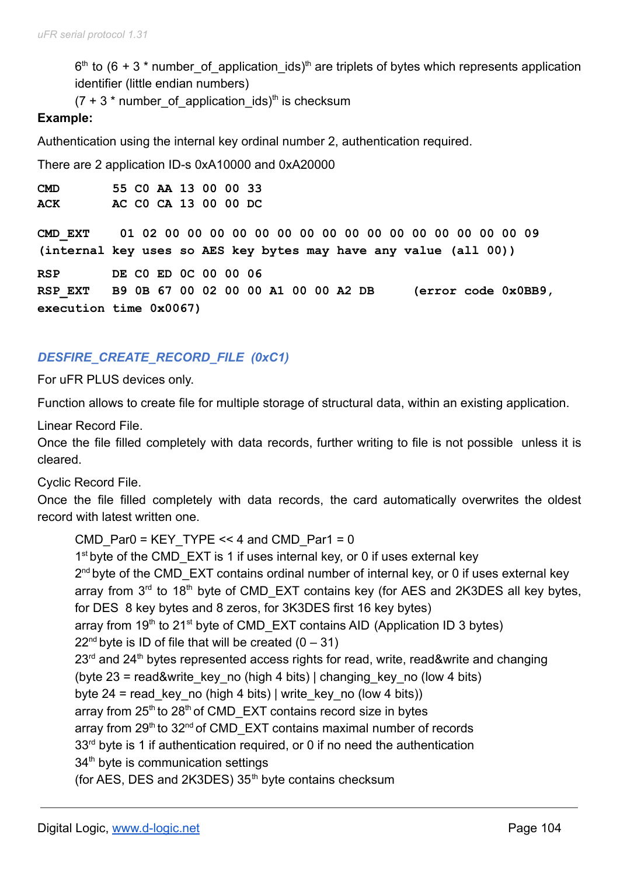$6<sup>th</sup>$  to (6 + 3  $*$  number\_of\_application\_ids)<sup>th</sup> are triplets of bytes which represents application identifier (little endian numbers)

 $(7 + 3 * number_of\_application\_ids)^{th}$  is checksum

### **Example:**

Authentication using the internal key ordinal number 2, authentication required.

There are 2 application ID-s 0xA10000 and 0xA20000

**CMD 55 C0 AA 13 00 00 33 ACK AC C0 CA 13 00 00 DC**

**CMD\_EXT 01 02 00 00 00 00 00 00 00 00 00 00 00 00 00 00 00 00 09 (internal key uses so AES key bytes may have any value (all 00))**

**RSP DE C0 ED 0C 00 00 06 RSP\_EXT B9 0B 67 00 02 00 00 A1 00 00 A2 DB (error code 0x0BB9, execution time 0x0067)**

## *DESFIRE\_CREATE\_RECORD\_FILE (0xC1)*

For uFR PLUS devices only.

Function allows to create file for multiple storage of structural data, within an existing application.

Linear Record File.

Once the file filled completely with data records, further writing to file is not possible unless it is cleared.

Cyclic Record File.

Once the file filled completely with data records, the card automatically overwrites the oldest record with latest written one.

```
CMD Par0 = KEY TYPE << 4 and CMD Par1 = 0
1<sup>st</sup> byte of the CMD_EXT is 1 if uses internal key, or 0 if uses external key
2<sup>nd</sup> byte of the CMD_EXT contains ordinal number of internal key, or 0 if uses external key
array from 3<sup>rd</sup> to 18<sup>th</sup> byte of CMD_EXT contains key (for AES and 2K3DES all key bytes,
for DES 8 key bytes and 8 zeros, for 3K3DES first 16 key bytes)
array from 19<sup>th</sup> to 21<sup>st</sup> byte of CMD_EXT contains AID (Application ID 3 bytes)
22<sup>nd</sup> byte is ID of file that will be created (0 - 31)23<sup>rd</sup> and 24<sup>th</sup> bytes represented access rights for read, write, read&write and changing
(byte 23 = read&write key no (high 4 bits) | changing key no (low 4 bits)
byte 24 = read key no (high 4 bits) | write key no (low 4 bits))
array from 25<sup>th</sup> to 28<sup>th</sup> of CMD_EXT contains record size in bytes
array from 29<sup>th</sup> to 32<sup>nd</sup> of CMD_EXT contains maximal number of records
33<sup>rd</sup> byte is 1 if authentication required, or 0 if no need the authentication
34<sup>th</sup> byte is communication settings
(for AES, DES and 2K3DES) 35<sup>th</sup> byte contains checksum
```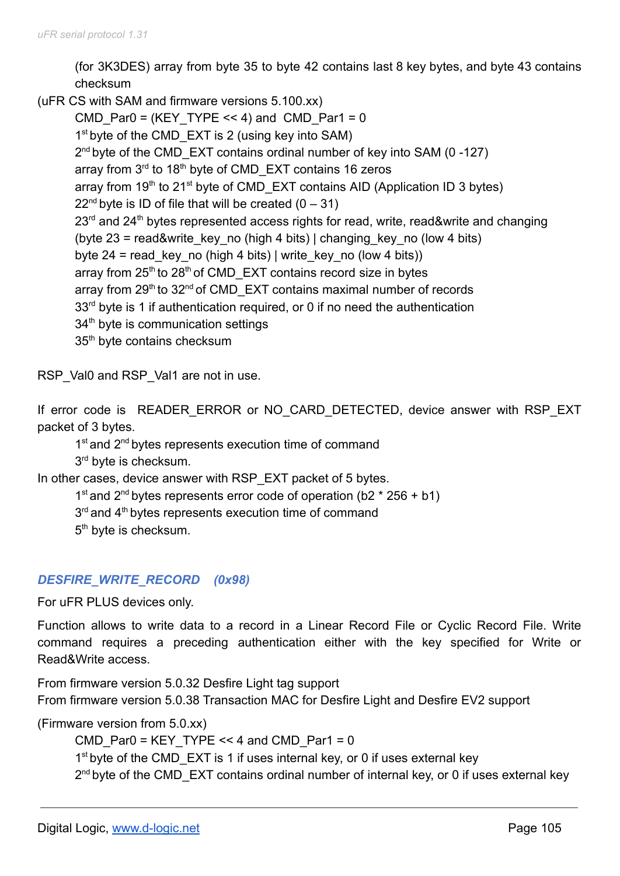(for 3K3DES) array from byte 35 to byte 42 contains last 8 key bytes, and byte 43 contains checksum

(uFR CS with SAM and firmware versions 5.100.xx)

CMD Par0 = (KEY TYPE  $<< 4$ ) and CMD Par1 = 0 1<sup>st</sup> byte of the CMD\_EXT is 2 (using key into SAM) 2<sup>nd</sup> byte of the CMD\_EXT contains ordinal number of key into SAM (0-127) array from 3<sup>rd</sup> to 18<sup>th</sup> byte of CMD\_EXT contains 16 zeros array from  $19<sup>th</sup>$  to 21<sup>st</sup> byte of CMD\_EXT contains AID (Application ID 3 bytes)  $22<sup>nd</sup>$  byte is ID of file that will be created  $(0 - 31)$  $23<sup>rd</sup>$  and  $24<sup>th</sup>$  bytes represented access rights for read, write, read&write and changing (byte  $23$  = read&write key no (high 4 bits) | changing key no (low 4 bits) byte 24 = read key no (high 4 bits) | write key no (low 4 bits)) array from  $25<sup>th</sup>$  to  $28<sup>th</sup>$  of CMD\_EXT contains record size in bytes array from 29<sup>th</sup> to 32<sup>nd</sup> of CMD\_EXT contains maximal number of records  $33<sup>rd</sup>$  byte is 1 if authentication required, or 0 if no need the authentication 34<sup>th</sup> byte is communication settings 35<sup>th</sup> byte contains checksum

RSP\_Val0 and RSP\_Val1 are not in use.

If error code is READER ERROR or NO CARD DETECTED, device answer with RSP EXT packet of 3 bytes.

1<sup>st</sup> and 2<sup>nd</sup> bytes represents execution time of command

3<sup>rd</sup> byte is checksum.

In other cases, device answer with RSP\_EXT packet of 5 bytes.

1<sup>st</sup> and 2<sup>nd</sup> bytes represents error code of operation (b2  $*$  256 + b1)

3<sup>rd</sup> and 4<sup>th</sup> bytes represents execution time of command

5<sup>th</sup> byte is checksum.

## *DESFIRE\_WRITE\_RECORD (0x98)*

For uFR PLUS devices only.

Function allows to write data to a record in a Linear Record File or Cyclic Record File. Write command requires a preceding authentication either with the key specified for Write or Read&Write access.

From firmware version 5.0.32 Desfire Light tag support From firmware version 5.0.38 Transaction MAC for Desfire Light and Desfire EV2 support

(Firmware version from 5.0.xx)

CMD Par0 = KEY TYPE << 4 and CMD Par1 = 0 1<sup>st</sup> byte of the CMD\_EXT is 1 if uses internal key, or 0 if uses external key 2<sup>nd</sup> byte of the CMD\_EXT contains ordinal number of internal key, or 0 if uses external key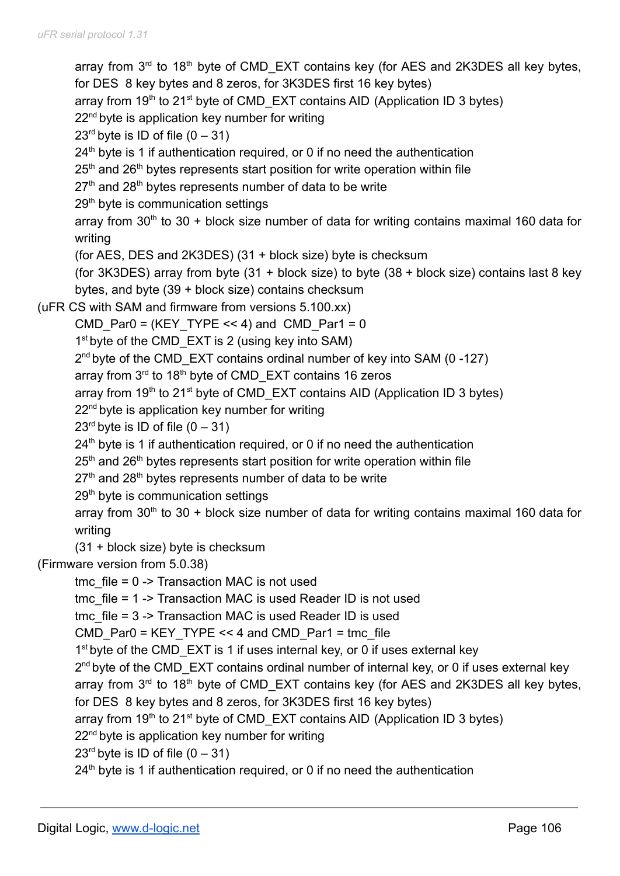array from  $3<sup>rd</sup>$  to 18<sup>th</sup> byte of CMD\_EXT contains key (for AES and 2K3DES all key bytes, for DES 8 key bytes and 8 zeros, for 3K3DES first 16 key bytes) array from  $19<sup>th</sup>$  to 21<sup>st</sup> byte of CMD\_EXT contains AID (Application ID 3 bytes)  $22<sup>nd</sup>$  byte is application key number for writing  $23<sup>rd</sup>$  byte is ID of file  $(0 - 31)$  $24<sup>th</sup>$  byte is 1 if authentication required, or 0 if no need the authentication  $25<sup>th</sup>$  and  $26<sup>th</sup>$  bytes represents start position for write operation within file  $27<sup>th</sup>$  and  $28<sup>th</sup>$  bytes represents number of data to be write 29<sup>th</sup> byte is communication settings array from  $30<sup>th</sup>$  to  $30 +$  block size number of data for writing contains maximal 160 data for writing (for AES, DES and 2K3DES) (31 + block size) byte is checksum (for 3K3DES) array from byte (31 + block size) to byte (38 + block size) contains last 8 key bytes, and byte (39 + block size) contains checksum (uFR CS with SAM and firmware from versions 5.100.xx) CMD Par0 = (KEY TYPE  $<< 4$ ) and CMD Par1 = 0 1<sup>st</sup> byte of the CMD\_EXT is 2 (using key into SAM) 2<sup>nd</sup> byte of the CMD\_EXT contains ordinal number of key into SAM (0-127) array from 3<sup>rd</sup> to 18<sup>th</sup> byte of CMD\_EXT contains 16 zeros array from 19<sup>th</sup> to 21<sup>st</sup> byte of CMD\_EXT contains AID (Application ID 3 bytes) 22<sup>nd</sup> byte is application key number for writing  $23<sup>rd</sup>$  byte is ID of file  $(0 - 31)$ 24<sup>th</sup> byte is 1 if authentication required, or 0 if no need the authentication  $25<sup>th</sup>$  and  $26<sup>th</sup>$  bytes represents start position for write operation within file  $27<sup>th</sup>$  and  $28<sup>th</sup>$  bytes represents number of data to be write 29<sup>th</sup> byte is communication settings array from 30<sup>th</sup> to 30 + block size number of data for writing contains maximal 160 data for writing (31 + block size) byte is checksum (Firmware version from 5.0.38) tmc  $file = 0$  -> Transaction MAC is not used tmc file = 1 -> Transaction MAC is used Reader ID is not used tmc\_file = 3 -> Transaction MAC is used Reader ID is used CMD Par0 = KEY TYPE << 4 and CMD Par1 = tmc file 1<sup>st</sup> byte of the CMD\_EXT is 1 if uses internal key, or 0 if uses external key 2<sup>nd</sup> byte of the CMD\_EXT contains ordinal number of internal key, or 0 if uses external key array from  $3<sup>rd</sup>$  to 18<sup>th</sup> byte of CMD\_EXT contains key (for AES and 2K3DES all key bytes, for DES 8 key bytes and 8 zeros, for 3K3DES first 16 key bytes) array from 19<sup>th</sup> to 21<sup>st</sup> byte of CMD\_EXT contains AID (Application ID 3 bytes) 22<sup>nd</sup> byte is application key number for writing  $23<sup>rd</sup>$  byte is ID of file  $(0 - 31)$  $24<sup>th</sup>$  byte is 1 if authentication required, or 0 if no need the authentication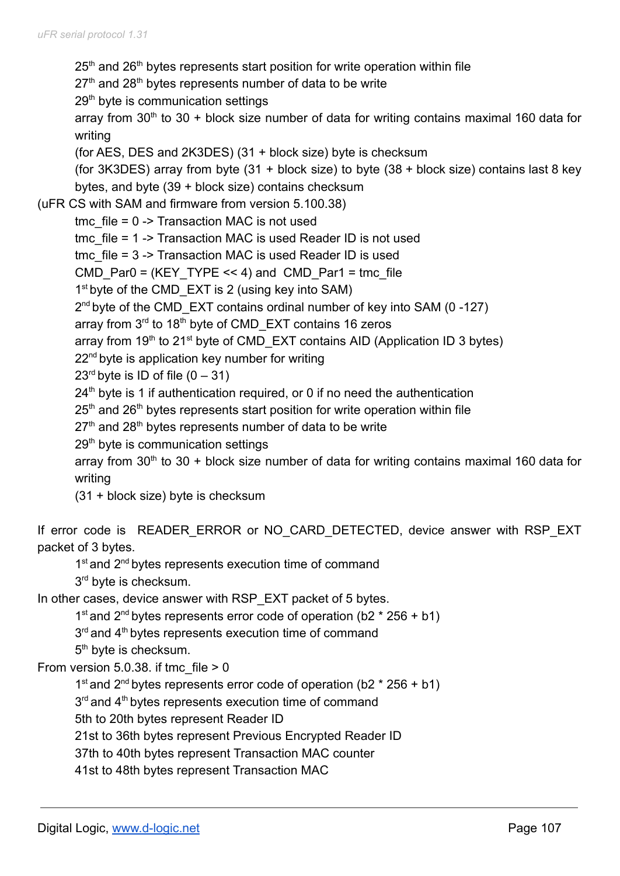$25<sup>th</sup>$  and  $26<sup>th</sup>$  bytes represents start position for write operation within file  $27<sup>th</sup>$  and  $28<sup>th</sup>$  bytes represents number of data to be write 29<sup>th</sup> byte is communication settings array from  $30<sup>th</sup>$  to  $30 +$  block size number of data for writing contains maximal 160 data for writing (for AES, DES and 2K3DES) (31 + block size) byte is checksum (for 3K3DES) array from byte (31 + block size) to byte (38 + block size) contains last 8 key bytes, and byte (39 + block size) contains checksum (uFR CS with SAM and firmware from version 5.100.38) tmc  $file = 0$  -> Transaction MAC is not used tmc file = 1 -> Transaction MAC is used Reader ID is not used tmc file = 3 -> Transaction MAC is used Reader ID is used CMD Par0 = (KEY TYPE << 4) and CMD Par1 = tmc file 1<sup>st</sup> byte of the CMD\_EXT is 2 (using key into SAM) 2<sup>nd</sup> byte of the CMD\_EXT contains ordinal number of key into SAM (0-127) array from 3<sup>rd</sup> to 18<sup>th</sup> byte of CMD\_EXT contains 16 zeros array from  $19<sup>th</sup>$  to 21<sup>st</sup> byte of CMD\_EXT contains AID (Application ID 3 bytes) 22<sup>nd</sup> byte is application key number for writing  $23<sup>rd</sup>$  byte is ID of file  $(0 - 31)$  $24<sup>th</sup>$  byte is 1 if authentication required, or 0 if no need the authentication  $25<sup>th</sup>$  and  $26<sup>th</sup>$  bytes represents start position for write operation within file  $27<sup>th</sup>$  and  $28<sup>th</sup>$  bytes represents number of data to be write 29<sup>th</sup> byte is communication settings array from 30<sup>th</sup> to 30 + block size number of data for writing contains maximal 160 data for writing (31 + block size) byte is checksum If error code is READER ERROR or NO CARD DETECTED, device answer with RSP EXT packet of 3 bytes. 1<sup>st</sup> and 2<sup>nd</sup> bytes represents execution time of command 3<sup>rd</sup> byte is checksum. In other cases, device answer with RSP EXT packet of 5 bytes. 1<sup>st</sup> and 2<sup>nd</sup> bytes represents error code of operation (b2  $*$  256 + b1) 3<sup>rd</sup> and 4<sup>th</sup> bytes represents execution time of command 5<sup>th</sup> byte is checksum. From version  $5.0.38$ . if tmc file  $> 0$ 1<sup>st</sup> and 2<sup>nd</sup> bytes represents error code of operation (b2  $*$  256 + b1) 3<sup>rd</sup> and 4<sup>th</sup> bytes represents execution time of command 5th to 20th bytes represent Reader ID

21st to 36th bytes represent Previous Encrypted Reader ID

37th to 40th bytes represent Transaction MAC counter

41st to 48th bytes represent Transaction MAC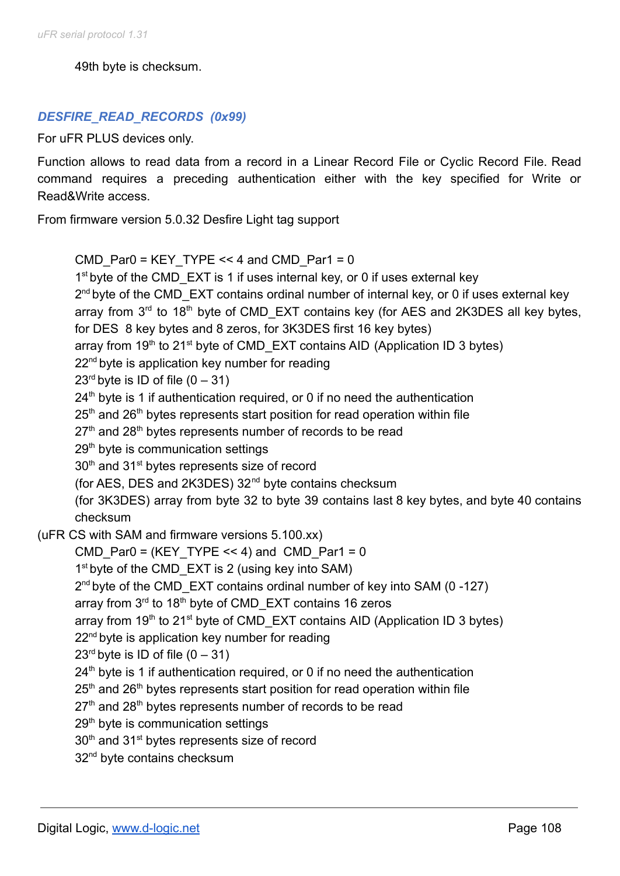49th byte is checksum.

# *DESFIRE\_READ\_RECORDS (0x99)*

For uFR PLUS devices only.

Function allows to read data from a record in a Linear Record File or Cyclic Record File. Read command requires a preceding authentication either with the key specified for Write or Read&Write access.

From firmware version 5.0.32 Desfire Light tag support

```
CMD Par0 = KEY TYPE << 4 and CMD Par1 = 0
        1<sup>st</sup> byte of the CMD_EXT is 1 if uses internal key, or 0 if uses external key
        2<sup>nd</sup> byte of the CMD_EXT contains ordinal number of internal key, or 0 if uses external key
        array from 3<sup>rd</sup> to 18<sup>th</sup> byte of CMD_EXT contains key (for AES and 2K3DES all key bytes,
        for DES 8 key bytes and 8 zeros, for 3K3DES first 16 key bytes)
        array from 19<sup>th</sup> to 21<sup>st</sup> byte of CMD_EXT contains AID (Application ID 3 bytes)
        22<sup>nd</sup> byte is application key number for reading
        23<sup>rd</sup> byte is ID of file (0 - 31)24<sup>th</sup> byte is 1 if authentication required, or 0 if no need the authentication
        25<sup>th</sup> and 26<sup>th</sup> bytes represents start position for read operation within file
        27<sup>th</sup> and 28<sup>th</sup> bytes represents number of records to be read
        29<sup>th</sup> byte is communication settings
        30<sup>th</sup> and 31<sup>st</sup> bytes represents size of record
        (for AES, DES and 2K3DES) 32nd byte contains checksum
        (for 3K3DES) array from byte 32 to byte 39 contains last 8 key bytes, and byte 40 contains
        checksum
(uFR CS with SAM and firmware versions 5.100.xx)
        CMD Par0 = (KEY TYPE << 4) and CMD Par1 = 0
        1<sup>st</sup> byte of the CMD_EXT is 2 (using key into SAM)
        2<sup>nd</sup> byte of the CMD_EXT contains ordinal number of key into SAM (0-127)
        array from 3<sup>rd</sup> to 18<sup>th</sup> byte of CMD_EXT contains 16 zeros
        array from 19<sup>th</sup> to 21<sup>st</sup> byte of CMD_EXT contains AID (Application ID 3 bytes)
        22<sup>nd</sup> byte is application key number for reading
        23<sup>rd</sup> byte is ID of file (0 - 31)24<sup>th</sup> byte is 1 if authentication required, or 0 if no need the authentication
        25<sup>th</sup> and 26<sup>th</sup> bytes represents start position for read operation within file
        27<sup>th</sup> and 28<sup>th</sup> bytes represents number of records to be read
        29<sup>th</sup> byte is communication settings
        30<sup>th</sup> and 31<sup>st</sup> bytes represents size of record
        32<sup>nd</sup> byte contains checksum
```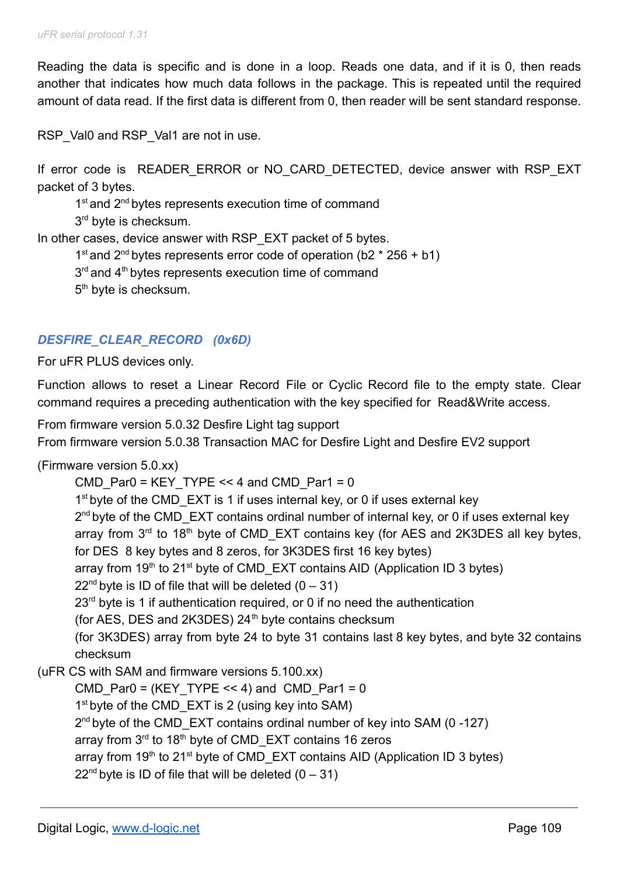Reading the data is specific and is done in a loop. Reads one data, and if it is 0, then reads another that indicates how much data follows in the package. This is repeated until the required amount of data read. If the first data is different from 0, then reader will be sent standard response.

RSP\_Val0 and RSP\_Val1 are not in use.

If error code is READER ERROR or NO CARD DETECTED, device answer with RSP EXT packet of 3 bytes.

1<sup>st</sup> and 2<sup>nd</sup> bytes represents execution time of command

3<sup>rd</sup> byte is checksum.

In other cases, device answer with RSP\_EXT packet of 5 bytes.

1<sup>st</sup> and 2<sup>nd</sup> bytes represents error code of operation (b2  $*$  256 + b1)

 $3<sup>rd</sup>$  and  $4<sup>th</sup>$  bytes represents execution time of command

5<sup>th</sup> byte is checksum.

### *DESFIRE\_CLEAR\_RECORD (0x6D)*

For uFR PLUS devices only.

Function allows to reset a Linear Record File or Cyclic Record file to the empty state. Clear command requires a preceding authentication with the key specified for Read&Write access.

From firmware version 5.0.32 Desfire Light tag support

From firmware version 5.0.38 Transaction MAC for Desfire Light and Desfire EV2 support

(Firmware version 5.0.xx)

CMD Par0 = KEY TYPE << 4 and CMD Par1 = 0 1<sup>st</sup> byte of the CMD\_EXT is 1 if uses internal key, or 0 if uses external key 2<sup>nd</sup> byte of the CMD\_EXT contains ordinal number of internal key, or 0 if uses external key array from  $3<sup>rd</sup>$  to 18<sup>th</sup> byte of CMD\_EXT contains key (for AES and 2K3DES all key bytes, for DES 8 key bytes and 8 zeros, for 3K3DES first 16 key bytes) array from 19<sup>th</sup> to 21<sup>st</sup> byte of CMD\_EXT contains AID (Application ID 3 bytes)  $22<sup>nd</sup>$  byte is ID of file that will be deleted  $(0 - 31)$  $23<sup>rd</sup>$  byte is 1 if authentication required, or 0 if no need the authentication (for AES, DES and 2K3DES)  $24<sup>th</sup>$  byte contains checksum (for 3K3DES) array from byte 24 to byte 31 contains last 8 key bytes, and byte 32 contains checksum (uFR CS with SAM and firmware versions 5.100.xx) CMD Par0 = (KEY TYPE  $<< 4$ ) and CMD Par1 = 0 1<sup>st</sup> byte of the CMD\_EXT is 2 (using key into SAM) 2<sup>nd</sup> byte of the CMD\_EXT contains ordinal number of key into SAM (0-127) array from 3<sup>rd</sup> to 18<sup>th</sup> byte of CMD\_EXT contains 16 zeros

array from 19<sup>th</sup> to 21<sup>st</sup> byte of CMD\_EXT contains AID (Application ID 3 bytes)

 $22<sup>nd</sup>$  byte is ID of file that will be deleted  $(0 - 31)$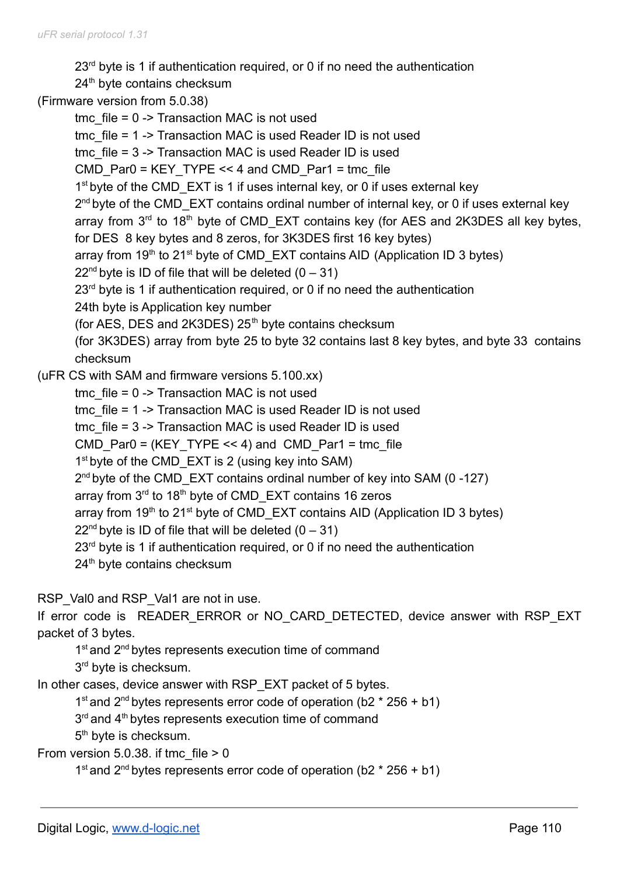$23<sup>rd</sup>$  byte is 1 if authentication required, or 0 if no need the authentication

- 24<sup>th</sup> byte contains checksum
- (Firmware version from 5.0.38)

tmc  $file = 0$  -> Transaction MAC is not used tmc file = 1 -> Transaction MAC is used Reader ID is not used tmc file = 3 -> Transaction MAC is used Reader ID is used CMD Par0 = KEY TYPE << 4 and CMD Par1 = tmc file 1<sup>st</sup> byte of the CMD\_EXT is 1 if uses internal key, or 0 if uses external key 2<sup>nd</sup> byte of the CMD\_EXT contains ordinal number of internal key, or 0 if uses external key array from  $3<sup>rd</sup>$  to 18<sup>th</sup> byte of CMD\_EXT contains key (for AES and 2K3DES all key bytes, for DES 8 key bytes and 8 zeros, for 3K3DES first 16 key bytes) array from  $19<sup>th</sup>$  to 21<sup>st</sup> byte of CMD\_EXT contains AID (Application ID 3 bytes)  $22<sup>nd</sup>$  byte is ID of file that will be deleted (0 – 31)  $23<sup>rd</sup>$  byte is 1 if authentication required, or 0 if no need the authentication 24th byte is Application key number (for AES, DES and 2K3DES)  $25<sup>th</sup>$  byte contains checksum (for 3K3DES) array from byte 25 to byte 32 contains last 8 key bytes, and byte 33 contains checksum (uFR CS with SAM and firmware versions 5.100.xx) tmc  $file = 0$  -> Transaction MAC is not used tmc file = 1 -> Transaction MAC is used Reader ID is not used tmc\_file = 3 -> Transaction MAC is used Reader ID is used CMD Par0 = (KEY TYPE << 4) and CMD Par1 = tmc file 1<sup>st</sup> byte of the CMD\_EXT is 2 (using key into SAM) 2<sup>nd</sup> byte of the CMD\_EXT contains ordinal number of key into SAM (0-127) array from 3<sup>rd</sup> to 18<sup>th</sup> byte of CMD\_EXT contains 16 zeros array from 19<sup>th</sup> to 21<sup>st</sup> byte of CMD\_EXT contains AID (Application ID 3 bytes)  $22<sup>nd</sup>$  byte is ID of file that will be deleted  $(0 - 31)$  $23<sup>rd</sup>$  byte is 1 if authentication required, or 0 if no need the authentication 24<sup>th</sup> byte contains checksum

RSP\_Val0 and RSP\_Val1 are not in use.

If error code is READER ERROR or NO CARD DETECTED, device answer with RSP EXT packet of 3 bytes.

1<sup>st</sup> and 2<sup>nd</sup> bytes represents execution time of command 3<sup>rd</sup> byte is checksum.

In other cases, device answer with RSP\_EXT packet of 5 bytes.

1<sup>st</sup> and 2<sup>nd</sup> bytes represents error code of operation (b2  $*$  256 + b1)

3<sup>rd</sup> and 4<sup>th</sup> bytes represents execution time of command

5<sup>th</sup> byte is checksum.

From version  $5.0.38$ . if tmc file  $> 0$ 

1<sup>st</sup> and 2<sup>nd</sup> bytes represents error code of operation (b2  $*$  256 + b1)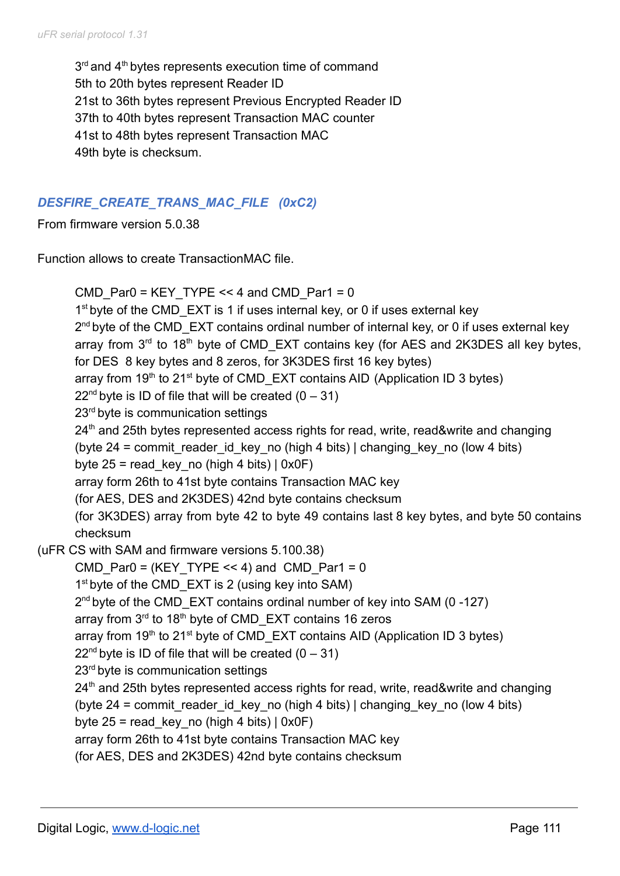$3<sup>rd</sup>$  and  $4<sup>th</sup>$  bytes represents execution time of command 5th to 20th bytes represent Reader ID 21st to 36th bytes represent Previous Encrypted Reader ID 37th to 40th bytes represent Transaction MAC counter 41st to 48th bytes represent Transaction MAC 49th byte is checksum.

### *DESFIRE\_CREATE\_TRANS\_MAC\_FILE (0xC2)*

From firmware version 5.0.38

Function allows to create TransactionMAC file.

```
CMD Par0 = KEY TYPE << 4 and CMD Par1 = 0
       1<sup>st</sup> byte of the CMD_EXT is 1 if uses internal key, or 0 if uses external key
       2<sup>nd</sup> byte of the CMD_EXT contains ordinal number of internal key, or 0 if uses external key
       array from 3<sup>rd</sup> to 18<sup>th</sup> byte of CMD_EXT contains key (for AES and 2K3DES all key bytes,
       for DES 8 key bytes and 8 zeros, for 3K3DES first 16 key bytes)
       array from 19<sup>th</sup> to 21<sup>st</sup> byte of CMD_EXT contains AID (Application ID 3 bytes)
       22<sup>nd</sup> byte is ID of file that will be created (0 - 31)23<sup>rd</sup> byte is communication settings
       24<sup>th</sup> and 25th bytes represented access rights for read, write, read&write and changing
       (byte 24 = commit reader id key no (high 4 bits) | changing key no (low 4 bits)
       byte 25 = read key no (high 4 bits) | 0x0F)
       array form 26th to 41st byte contains Transaction MAC key
       (for AES, DES and 2K3DES) 42nd byte contains checksum
       (for 3K3DES) array from byte 42 to byte 49 contains last 8 key bytes, and byte 50 contains
       checksum
(uFR CS with SAM and firmware versions 5.100.38)
       CMD Par0 = (KEY TYPE << 4) and CMD Par1 = 0
       1<sup>st</sup> byte of the CMD_EXT is 2 (using key into SAM)
       2<sup>nd</sup> byte of the CMD_EXT contains ordinal number of key into SAM (0-127)
       array from 3<sup>rd</sup> to 18<sup>th</sup> byte of CMD_EXT contains 16 zeros
       array from 19<sup>th</sup> to 21<sup>st</sup> byte of CMD_EXT contains AID (Application ID 3 bytes)
       22<sup>nd</sup> byte is ID of file that will be created (0 – 31)
       23<sup>rd</sup> byte is communication settings
       24<sup>th</sup> and 25th bytes represented access rights for read, write, read&write and changing
       (byte 24 = commit reader id key no (high 4 bits) | changing key no (low 4 bits)
       byte 25 = read key no (high 4 bits) | 0x0F \ranglearray form 26th to 41st byte contains Transaction MAC key
       (for AES, DES and 2K3DES) 42nd byte contains checksum
```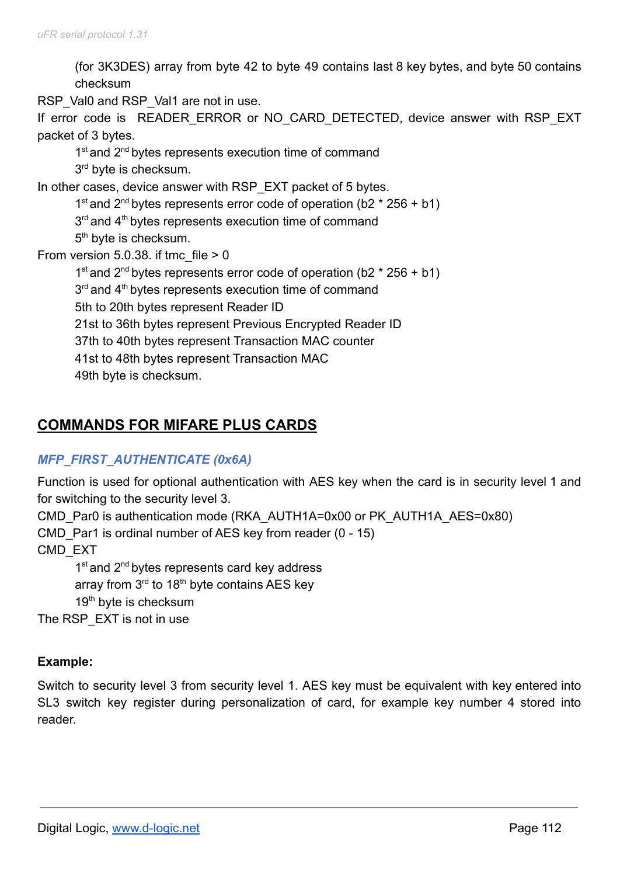(for 3K3DES) array from byte 42 to byte 49 contains last 8 key bytes, and byte 50 contains checksum

RSP\_Val0 and RSP\_Val1 are not in use.

If error code is READER ERROR or NO CARD DETECTED, device answer with RSP EXT packet of 3 bytes.

1<sup>st</sup> and 2<sup>nd</sup> bytes represents execution time of command 3<sup>rd</sup> byte is checksum.

In other cases, device answer with RSP\_EXT packet of 5 bytes.

1<sup>st</sup> and 2<sup>nd</sup> bytes represents error code of operation (b2  $*$  256 + b1)  $3<sup>rd</sup>$  and  $4<sup>th</sup>$  bytes represents execution time of command 5<sup>th</sup> byte is checksum.

From version  $5.0.38$ . if tmc file  $> 0$ 

1<sup>st</sup> and 2<sup>nd</sup> bytes represents error code of operation (b2  $*$  256 + b1)  $3<sup>rd</sup>$  and  $4<sup>th</sup>$  bytes represents execution time of command 5th to 20th bytes represent Reader ID 21st to 36th bytes represent Previous Encrypted Reader ID 37th to 40th bytes represent Transaction MAC counter 41st to 48th bytes represent Transaction MAC 49th byte is checksum.

# **COMMANDS FOR MIFARE PLUS CARDS**

# *MFP\_FIRST\_AUTHENTICATE (0x6A)*

Function is used for optional authentication with AES key when the card is in security level 1 and for switching to the security level 3.

CMD Par0 is authentication mode (RKA\_AUTH1A=0x00 or PK\_AUTH1A\_AES=0x80)

CMD Par1 is ordinal number of AES key from reader (0 - 15)

CMD\_EXT

1<sup>st</sup> and 2<sup>nd</sup> bytes represents card key address array from 3<sup>rd</sup> to 18<sup>th</sup> byte contains AES key 19<sup>th</sup> byte is checksum

The RSP\_EXT is not in use

# **Example:**

Switch to security level 3 from security level 1. AES key must be equivalent with key entered into SL3 switch key register during personalization of card, for example key number 4 stored into reader.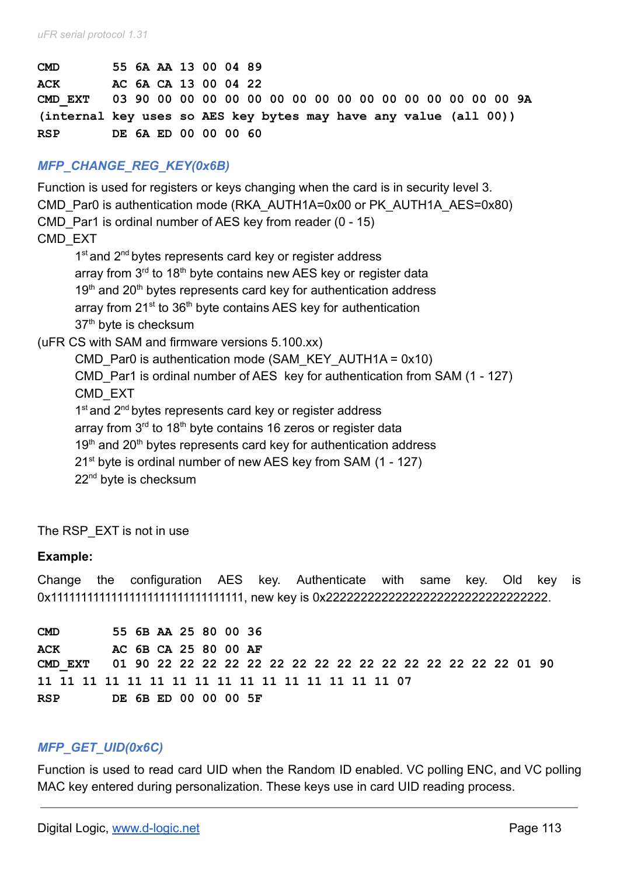| <b>CMD</b>                                                       | 55 6A AA 13 00 04 89 |  |  |  |
|------------------------------------------------------------------|----------------------|--|--|--|
| ACK                                                              | AC 6A CA 13 00 04 22 |  |  |  |
|                                                                  |                      |  |  |  |
| (internal key uses so AES key bytes may have any value (all 00)) |                      |  |  |  |
| RSP                                                              | DE 6A ED 00 00 00 60 |  |  |  |

### *MFP\_CHANGE\_REG\_KEY(0x6B)*

Function is used for registers or keys changing when the card is in security level 3. CMD Par0 is authentication mode (RKA\_AUTH1A=0x00 or PK\_AUTH1A\_AES=0x80) CMD Par1 is ordinal number of AES key from reader (0 - 15) CMD\_EXT 1<sup>st</sup> and 2<sup>nd</sup> bytes represents card key or register address array from  $3<sup>rd</sup>$  to 18<sup>th</sup> byte contains new AES key or register data  $19<sup>th</sup>$  and  $20<sup>th</sup>$  bytes represents card key for authentication address array from 21<sup>st</sup> to 36<sup>th</sup> byte contains AES key for authentication 37<sup>th</sup> byte is checksum (uFR CS with SAM and firmware versions 5.100.xx) CMD Par0 is authentication mode (SAM\_KEY\_AUTH1A =  $0x10$ ) CMD\_Par1 is ordinal number of AES key for authentication from SAM (1 - 127) CMD\_EXT 1<sup>st</sup> and 2<sup>nd</sup> bytes represents card key or register address array from 3<sup>rd</sup> to 18<sup>th</sup> byte contains 16 zeros or register data  $19<sup>th</sup>$  and  $20<sup>th</sup>$  bytes represents card key for authentication address 21<sup>st</sup> byte is ordinal number of new AES key from SAM (1 - 127)

22<sup>nd</sup> byte is checksum

The RSP\_EXT is not in use

#### **Example:**

Change the configuration AES key. Authenticate with same key. Old key is 0x11111111111111111111111111111111, new key is 0x22222222222222222222222222222222.

**CMD 55 6B AA 25 80 00 36 ACK AC 6B CA 25 80 00 AF CMD\_EXT 01 90 22 22 22 22 22 22 22 22 22 22 22 22 22 22 22 22 01 90 11 11 11 11 11 11 11 11 11 11 11 11 11 11 11 11 07 RSP DE 6B ED 00 00 00 5F**

#### *MFP\_GET\_UID(0x6C)*

Function is used to read card UID when the Random ID enabled. VC polling ENC, and VC polling MAC key entered during personalization. These keys use in card UID reading process.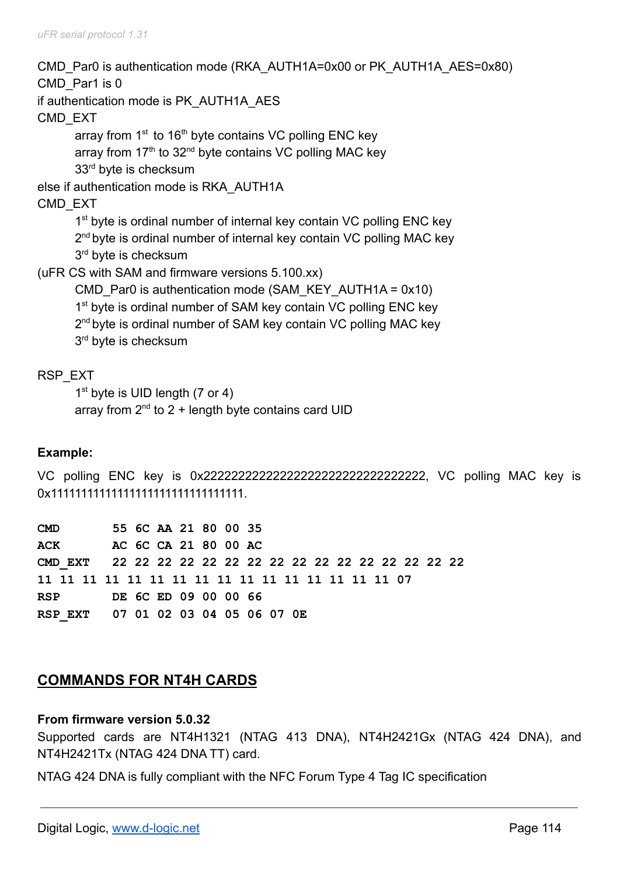CMD Par0 is authentication mode (RKA\_AUTH1A=0x00 or PK\_AUTH1A\_AES=0x80) CMD Par1 is 0 if authentication mode is PK\_AUTH1A\_AES CMD\_EXT array from  $1<sup>st</sup>$  to  $16<sup>th</sup>$  byte contains VC polling ENC key array from 17<sup>th</sup> to 32<sup>nd</sup> byte contains VC polling MAC key 33<sup>rd</sup> byte is checksum else if authentication mode is RKA\_AUTH1A CMD\_EXT 1<sup>st</sup> byte is ordinal number of internal key contain VC polling ENC key 2<sup>nd</sup> byte is ordinal number of internal key contain VC polling MAC key 3<sup>rd</sup> byte is checksum (uFR CS with SAM and firmware versions 5.100.xx) CMD Par0 is authentication mode (SAM\_KEY\_AUTH1A =  $0x10$ ) 1<sup>st</sup> byte is ordinal number of SAM key contain VC polling ENC key 2<sup>nd</sup> byte is ordinal number of SAM key contain VC polling MAC key 3<sup>rd</sup> byte is checksum

# RSP\_EXT

1<sup>st</sup> byte is UID length (7 or 4)

array from  $2<sup>nd</sup>$  to 2 + length byte contains card UID

# **Example:**

VC polling ENC key is 0x22222222222222222222222222222222, VC polling MAC key is 0x11111111111111111111111111111111.

| <b>CMD</b>                         |                      |  | 55 6C AA 21 80 00 35 |  |  |  |  |  |  |
|------------------------------------|----------------------|--|----------------------|--|--|--|--|--|--|
| ACK                                | AC 6C CA 21 80 00 AC |  |                      |  |  |  |  |  |  |
|                                    |                      |  |                      |  |  |  |  |  |  |
|                                    |                      |  |                      |  |  |  |  |  |  |
| <b>RSP</b>                         | DE 6C ED 09 00 00 66 |  |                      |  |  |  |  |  |  |
| RSP EXT 07 01 02 03 04 05 06 07 0E |                      |  |                      |  |  |  |  |  |  |

# **COMMANDS FOR NT4H CARDS**

#### **From firmware version 5.0.32**

Supported cards are NT4H1321 (NTAG 413 DNA), NT4H2421Gx (NTAG 424 DNA), and NT4H2421Tx (NTAG 424 DNA TT) card.

NTAG 424 DNA is fully compliant with the NFC Forum Type 4 Tag IC specification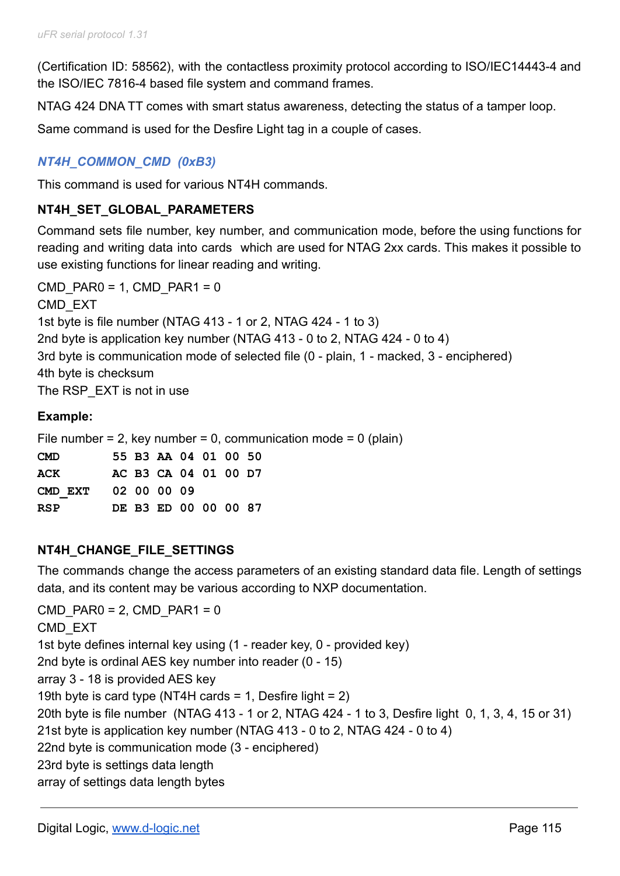(Certification ID: 58562), with the contactless proximity protocol according to ISO/IEC14443-4 and the ISO/IEC 7816-4 based file system and command frames.

NTAG 424 DNA TT comes with smart status awareness, detecting the status of a tamper loop.

Same command is used for the Desfire Light tag in a couple of cases.

# *NT4H\_COMMON\_CMD (0xB3)*

This command is used for various NT4H commands.

# **NT4H\_SET\_GLOBAL\_PARAMETERS**

Command sets file number, key number, and communication mode, before the using functions for reading and writing data into cards which are used for NTAG 2xx cards. This makes it possible to use existing functions for linear reading and writing.

```
CMD PAR0 = 1, CMD PAR1 = 0CMD_EXT
1st byte is file number (NTAG 413 - 1 or 2, NTAG 424 - 1 to 3)
2nd byte is application key number (NTAG 413 - 0 to 2, NTAG 424 - 0 to 4)
3rd byte is communication mode of selected file (0 - plain, 1 - macked, 3 - enciphered)
4th byte is checksum
The RSP_EXT is not in use
```
### **Example:**

File number = 2, key number = 0, communication mode =  $0$  (plain) **CMD 55 B3 AA 04 01 00 50 ACK AC B3 CA 04 01 00 D7 CMD\_EXT 02 00 00 09 RSP DE B3 ED 00 00 00 87**

# **NT4H\_CHANGE\_FILE\_SETTINGS**

The commands change the access parameters of an existing standard data file. Length of settings data, and its content may be various according to NXP documentation.

 $CMD$  PAR0 = 2, CMD PAR1 = 0 CMD\_EXT 1st byte defines internal key using (1 - reader key, 0 - provided key) 2nd byte is ordinal AES key number into reader (0 - 15) array 3 - 18 is provided AES key 19th byte is card type (NT4H cards = 1, Desfire light = 2) 20th byte is file number (NTAG 413 - 1 or 2, NTAG 424 - 1 to 3, Desfire light 0, 1, 3, 4, 15 or 31) 21st byte is application key number (NTAG 413 - 0 to 2, NTAG 424 - 0 to 4) 22nd byte is communication mode (3 - enciphered) 23rd byte is settings data length array of settings data length bytes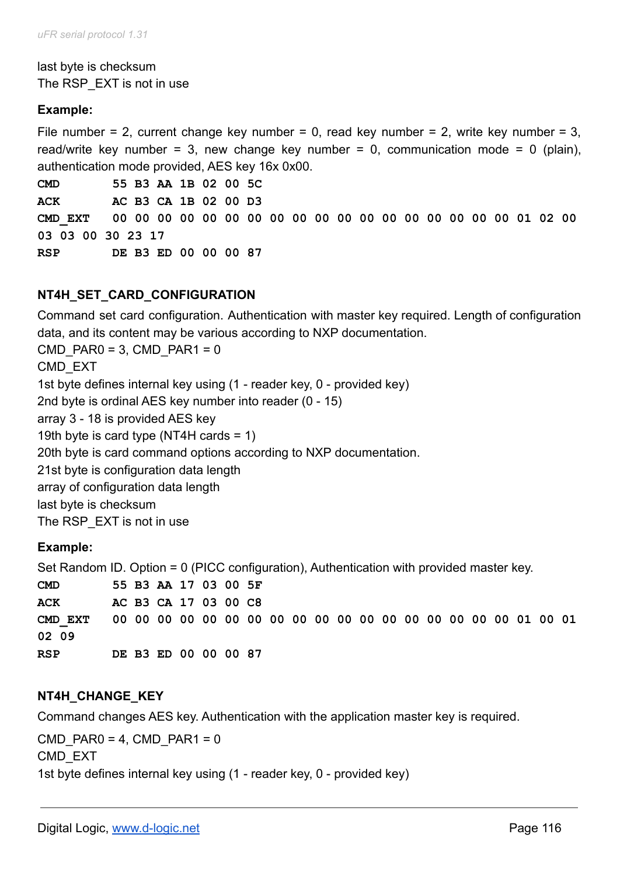last byte is checksum The RSP\_EXT is not in use

# **Example:**

File number = 2, current change key number = 0, read key number = 2, write key number = 3, read/write key number = 3, new change key number = 0, communication mode = 0 (plain), authentication mode provided, AES key 16x 0x00.

**CMD 55 B3 AA 1B 02 00 5C ACK AC B3 CA 1B 02 00 D3 CMD\_EXT 00 00 00 00 00 00 00 00 00 00 00 00 00 00 00 00 00 00 01 02 00 03 03 00 30 23 17 RSP DE B3 ED 00 00 00 87**

# **NT4H\_SET\_CARD\_CONFIGURATION**

Command set card configuration. Authentication with master key required. Length of configuration data, and its content may be various according to NXP documentation.

CMD PAR0 = 3, CMD PAR1 =  $0$ 

CMD\_EXT

1st byte defines internal key using (1 - reader key, 0 - provided key)

2nd byte is ordinal AES key number into reader (0 - 15)

array 3 - 18 is provided AES key

19th byte is card type (NT4H cards = 1)

20th byte is card command options according to NXP documentation.

21st byte is configuration data length

array of configuration data length

last byte is checksum

The RSP\_EXT is not in use

# **Example:**

Set Random ID. Option = 0 (PICC configuration), Authentication with provided master key.

**CMD 55 B3 AA 17 03 00 5F ACK AC B3 CA 17 03 00 C8 CMD\_EXT 00 00 00 00 00 00 00 00 00 00 00 00 00 00 00 00 00 00 01 00 01 02 09 RSP DE B3 ED 00 00 00 87**

# **NT4H\_CHANGE\_KEY**

Command changes AES key. Authentication with the application master key is required.

CMD PAR0 = 4, CMD PAR1 =  $0$ CMD\_EXT 1st byte defines internal key using (1 - reader key, 0 - provided key)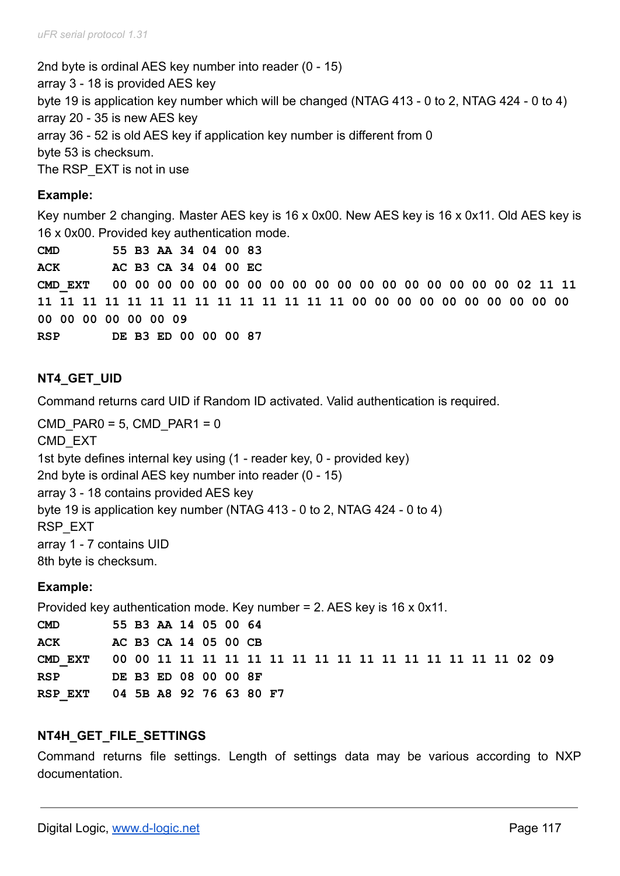2nd byte is ordinal AES key number into reader (0 - 15) array 3 - 18 is provided AES key byte 19 is application key number which will be changed (NTAG 413 - 0 to 2, NTAG 424 - 0 to 4) array 20 - 35 is new AES key array 36 - 52 is old AES key if application key number is different from 0 byte 53 is checksum. The RSP\_EXT is not in use

### **Example:**

Key number 2 changing. Master AES key is 16 x 0x00. New AES key is 16 x 0x11. Old AES key is 16 x 0x00. Provided key authentication mode.

**CMD 55 B3 AA 34 04 00 83 ACK AC B3 CA 34 04 00 EC CMD\_EXT 00 00 00 00 00 00 00 00 00 00 00 00 00 00 00 00 00 00 02 11 11 11 11 11 11 11 11 11 11 11 11 11 11 11 11 00 00 00 00 00 00 00 00 00 00 00 00 00 00 00 00 09 RSP DE B3 ED 00 00 00 87**

# **NT4\_GET\_UID**

Command returns card UID if Random ID activated. Valid authentication is required.

```
CMD PAR0 = 5, CMD PAR1 = 0
CMD_EXT
1st byte defines internal key using (1 - reader key, 0 - provided key)
2nd byte is ordinal AES key number into reader (0 - 15)
array 3 - 18 contains provided AES key
byte 19 is application key number (NTAG 413 - 0 to 2, NTAG 424 - 0 to 4)
RSP_EXT
array 1 - 7 contains UID
8th byte is checksum.
```
# **Example:**

Provided key authentication mode. Key number = 2. AES key is 16 x 0x11.

**CMD 55 B3 AA 14 05 00 64 ACK AC B3 CA 14 05 00 CB CMD\_EXT 00 00 11 11 11 11 11 11 11 11 11 11 11 11 11 11 11 11 02 09 RSP DE B3 ED 08 00 00 8F RSP\_EXT 04 5B A8 92 76 63 80 F7**

# **NT4H\_GET\_FILE\_SETTINGS**

Command returns file settings. Length of settings data may be various according to NXP documentation.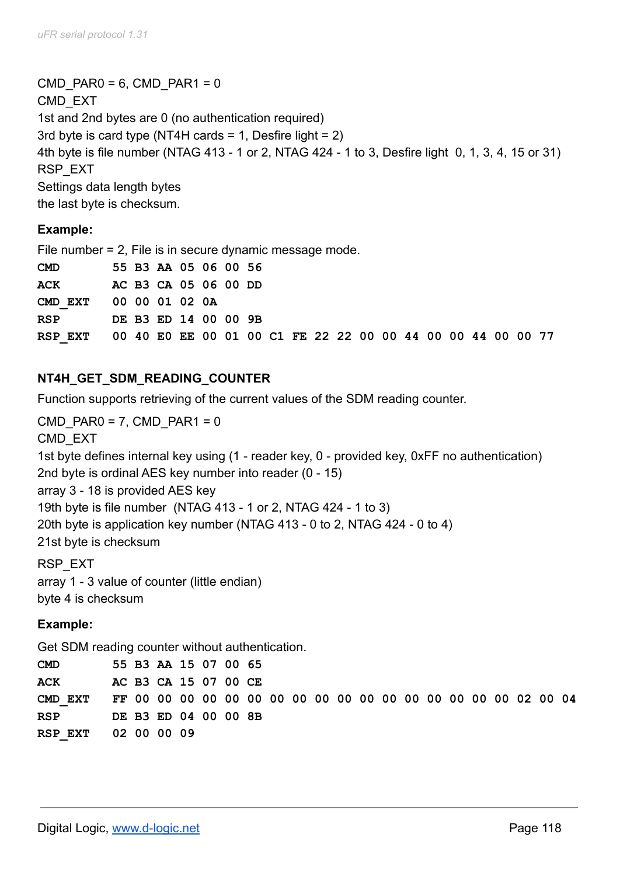CMD PAR0 = 6, CMD PAR1 =  $0$ CMD\_EXT 1st and 2nd bytes are 0 (no authentication required) 3rd byte is card type (NT4H cards  $= 1$ , Desfire light  $= 2$ ) 4th byte is file number (NTAG 413 - 1 or 2, NTAG 424 - 1 to 3, Desfire light 0, 1, 3, 4, 15 or 31) RSP\_EXT Settings data length bytes the last byte is checksum.

### **Example:**

File number = 2, File is in secure dynamic message mode.

| <b>CMD</b>                                                          |  | 55 B3 AA 05 06 00 56 |  |  |  |  |  |  |  |  |  |
|---------------------------------------------------------------------|--|----------------------|--|--|--|--|--|--|--|--|--|
| <b>ACK</b>                                                          |  | AC B3 CA 05 06 00 DD |  |  |  |  |  |  |  |  |  |
| CMD EXT 00 00 01 02 0A                                              |  |                      |  |  |  |  |  |  |  |  |  |
| <b>RSP</b>                                                          |  | DE B3 ED 14 00 00 9B |  |  |  |  |  |  |  |  |  |
| RSP EXT 00 40 E0 EE 00 01 00 C1 FE 22 22 00 00 44 00 00 44 00 00 77 |  |                      |  |  |  |  |  |  |  |  |  |

# **NT4H\_GET\_SDM\_READING\_COUNTER**

Function supports retrieving of the current values of the SDM reading counter.

```
CMD PAR0 = 7, CMD PAR1 = 0CMD_EXT
1st byte defines internal key using (1 - reader key, 0 - provided key, 0xFF no authentication)
2nd byte is ordinal AES key number into reader (0 - 15)
array 3 - 18 is provided AES key
19th byte is file number (NTAG 413 - 1 or 2, NTAG 424 - 1 to 3)
20th byte is application key number (NTAG 413 - 0 to 2, NTAG 424 - 0 to 4)
21st byte is checksum
RSP_EXT
```
array 1 - 3 value of counter (little endian) byte 4 is checksum

# **Example:**

Get SDM reading counter without authentication.

| CMD                      |  | 55 B3 AA 15 07 00 65 |  |  |  |  |  |  |  |  |  |
|--------------------------|--|----------------------|--|--|--|--|--|--|--|--|--|
| ACK                      |  | AC B3 CA 15 07 00 CE |  |  |  |  |  |  |  |  |  |
|                          |  |                      |  |  |  |  |  |  |  |  |  |
| RSP DE B3 ED 04 00 00 8B |  |                      |  |  |  |  |  |  |  |  |  |
| RSP EXT 02 00 00 09      |  |                      |  |  |  |  |  |  |  |  |  |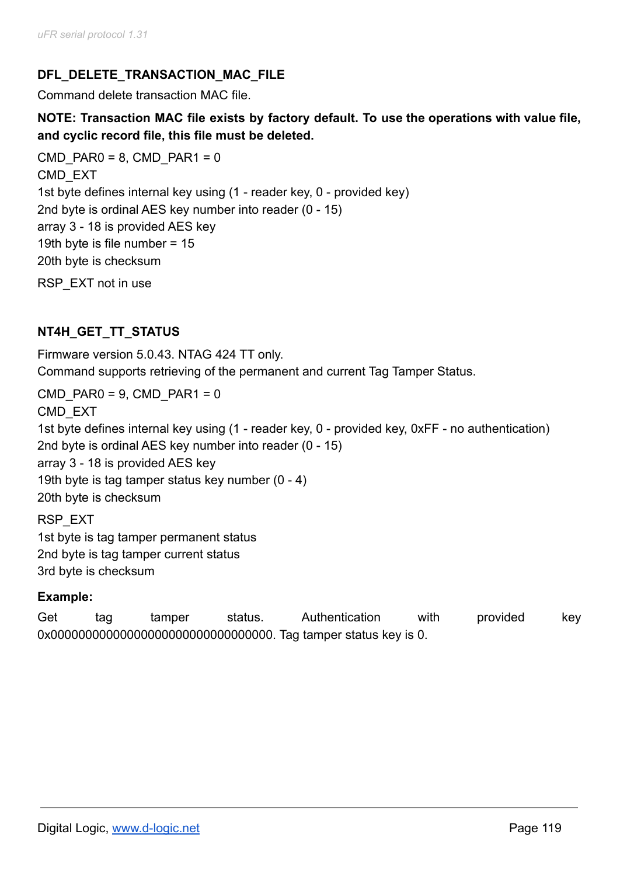# **DFL\_DELETE\_TRANSACTION\_MAC\_FILE**

Command delete transaction MAC file.

**NOTE: Transaction MAC file exists by factory default. To use the operations with value file, and cyclic record file, this file must be deleted.**

CMD PAR0 = 8, CMD PAR1 =  $0$ CMD\_EXT 1st byte defines internal key using (1 - reader key, 0 - provided key) 2nd byte is ordinal AES key number into reader (0 - 15) array 3 - 18 is provided AES key 19th byte is file number = 15 20th byte is checksum RSP\_EXT not in use

# **NT4H\_GET\_TT\_STATUS**

Firmware version 5.0.43. NTAG 424 TT only. Command supports retrieving of the permanent and current Tag Tamper Status.

 $CMD$  PAR0 = 9, CMD PAR1 = 0 CMD\_EXT 1st byte defines internal key using (1 - reader key, 0 - provided key, 0xFF - no authentication) 2nd byte is ordinal AES key number into reader (0 - 15) array 3 - 18 is provided AES key 19th byte is tag tamper status key number (0 - 4) 20th byte is checksum

RSP\_EXT 1st byte is tag tamper permanent status 2nd byte is tag tamper current status 3rd byte is checksum

# **Example:**

Get tag tamper status. Authentication with provided key 0x00000000000000000000000000000000. Tag tamper status key is 0.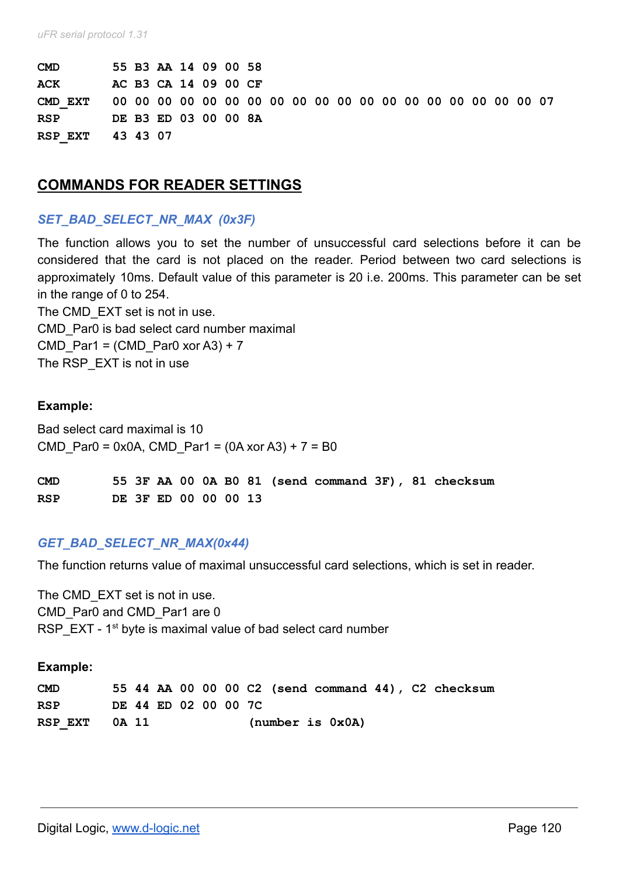| <b>CMD</b>       |  | 55 B3 AA 14 09 00 58 |  |  |  |  |  |  |  |  |  |
|------------------|--|----------------------|--|--|--|--|--|--|--|--|--|
| ACK              |  | AC B3 CA 14 09 00 CF |  |  |  |  |  |  |  |  |  |
|                  |  |                      |  |  |  |  |  |  |  |  |  |
| <b>RSP</b>       |  | DE B3 ED 03 00 00 8A |  |  |  |  |  |  |  |  |  |
| RSP EXT 43 43 07 |  |                      |  |  |  |  |  |  |  |  |  |

### **COMMANDS FOR READER SETTINGS**

#### *SET\_BAD\_SELECT\_NR\_MAX (0x3F)*

The function allows you to set the number of unsuccessful card selections before it can be considered that the card is not placed on the reader. Period between two card selections is approximately 10ms. Default value of this parameter is 20 i.e. 200ms. This parameter can be set in the range of 0 to 254.

The CMD EXT set is not in use. CMD\_Par0 is bad select card number maximal CMD Par1 = (CMD Par0 xor A3) + 7 The RSP EXT is not in use

#### **Example:**

Bad select card maximal is 10 CMD Par0 = 0x0A, CMD Par1 =  $(0A xor A3) + 7 = B0$ 

| <b>CMD</b> |  |                      |  |  |  |  | 55 3F AA 00 0A B0 81 (send command 3F), 81 checksum |
|------------|--|----------------------|--|--|--|--|-----------------------------------------------------|
| <b>RSP</b> |  | DE 3F ED 00 00 00 13 |  |  |  |  |                                                     |

#### *GET\_BAD\_SELECT\_NR\_MAX(0x44)*

The function returns value of maximal unsuccessful card selections, which is set in reader.

The CMD EXT set is not in use. CMD\_Par0 and CMD\_Par1 are 0 RSP  $EXT - 1<sup>st</sup>$  byte is maximal value of bad select card number

#### **Example:**

| <b>CMD</b>    |  |                      |  |  |                  |  | 55 44 AA 00 00 00 C2 (send command 44), C2 checksum |
|---------------|--|----------------------|--|--|------------------|--|-----------------------------------------------------|
| <b>RSP</b>    |  | DE 44 ED 02 00 00 7C |  |  |                  |  |                                                     |
| RSP EXT 0A 11 |  |                      |  |  | (number is 0x0A) |  |                                                     |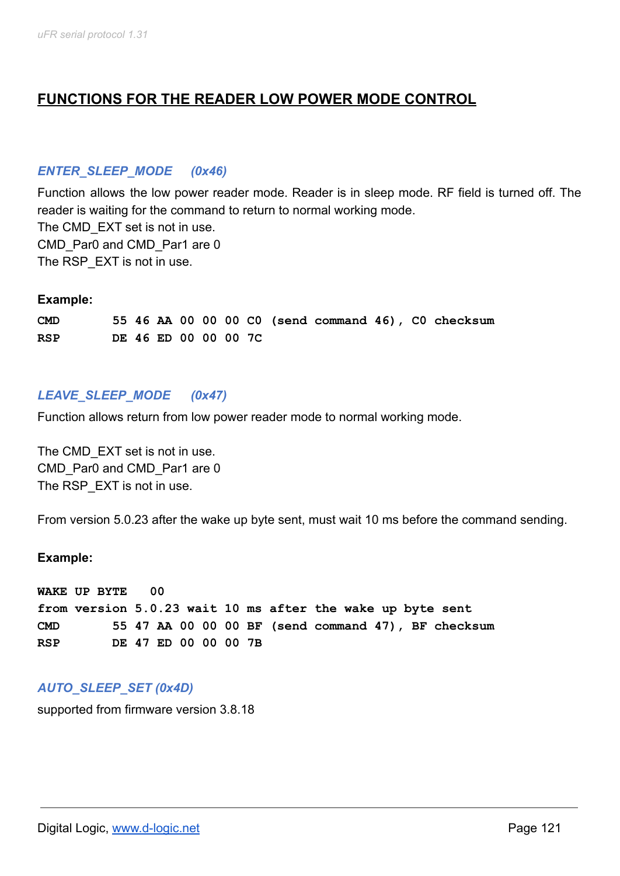# **FUNCTIONS FOR THE READER LOW POWER MODE CONTROL**

# *ENTER\_SLEEP\_MODE (0x46)*

Function allows the low power reader mode. Reader is in sleep mode. RF field is turned off. The reader is waiting for the command to return to normal working mode. The CMD EXT set is not in use. CMD\_Par0 and CMD\_Par1 are 0 The RSP EXT is not in use.

#### **Example:**

**CMD 55 46 AA 00 00 00 C0 (send command 46), C0 checksum RSP DE 46 ED 00 00 00 7C**

# *LEAVE\_SLEEP\_MODE (0x47)*

Function allows return from low power reader mode to normal working mode.

The CMD EXT set is not in use. CMD Par0 and CMD Par1 are 0 The RSP EXT is not in use.

From version 5.0.23 after the wake up byte sent, must wait 10 ms before the command sending.

#### **Example:**

**WAKE UP BYTE 00 from version 5.0.23 wait 10 ms after the wake up byte sent CMD 55 47 AA 00 00 00 BF (send command 47), BF checksum RSP DE 47 ED 00 00 00 7B**

# *AUTO\_SLEEP\_SET (0x4D)*

supported from firmware version 3.8.18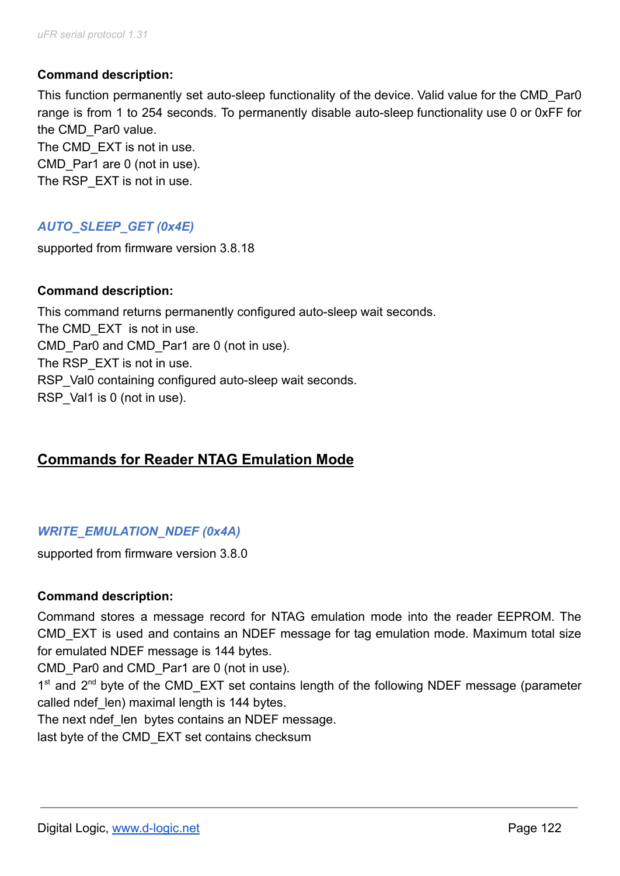### **Command description:**

This function permanently set auto-sleep functionality of the device. Valid value for the CMD\_Par0 range is from 1 to 254 seconds. To permanently disable auto-sleep functionality use 0 or 0xFF for the CMD Par0 value. The CMD EXT is not in use. CMD Par1 are 0 (not in use). The RSP EXT is not in use.

# *AUTO\_SLEEP\_GET (0x4E)*

supported from firmware version 3.8.18

#### **Command description:**

This command returns permanently configured auto-sleep wait seconds. The CMD EXT is not in use. CMD Par0 and CMD Par1 are 0 (not in use). The RSP EXT is not in use. RSP Val0 containing configured auto-sleep wait seconds. RSP Val1 is 0 (not in use).

# **Commands for Reader NTAG Emulation Mode**

# *WRITE\_EMULATION\_NDEF (0x4A)*

supported from firmware version 3.8.0

#### **Command description:**

Command stores a message record for NTAG emulation mode into the reader EEPROM. The CMD\_EXT is used and contains an NDEF message for tag emulation mode. Maximum total size for emulated NDEF message is 144 bytes.

CMD Par0 and CMD Par1 are 0 (not in use).

1<sup>st</sup> and 2<sup>nd</sup> byte of the CMD\_EXT set contains length of the following NDEF message (parameter called ndef len) maximal length is 144 bytes.

The next ndef len bytes contains an NDEF message.

last byte of the CMD EXT set contains checksum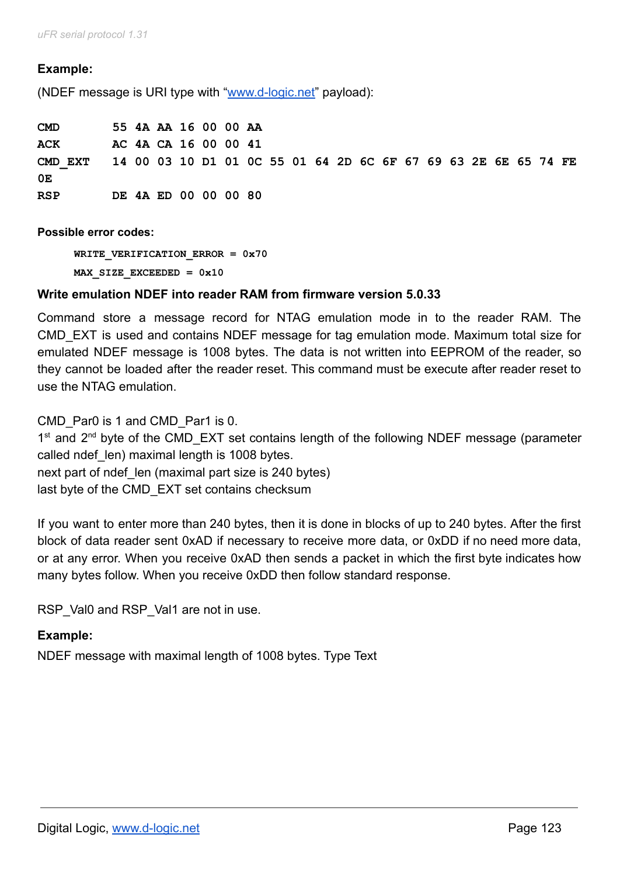*uFR serial protocol 1.31*

#### **Example:**

(NDEF message is URI type with "[www.d-logic.net"](http://www.d-logic.net/) payload):

| CMD                                                                     | 55 4A AA 16 00 00 AA |  |  |  |  |  |  |  |  |  |  |
|-------------------------------------------------------------------------|----------------------|--|--|--|--|--|--|--|--|--|--|
| <b>ACK</b>                                                              | AC 4A CA 16 00 00 41 |  |  |  |  |  |  |  |  |  |  |
| CMD EXT  14 00 03 10 D1 01 0C 55 01 64 2D 6C 6F 67 69 63 2E 6E 65 74 FE |                      |  |  |  |  |  |  |  |  |  |  |
| 0Е                                                                      |                      |  |  |  |  |  |  |  |  |  |  |
| RSP                                                                     | DE 4A ED 00 00 00 80 |  |  |  |  |  |  |  |  |  |  |

**Possible error codes:**

**WRITE\_VERIFICATION\_ERROR = 0x70 MAX\_SIZE\_EXCEEDED = 0x10**

#### **Write emulation NDEF into reader RAM from firmware version 5.0.33**

Command store a message record for NTAG emulation mode in to the reader RAM. The CMD\_EXT is used and contains NDEF message for tag emulation mode. Maximum total size for emulated NDEF message is 1008 bytes. The data is not written into EEPROM of the reader, so they cannot be loaded after the reader reset. This command must be execute after reader reset to use the NTAG emulation.

CMD Par0 is 1 and CMD Par1 is 0.

1<sup>st</sup> and 2<sup>nd</sup> byte of the CMD\_EXT set contains length of the following NDEF message (parameter called ndef len) maximal length is 1008 bytes. next part of ndef len (maximal part size is 240 bytes) last byte of the CMD\_EXT set contains checksum

If you want to enter more than 240 bytes, then it is done in blocks of up to 240 bytes. After the first block of data reader sent 0xAD if necessary to receive more data, or 0xDD if no need more data, or at any error. When you receive 0xAD then sends a packet in which the first byte indicates how many bytes follow. When you receive 0xDD then follow standard response.

RSP\_Val0 and RSP\_Val1 are not in use.

#### **Example:**

NDEF message with maximal length of 1008 bytes. Type Text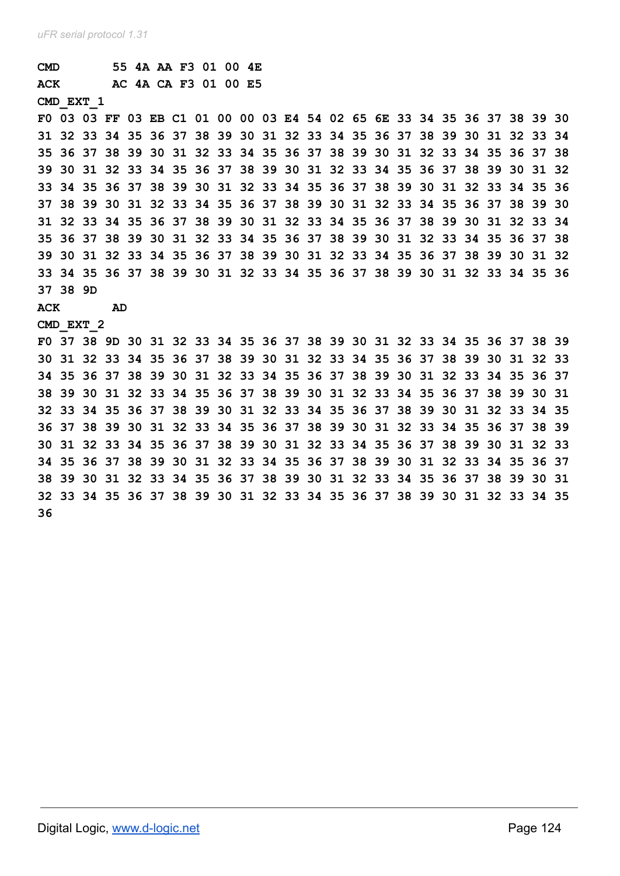| $\texttt{CMD}$ |          |                                                                         |    | 55 4A AA F3 01 00 4E |  |  |  |  |  |  |       |  |          |                   |     |
|----------------|----------|-------------------------------------------------------------------------|----|----------------------|--|--|--|--|--|--|-------|--|----------|-------------------|-----|
| <b>ACK</b>     |          |                                                                         |    | AC 4A CA F3 01 00 E5 |  |  |  |  |  |  |       |  |          |                   |     |
|                |          | <b>CMD EXT 1</b>                                                        |    |                      |  |  |  |  |  |  |       |  |          |                   |     |
|                |          | F0 03 03 FF 03 EB C1 01 00 00 03 E4 54 02 65 6E 33 34 35 36 37 38 39 30 |    |                      |  |  |  |  |  |  |       |  |          |                   |     |
|                |          | 31 32 33 34 35 36 37 38 39 30 31 32 33 34 35 36 37 38 39 30 31 32 33 34 |    |                      |  |  |  |  |  |  |       |  |          |                   |     |
|                |          | 35 36 37 38 39 30 31 32 33 34 35 36 37 38 39 30 31 32 33 34 35 36 37 38 |    |                      |  |  |  |  |  |  |       |  |          |                   |     |
|                |          | 39 30 31 32 33 34 35 36 37 38 39 30 31 32 33 34 35 36 37 38             |    |                      |  |  |  |  |  |  |       |  | 39 30 31 |                   | -32 |
|                |          | 33 34 35 36 37 38 39 30 31 32 33 34 35 36 37 38 39 30 31 32 33 34 35 36 |    |                      |  |  |  |  |  |  |       |  |          |                   |     |
|                |          | 37 38 39 30 31 32 33 34 35 36 37 38 39 30 31 32 33 34                   |    |                      |  |  |  |  |  |  |       |  |          | 35 36 37 38 39 30 |     |
|                |          | 31 32 33 34 35 36 37 38 39 30 31 32 33 34 35 36 37 38 39 30 31 32 33 34 |    |                      |  |  |  |  |  |  |       |  |          |                   |     |
|                |          | 35 36 37 38 39 30 31 32 33 34 35 36 37 38 39 30 31 32 33 34 35          |    |                      |  |  |  |  |  |  |       |  |          | 36 37 38          |     |
|                |          | 39 30 31 32 33 34 35 36 37 38 39 30 31 32 33 34 35 36 37 38 39 30 31 32 |    |                      |  |  |  |  |  |  |       |  |          |                   |     |
|                |          | 33 34 35 36 37 38 39 30 31 32 33 34 35 36 37 38 39 30 31 32 33 34 35 36 |    |                      |  |  |  |  |  |  |       |  |          |                   |     |
|                | 37 38 9D |                                                                         |    |                      |  |  |  |  |  |  |       |  |          |                   |     |
| ACK            |          |                                                                         | AD |                      |  |  |  |  |  |  |       |  |          |                   |     |
|                |          | CMD EXT 2                                                               |    |                      |  |  |  |  |  |  |       |  |          |                   |     |
|                |          | F0 37 38 9D 30 31 32 33 34 35 36 37 38 39 30 31 32 33 34 35 36 37 38 39 |    |                      |  |  |  |  |  |  |       |  |          |                   |     |
|                |          | 30 31 32 33 34 35 36 37 38 39 30 31 32 33 34 35 36 37 38 39 30 31 32 33 |    |                      |  |  |  |  |  |  |       |  |          |                   |     |
|                |          | 34 35 36 37 38 39 30 31 32 33 34 35 36 37 38 39 30 31 32 33 34 35 36 37 |    |                      |  |  |  |  |  |  |       |  |          |                   |     |
|                |          | 38 39 30 31 32 33 34 35 36 37 38 39 30 31 32 33 34 35                   |    |                      |  |  |  |  |  |  |       |  |          | 36 37 38 39 30 31 |     |
|                |          | 32 33 34 35 36 37 38 39 30 31 32 33 34 35 36 37 38 39 30 31             |    |                      |  |  |  |  |  |  |       |  |          | 32 33 34 35       |     |
|                |          | 36 37 38 39 30 31 32 33 34 35 36 37 38 39 30 31 32 33                   |    |                      |  |  |  |  |  |  | 34 35 |  |          | 36 37 38 39       |     |
|                |          | 30 31 32 33 34 35 36 37 38 39 30 31 32 33 34 35 36 37 38 39 30 31 32 33 |    |                      |  |  |  |  |  |  |       |  |          |                   |     |
|                |          | 34 35 36 37 38 39 30 31 32 33 34 35 36 37 38 39 30 31 32 33 34 35 36 37 |    |                      |  |  |  |  |  |  |       |  |          |                   |     |
|                |          | 38 39 30 31 32 33 34 35 36 37 38 39 30 31 32 33 34 35                   |    |                      |  |  |  |  |  |  |       |  |          | 36 37 38 39 30 31 |     |
|                |          | 32 33 34 35 36 37 38 39 30 31 32 33 34 35 36 37 38 39 30 31 32 33 34 35 |    |                      |  |  |  |  |  |  |       |  |          |                   |     |
| 36             |          |                                                                         |    |                      |  |  |  |  |  |  |       |  |          |                   |     |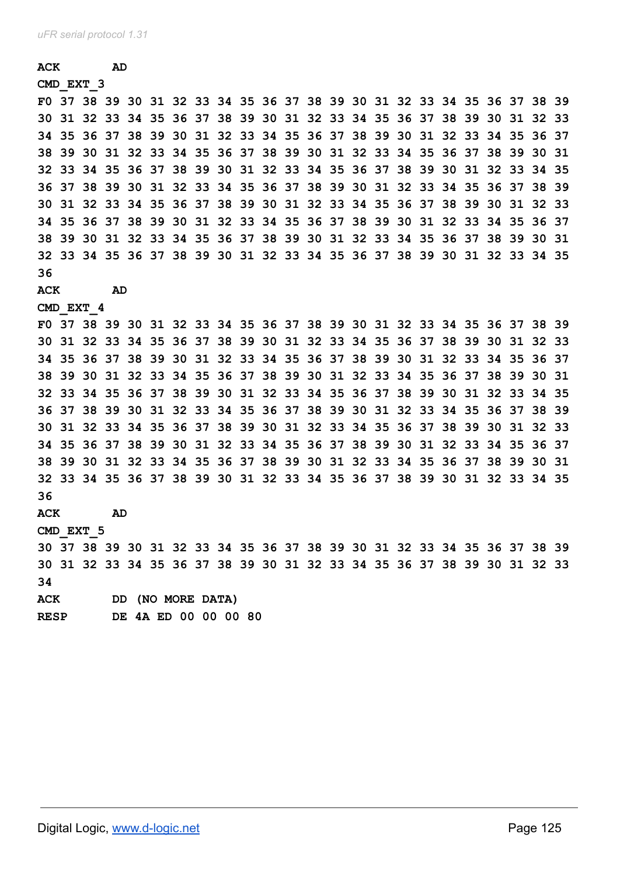# **ACK AD CMD\_EXT\_3**

|             | F0 37 38 39 30 31 32 33 34 35 36 37 38 39 30 31 32 33 34 35 36 37 38 39 |    |  |                      |  |  |  |  |  |  |  |  |
|-------------|-------------------------------------------------------------------------|----|--|----------------------|--|--|--|--|--|--|--|--|
|             | 30 31 32 33 34 35 36 37 38 39 30 31 32 33 34 35 36 37 38 39 30 31 32 33 |    |  |                      |  |  |  |  |  |  |  |  |
|             | 34 35 36 37 38 39 30 31 32 33 34 35 36 37 38 39 30 31 32 33 34 35 36 37 |    |  |                      |  |  |  |  |  |  |  |  |
|             | 38 39 30 31 32 33 34 35 36 37 38 39 30 31 32 33 34 35 36 37 38 39 30 31 |    |  |                      |  |  |  |  |  |  |  |  |
|             | 32 33 34 35 36 37 38 39 30 31 32 33 34 35 36 37 38 39 30 31 32 33 34 35 |    |  |                      |  |  |  |  |  |  |  |  |
|             | 36 37 38 39 30 31 32 33 34 35 36 37 38 39 30 31 32 33 34 35 36 37 38 39 |    |  |                      |  |  |  |  |  |  |  |  |
|             | 30 31 32 33 34 35 36 37 38 39 30 31 32 33 34 35 36 37 38 39 30 31 32 33 |    |  |                      |  |  |  |  |  |  |  |  |
|             | 34 35 36 37 38 39 30 31 32 33 34 35 36 37 38 39 30 31 32 33 34 35 36 37 |    |  |                      |  |  |  |  |  |  |  |  |
|             | 38 39 30 31 32 33 34 35 36 37 38 39 30 31 32 33 34 35 36 37 38 39 30 31 |    |  |                      |  |  |  |  |  |  |  |  |
|             | 32 33 34 35 36 37 38 39 30 31 32 33 34 35 36 37 38 39 30 31 32 33 34 35 |    |  |                      |  |  |  |  |  |  |  |  |
| 36          |                                                                         |    |  |                      |  |  |  |  |  |  |  |  |
| ACK         |                                                                         | AD |  |                      |  |  |  |  |  |  |  |  |
|             | CMD EXT 4                                                               |    |  |                      |  |  |  |  |  |  |  |  |
|             | F0 37 38 39 30 31 32 33 34 35 36 37 38 39 30 31 32 33 34 35 36 37 38 39 |    |  |                      |  |  |  |  |  |  |  |  |
|             | 30 31 32 33 34 35 36 37 38 39 30 31 32 33 34 35 36 37 38 39 30 31 32 33 |    |  |                      |  |  |  |  |  |  |  |  |
|             | 34 35 36 37 38 39 30 31 32 33 34 35 36 37 38 39 30 31 32 33 34 35 36 37 |    |  |                      |  |  |  |  |  |  |  |  |
|             | 38 39 30 31 32 33 34 35 36 37 38 39 30 31 32 33 34 35 36 37 38 39 30 31 |    |  |                      |  |  |  |  |  |  |  |  |
|             | 32 33 34 35 36 37 38 39 30 31 32 33 34 35 36 37 38 39 30 31 32 33 34 35 |    |  |                      |  |  |  |  |  |  |  |  |
|             | 36 37 38 39 30 31 32 33 34 35 36 37 38 39 30 31 32 33 34 35 36 37 38 39 |    |  |                      |  |  |  |  |  |  |  |  |
|             | 30 31 32 33 34 35 36 37 38 39 30 31 32 33 34 35 36 37 38 39 30 31 32 33 |    |  |                      |  |  |  |  |  |  |  |  |
|             | 34 35 36 37 38 39 30 31 32 33 34 35 36 37 38 39 30 31 32 33 34 35 36 37 |    |  |                      |  |  |  |  |  |  |  |  |
|             | 38 39 30 31 32 33 34 35 36 37 38 39 30 31 32 33 34 35 36 37 38 39 30 31 |    |  |                      |  |  |  |  |  |  |  |  |
|             | 32 33 34 35 36 37 38 39 30 31 32 33 34 35 36 37 38 39 30 31 32 33 34 35 |    |  |                      |  |  |  |  |  |  |  |  |
| 36          |                                                                         |    |  |                      |  |  |  |  |  |  |  |  |
| <b>ACK</b>  |                                                                         | AD |  |                      |  |  |  |  |  |  |  |  |
|             | CMD EXT 5                                                               |    |  |                      |  |  |  |  |  |  |  |  |
|             | 30 37 38 39 30 31 32 33 34 35 36 37 38 39 30 31 32 33 34 35 36 37 38 39 |    |  |                      |  |  |  |  |  |  |  |  |
|             | 30 31 32 33 34 35 36 37 38 39 30 31 32 33 34 35 36 37 38 39 30 31 32 33 |    |  |                      |  |  |  |  |  |  |  |  |
| 34          |                                                                         |    |  |                      |  |  |  |  |  |  |  |  |
| ACK         |                                                                         |    |  | DD (NO MORE DATA)    |  |  |  |  |  |  |  |  |
| <b>RESP</b> |                                                                         |    |  | DE 4A ED 00 00 00 80 |  |  |  |  |  |  |  |  |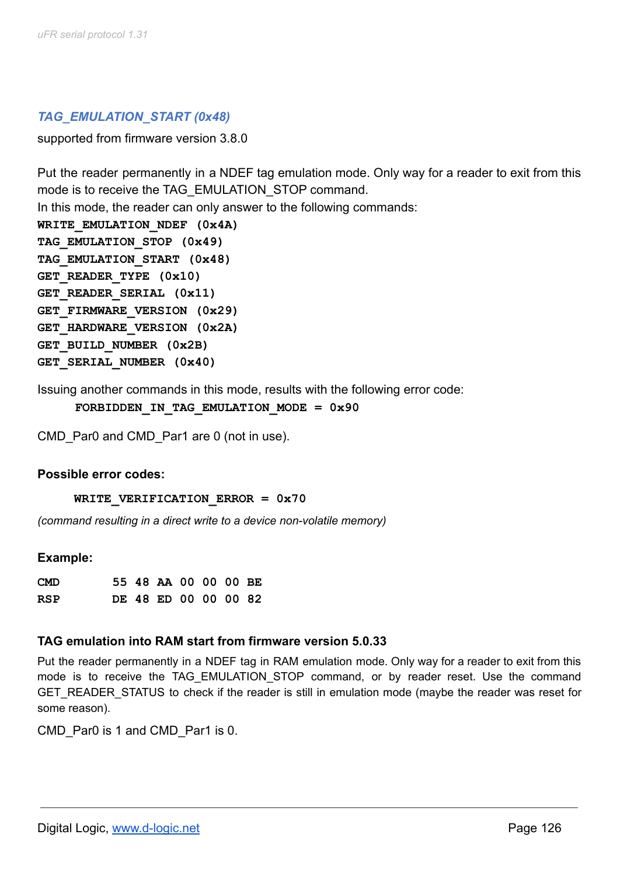### *TAG\_EMULATION\_START (0x48)*

supported from firmware version 3.8.0

Put the reader permanently in a NDEF tag emulation mode. Only way for a reader to exit from this mode is to receive the TAG\_EMULATION\_STOP command. In this mode, the reader can only answer to the following commands: WRITE EMULATION NDEF (0x4A) **TAG\_EMULATION\_STOP (0x49) TAG\_EMULATION\_START (0x48) GET\_READER\_TYPE (0x10) GET\_READER\_SERIAL (0x11) GET\_FIRMWARE\_VERSION (0x29) GET\_HARDWARE\_VERSION (0x2A) GET\_BUILD\_NUMBER (0x2B) GET\_SERIAL\_NUMBER (0x40)**

Issuing another commands in this mode, results with the following error code:

FORBIDDEN IN TAG EMULATION MODE =  $0x90$ 

CMD Par0 and CMD Par1 are 0 (not in use).

#### **Possible error codes:**

**WRITE\_VERIFICATION\_ERROR = 0x70**

*(command resulting in a direct write to a device non-volatile memory)*

#### **Example:**

| <b>CMD</b> |  | 55 48 AA 00 00 00 BE |  |  |
|------------|--|----------------------|--|--|
| <b>RSP</b> |  | DE 48 ED 00 00 00 82 |  |  |

#### **TAG emulation into RAM start from firmware version 5.0.33**

Put the reader permanently in a NDEF tag in RAM emulation mode. Only way for a reader to exit from this mode is to receive the TAG EMULATION STOP command, or by reader reset. Use the command GET\_READER\_STATUS to check if the reader is still in emulation mode (maybe the reader was reset for some reason).

CMD Par0 is 1 and CMD Par1 is 0.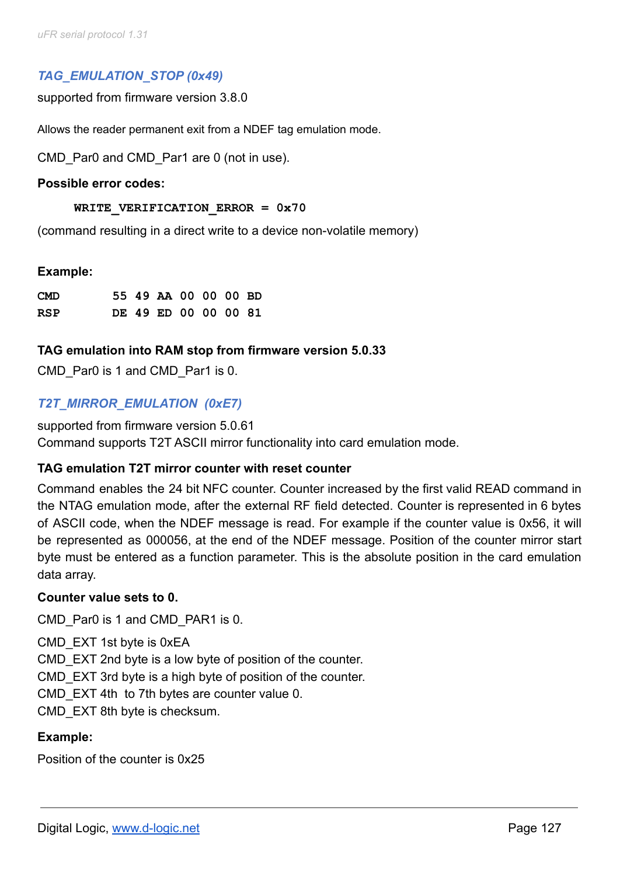# *TAG\_EMULATION\_STOP (0x49)*

supported from firmware version 3.8.0

Allows the reader permanent exit from a NDEF tag emulation mode.

CMD Par0 and CMD Par1 are 0 (not in use).

#### **Possible error codes:**

#### **WRITE\_VERIFICATION\_ERROR = 0x70**

(command resulting in a direct write to a device non-volatile memory)

#### **Example:**

| <b>CMD</b> |  | 55 49 AA 00 00 00 BD |  |  |
|------------|--|----------------------|--|--|
| <b>RSP</b> |  | DE 49 ED 00 00 00 81 |  |  |

#### **TAG emulation into RAM stop from firmware version 5.0.33**

CMD Par0 is 1 and CMD Par1 is 0.

# *T2T\_MIRROR\_EMULATION (0xE7)*

supported from firmware version 5.0.61 Command supports T2T ASCII mirror functionality into card emulation mode.

### **TAG emulation T2T mirror counter with reset counter**

Command enables the 24 bit NFC counter. Counter increased by the first valid READ command in the NTAG emulation mode, after the external RF field detected. Counter is represented in 6 bytes of ASCII code, when the NDEF message is read. For example if the counter value is 0x56, it will be represented as 000056, at the end of the NDEF message. Position of the counter mirror start byte must be entered as a function parameter. This is the absolute position in the card emulation data array.

#### **Counter value sets to 0.**

CMD Par0 is 1 and CMD PAR1 is 0.

CMD\_EXT 1st byte is 0xEA CMD\_EXT 2nd byte is a low byte of position of the counter. CMD\_EXT 3rd byte is a high byte of position of the counter. CMD EXT 4th to 7th bytes are counter value 0. CMD\_EXT 8th byte is checksum.

### **Example:**

Position of the counter is 0x25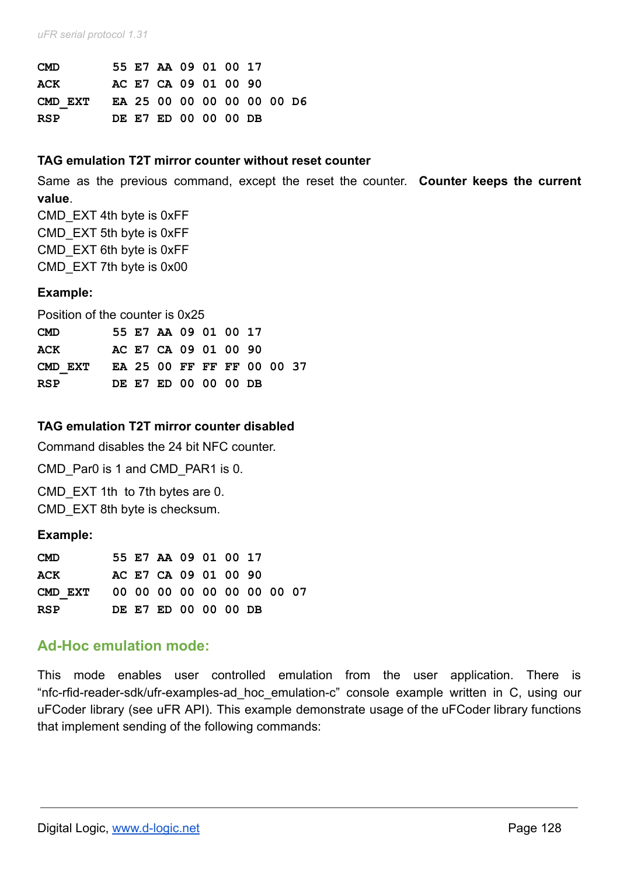*uFR serial protocol 1.31*

| <b>CMD</b>                         |  | 55 E7 AA 09 01 00 17 |  |  |  |
|------------------------------------|--|----------------------|--|--|--|
| <b>ACK</b>                         |  | AC E7 CA 09 01 00 90 |  |  |  |
| CMD EXT EA 25 00 00 00 00 00 00 D6 |  |                      |  |  |  |
| <b>RSP</b>                         |  | DE E7 ED 00 00 00 DB |  |  |  |

#### **TAG emulation T2T mirror counter without reset counter**

Same as the previous command, except the reset the counter. **Counter keeps the current value**.

CMD\_EXT 4th byte is 0xFF CMD\_EXT 5th byte is 0xFF CMD\_EXT 6th byte is 0xFF CMD\_EXT 7th byte is 0x00

### **Example:**

Position of the counter is 0x25

| <b>CMD</b> |  | 55 E7 AA 09 01 00 17       |  |  |  |
|------------|--|----------------------------|--|--|--|
| ACK        |  | AC E7 CA 09 01 00 90       |  |  |  |
| CMD EXT    |  | EA 25 00 FF FF FF 00 00 37 |  |  |  |
| <b>RSP</b> |  | DE E7 ED 00 00 00 DB       |  |  |  |

### **TAG emulation T2T mirror counter disabled**

Command disables the 24 bit NFC counter.

CMD Par0 is 1 and CMD PAR1 is 0.

CMD EXT 1th to 7th bytes are 0. CMD\_EXT 8th byte is checksum.

#### **Example:**

| <b>CMD</b>                         |  | 55 E7 AA 09 01 00 17 |  |  |  |
|------------------------------------|--|----------------------|--|--|--|
| <b>ACK</b>                         |  | AC E7 CA 09 01 00 90 |  |  |  |
| CMD EXT 00 00 00 00 00 00 00 00 07 |  |                      |  |  |  |
| RSP                                |  | DE E7 ED 00 00 00 DB |  |  |  |

# **Ad-Hoc emulation mode:**

This mode enables user controlled emulation from the user application. There is "nfc-rfid-reader-sdk/ufr-examples-ad\_hoc\_emulation-c" console example written in C, using our uFCoder library (see uFR API). This example demonstrate usage of the uFCoder library functions that implement sending of the following commands: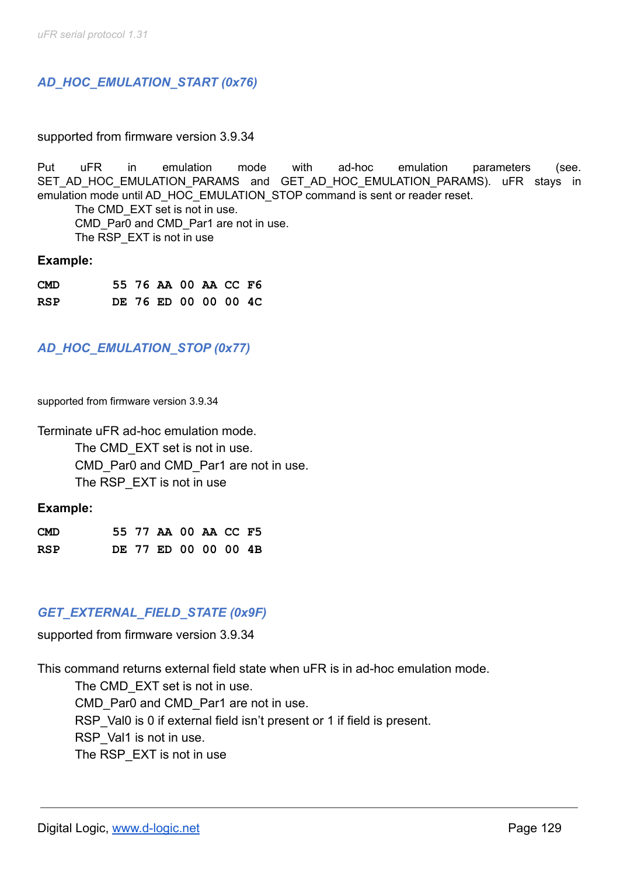# *AD\_HOC\_EMULATION\_START (0x76)*

#### supported from firmware version 3.9.34

Put uFR in emulation mode with ad-hoc emulation parameters (see. SET\_AD\_HOC\_EMULATION\_PARAMS and GET\_AD\_HOC\_EMULATION\_PARAMS). uFR stays in emulation mode until AD\_HOC\_EMULATION\_STOP command is sent or reader reset.

The CMD EXT set is not in use. CMD Par0 and CMD Par1 are not in use. The RSP\_EXT is not in use

#### **Example:**

| <b>CMD</b> |  | 55 76 AA 00 AA CC F6 |  |  |
|------------|--|----------------------|--|--|
| <b>RSP</b> |  | DE 76 ED 00 00 00 4C |  |  |

# *AD\_HOC\_EMULATION\_STOP (0x77)*

supported from firmware version 3.9.34

Terminate uFR ad-hoc emulation mode.

The CMD EXT set is not in use. CMD Par0 and CMD Par1 are not in use. The RSP EXT is not in use

#### **Example:**

| <b>CMD</b> |  | 55 77 AA 00 AA CC F5 |  |  |
|------------|--|----------------------|--|--|
| RSP        |  | DE 77 ED 00 00 00 4B |  |  |

#### *GET\_EXTERNAL\_FIELD\_STATE (0x9F)*

supported from firmware version 3.9.34

This command returns external field state when uFR is in ad-hoc emulation mode.

The CMD EXT set is not in use. CMD Par0 and CMD Par1 are not in use. RSP Val0 is 0 if external field isn't present or 1 if field is present. RSP Val1 is not in use. The RSP EXT is not in use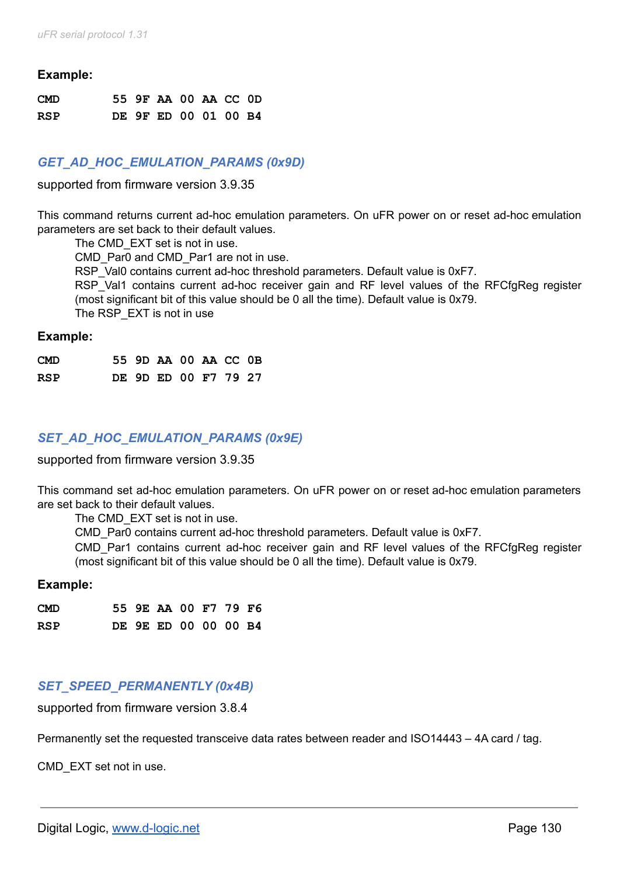#### **Example:**

| <b>CMD</b> |  | 55 9F AA 00 AA CC 0D |  |  |
|------------|--|----------------------|--|--|
| <b>RSP</b> |  | DE 9F ED 00 01 00 B4 |  |  |

### *GET\_AD\_HOC\_EMULATION\_PARAMS (0x9D)*

supported from firmware version 3.9.35

This command returns current ad-hoc emulation parameters. On uFR power on or reset ad-hoc emulation parameters are set back to their default values.

The CMD EXT set is not in use.

CMD Par0 and CMD Par1 are not in use.

RSP Val0 contains current ad-hoc threshold parameters. Default value is 0xF7.

RSP Val1 contains current ad-hoc receiver gain and RF level values of the RFCfgReg register (most significant bit of this value should be 0 all the time). Default value is 0x79.

The RSP\_EXT is not in use

#### **Example:**

| <b>CMD</b> |  | 55 9D AA 00 AA CC 0B |  |  |
|------------|--|----------------------|--|--|
| <b>RSP</b> |  | DE 9D ED 00 F7 79 27 |  |  |

# *SET\_AD\_HOC\_EMULATION\_PARAMS (0x9E)*

supported from firmware version 3.9.35

This command set ad-hoc emulation parameters. On uFR power on or reset ad-hoc emulation parameters are set back to their default values.

The CMD EXT set is not in use.

CMD\_Par0 contains current ad-hoc threshold parameters. Default value is 0xF7.

CMD\_Par1 contains current ad-hoc receiver gain and RF level values of the RFCfgReg register (most significant bit of this value should be 0 all the time). Default value is 0x79.

#### **Example:**

| <b>CMD</b> |  | 55 9E AA 00 F7 79 F6 |  |  |
|------------|--|----------------------|--|--|
| <b>RSP</b> |  | DE 9E ED 00 00 00 B4 |  |  |

#### *SET\_SPEED\_PERMANENTLY (0x4B)*

supported from firmware version 3.8.4

Permanently set the requested transceive data rates between reader and ISO14443 – 4A card / tag.

CMD\_EXT set not in use.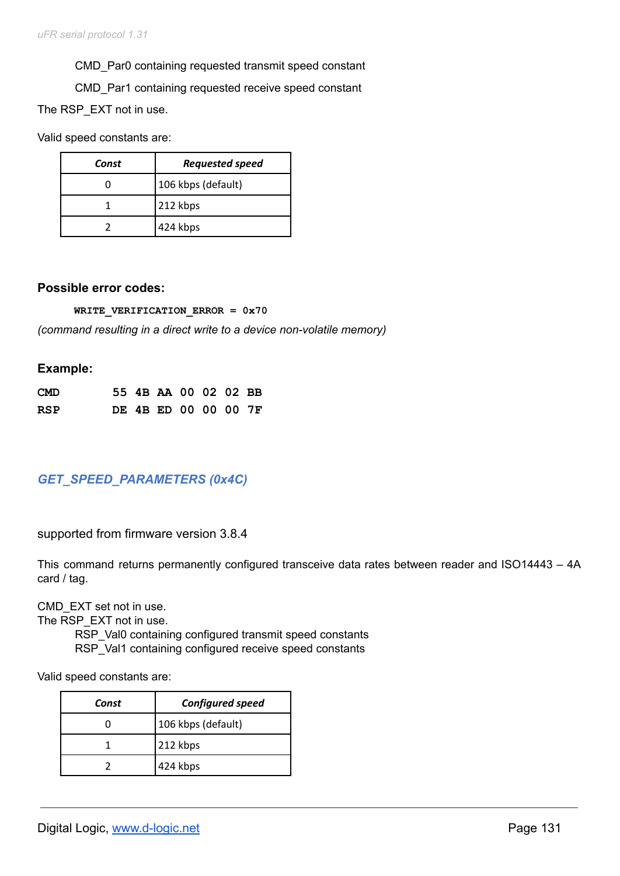CMD\_Par0 containing requested transmit speed constant

CMD\_Par1 containing requested receive speed constant

The RSP\_EXT not in use.

Valid speed constants are:

| Const | <b>Requested speed</b> |
|-------|------------------------|
|       | 106 kbps (default)     |
|       | 212 kbps               |
|       | 424 kbps               |

#### **Possible error codes:**

**WRITE\_VERIFICATION\_ERROR = 0x70**

*(command resulting in a direct write to a device non-volatile memory)*

#### **Example:**

| <b>CMD</b> |  | 55 4B AA 00 02 02 BB |  |  |
|------------|--|----------------------|--|--|
| RSP        |  | DE 4B ED 00 00 00 7F |  |  |

# *GET\_SPEED\_PARAMETERS (0x4C)*

supported from firmware version 3.8.4

This command returns permanently configured transceive data rates between reader and ISO14443 – 4A card / tag.

CMD\_EXT set not in use.

The RSP EXT not in use.

RSP\_Val0 containing configured transmit speed constants RSP\_Val1 containing configured receive speed constants

Valid speed constants are:

| Const | <b>Configured speed</b> |
|-------|-------------------------|
|       | 106 kbps (default)      |
|       | 212 kbps                |
|       | 424 kbps                |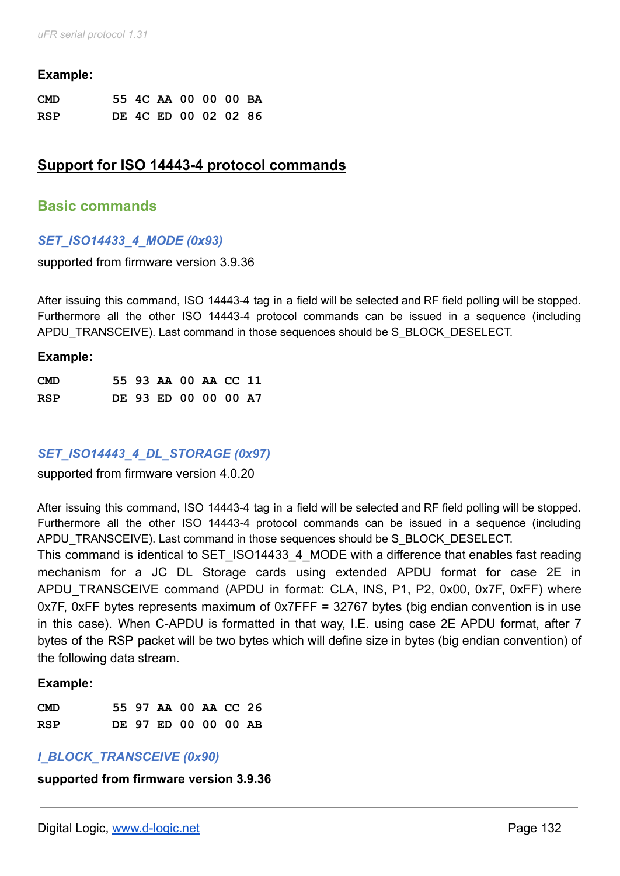*uFR serial protocol 1.31*

#### **Example:**

| <b>CMD</b> |  | 55 4C AA 00 00 00 BA |  |  |
|------------|--|----------------------|--|--|
| <b>RSP</b> |  | DE 4C ED 00 02 02 86 |  |  |

# **Support for ISO 14443-4 protocol commands**

#### **Basic commands**

#### *SET\_ISO14433\_4\_MODE (0x93)*

supported from firmware version 3.9.36

After issuing this command, ISO 14443-4 tag in a field will be selected and RF field polling will be stopped. Furthermore all the other ISO 14443-4 protocol commands can be issued in a sequence (including APDU\_TRANSCEIVE). Last command in those sequences should be S\_BLOCK\_DESELECT.

#### **Example:**

| <b>CMD</b> |  | 55 93 AA 00 AA CC 11 |  |  |
|------------|--|----------------------|--|--|
| RSP        |  | DE 93 ED 00 00 00 A7 |  |  |

#### *SET\_ISO14443\_4\_DL\_STORAGE (0x97)*

supported from firmware version 4.0.20

After issuing this command, ISO 14443-4 tag in a field will be selected and RF field polling will be stopped. Furthermore all the other ISO 14443-4 protocol commands can be issued in a sequence (including APDU\_TRANSCEIVE). Last command in those sequences should be S\_BLOCK\_DESELECT.

This command is identical to SET ISO14433\_4 MODE with a difference that enables fast reading mechanism for a JC DL Storage cards using extended APDU format for case 2E in APDU\_TRANSCEIVE command (APDU in format: CLA, INS, P1, P2, 0x00, 0x7F, 0xFF) where 0x7F, 0xFF bytes represents maximum of 0x7FFF = 32767 bytes (big endian convention is in use in this case). When C-APDU is formatted in that way, I.E. using case 2E APDU format, after 7 bytes of the RSP packet will be two bytes which will define size in bytes (big endian convention) of the following data stream.

#### **Example:**

| <b>CMD</b> |  | 55 97 AA 00 AA CC 26 |  |  |
|------------|--|----------------------|--|--|
| RSP        |  | DE 97 ED 00 00 00 AB |  |  |

#### *I\_BLOCK\_TRANSCEIVE (0x90)*

**supported from firmware version 3.9.36**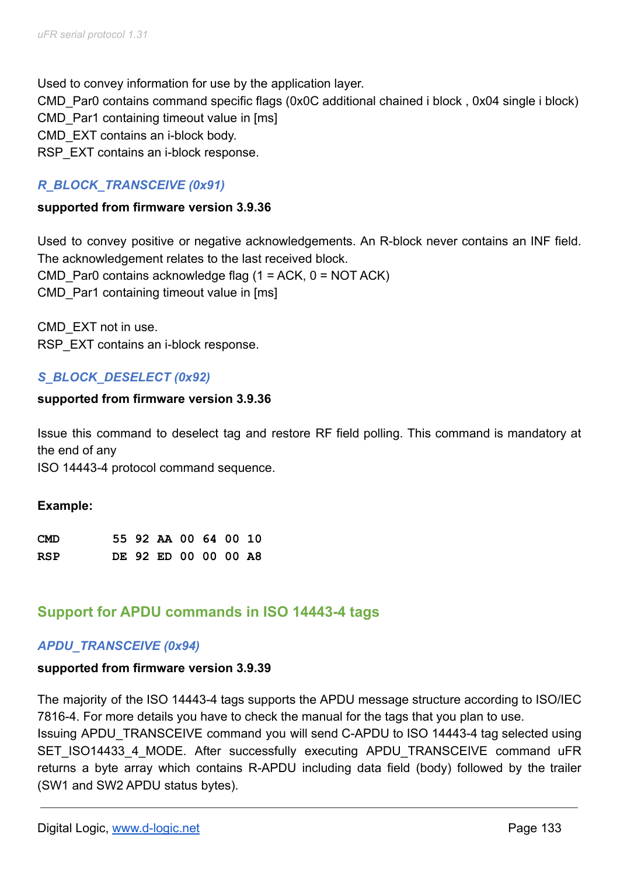Used to convey information for use by the application layer. CMD\_Par0 contains command specific flags (0x0C additional chained i block , 0x04 single i block) CMD Par1 containing timeout value in [ms] CMD\_EXT contains an i-block body. RSP EXT contains an i-block response.

# *R\_BLOCK\_TRANSCEIVE (0x91)*

### **supported from firmware version 3.9.36**

Used to convey positive or negative acknowledgements. An R-block never contains an INF field. The acknowledgement relates to the last received block. CMD Par0 contains acknowledge flag  $(1 = ACK, 0 = NOT ACK)$ CMD Par1 containing timeout value in [ms]

CMD\_EXT not in use. RSP\_EXT contains an i-block response.

# *S\_BLOCK\_DESELECT (0x92)*

### **supported from firmware version 3.9.36**

Issue this command to deselect tag and restore RF field polling. This command is mandatory at the end of any

ISO 14443-4 protocol command sequence.

#### **Example:**

| <b>CMD</b> |  | 55 92 AA 00 64 00 10 |  |  |
|------------|--|----------------------|--|--|
| <b>RSP</b> |  | DE 92 ED 00 00 00 A8 |  |  |

# **Support for APDU commands in ISO 14443-4 tags**

# *APDU\_TRANSCEIVE (0x94)*

#### **supported from firmware version 3.9.39**

The majority of the ISO 14443-4 tags supports the APDU message structure according to ISO/IEC 7816-4. For more details you have to check the manual for the tags that you plan to use.

Issuing APDU\_TRANSCEIVE command you will send C-APDU to ISO 14443-4 tag selected using SET ISO14433 4 MODE. After successfully executing APDU TRANSCEIVE command uFR returns a byte array which contains R-APDU including data field (body) followed by the trailer (SW1 and SW2 APDU status bytes).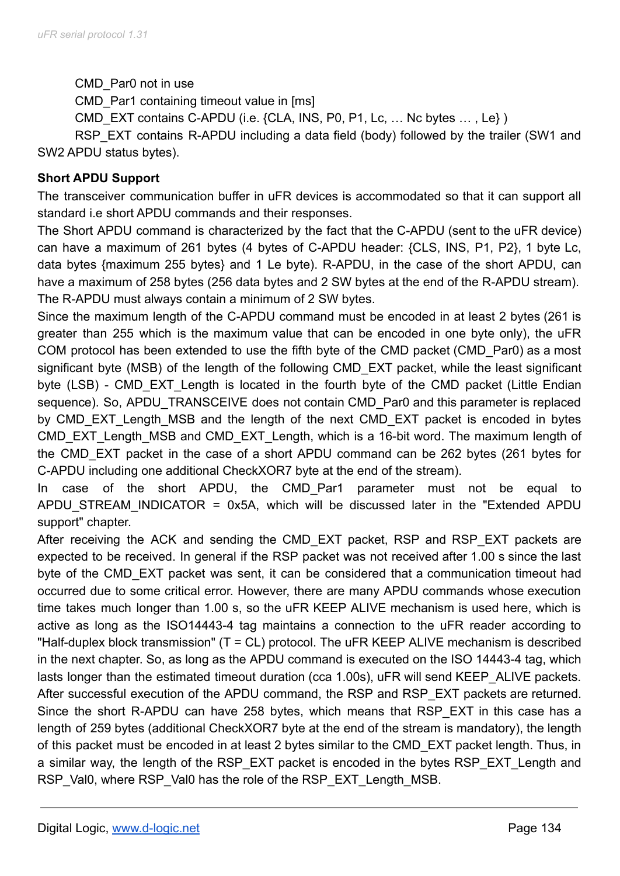CMD\_Par0 not in use

CMD Par1 containing timeout value in [ms]

CMD EXT contains C-APDU (i.e. {CLA, INS, P0, P1, Lc, ... Nc bytes ..., Le})

RSP\_EXT contains R-APDU including a data field (body) followed by the trailer (SW1 and SW2 APDU status bytes).

# **Short APDU Support**

The transceiver communication buffer in uFR devices is accommodated so that it can support all standard i.e short APDU commands and their responses.

The Short APDU command is characterized by the fact that the C-APDU (sent to the uFR device) can have a maximum of 261 bytes (4 bytes of C-APDU header: {CLS, INS, P1, P2}, 1 byte Lc, data bytes {maximum 255 bytes} and 1 Le byte). R-APDU, in the case of the short APDU, can have a maximum of 258 bytes (256 data bytes and 2 SW bytes at the end of the R-APDU stream). The R-APDU must always contain a minimum of 2 SW bytes.

Since the maximum length of the C-APDU command must be encoded in at least 2 bytes (261 is greater than 255 which is the maximum value that can be encoded in one byte only), the uFR COM protocol has been extended to use the fifth byte of the CMD packet (CMD\_Par0) as a most significant byte (MSB) of the length of the following CMD\_EXT packet, while the least significant byte (LSB) - CMD EXT Length is located in the fourth byte of the CMD packet (Little Endian sequence). So, APDU\_TRANSCEIVE does not contain CMD\_Par0 and this parameter is replaced by CMD EXT Length MSB and the length of the next CMD EXT packet is encoded in bytes CMD EXT Length MSB and CMD EXT Length, which is a 16-bit word. The maximum length of the CMD\_EXT packet in the case of a short APDU command can be 262 bytes (261 bytes for C-APDU including one additional CheckXOR7 byte at the end of the stream).

In case of the short APDU, the CMD-Par1 parameter must not be equal to APDU\_STREAM\_INDICATOR = 0x5A, which will be discussed later in the "Extended APDU support" chapter.

After receiving the ACK and sending the CMD EXT packet, RSP and RSP EXT packets are expected to be received. In general if the RSP packet was not received after 1.00 s since the last byte of the CMD EXT packet was sent, it can be considered that a communication timeout had occurred due to some critical error. However, there are many APDU commands whose execution time takes much longer than 1.00 s, so the uFR KEEP ALIVE mechanism is used here, which is active as long as the ISO14443-4 tag maintains a connection to the uFR reader according to "Half-duplex block transmission" (T = CL) protocol. The uFR KEEP ALIVE mechanism is described in the next chapter. So, as long as the APDU command is executed on the ISO 14443-4 tag, which lasts longer than the estimated timeout duration (cca 1.00s), uFR will send KEEP ALIVE packets. After successful execution of the APDU command, the RSP and RSP EXT packets are returned. Since the short R-APDU can have 258 bytes, which means that RSP\_EXT in this case has a length of 259 bytes (additional CheckXOR7 byte at the end of the stream is mandatory), the length of this packet must be encoded in at least 2 bytes similar to the CMD\_EXT packet length. Thus, in a similar way, the length of the RSP\_EXT packet is encoded in the bytes RSP\_EXT\_Length and RSP\_Val0, where RSP\_Val0 has the role of the RSP\_EXT\_Length\_MSB.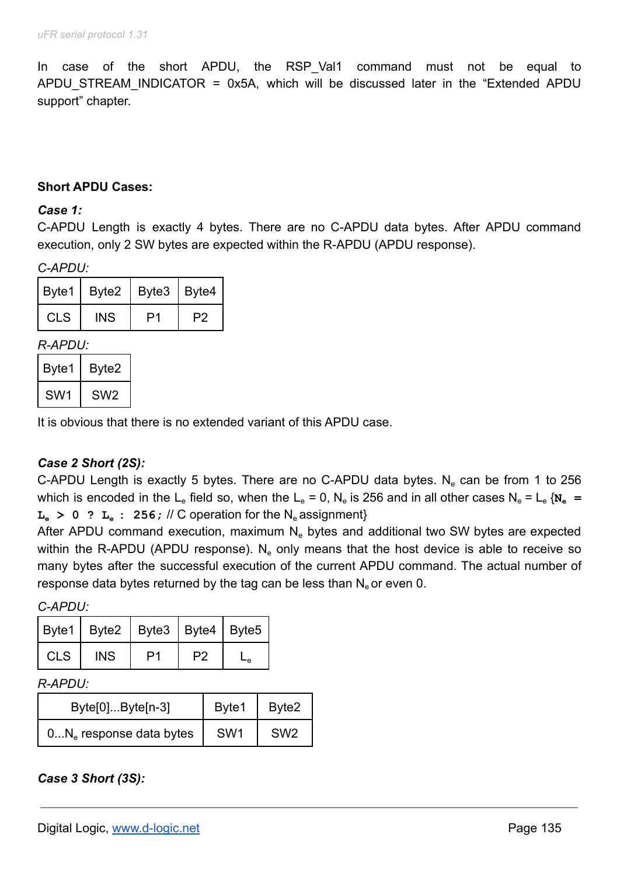In case of the short APDU, the RSP-Val1 command must not be equal to APDU\_STREAM\_INDICATOR = 0x5A, which will be discussed later in the "Extended APDU support" chapter.

### **Short APDU Cases:**

#### *Case 1:*

C-APDU Length is exactly 4 bytes. There are no C-APDU data bytes. After APDU command execution, only 2 SW bytes are expected within the R-APDU (APDU response).

#### *C-APDU:*

|            | Byte1   Byte2   Byte3   Byte4 |    |    |
|------------|-------------------------------|----|----|
| <b>CLS</b> | INS                           | D1 | P2 |

#### *R-APDU:*

| Byte1           | Byte2 |
|-----------------|-------|
| SW <sub>1</sub> | SW2   |

It is obvious that there is no extended variant of this APDU case.

# *Case 2 Short (2S):*

C-APDU Length is exactly 5 bytes. There are no C-APDU data bytes. N<sub>e</sub> can be from 1 to 256 which is encoded in the L<sub>e</sub> field so, when the L<sub>e</sub> = 0, N<sub>e</sub> is 256 and in all other cases N<sub>e</sub> = L<sub>e</sub> { $N_e$  =  $L<sub>a</sub> > 0$  ?  $L<sub>a</sub>$  : 256; // C operation for the N<sub>e</sub> assignment}

After APDU command execution, maximum  $N<sub>e</sub>$  bytes and additional two SW bytes are expected within the R-APDU (APDU response).  $N_e$  only means that the host device is able to receive so many bytes after the successful execution of the current APDU command. The actual number of response data bytes returned by the tag can be less than  $N_e$  or even 0.

*C-APDU:*

|            | Byte1   Byte2   Byte3   Byte4   Byte5 |    |  |
|------------|---------------------------------------|----|--|
| <b>CLS</b> | INS.                                  | פס |  |

#### *R-APDU:*

| $Byte[0]Byte[n-3]$         | Byte1           | Byte2           |
|----------------------------|-----------------|-----------------|
| $0N_e$ response data bytes | SW <sub>1</sub> | SW <sub>2</sub> |

*Case 3 Short (3S):*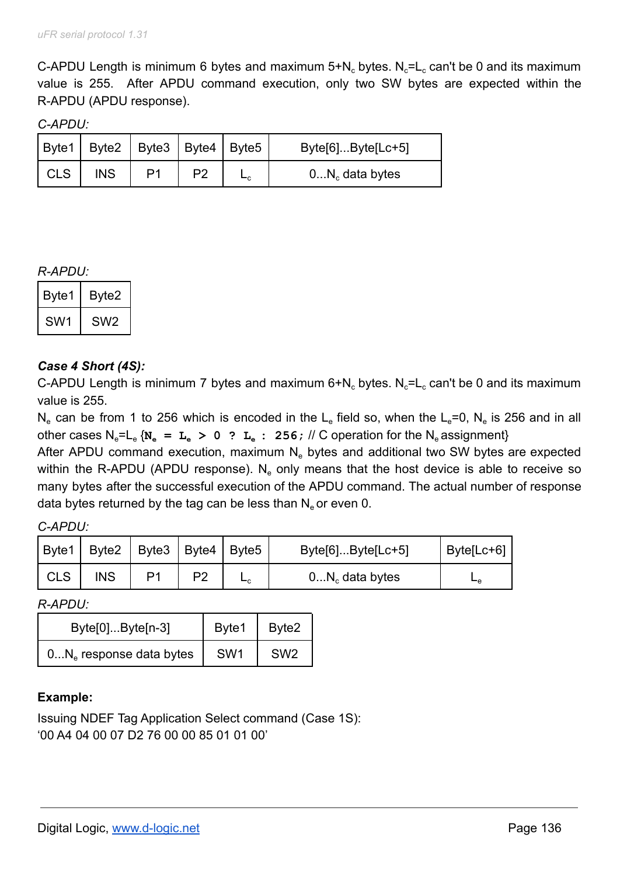C-APDU Length is minimum 6 bytes and maximum  $5+N_c$  bytes. N<sub>c</sub>=L<sub>c</sub> can't be 0 and its maximum value is 255. After APDU command execution, only two SW bytes are expected within the R-APDU (APDU response).

*C-APDU:*

|            | $ $ Byte1   Byte2   Byte3   Byte4   Byte5 |    |  | $Byte[6]Byte[Lc+5]$ |
|------------|-------------------------------------------|----|--|---------------------|
| <b>CLS</b> | INS                                       | P1 |  | $0N_c$ data bytes   |

### *R-APDU:*

| Byte1           | Byte2           |
|-----------------|-----------------|
| SW <sub>1</sub> | SW <sub>2</sub> |

# *Case 4 Short (4S):*

C-APDU Length is minimum 7 bytes and maximum  $6+N_c$  bytes. N<sub>c</sub>=L<sub>c</sub> can't be 0 and its maximum value is 255.

N<sub>e</sub> can be from 1 to 256 which is encoded in the L<sub>e</sub> field so, when the L<sub>e</sub>=0, N<sub>e</sub> is 256 and in all other cases  $N_e = L_e$  { $N_e = L_e > 0$  ?  $L_e$  : 256; // C operation for the  $N_e$  assignment}

After APDU command execution, maximum  $N_e$  bytes and additional two SW bytes are expected within the R-APDU (APDU response).  $N_e$  only means that the host device is able to receive so many bytes after the successful execution of the APDU command. The actual number of response data bytes returned by the tag can be less than  $N_e$  or even 0.

| C-APDU: |  |
|---------|--|
|---------|--|

| Byte1      | Byte2 | Byte3 | Byte4   Byte5 |    | $Byte[6]Byte[Lc+5]$ | Byte[Lc+6] |
|------------|-------|-------|---------------|----|---------------------|------------|
| <b>CLS</b> | INS   | D1    | P2            | ⊢с | $0N_c$ data bytes   | ⊷          |

*R-APDU:*

| $Byte[0]Byte[n-3]$         | Byte1           | Byte2           |
|----------------------------|-----------------|-----------------|
| $0N_e$ response data bytes | SW <sub>1</sub> | SW <sub>2</sub> |

# **Example:**

Issuing NDEF Tag Application Select command (Case 1S): '00 A4 04 00 07 D2 76 00 00 85 01 01 00'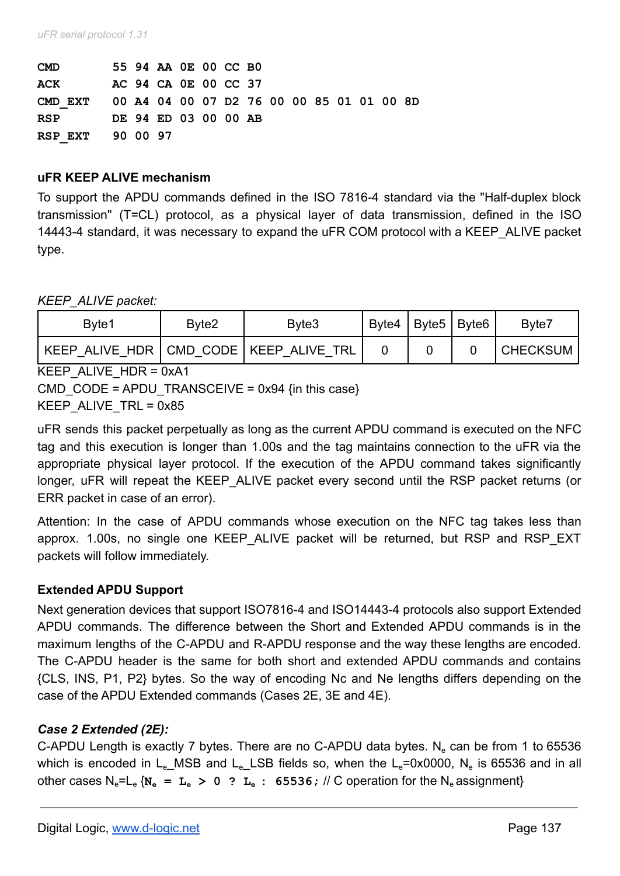| <b>CMD</b>       |  | 55 94 AA OE 00 CC BO |  |  |  |  |                                           |  |
|------------------|--|----------------------|--|--|--|--|-------------------------------------------|--|
| ACK              |  | AC 94 CA 0E 00 CC 37 |  |  |  |  |                                           |  |
| CMD EXT          |  |                      |  |  |  |  | 00 A4 04 00 07 D2 76 00 00 85 01 01 00 8D |  |
| <b>RSP</b>       |  | DE 94 ED 03 00 00 AB |  |  |  |  |                                           |  |
| RSP EXT 90 00 97 |  |                      |  |  |  |  |                                           |  |

### **uFR KEEP ALIVE mechanism**

To support the APDU commands defined in the ISO 7816-4 standard via the "Half-duplex block transmission" (T=CL) protocol, as a physical layer of data transmission, defined in the ISO 14443-4 standard, it was necessary to expand the uFR COM protocol with a KEEP\_ALIVE packet type.

*KEEP\_ALIVE packet:*

| Byte1                                      | Bvte2 | Byte3 | Byte4 | Byte5   Byte6 | Byte7    |
|--------------------------------------------|-------|-------|-------|---------------|----------|
| KEEP ALIVE HDR   CMD CODE   KEEP ALIVE TRL |       |       |       |               | CHECKSUM |

KEEP\_ALIVE\_HDR = 0xA1

CMD CODE = APDU TRANSCEIVE =  $0x94$  {in this case}

KEEP ALIVE  $TRL = 0x85$ 

uFR sends this packet perpetually as long as the current APDU command is executed on the NFC tag and this execution is longer than 1.00s and the tag maintains connection to the uFR via the appropriate physical layer protocol. If the execution of the APDU command takes significantly longer, uFR will repeat the KEEP ALIVE packet every second until the RSP packet returns (or ERR packet in case of an error).

Attention: In the case of APDU commands whose execution on the NFC tag takes less than approx. 1.00s, no single one KEEP\_ALIVE packet will be returned, but RSP and RSP\_EXT packets will follow immediately.

# **Extended APDU Support**

Next generation devices that support ISO7816-4 and ISO14443-4 protocols also support Extended APDU commands. The difference between the Short and Extended APDU commands is in the maximum lengths of the C-APDU and R-APDU response and the way these lengths are encoded. The C-APDU header is the same for both short and extended APDU commands and contains {CLS, INS, P1, P2} bytes. So the way of encoding Nc and Ne lengths differs depending on the case of the APDU Extended commands (Cases 2E, 3E and 4E).

# *Case 2 Extended (2E):*

C-APDU Length is exactly 7 bytes. There are no C-APDU data bytes. N<sub>e</sub> can be from 1 to 65536 which is encoded in L<sub>e</sub>\_MSB and L<sub>e</sub>\_LSB fields so, when the L<sub>e</sub>=0x0000, N<sub>e</sub> is 65536 and in all other cases  $N_e = L_e$  { $N_e = L_e > 0$  ?  $L_e$  : 65536; // C operation for the  $N_e$  assignment}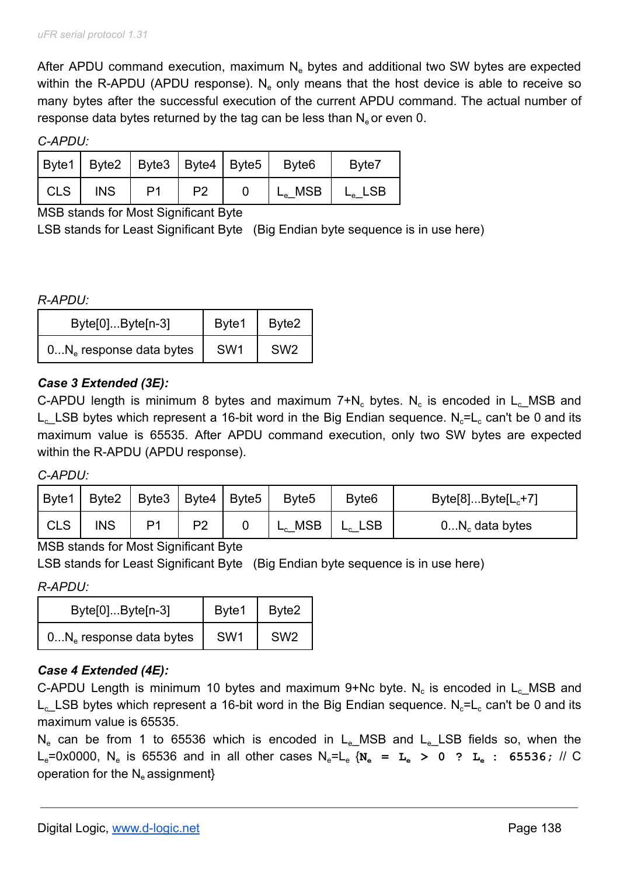After APDU command execution, maximum  $N<sub>e</sub>$  bytes and additional two SW bytes are expected within the R-APDU (APDU response).  $N_e$  only means that the host device is able to receive so many bytes after the successful execution of the current APDU command. The actual number of response data bytes returned by the tag can be less than  $N_e$  or even 0.

*C-APDU:*

|            | Byte1   Byte2   Byte3   Byte4   Byte5   Byte6 |                |                |  | Byte7                                                   |
|------------|-----------------------------------------------|----------------|----------------|--|---------------------------------------------------------|
| <b>CLS</b> | <b>INS</b>                                    | P <sub>1</sub> | P <sub>2</sub> |  | $L_e$ <sub>MSB</sub> $\mid$ $L_e$ <sub>LSB</sub> $\mid$ |

MSB stands for Most Significant Byte

LSB stands for Least Significant Byte (Big Endian byte sequence is in use here)

*R-APDU:*

| $Byte[0]Byte[n-3]$         | Byte1           | Byte2           |
|----------------------------|-----------------|-----------------|
| $0N_e$ response data bytes | SW <sub>1</sub> | SW <sub>2</sub> |

# *Case 3 Extended (3E):*

C-APDU length is minimum 8 bytes and maximum  $7+N_c$  bytes. N<sub>c</sub> is encoded in L<sub>c</sub>\_MSB and L<sub>c</sub> LSB bytes which represent a 16-bit word in the Big Endian sequence. N<sub>c</sub>=L<sub>c</sub> can't be 0 and its maximum value is 65535. After APDU command execution, only two SW bytes are expected within the R-APDU (APDU response).

*C-APDU:*

| Byte1 | Byte2      |                | Byte3 Byte4    | $ $ Byte5 | Byte <sub>5</sub>  | Byte <sub>6</sub> | $Byte[8]Byte[L_c+7]$ |
|-------|------------|----------------|----------------|-----------|--------------------|-------------------|----------------------|
| CLS   | <b>INS</b> | D <sub>1</sub> | פס<br><u>_</u> |           | <b>MSB</b><br>$-c$ | ີີີ               | $0N_c$ data bytes    |

# MSB stands for Most Significant Byte

LSB stands for Least Significant Byte (Big Endian byte sequence is in use here)

*R-APDU:*

| $Byte[0]Byte[n-3]$         | Byte1           | Byte2           |
|----------------------------|-----------------|-----------------|
| $0N_e$ response data bytes | SW <sub>1</sub> | SW <sub>2</sub> |

# *Case 4 Extended (4E):*

C-APDU Length is minimum 10 bytes and maximum 9+Nc byte. N<sub>c</sub> is encoded in L<sub>c</sub>\_MSB and L<sub>c</sub> LSB bytes which represent a 16-bit word in the Big Endian sequence. N<sub>c</sub>=L<sub>c</sub> can't be 0 and its maximum value is 65535.

 $N_e$  can be from 1 to 65536 which is encoded in  $L_e$  MSB and  $L_e$  LSB fields so, when the Le=0x0000, N<sup>e</sup> is 65536 and in all other cases Ne=L<sup>e</sup> {**N<sup>e</sup> = L<sup>e</sup> > 0 ? L<sup>e</sup> : 65536;** // C operation for the  $N_e$  assignment $\}$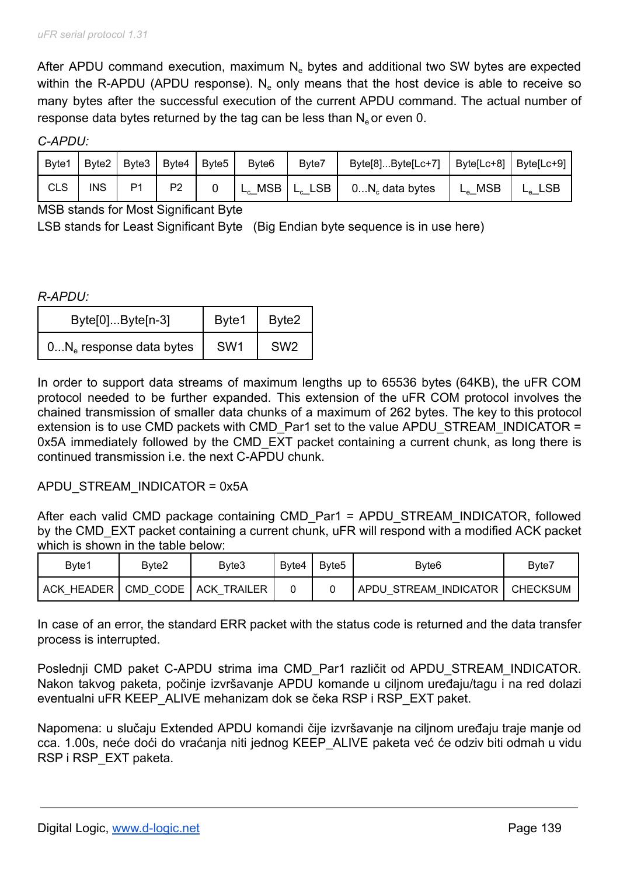After APDU command execution, maximum  $N<sub>e</sub>$  bytes and additional two SW bytes are expected within the R-APDU (APDU response).  $N_e$  only means that the host device is able to receive so many bytes after the successful execution of the current APDU command. The actual number of response data bytes returned by the tag can be less than  $N_e$  or even 0.

*C-APDU:*

| Byte1      |     | Byte2   Byte3   Byte4   Byte5 |                | Byte <sub>6</sub>          | Byte7             | Byte[8]Byte[Lc+7]   Byte[Lc+8]   Byte[Lc+9] |              |            |
|------------|-----|-------------------------------|----------------|----------------------------|-------------------|---------------------------------------------|--------------|------------|
| <b>CLS</b> | INS | P <sub>1</sub>                | P <sub>2</sub> | $^{\prime}$ L <sub>c</sub> | $MSB   L_c LSB  $ | $0N_c$ data bytes                           | $L_{e}$ _MSB | <b>LSB</b> |

MSB stands for Most Significant Byte

LSB stands for Least Significant Byte (Big Endian byte sequence is in use here)

*R-APDU:*

| $Byte[0]Byte[n-3]$        | Byte1 | Byte2           |
|---------------------------|-------|-----------------|
| $0Ne$ response data bytes | SW1   | SW <sub>2</sub> |

In order to support data streams of maximum lengths up to 65536 bytes (64KB), the uFR COM protocol needed to be further expanded. This extension of the uFR COM protocol involves the chained transmission of smaller data chunks of a maximum of 262 bytes. The key to this protocol extension is to use CMD packets with CMD Par1 set to the value APDU STREAM INDICATOR = 0x5A immediately followed by the CMD EXT packet containing a current chunk, as long there is continued transmission i.e. the next C-APDU chunk.

#### APDU\_STREAM\_INDICATOR = 0x5A

After each valid CMD package containing CMD Par1 = APDU STREAM INDICATOR, followed by the CMD EXT packet containing a current chunk, uFR will respond with a modified ACK packet which is shown in the table below:

| Byte1      | Byte2 | Byte3                  | Bvte4 ۱ | Byte5 | Byte <sub>6</sub>      | Byte7    |
|------------|-------|------------------------|---------|-------|------------------------|----------|
| ACK HEADER |       | CMD CODE   ACK TRAILER |         |       | 'APDU STREAM INDICATOR | CHECKSUM |

In case of an error, the standard ERR packet with the status code is returned and the data transfer process is interrupted.

Poslednji CMD paket C-APDU strima ima CMD Par1 različit od APDU STREAM INDICATOR. Nakon takvog paketa, počinje izvršavanje APDU komande u ciljnom uređaju/tagu i na red dolazi eventualni uFR KEEP\_ALIVE mehanizam dok se čeka RSP i RSP\_EXT paket.

Napomena: u slučaju Extended APDU komandi čije izvršavanje na ciljnom uređaju traje manje od cca. 1.00s, neće doći do vraćanja niti jednog KEEP\_ALIVE paketa već će odziv biti odmah u vidu RSP i RSP\_EXT paketa.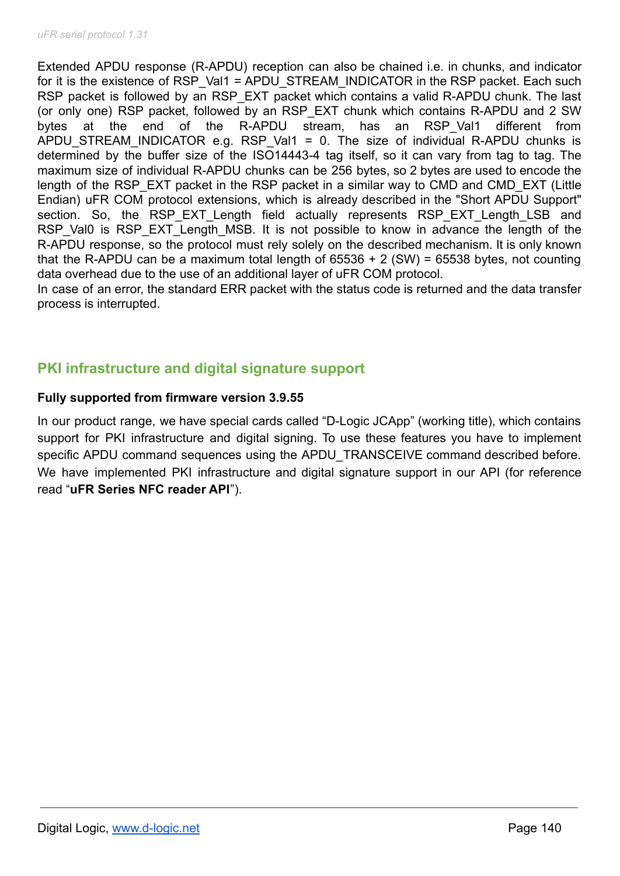Extended APDU response (R-APDU) reception can also be chained i.e. in chunks, and indicator for it is the existence of RSP\_Val1 = APDU\_STREAM\_INDICATOR in the RSP packet. Each such RSP packet is followed by an RSP\_EXT packet which contains a valid R-APDU chunk. The last (or only one) RSP packet, followed by an RSP\_EXT chunk which contains R-APDU and 2 SW bytes at the end of the R-APDU stream, has an RSP-Val1 different from APDU STREAM INDICATOR e.g. RSP Val1 = 0. The size of individual R-APDU chunks is determined by the buffer size of the ISO14443-4 tag itself, so it can vary from tag to tag. The maximum size of individual R-APDU chunks can be 256 bytes, so 2 bytes are used to encode the length of the RSP\_EXT packet in the RSP packet in a similar way to CMD and CMD\_EXT (Little Endian) uFR COM protocol extensions, which is already described in the "Short APDU Support" section. So, the RSP EXT Length field actually represents RSP EXT Length LSB and RSP Val0 is RSP EXT Length MSB. It is not possible to know in advance the length of the R-APDU response, so the protocol must rely solely on the described mechanism. It is only known that the R-APDU can be a maximum total length of  $65536 + 2$  (SW) =  $65538$  bytes, not counting data overhead due to the use of an additional layer of uFR COM protocol.

In case of an error, the standard ERR packet with the status code is returned and the data transfer process is interrupted.

# **PKI infrastructure and digital signature support**

# **Fully supported from firmware version 3.9.55**

In our product range, we have special cards called "D-Logic JCApp" (working title), which contains support for PKI infrastructure and digital signing. To use these features you have to implement specific APDU command sequences using the APDU\_TRANSCEIVE command described before. We have implemented PKI infrastructure and digital signature support in our API (for reference read "**uFR Series NFC reader API**").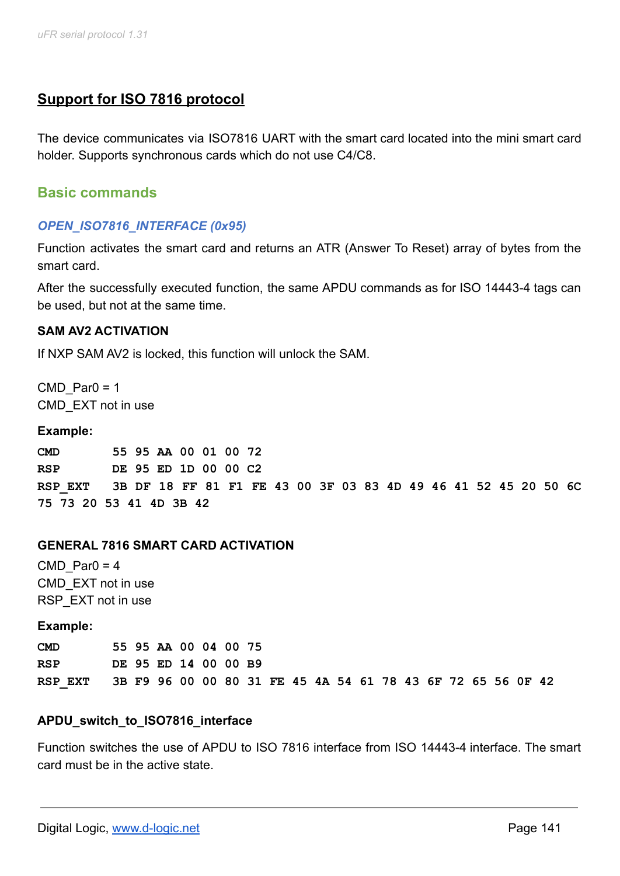# **Support for ISO 7816 protocol**

The device communicates via ISO7816 UART with the smart card located into the mini smart card holder. Supports synchronous cards which do not use C4/C8.

# **Basic commands**

# *OPEN\_ISO7816\_INTERFACE (0x95)*

Function activates the smart card and returns an ATR (Answer To Reset) array of bytes from the smart card.

After the successfully executed function, the same APDU commands as for ISO 14443-4 tags can be used, but not at the same time.

#### **SAM AV2 ACTIVATION**

If NXP SAM AV2 is locked, this function will unlock the SAM.

 $CMD$  Par0 = 1 CMD\_EXT not in use

#### **Example:**

**CMD 55 95 AA 00 01 00 72 RSP DE 95 ED 1D 00 00 C2 RSP\_EXT 3B DF 18 FF 81 F1 FE 43 00 3F 03 83 4D 49 46 41 52 45 20 50 6C 75 73 20 53 41 4D 3B 42**

#### **GENERAL 7816 SMART CARD ACTIVATION**

CMD Par $0 = 4$ CMD\_EXT not in use RSP\_EXT not in use

**Example:**

**CMD 55 95 AA 00 04 00 75 RSP DE 95 ED 14 00 00 B9 RSP\_EXT 3B F9 96 00 00 80 31 FE 45 4A 54 61 78 43 6F 72 65 56 0F 42**

#### **APDU\_switch\_to\_ISO7816\_interface**

Function switches the use of APDU to ISO 7816 interface from ISO 14443-4 interface. The smart card must be in the active state.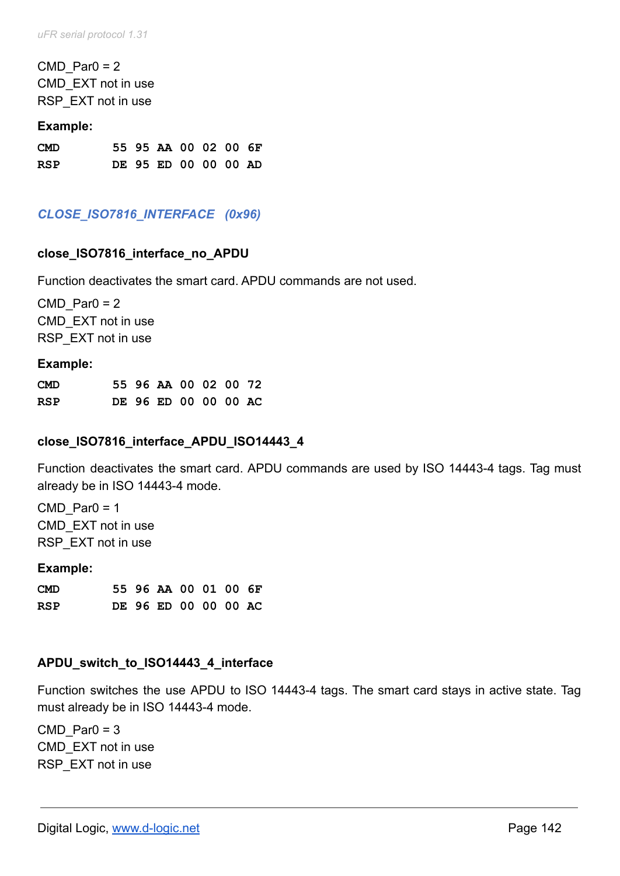$CMD$  Par0 = 2 CMD\_EXT not in use RSP\_EXT not in use

#### **Example:**

| <b>CMD</b> |  | 55 95 AA 00 02 00 6F |  |  |
|------------|--|----------------------|--|--|
| <b>RSP</b> |  | DE 95 ED 00 00 00 AD |  |  |

# *CLOSE\_ISO7816\_INTERFACE (0x96)*

#### **close\_ISO7816\_interface\_no\_APDU**

Function deactivates the smart card. APDU commands are not used.

 $CMD$  Par0 = 2 CMD\_EXT not in use RSP\_EXT not in use

#### **Example:**

| <b>CMD</b> |  | 55 96 AA 00 02 00 72 |  |  |
|------------|--|----------------------|--|--|
| RSP        |  | DE 96 ED 00 00 00 AC |  |  |

# **close\_ISO7816\_interface\_APDU\_ISO14443\_4**

Function deactivates the smart card. APDU commands are used by ISO 14443-4 tags. Tag must already be in ISO 14443-4 mode.

 $CMD$  Par0 = 1 CMD\_EXT not in use RSP\_EXT not in use

#### **Example:**

| <b>CMD</b> |  | 55 96 AA 00 01 00 6F |  |  |
|------------|--|----------------------|--|--|
| RSP        |  | DE 96 ED 00 00 00 AC |  |  |

#### **APDU\_switch\_to\_ISO14443\_4\_interface**

Function switches the use APDU to ISO 14443-4 tags. The smart card stays in active state. Tag must already be in ISO 14443-4 mode.

CMD Par $0 = 3$ CMD\_EXT not in use RSP\_EXT not in use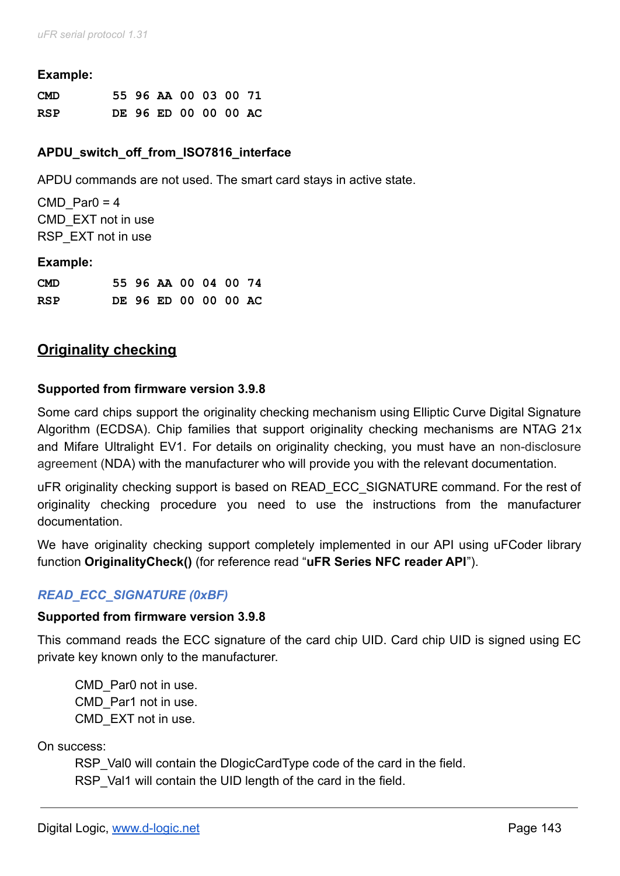#### **Example:**

| <b>CMD</b> |  | 55 96 AA 00 03 00 71 |  |  |
|------------|--|----------------------|--|--|
| <b>RSP</b> |  | DE 96 ED 00 00 00 AC |  |  |

### **APDU\_switch\_off\_from\_ISO7816\_interface**

APDU commands are not used. The smart card stays in active state.

CMD Par $0 = 4$ CMD\_EXT not in use RSP\_EXT not in use

#### **Example:**

| <b>CMD</b> |  | 55 96 AA 00 04 00 74 |  |  |
|------------|--|----------------------|--|--|
| <b>RSP</b> |  | DE 96 ED 00 00 00 AC |  |  |

# **Originality checking**

#### **Supported from firmware version 3.9.8**

Some card chips support the originality checking mechanism using Elliptic Curve Digital Signature Algorithm (ECDSA). Chip families that support originality checking mechanisms are NTAG 21x and Mifare Ultralight EV1. For details on originality checking, you must have an non-disclosure agreement (NDA) with the manufacturer who will provide you with the relevant documentation.

uFR originality checking support is based on READ\_ECC\_SIGNATURE command. For the rest of originality checking procedure you need to use the instructions from the manufacturer documentation.

We have originality checking support completely implemented in our API using uFCoder library function **OriginalityCheck()** (for reference read "**uFR Series NFC reader API**").

# *READ\_ECC\_SIGNATURE (0xBF)*

#### **Supported from firmware version 3.9.8**

This command reads the ECC signature of the card chip UID. Card chip UID is signed using EC private key known only to the manufacturer.

CMD\_Par0 not in use. CMD\_Par1 not in use. CMD\_EXT not in use.

On success:

RSP Val0 will contain the DlogicCardType code of the card in the field. RSP Val1 will contain the UID length of the card in the field.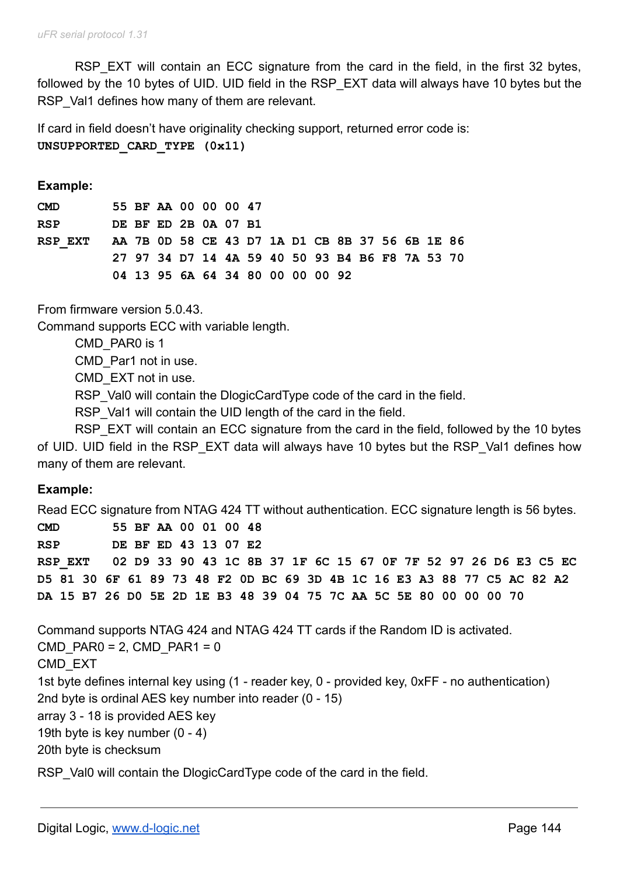RSP EXT will contain an ECC signature from the card in the field, in the first 32 bytes, followed by the 10 bytes of UID. UID field in the RSP EXT data will always have 10 bytes but the RSP Val1 defines how many of them are relevant.

If card in field doesn't have originality checking support, returned error code is: **UNSUPPORTED\_CARD\_TYPE (0x11)**

**Example:**

| <b>CMD</b> |  | 55 BF AA 00 00 00 47 |  |  |                                  |  |  |                                                 |  |
|------------|--|----------------------|--|--|----------------------------------|--|--|-------------------------------------------------|--|
| <b>RSP</b> |  | DE BF ED 2B 0A 07 B1 |  |  |                                  |  |  |                                                 |  |
| RSP EXT    |  |                      |  |  |                                  |  |  | AA 7B OD 58 CE 43 D7 1A D1 CB 8B 37 56 6B 1E 86 |  |
|            |  |                      |  |  |                                  |  |  | 27 97 34 D7 14 4A 59 40 50 93 B4 B6 F8 7A 53 70 |  |
|            |  |                      |  |  | 04 13 95 6A 64 34 80 00 00 00 92 |  |  |                                                 |  |

From firmware version 5.0.43.

Command supports ECC with variable length.

CMD\_PAR0 is 1

CMD\_Par1 not in use.

CMD\_EXT not in use.

RSP Val0 will contain the DlogicCardType code of the card in the field.

RSP Val1 will contain the UID length of the card in the field.

RSP\_EXT will contain an ECC signature from the card in the field, followed by the 10 bytes of UID. UID field in the RSP\_EXT data will always have 10 bytes but the RSP\_Val1 defines how many of them are relevant.

#### **Example:**

Read ECC signature from NTAG 424 TT without authentication. ECC signature length is 56 bytes.

**CMD 55 BF AA 00 01 00 48 RSP DE BF ED 43 13 07 E2 RSP\_EXT 02 D9 33 90 43 1C 8B 37 1F 6C 15 67 0F 7F 52 97 26 D6 E3 C5 EC D5 81 30 6F 61 89 73 48 F2 0D BC 69 3D 4B 1C 16 E3 A3 88 77 C5 AC 82 A2 DA 15 B7 26 D0 5E 2D 1E B3 48 39 04 75 7C AA 5C 5E 80 00 00 00 70**

Command supports NTAG 424 and NTAG 424 TT cards if the Random ID is activated.  $CMD$  PAR0 = 2, CMD PAR1 = 0 CMD\_EXT 1st byte defines internal key using (1 - reader key, 0 - provided key, 0xFF - no authentication) 2nd byte is ordinal AES key number into reader (0 - 15) array 3 - 18 is provided AES key 19th byte is key number (0 - 4) 20th byte is checksum

RSP Val0 will contain the DlogicCardType code of the card in the field.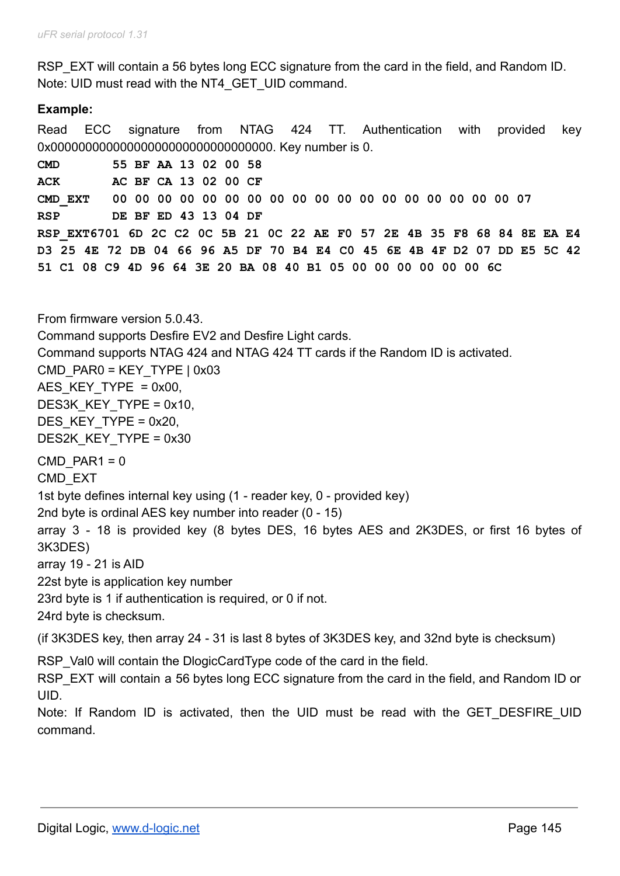RSP EXT will contain a 56 bytes long ECC signature from the card in the field, and Random ID. Note: UID must read with the NT4\_GET\_UID command.

# **Example:**

Read ECC signature from NTAG 424 TT. Authentication with provided key 0x00000000000000000000000000000000. Key number is 0. **CMD 55 BF AA 13 02 00 58 ACK AC BF CA 13 02 00 CF CMD\_EXT 00 00 00 00 00 00 00 00 00 00 00 00 00 00 00 00 00 00 07 RSP DE BF ED 43 13 04 DF RSP\_EXT6701 6D 2C C2 0C 5B 21 0C 22 AE F0 57 2E 4B 35 F8 68 84 8E EA E4** D3 25 4E 72 DB 04 66 96 A5 DF 70 B4 E4 C0 45 6E 4B 4F D2 07 DD E5 5C 42 **51 C1 08 C9 4D 96 64 3E 20 BA 08 40 B1 05 00 00 00 00 00 00 6C**

From firmware version 5.0.43. Command supports Desfire EV2 and Desfire Light cards. Command supports NTAG 424 and NTAG 424 TT cards if the Random ID is activated.  $CMD$  PAR0 = KEY TYPE  $| 0x03$ AES KEY TYPE =  $0x00$ . DES3K KEY TYPE = 0x10, DES KEY\_TYPE = 0x20, DES2K\_KEY\_TYPE = 0x30  $CMD$  PAR1 = 0 CMD\_EXT 1st byte defines internal key using (1 - reader key, 0 - provided key) 2nd byte is ordinal AES key number into reader (0 - 15) array 3 - 18 is provided key (8 bytes DES, 16 bytes AES and 2K3DES, or first 16 bytes of 3K3DES) array 19 - 21 is AID 22st byte is application key number 23rd byte is 1 if authentication is required, or 0 if not. 24rd byte is checksum. (if 3K3DES key, then array 24 - 31 is last 8 bytes of 3K3DES key, and 32nd byte is checksum)

RSP Val0 will contain the DlogicCardType code of the card in the field.

RSP\_EXT will contain a 56 bytes long ECC signature from the card in the field, and Random ID or UID.

Note: If Random ID is activated, then the UID must be read with the GET\_DESFIRE\_UID command.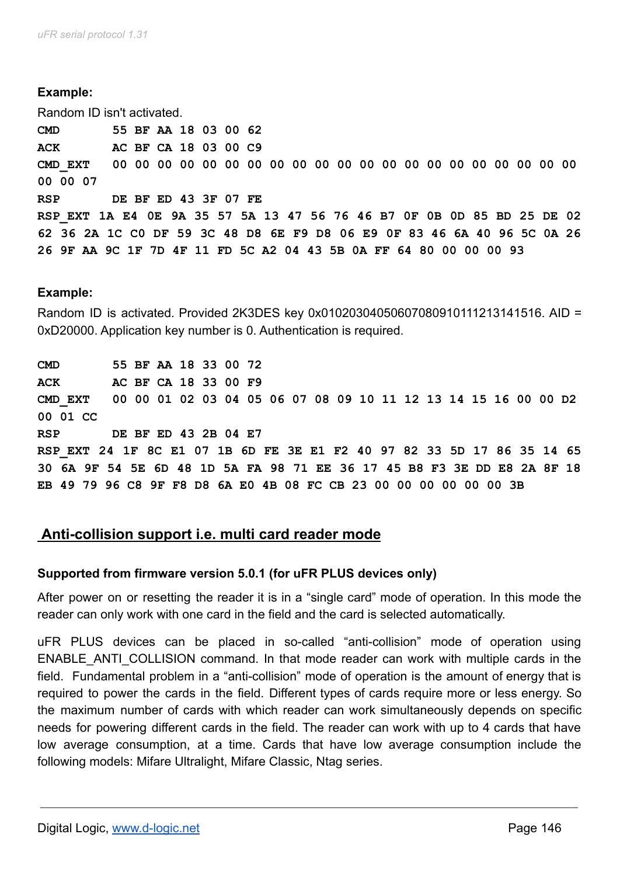Random ID isn't activated.

**CMD 55 BF AA 18 03 00 62 ACK AC BF CA 18 03 00 C9 CMD\_EXT 00 00 00 00 00 00 00 00 00 00 00 00 00 00 00 00 00 00 00 00 00 00 00 07 RSP DE BF ED 43 3F 07 FE RSP\_EXT 1A E4 0E 9A 35 57 5A 13 47 56 76 46 B7 0F 0B 0D 85 BD 25 DE 02** 62 36 2A 1C CO DF 59 3C 48 D8 6E F9 D8 06 E9 OF 83 46 6A 40 96 5C 0A 26 **26 9F AA 9C 1F 7D 4F 11 FD 5C A2 04 43 5B 0A FF 64 80 00 00 00 93**

#### **Example:**

Random ID is activated. Provided 2K3DES key 0x01020304050607080910111213141516. AID = 0xD20000. Application key number is 0. Authentication is required.

**CMD 55 BF AA 18 33 00 72 ACK AC BF CA 18 33 00 F9 CMD\_EXT 00 00 01 02 03 04 05 06 07 08 09 10 11 12 13 14 15 16 00 00 D2 00 01 CC RSP DE BF ED 43 2B 04 E7 RSP\_EXT 24 1F 8C E1 07 1B 6D FE 3E E1 F2 40 97 82 33 5D 17 86 35 14 65** 30 6A 9F 54 5E 6D 48 1D 5A FA 98 71 EE 36 17 45 B8 F3 3E DD E8 2A 8F 18 **EB 49 79 96 C8 9F F8 D8 6A E0 4B 08 FC CB 23 00 00 00 00 00 00 3B**

# **Anti-collision support i.e. multi card reader mode**

#### **Supported from firmware version 5.0.1 (for uFR PLUS devices only)**

After power on or resetting the reader it is in a "single card" mode of operation. In this mode the reader can only work with one card in the field and the card is selected automatically.

uFR PLUS devices can be placed in so-called "anti-collision" mode of operation using ENABLE\_ANTI\_COLLISION command. In that mode reader can work with multiple cards in the field. Fundamental problem in a "anti-collision" mode of operation is the amount of energy that is required to power the cards in the field. Different types of cards require more or less energy. So the maximum number of cards with which reader can work simultaneously depends on specific needs for powering different cards in the field. The reader can work with up to 4 cards that have low average consumption, at a time. Cards that have low average consumption include the following models: Mifare Ultralight, Mifare Classic, Ntag series.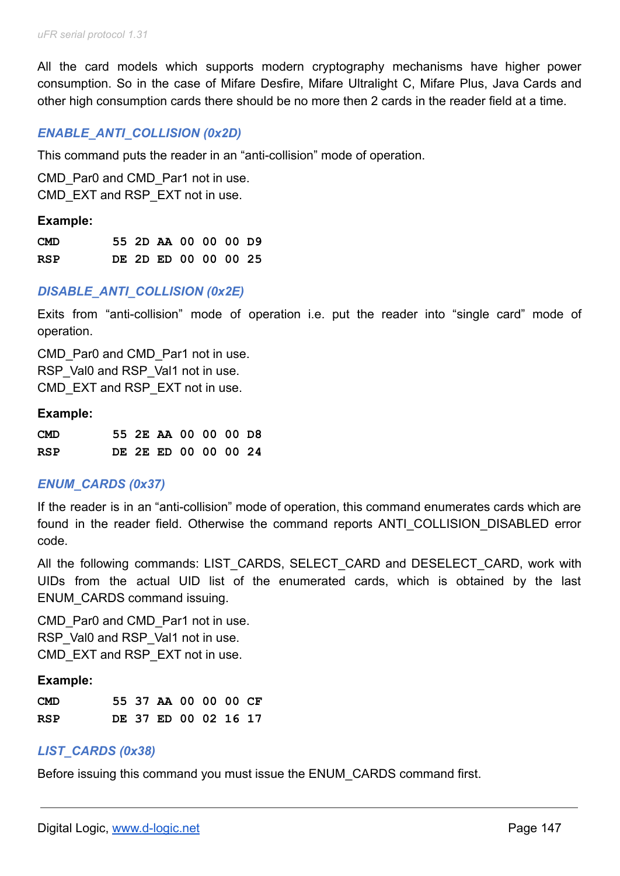All the card models which supports modern cryptography mechanisms have higher power consumption. So in the case of Mifare Desfire, Mifare Ultralight C, Mifare Plus, Java Cards and other high consumption cards there should be no more then 2 cards in the reader field at a time.

#### *ENABLE\_ANTI\_COLLISION (0x2D)*

This command puts the reader in an "anti-collision" mode of operation.

CMD Par0 and CMD Par1 not in use. CMD EXT and RSP EXT not in use.

#### **Example:**

| CMD |  | 55 2D AA 00 00 00 D9 |  |  |
|-----|--|----------------------|--|--|
| RSP |  | DE 2D ED 00 00 00 25 |  |  |

#### *DISABLE\_ANTI\_COLLISION (0x2E)*

Exits from "anti-collision" mode of operation i.e. put the reader into "single card" mode of operation.

CMD Par0 and CMD Par1 not in use. RSP\_Val0 and RSP\_Val1 not in use. CMD EXT and RSP EXT not in use.

#### **Example:**

| <b>CMD</b> |  | 55 2E AA 00 00 00 D8 |  |  |
|------------|--|----------------------|--|--|
| <b>RSP</b> |  | DE 2E ED 00 00 00 24 |  |  |

#### *ENUM\_CARDS (0x37)*

If the reader is in an "anti-collision" mode of operation, this command enumerates cards which are found in the reader field. Otherwise the command reports ANTI COLLISION DISABLED error code.

All the following commands: LIST CARDS, SELECT CARD and DESELECT CARD, work with UIDs from the actual UID list of the enumerated cards, which is obtained by the last ENUM\_CARDS command issuing.

CMD Par0 and CMD Par1 not in use. RSP\_Val0 and RSP\_Val1 not in use. CMD EXT and RSP EXT not in use.

#### **Example:**

| <b>CMD</b> |  | 55 37 AA 00 00 00 CF |  |  |
|------------|--|----------------------|--|--|
| RSP        |  | DE 37 ED 00 02 16 17 |  |  |

#### *LIST\_CARDS (0x38)*

Before issuing this command you must issue the ENUM\_CARDS command first.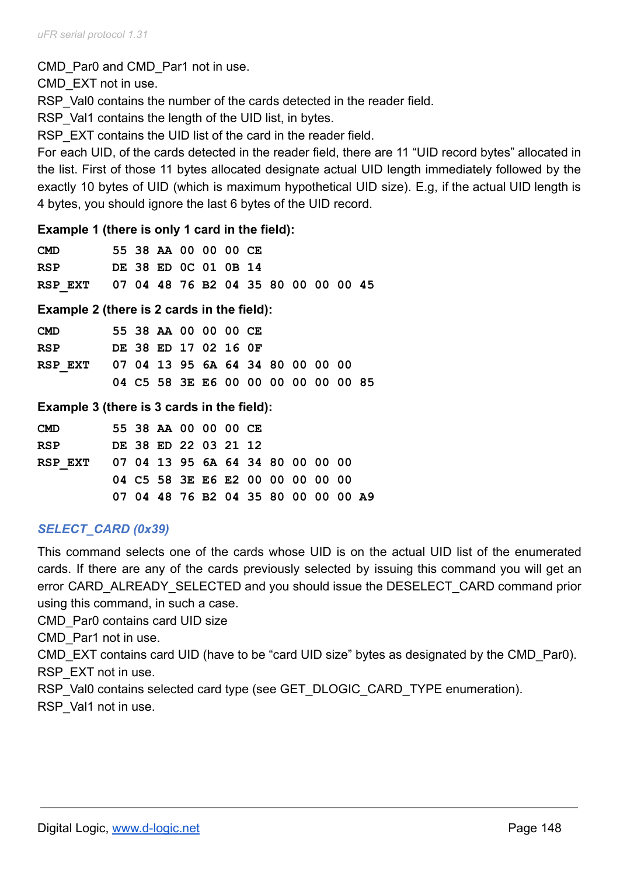CMD Par0 and CMD Par1 not in use.

CMD\_EXT not in use.

RSP Val0 contains the number of the cards detected in the reader field.

RSP Val1 contains the length of the UID list, in bytes.

RSP EXT contains the UID list of the card in the reader field.

For each UID, of the cards detected in the reader field, there are 11 "UID record bytes" allocated in the list. First of those 11 bytes allocated designate actual UID length immediately followed by the exactly 10 bytes of UID (which is maximum hypothetical UID size). E.g, if the actual UID length is 4 bytes, you should ignore the last 6 bytes of the UID record.

#### **Example 1 (there is only 1 card in the field):**

| <b>CMD</b>                                  |  | 55 38 AA 00 00 00 CE |  |  |  |  |  |
|---------------------------------------------|--|----------------------|--|--|--|--|--|
| <b>RSP</b>                                  |  | DE 38 ED 0C 01 0B 14 |  |  |  |  |  |
| RSP EXT 07 04 48 76 B2 04 35 80 00 00 00 45 |  |                      |  |  |  |  |  |

**Example 2 (there is 2 cards in the field):**

| <b>CMD</b>                               |  | 55 38 AA 00 00 00 CE                |  |  |  |  |  |
|------------------------------------------|--|-------------------------------------|--|--|--|--|--|
| <b>RSP</b>                               |  | DE 38 ED 17 02 16 OF                |  |  |  |  |  |
| RSP EXT 07 04 13 95 6A 64 34 80 00 00 00 |  |                                     |  |  |  |  |  |
|                                          |  | 04 C5 58 3E E6 00 00 00 00 00 00 85 |  |  |  |  |  |

#### **Example 3 (there is 3 cards in the field):**

| <b>CMD</b>                               |  | 55 38 AA 00 00 00 CE                |  |  |  |  |  |
|------------------------------------------|--|-------------------------------------|--|--|--|--|--|
| <b>RSP</b>                               |  | DE 38 ED 22 03 21 12                |  |  |  |  |  |
| RSP EXT 07 04 13 95 6A 64 34 80 00 00 00 |  |                                     |  |  |  |  |  |
|                                          |  | 04 C5 58 3E E6 E2 00 00 00 00 00    |  |  |  |  |  |
|                                          |  | 07 04 48 76 B2 04 35 80 00 00 00 A9 |  |  |  |  |  |

# *SELECT\_CARD (0x39)*

This command selects one of the cards whose UID is on the actual UID list of the enumerated cards. If there are any of the cards previously selected by issuing this command you will get an error CARD\_ALREADY\_SELECTED and you should issue the DESELECT\_CARD command prior using this command, in such a case.

CMD\_Par0 contains card UID size

CMD\_Par1 not in use.

CMD\_EXT contains card UID (have to be "card UID size" bytes as designated by the CMD\_Par0). RSP\_EXT not in use.

RSP\_Val0 contains selected card type (see GET\_DLOGIC\_CARD\_TYPE enumeration).

RSP Val1 not in use.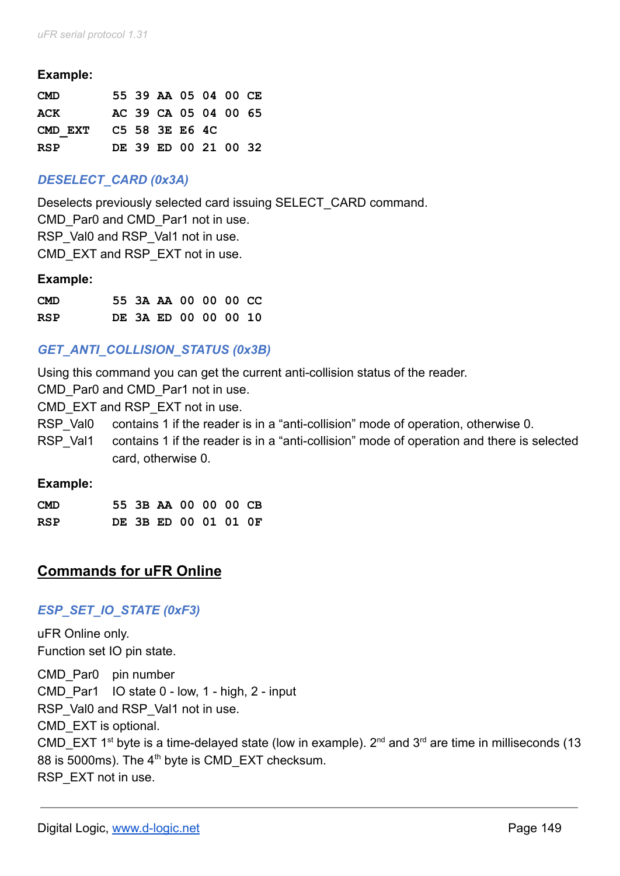| <b>CMD</b> |  | 55 39 AA 05 04 00 CE |  |  |
|------------|--|----------------------|--|--|
| ACK        |  | AC 39 CA 05 04 00 65 |  |  |
| CMD EXT    |  | C5 58 3E E6 4C       |  |  |
| RSP        |  | DE 39 ED 00 21 00 32 |  |  |

# *DESELECT\_CARD (0x3A)*

Deselects previously selected card issuing SELECT\_CARD command. CMD Par0 and CMD Par1 not in use. RSP\_Val0 and RSP\_Val1 not in use. CMD EXT and RSP EXT not in use.

#### **Example:**

| <b>CMD</b> |  | 55 3A AA 00 00 00 CC |  |  |
|------------|--|----------------------|--|--|
| <b>RSP</b> |  | DE 3A ED 00 00 00 10 |  |  |

# *GET\_ANTI\_COLLISION\_STATUS (0x3B)*

Using this command you can get the current anti-collision status of the reader.

CMD Par0 and CMD Par1 not in use.

CMD EXT and RSP EXT not in use.

RSP Val0 contains 1 if the reader is in a "anti-collision" mode of operation, otherwise 0.

RSP Val1 contains 1 if the reader is in a "anti-collision" mode of operation and there is selected card, otherwise 0.

#### **Example:**

| <b>CMD</b> |  | 55 3B AA 00 00 00 CB |  |  |
|------------|--|----------------------|--|--|
| RSP        |  | DE 3B ED 00 01 01 OF |  |  |

# **Commands for uFR Online**

## *ESP\_SET\_IO\_STATE (0xF3)*

uFR Online only. Function set IO pin state.

CMD Par0 pin number CMD\_Par1 IO state 0 - low, 1 - high, 2 - input RSP\_Val0 and RSP\_Val1 not in use. CMD\_EXT is optional. CMD\_EXT 1<sup>st</sup> byte is a time-delayed state (low in example).  $2^{nd}$  and  $3^{rd}$  are time in milliseconds (13 88 is 5000ms). The 4<sup>th</sup> byte is CMD\_EXT checksum. RSP\_EXT not in use.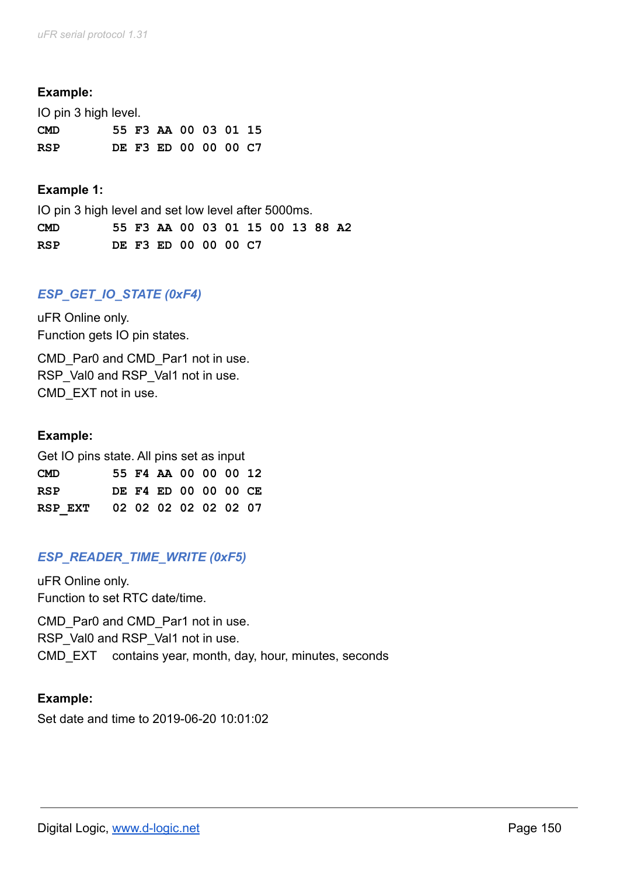IO pin 3 high level.

| <b>CMD</b> |  | 55 F3 AA 00 03 01 15 |  |  |
|------------|--|----------------------|--|--|
| <b>RSP</b> |  | DE F3 ED 00 00 00 C7 |  |  |

#### **Example 1:**

IO pin 3 high level and set low level after 5000ms. **CMD 55 F3 AA 00 03 01 15 00 13 88 A2 RSP DE F3 ED 00 00 00 C7**

# *ESP\_GET\_IO\_STATE (0xF4)*

uFR Online only. Function gets IO pin states.

CMD Par0 and CMD Par1 not in use. RSP\_Val0 and RSP\_Val1 not in use. CMD\_EXT not in use.

#### **Example:**

| Get IO pins state. All pins set as input |  |  |                      |  |  |  |  |  |  |  |
|------------------------------------------|--|--|----------------------|--|--|--|--|--|--|--|
| <b>CMD</b>                               |  |  | 55 F4 AA 00 00 00 12 |  |  |  |  |  |  |  |
| <b>RSP</b>                               |  |  | DE F4 ED 00 00 00 CE |  |  |  |  |  |  |  |
| RSP EXT                                  |  |  | 02 02 02 02 02 02 07 |  |  |  |  |  |  |  |

## *ESP\_READER\_TIME\_WRITE (0xF5)*

uFR Online only. Function to set RTC date/time.

CMD Par0 and CMD Par1 not in use. RSP\_Val0 and RSP\_Val1 not in use. CMD\_EXT contains year, month, day, hour, minutes, seconds

#### **Example:**

Set date and time to 2019-06-20 10:01:02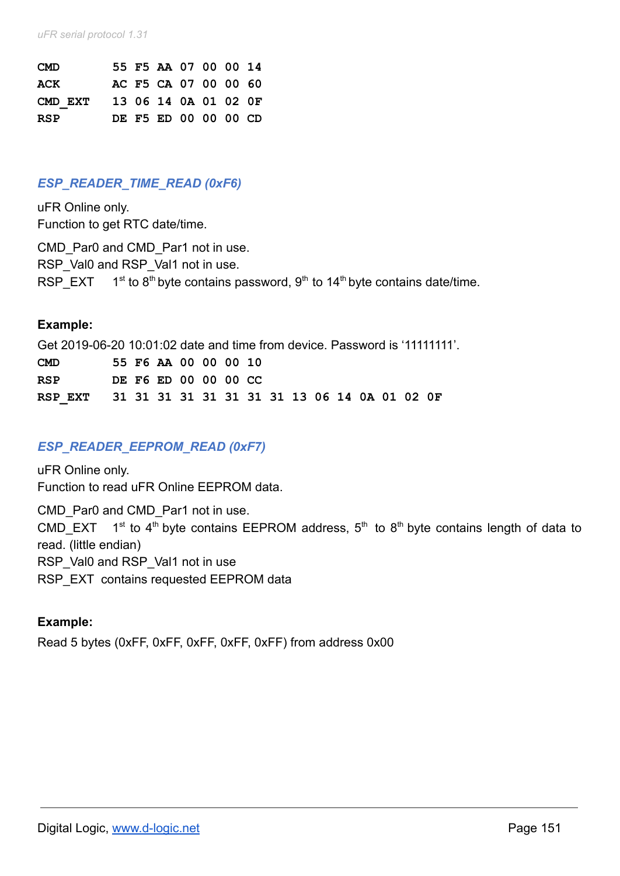| <b>CMD</b> |  | 55 F5 AA 07 00 00 14 |  |  |
|------------|--|----------------------|--|--|
| ACK        |  | AC F5 CA 07 00 00 60 |  |  |
| CMD EXT    |  | 13 06 14 0A 01 02 OF |  |  |
| <b>RSP</b> |  | DE F5 ED 00 00 00 CD |  |  |

### *ESP\_READER\_TIME\_READ (0xF6)*

uFR Online only. Function to get RTC date/time.

CMD Par0 and CMD Par1 not in use. RSP\_Val0 and RSP\_Val1 not in use. RSP\_EXT  $1^{st}$  to 8<sup>th</sup> byte contains password, 9<sup>th</sup> to 14<sup>th</sup> byte contains date/time.

#### **Example:**

Get 2019-06-20 10:01:02 date and time from device. Password is '11111111'.

| CMD |  |  | 55 F6 AA 00 00 00 10 |  |  |  |  |  |
|-----|--|--|----------------------|--|--|--|--|--|
| RSP |  |  | DE F6 ED 00 00 00 CC |  |  |  |  |  |
|     |  |  |                      |  |  |  |  |  |

## *ESP\_READER\_EEPROM\_READ (0xF7)*

uFR Online only. Function to read uFR Online EEPROM data.

CMD Par0 and CMD Par1 not in use.

CMD\_EXT 1<sup>st</sup> to 4<sup>th</sup> byte contains EEPROM address, 5<sup>th</sup> to 8<sup>th</sup> byte contains length of data to read. (little endian)

RSP\_Val0 and RSP\_Val1 not in use

RSP\_EXT\_contains requested EEPROM data

#### **Example:**

Read 5 bytes (0xFF, 0xFF, 0xFF, 0xFF, 0xFF) from address 0x00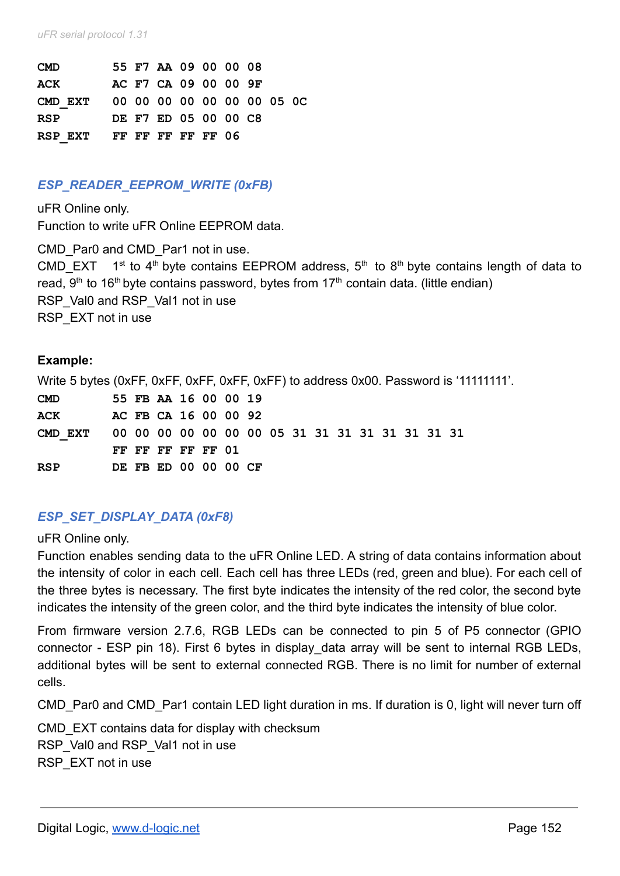*uFR serial protocol 1.31*

| <b>CMD</b>                         |  | 55 F7 AA 09 00 00 08 |  |  |  |
|------------------------------------|--|----------------------|--|--|--|
| ACK                                |  | AC F7 CA 09 00 00 9F |  |  |  |
| CMD EXT 00 00 00 00 00 00 00 05 0C |  |                      |  |  |  |
| RSP                                |  | DE F7 ED 05 00 00 C8 |  |  |  |
| RSP EXT FF FF FF FF FF 06          |  |                      |  |  |  |

#### *ESP\_READER\_EEPROM\_WRITE (0xFB)*

uFR Online only. Function to write uFR Online EEPROM data.

CMD Par0 and CMD Par1 not in use. CMD\_EXT 1<sup>st</sup> to 4<sup>th</sup> byte contains EEPROM address, 5<sup>th</sup> to 8<sup>th</sup> byte contains length of data to read, 9<sup>th</sup> to 16<sup>th</sup> byte contains password, bytes from 17<sup>th</sup> contain data. (little endian) RSP\_Val0 and RSP\_Val1 not in use RSP\_EXT not in use

#### **Example:**

Write 5 bytes (0xFF, 0xFF, 0xFF, 0xFF, 0xFF) to address 0x00. Password is '11111111'. **CMD 55 FB AA 16 00 00 19 ACK AC FB CA 16 00 00 92 CMD\_EXT 00 00 00 00 00 00 00 05 31 31 31 31 31 31 31 31 FF FF FF FF FF 01 RSP DE FB ED 00 00 00 CF**

# *ESP\_SET\_DISPLAY\_DATA (0xF8)*

uFR Online only.

Function enables sending data to the uFR Online LED. A string of data contains information about the intensity of color in each cell. Each cell has three LEDs (red, green and blue). For each cell of the three bytes is necessary. The first byte indicates the intensity of the red color, the second byte indicates the intensity of the green color, and the third byte indicates the intensity of blue color.

From firmware version 2.7.6, RGB LEDs can be connected to pin 5 of P5 connector (GPIO connector - ESP pin 18). First 6 bytes in display data array will be sent to internal RGB LEDs, additional bytes will be sent to external connected RGB. There is no limit for number of external cells.

CMD Par0 and CMD Par1 contain LED light duration in ms. If duration is 0, light will never turn off

CMD\_EXT contains data for display with checksum RSP\_Val0 and RSP\_Val1 not in use RSP\_EXT not in use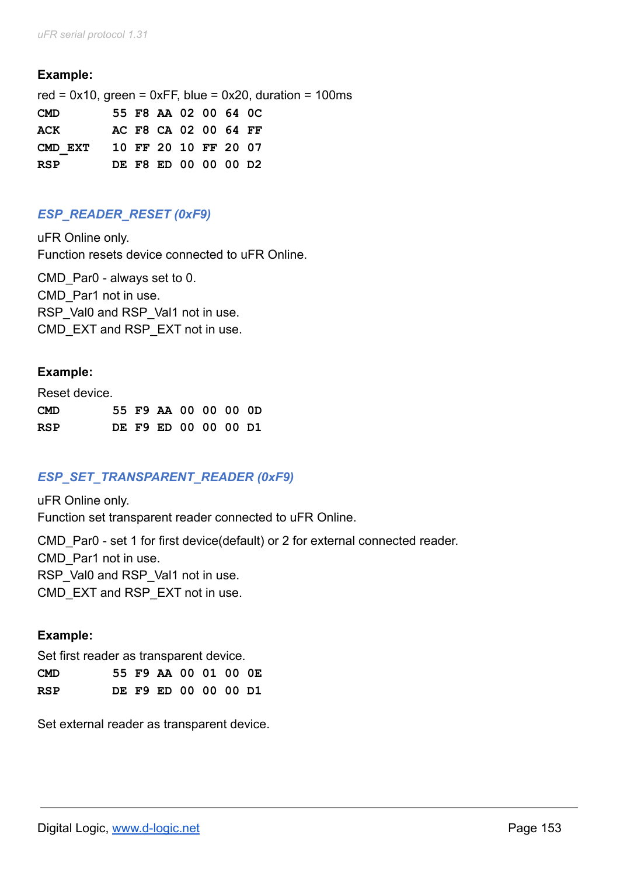red =  $0x10$ , green =  $0xFF$ , blue =  $0x20$ , duration = 100ms **CMD 55 F8 AA 02 00 64 0C ACK AC F8 CA 02 00 64 FF CMD\_EXT 10 FF 20 10 FF 20 07 RSP DE F8 ED 00 00 00 D2**

# *ESP\_READER\_RESET (0xF9)*

uFR Online only. Function resets device connected to uFR Online.

CMD Par0 - always set to 0. CMD\_Par1 not in use. RSP\_Val0 and RSP\_Val1 not in use. CMD EXT and RSP EXT not in use.

# **Example:**

Reset device.

| <b>CMD</b> |  | 55 F9 AA 00 00 00 0D |  |  |
|------------|--|----------------------|--|--|
| RSP        |  | DE F9 ED 00 00 00 D1 |  |  |

# *ESP\_SET\_TRANSPARENT\_READER (0xF9)*

uFR Online only. Function set transparent reader connected to uFR Online.

CMD Par0 - set 1 for first device(default) or 2 for external connected reader. CMD\_Par1 not in use. RSP\_Val0 and RSP\_Val1 not in use. CMD EXT and RSP EXT not in use.

## **Example:**

Set first reader as transparent device.

| <b>CMD</b> |  | 55 F9 AA 00 01 00 OE |  |  |
|------------|--|----------------------|--|--|
| RSP        |  | DE F9 ED 00 00 00 D1 |  |  |

Set external reader as transparent device.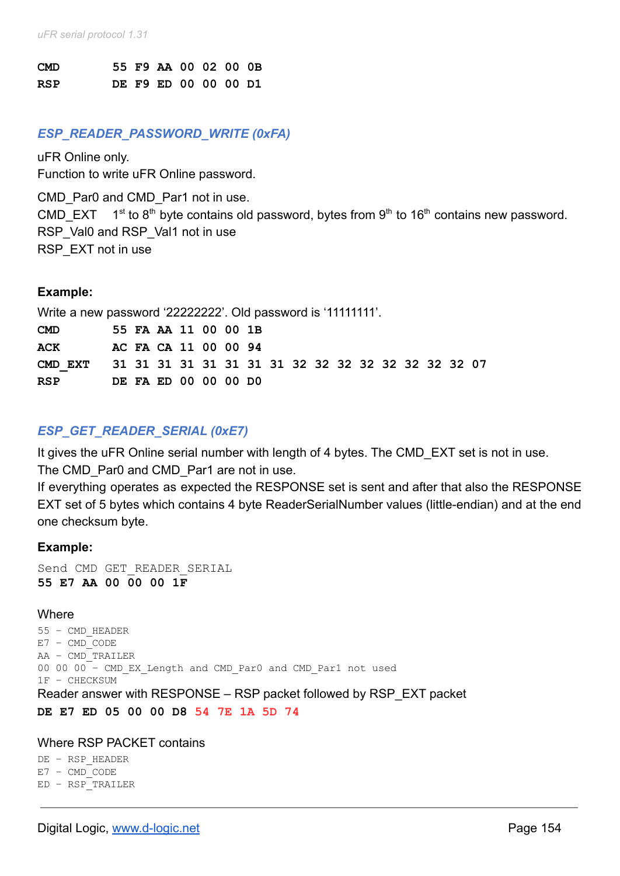| <b>CMD</b> |  | 55 F9 AA 00 02 00 0B |  |  |
|------------|--|----------------------|--|--|
| <b>RSP</b> |  | DE F9 ED 00 00 00 D1 |  |  |

#### *ESP\_READER\_PASSWORD\_WRITE (0xFA)*

uFR Online only. Function to write uFR Online password.

CMD Par0 and CMD Par1 not in use.

CMD\_EXT  $1^{st}$  to 8<sup>th</sup> byte contains old password, bytes from 9<sup>th</sup> to 16<sup>th</sup> contains new password. RSP\_Val0 and RSP\_Val1 not in use RSP\_EXT not in use

#### **Example:**

|            | Write a new password '22222222'. Old password is '11111111'. |                      |  |  |  |  |  |  |  |  |  |  |  |
|------------|--------------------------------------------------------------|----------------------|--|--|--|--|--|--|--|--|--|--|--|
| <b>CMD</b> |                                                              | 55 FA AA 11 00 00 1B |  |  |  |  |  |  |  |  |  |  |  |
| ACK        |                                                              | AC FA CA 11 00 00 94 |  |  |  |  |  |  |  |  |  |  |  |
|            | CMD EXT 31 31 31 31 31 31 31 31 32 32 32 32 32 32 32 32 07   |                      |  |  |  |  |  |  |  |  |  |  |  |
| <b>RSP</b> |                                                              | DE FA ED 00 00 00 D0 |  |  |  |  |  |  |  |  |  |  |  |

# *ESP\_GET\_READER\_SERIAL (0xE7)*

It gives the uFR Online serial number with length of 4 bytes. The CMD EXT set is not in use. The CMD Par0 and CMD Par1 are not in use.

If everything operates as expected the RESPONSE set is sent and after that also the RESPONSE EXT set of 5 bytes which contains 4 byte ReaderSerialNumber values (little-endian) and at the end one checksum byte.

## **Example:**

Send CMD GET READER SERIAL **55 E7 AA 00 00 00 1F**

#### **Where**

55 – CMD\_HEADER E7 – CMD\_CODE AA – CMD\_TRAILER 00 00 00 – CMD\_EX\_Length and CMD\_Par0 and CMD\_Par1 not used 1F – CHECKSUM Reader answer with RESPONSE – RSP packet followed by RSP\_EXT packet **DE E7 ED 05 00 00 D8 54 7E 1A 5D 74**

#### Where RSP PACKET contains

DE – RSP\_HEADER E7 – CMD\_CODE ED – RSP\_TRAILER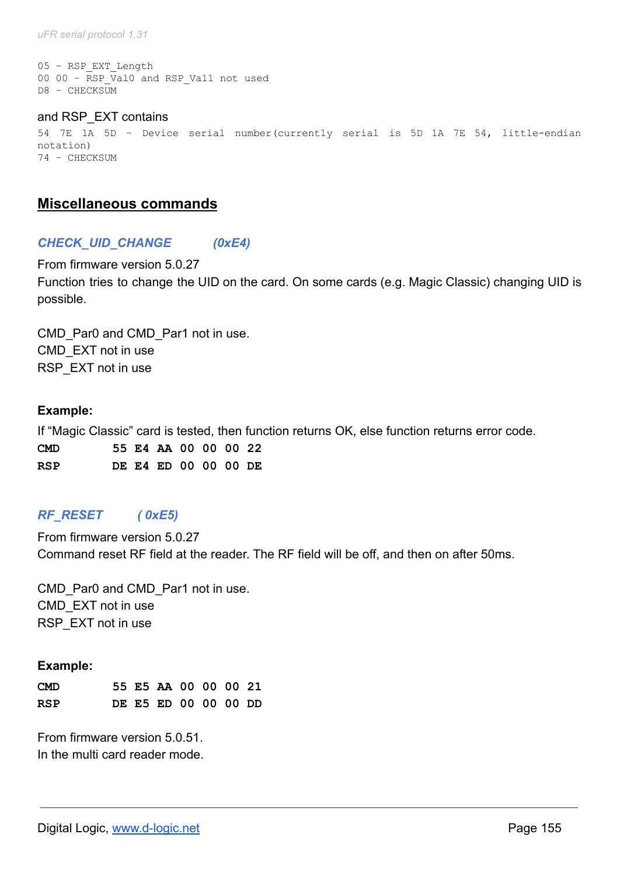*uFR serial protocol 1.31*

```
05 – RSP_EXT_Length
00 00 - RSP Val0 and RSP Val1 not used
D8 – CHECKSUM
```
#### and RSP\_EXT contains 54 7E 1A 5D – Device serial number(currently serial is 5D 1A 7E 54, little-endian notation) 74 – CHECKSUM

# **Miscellaneous commands**

## *CHECK\_UID\_CHANGE (0xE4)*

From firmware version 5.0.27 Function tries to change the UID on the card. On some cards (e.g. Magic Classic) changing UID is possible.

CMD Par0 and CMD Par1 not in use. CMD\_EXT not in use RSP\_EXT not in use

#### **Example:**

If "Magic Classic" card is tested, then function returns OK, else function returns error code. **CMD 55 E4 AA 00 00 00 22 RSP DE E4 ED 00 00 00 DE**

# *RF\_RESET ( 0xE5)*

From firmware version 5.0.27 Command reset RF field at the reader. The RF field will be off, and then on after 50ms.

CMD Par0 and CMD Par1 not in use. CMD\_EXT not in use RSP\_EXT not in use

#### **Example:**

| <b>CMD</b> |  | 55 E5 AA 00 00 00 21 |  |  |
|------------|--|----------------------|--|--|
| <b>RSP</b> |  | DE E5 ED 00 00 00 DD |  |  |

From firmware version 5.0.51. In the multi card reader mode.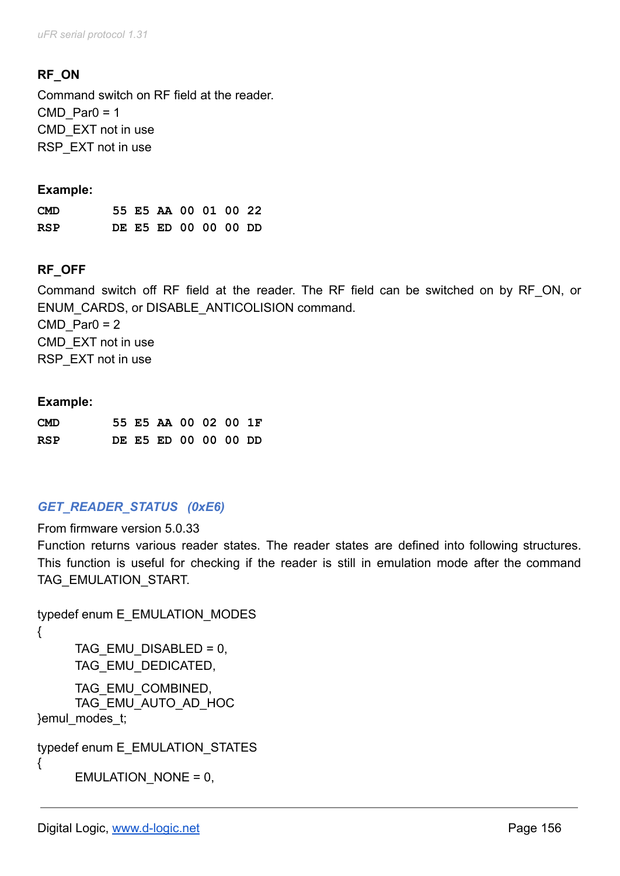# **RF\_ON**

Command switch on RF field at the reader.  $CMD$  Par0 = 1 CMD\_EXT not in use RSP\_EXT not in use

## **Example:**

| <b>CMD</b> |  | 55 E5 AA 00 01 00 22 |  |  |
|------------|--|----------------------|--|--|
| <b>RSP</b> |  | DE E5 ED 00 00 00 DD |  |  |

# **RF\_OFF**

Command switch off RF field at the reader. The RF field can be switched on by RF\_ON, or ENUM\_CARDS, or DISABLE\_ANTICOLISION command.  $CMD$  Par0 = 2 CMD\_EXT not in use RSP\_EXT not in use

## **Example:**

| <b>CMD</b> |  | 55 E5 AA 00 02 00 1F |  |  |
|------------|--|----------------------|--|--|
| RSP        |  | DE E5 ED 00 00 00 DD |  |  |

# *GET\_READER\_STATUS (0xE6)*

From firmware version 5.0.33

Function returns various reader states. The reader states are defined into following structures. This function is useful for checking if the reader is still in emulation mode after the command TAG\_EMULATION\_START.

```
typedef enum E_EMULATION_MODES
{
     TAG EMU DISABLED = 0,
     TAG_EMU_DEDICATED,
     TAG_EMU_COMBINED,
     TAG_EMU_AUTO_AD_HOC
}emul_modes_t;
typedef enum E_EMULATION_STATES
{
     EMULATION_NONE = 0,
```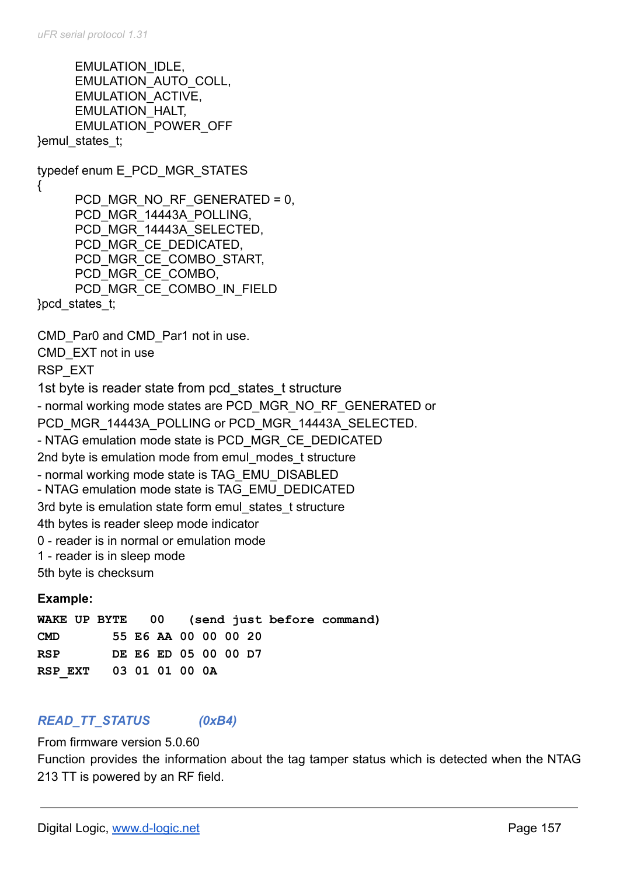EMULATION\_IDLE, EMULATION\_AUTO\_COLL, EMULATION\_ACTIVE, EMULATION\_HALT, EMULATION\_POWER\_OFF }emul\_states\_t; typedef enum E\_PCD\_MGR\_STATES { PCD\_MGR\_NO\_RF\_GENERATED = 0, PCD MGR 14443A POLLING, PCD MGR 14443A SELECTED, PCD\_MGR\_CE\_DEDICATED, PCD\_MGR\_CE\_COMBO\_START, PCD\_MGR\_CE\_COMBO, PCD\_MGR\_CE\_COMBO\_IN\_FIELD }pcd\_states\_t; CMD Par0 and CMD Par1 not in use. CMD\_EXT not in use RSP\_EXT 1st byte is reader state from pcd states t structure - normal working mode states are PCD\_MGR\_NO\_RF\_GENERATED or PCD MGR 14443A POLLING or PCD MGR 14443A SELECTED. - NTAG emulation mode state is PCD\_MGR\_CE\_DEDICATED 2nd byte is emulation mode from emul\_modes\_t structure - normal working mode state is TAG\_EMU\_DISABLED - NTAG emulation mode state is TAG\_EMU\_DEDICATED 3rd byte is emulation state form emul states t structure 4th bytes is reader sleep mode indicator 0 - reader is in normal or emulation mode 1 - reader is in sleep mode 5th byte is checksum **Example:**

**WAKE UP BYTE 00 (send just before command) CMD 55 E6 AA 00 00 00 20 RSP DE E6 ED 05 00 00 D7 RSP\_EXT 03 01 01 00 0A**

# *READ\_TT\_STATUS (0xB4)*

## From firmware version 5.0.60

Function provides the information about the tag tamper status which is detected when the NTAG 213 TT is powered by an RF field.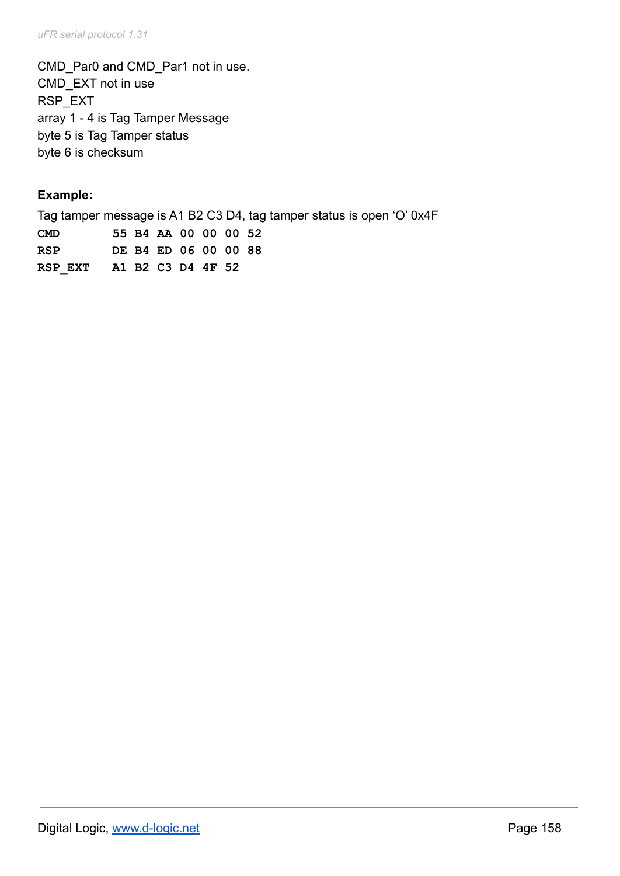CMD\_Par0 and CMD\_Par1 not in use. CMD\_EXT not in use RSP\_EXT array 1 - 4 is Tag Tamper Message byte 5 is Tag Tamper status byte 6 is checksum

# **Example:**

Tag tamper message is A1 B2 C3 D4, tag tamper status is open 'O' 0x4F **CMD 55 B4 AA 00 00 00 52 RSP DE B4 ED 06 00 00 88 RSP\_EXT A1 B2 C3 D4 4F 52**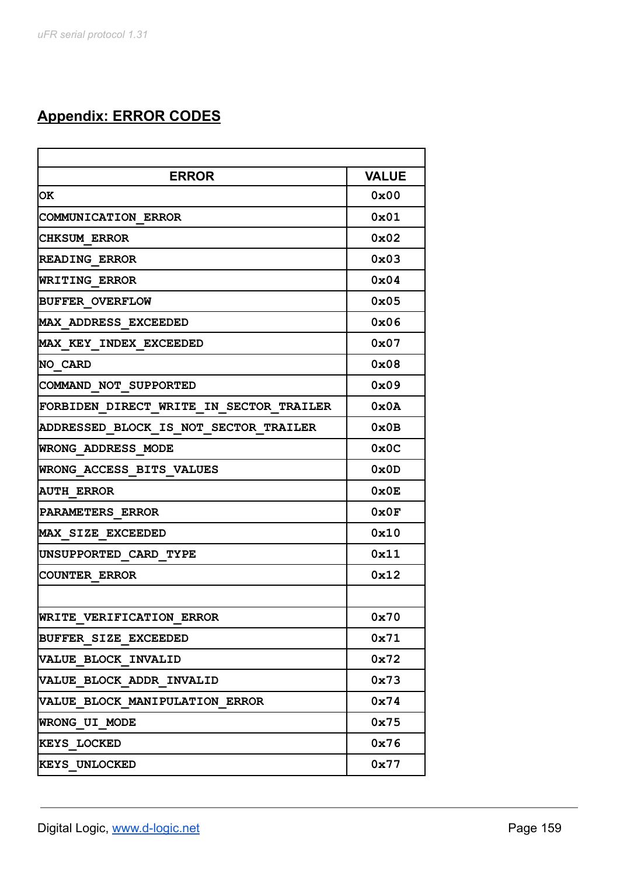# **Appendix: ERROR CODES**

| <b>ERROR</b><br><b>VALUE</b><br>$0 \times 00$<br>$0 \times 01$<br>$0 \times 02$<br>$0 \times 03$<br>$0 \times 04$<br>$0 \times 05$<br>$0 \times 06$<br>$0 \times 07$<br>$0 \times 08$<br>$0 \times 09$<br>0x0A<br>$0 \times 0B$<br>$0 \times 0C$<br>0x0D<br>$0 \times 0E$<br>0x0F<br>0x10<br>0x11<br>0x12<br>0x70<br>0x71<br>0x72<br>0x73<br>0x74<br>0x75<br>0x76<br>0x77 |                                         |  |
|---------------------------------------------------------------------------------------------------------------------------------------------------------------------------------------------------------------------------------------------------------------------------------------------------------------------------------------------------------------------------|-----------------------------------------|--|
|                                                                                                                                                                                                                                                                                                                                                                           |                                         |  |
|                                                                                                                                                                                                                                                                                                                                                                           | OK.                                     |  |
|                                                                                                                                                                                                                                                                                                                                                                           | COMMUNICATION ERROR                     |  |
|                                                                                                                                                                                                                                                                                                                                                                           | <b>CHKSUM ERROR</b>                     |  |
|                                                                                                                                                                                                                                                                                                                                                                           | <b>READING ERROR</b>                    |  |
|                                                                                                                                                                                                                                                                                                                                                                           | WRITING ERROR                           |  |
|                                                                                                                                                                                                                                                                                                                                                                           | <b>BUFFER OVERFLOW</b>                  |  |
|                                                                                                                                                                                                                                                                                                                                                                           | MAX ADDRESS EXCEEDED                    |  |
|                                                                                                                                                                                                                                                                                                                                                                           | MAX KEY INDEX EXCEEDED                  |  |
|                                                                                                                                                                                                                                                                                                                                                                           | NO CARD                                 |  |
|                                                                                                                                                                                                                                                                                                                                                                           | COMMAND NOT SUPPORTED                   |  |
|                                                                                                                                                                                                                                                                                                                                                                           | FORBIDEN DIRECT WRITE IN SECTOR TRAILER |  |
|                                                                                                                                                                                                                                                                                                                                                                           | ADDRESSED BLOCK IS NOT SECTOR TRAILER   |  |
|                                                                                                                                                                                                                                                                                                                                                                           | WRONG ADDRESS MODE                      |  |
|                                                                                                                                                                                                                                                                                                                                                                           | WRONG ACCESS BITS VALUES                |  |
|                                                                                                                                                                                                                                                                                                                                                                           | <b>AUTH ERROR</b>                       |  |
|                                                                                                                                                                                                                                                                                                                                                                           | PARAMETERS ERROR                        |  |
|                                                                                                                                                                                                                                                                                                                                                                           | <b>MAX SIZE EXCEEDED</b>                |  |
|                                                                                                                                                                                                                                                                                                                                                                           | UNSUPPORTED CARD TYPE                   |  |
|                                                                                                                                                                                                                                                                                                                                                                           | <b>COUNTER ERROR</b>                    |  |
|                                                                                                                                                                                                                                                                                                                                                                           |                                         |  |
|                                                                                                                                                                                                                                                                                                                                                                           | <b>WRITE VERIFICATION ERROR</b>         |  |
|                                                                                                                                                                                                                                                                                                                                                                           | BUFFER SIZE EXCEEDED                    |  |
|                                                                                                                                                                                                                                                                                                                                                                           | VALUE BLOCK INVALID                     |  |
|                                                                                                                                                                                                                                                                                                                                                                           | VALUE BLOCK ADDR INVALID                |  |
|                                                                                                                                                                                                                                                                                                                                                                           | VALUE BLOCK MANIPULATION ERROR          |  |
|                                                                                                                                                                                                                                                                                                                                                                           | WRONG UI MODE                           |  |
|                                                                                                                                                                                                                                                                                                                                                                           | <b>KEYS LOCKED</b>                      |  |
|                                                                                                                                                                                                                                                                                                                                                                           | <b>KEYS UNLOCKED</b>                    |  |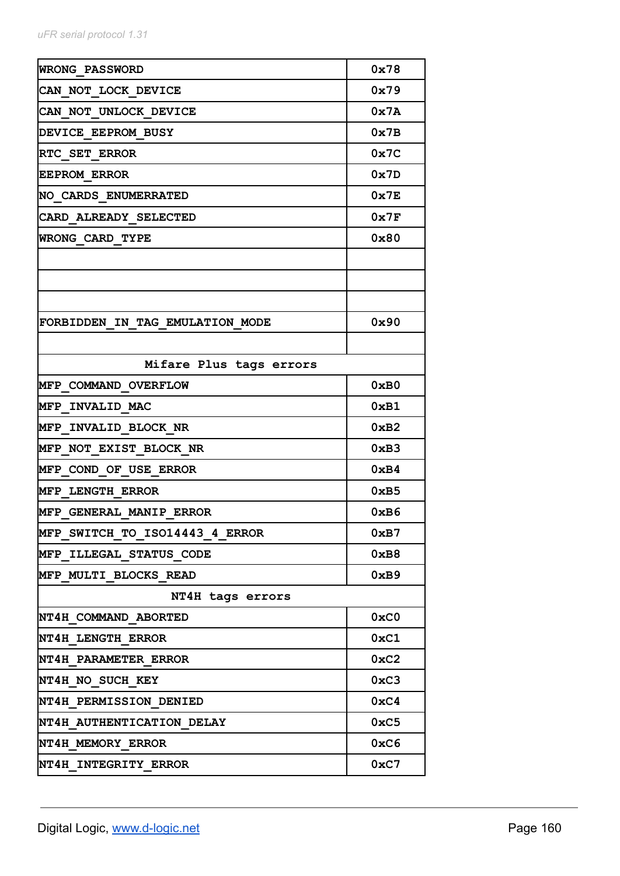| <b>WRONG PASSWORD</b>           | 0x78          |
|---------------------------------|---------------|
| CAN NOT LOCK DEVICE             | 0x79          |
| CAN NOT UNLOCK DEVICE           | 0x7A          |
| DEVICE EEPROM BUSY              | $0 \times 7B$ |
| RTC SET ERROR                   | 0x7C          |
| <b>EEPROM ERROR</b>             | 0x7D          |
| NO CARDS ENUMERRATED            | 0x7E          |
| CARD ALREADY SELECTED           | 0x7F          |
| WRONG CARD TYPE                 | $0 \times 80$ |
|                                 |               |
|                                 |               |
|                                 |               |
| FORBIDDEN IN TAG EMULATION MODE | 0x90          |
|                                 |               |
| Mifare Plus tags errors         |               |
| MFP COMMAND OVERFLOW            | 0xB0          |
| MFP INVALID MAC                 | 0xB1          |
| MFP INVALID BLOCK NR            | 0xB2          |
| MFP NOT EXIST BLOCK NR          | 0xB3          |
| MFP COND OF USE ERROR           | 0xB4          |
| <b>MFP LENGTH ERROR</b>         | $0 \times B5$ |
| MFP GENERAL MANIP ERROR         | 0xB6          |
| MFP SWITCH TO ISO14443 4 ERROR  | 0xB7          |
| MFP ILLEGAL STATUS CODE         | 0xB8          |
| MFP MULTI BLOCKS READ           | 0xB9          |
| NT4H tags errors                |               |
| NT4H COMMAND ABORTED            | 0xC0          |
| NT4H LENGTH ERROR               | 0xC1          |
| NT4H PARAMETER ERROR            | $0 \times C2$ |
| NT4H NO SUCH KEY                | 0xC3          |
| <b>NT4H PERMISSION DENIED</b>   | 0xC4          |
| NT4H AUTHENTICATION DELAY       | 0xC5          |
| NT4H MEMORY ERROR               | 0xC6          |
| NT4H INTEGRITY ERROR            | 0xC7          |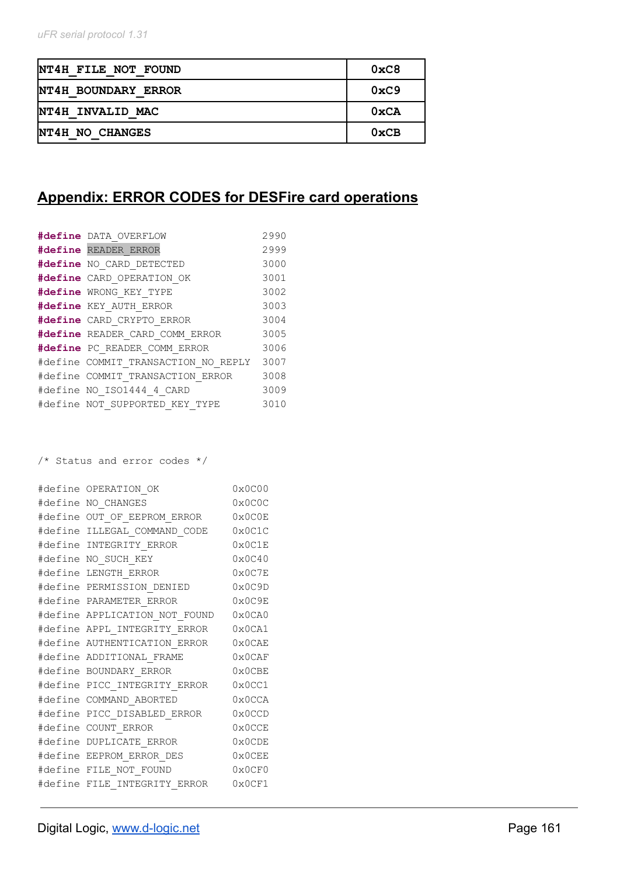| NT4H FILE NOT FOUND | 0xC8          |
|---------------------|---------------|
| NT4H BOUNDARY ERROR | $0 \times C9$ |
| NT4H INVALID MAC    | $0 \times CA$ |
| NT4H NO CHANGES     | $0 \times CB$ |

# **Appendix: ERROR CODES for DESFire card operations**

| #define DATA OVERFLOW               | 2990 |
|-------------------------------------|------|
| #define READER ERROR                | 2999 |
| #define NO CARD DETECTED            | 3000 |
| #define CARD OPERATION OK           | 3001 |
| #define WRONG KEY TYPE              | 3002 |
| #define KEY AUTH ERROR              | 3003 |
| #define CARD CRYPTO ERROR           | 3004 |
| #define READER CARD COMM ERROR      | 3005 |
| #define PC READER COMM ERROR        | 3006 |
| #define COMMIT TRANSACTION NO REPLY | 3007 |
| #define COMMIT TRANSACTION ERROR    | 3008 |
| #define NO ISO1444 4 CARD           | 3009 |
| #define NOT SUPPORTED KEY TYPE      | 3010 |

/\* Status and error codes \*/

|         | #define OPERATION OK                | 0x0C00                  |
|---------|-------------------------------------|-------------------------|
|         | #define NO CHANGES                  | 0x0C0C                  |
| #define | OUT OF EEPROM ERROR                 | $0 \times 0 \times 0 E$ |
|         | #define ILLEGAL COMMAND CODE        | 0x0C1C                  |
|         | #define INTEGRITY ERROR             | $0 \times 0$ C $1$ E    |
| #define | NO SUCH KEY                         | 0x0C40                  |
|         | #define LENGTH ERROR                | $0 \times 0$ C7E        |
|         | #define PERMISSION DENIED           | 0x0C9D                  |
|         | #define PARAMETER ERROR             | $0 \times 0 \times 9E$  |
|         | #define APPLICATION NOT FOUND       | 0x0CA0                  |
|         | #define APPL INTEGRITY ERROR        | 0x0CA1                  |
|         | #define AUTHENTICATION ERROR 0x0CAE |                         |
|         | #define ADDITIONAL FRAME            | $0 \times 0$ CAF        |
|         | #define BOUNDARY ERROR              | 0x0CBE                  |
|         | #define PICC INTEGRITY_ERROR        | 0x0CC1                  |
|         | #define COMMAND ABORTED             | 0x0CCA                  |
|         | #define PICC DISABLED_ERROR         | 0x0CCD                  |
|         | #define COUNT ERROR                 | 0x0CCE                  |
|         | #define DUPLICATE ERROR             | 0x0CDE                  |
|         | #define EEPROM ERROR DES            | $0 \times 0$ CEE        |
|         | #define FILE NOT FOUND              | $0 \times 0 \times 0$   |
|         | #define FILE INTEGRITY ERROR        | 0x0CF1                  |
|         |                                     |                         |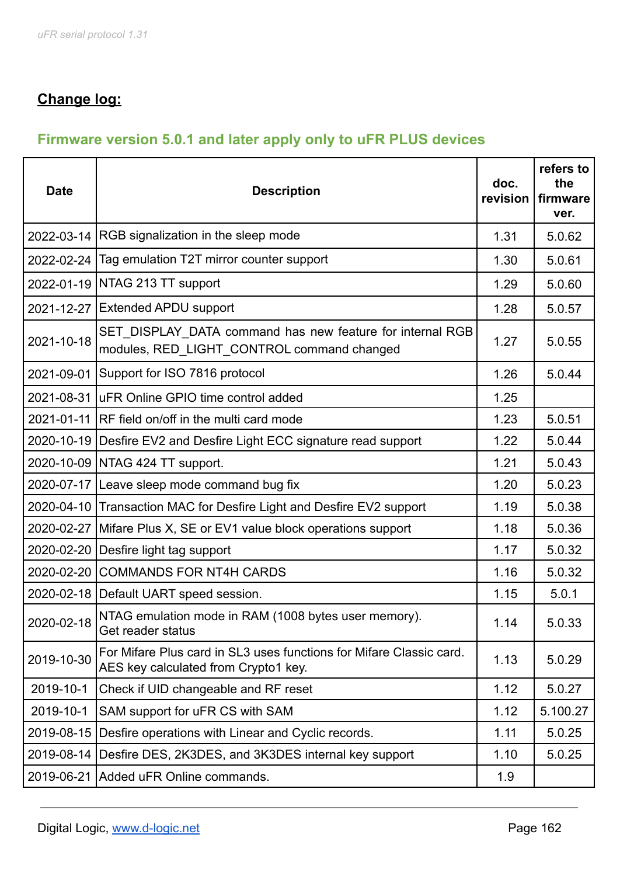# **Change log:**

# **Firmware version 5.0.1 and later apply only to uFR PLUS devices**

| <b>Date</b> | <b>Description</b>                                                                                          | doc.<br>revision | refers to<br>the<br>firmware<br>ver. |
|-------------|-------------------------------------------------------------------------------------------------------------|------------------|--------------------------------------|
|             | 2022-03-14 RGB signalization in the sleep mode                                                              | 1.31             | 5.0.62                               |
|             | 2022-02-24   Tag emulation T2T mirror counter support                                                       | 1.30             | 5.0.61                               |
|             | 2022-01-19 NTAG 213 TT support                                                                              | 1.29             | 5.0.60                               |
|             | 2021-12-27 Extended APDU support                                                                            | 1.28             | 5.0.57                               |
| 2021-10-18  | SET DISPLAY DATA command has new feature for internal RGB<br>modules, RED_LIGHT_CONTROL command changed     | 1.27             | 5.0.55                               |
| 2021-09-01  | Support for ISO 7816 protocol                                                                               | 1.26             | 5.0.44                               |
|             | 2021-08-31 UFR Online GPIO time control added                                                               | 1.25             |                                      |
|             | 2021-01-11 RF field on/off in the multi card mode                                                           | 1.23             | 5.0.51                               |
|             | 2020-10-19 Desfire EV2 and Desfire Light ECC signature read support                                         | 1.22             | 5.0.44                               |
|             | 2020-10-09   NTAG 424 TT support.                                                                           | 1.21             | 5.0.43                               |
|             | 2020-07-17 Leave sleep mode command bug fix                                                                 | 1.20             | 5.0.23                               |
|             | 2020-04-10 Transaction MAC for Desfire Light and Desfire EV2 support                                        | 1.19             | 5.0.38                               |
|             | 2020-02-27 Mifare Plus X, SE or EV1 value block operations support                                          | 1.18             | 5.0.36                               |
|             | 2020-02-20   Desfire light tag support                                                                      | 1.17             | 5.0.32                               |
|             | 2020-02-20 COMMANDS FOR NT4H CARDS                                                                          | 1.16             | 5.0.32                               |
|             | 2020-02-18   Default UART speed session.                                                                    | 1.15             | 5.0.1                                |
| 2020-02-18  | NTAG emulation mode in RAM (1008 bytes user memory).<br>Get reader status                                   | 1.14             | 5.0.33                               |
| 2019-10-30  | For Mifare Plus card in SL3 uses functions for Mifare Classic card.<br>AES key calculated from Crypto1 key. | 1.13             | 5.0.29                               |
| 2019-10-1   | Check if UID changeable and RF reset                                                                        | 1.12             | 5.0.27                               |
| 2019-10-1   | SAM support for uFR CS with SAM                                                                             | 1.12             | 5.100.27                             |
| 2019-08-15  | Desfire operations with Linear and Cyclic records.                                                          | 1.11             | 5.0.25                               |
|             | 2019-08-14 Desfire DES, 2K3DES, and 3K3DES internal key support                                             | 1.10             | 5.0.25                               |
| 2019-06-21  | Added uFR Online commands.                                                                                  | 1.9              |                                      |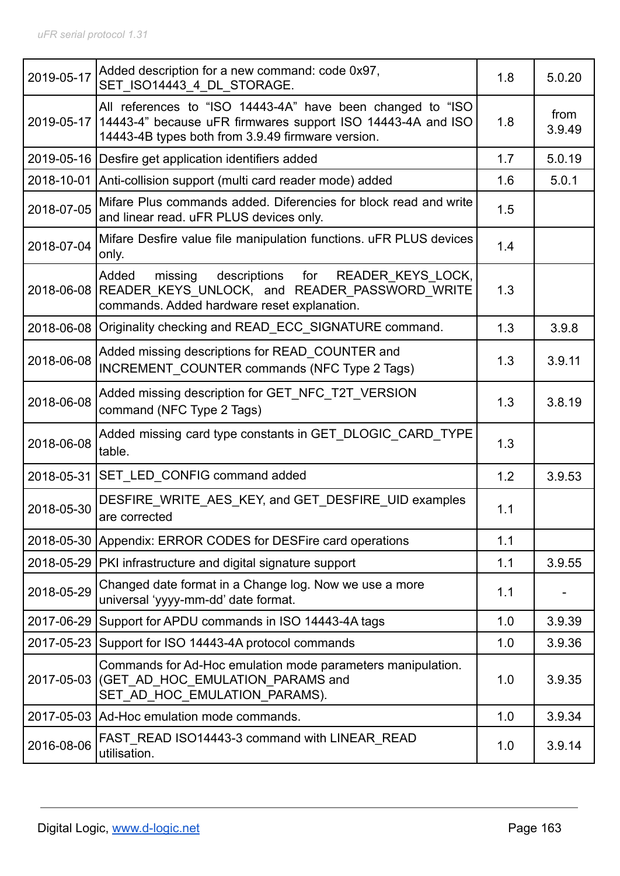| 2019-05-17 | Added description for a new command: code 0x97,<br>SET_ISO14443_4_DL_STORAGE.                                                                                                               | 1.8 | 5.0.20         |
|------------|---------------------------------------------------------------------------------------------------------------------------------------------------------------------------------------------|-----|----------------|
|            | All references to "ISO 14443-4A" have been changed to "ISO<br>2019-05-17   14443-4" because uFR firmwares support ISO 14443-4A and ISO<br>14443-4B types both from 3.9.49 firmware version. | 1.8 | from<br>3.9.49 |
|            | 2019-05-16 Desfire get application identifiers added                                                                                                                                        | 1.7 | 5.0.19         |
|            | 2018-10-01 Anti-collision support (multi card reader mode) added                                                                                                                            | 1.6 | 5.0.1          |
| 2018-07-05 | Mifare Plus commands added. Diferencies for block read and write<br>and linear read. uFR PLUS devices only.                                                                                 | 1.5 |                |
| 2018-07-04 | Mifare Desfire value file manipulation functions. uFR PLUS devices<br>only.                                                                                                                 | 1.4 |                |
|            | descriptions<br>READER KEYS_LOCK,<br>Added<br>for<br>missing<br>2018-06-08 READER KEYS UNLOCK, and READER PASSWORD WRITE<br>commands. Added hardware reset explanation.                     | 1.3 |                |
|            | 2018-06-08 Originality checking and READ ECC SIGNATURE command.                                                                                                                             | 1.3 | 3.9.8          |
| 2018-06-08 | Added missing descriptions for READ_COUNTER and<br>INCREMENT COUNTER commands (NFC Type 2 Tags)                                                                                             | 1.3 | 3.9.11         |
| 2018-06-08 | Added missing description for GET NFC T2T VERSION<br>command (NFC Type 2 Tags)                                                                                                              | 1.3 | 3.8.19         |
| 2018-06-08 | Added missing card type constants in GET DLOGIC CARD TYPE<br>table.                                                                                                                         | 1.3 |                |
|            | 2018-05-31 SET_LED_CONFIG command added                                                                                                                                                     | 1.2 | 3.9.53         |
| 2018-05-30 | DESFIRE WRITE AES KEY, and GET DESFIRE UID examples<br>are corrected                                                                                                                        | 1.1 |                |
|            | 2018-05-30 Appendix: ERROR CODES for DESFire card operations                                                                                                                                | 1.1 |                |
|            | 2018-05-29 PKI infrastructure and digital signature support                                                                                                                                 | 1.1 | 3.9.55         |
| 2018-05-29 | Changed date format in a Change log. Now we use a more<br>universal 'yyyy-mm-dd' date format.                                                                                               | 1.1 |                |
| 2017-06-29 | Support for APDU commands in ISO 14443-4A tags                                                                                                                                              | 1.0 | 3.9.39         |
| 2017-05-23 | Support for ISO 14443-4A protocol commands                                                                                                                                                  | 1.0 | 3.9.36         |
| 2017-05-03 | Commands for Ad-Hoc emulation mode parameters manipulation.<br>(GET AD HOC EMULATION PARAMS and<br>SET_AD_HOC_EMULATION_PARAMS).                                                            | 1.0 | 3.9.35         |
|            | 2017-05-03 Ad-Hoc emulation mode commands.                                                                                                                                                  | 1.0 | 3.9.34         |
| 2016-08-06 | FAST READ ISO14443-3 command with LINEAR READ<br>utilisation.                                                                                                                               | 1.0 | 3.9.14         |